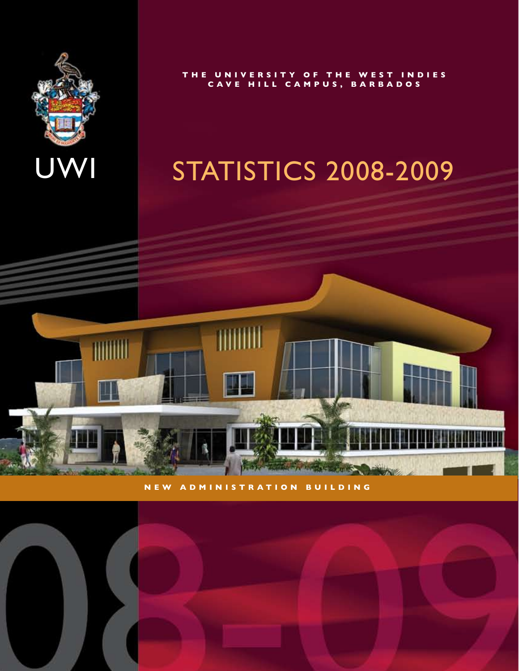

**T H E U N I V E R S I T Y O F T H E W E S T I N D I E S C A V E H I L L C A M P U S , B A R B A D O S**

### STATISTICS 2008-2009



**N E W A D M I N I S T R A T I O N B U I L D I N G**

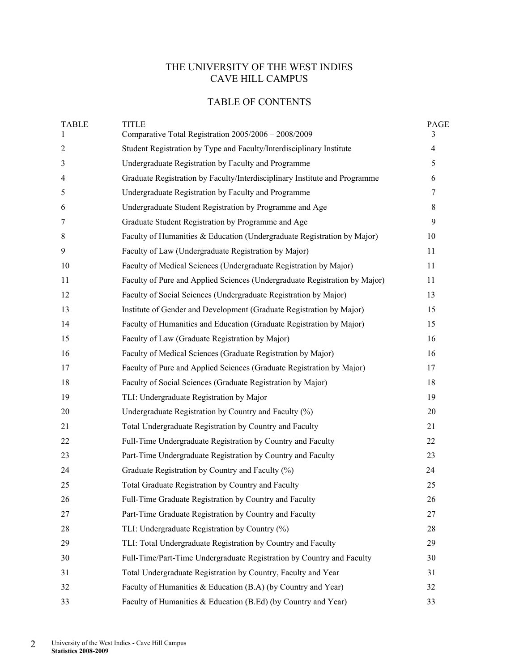### THE UNIVERSITY OF THE WEST INDIES CAVE HILL CAMPUS

### TABLE OF CONTENTS

| <b>TABLE</b><br>1 | <b>TITLE</b><br>Comparative Total Registration 2005/2006 - 2008/2009       | <b>PAGE</b><br>3 |
|-------------------|----------------------------------------------------------------------------|------------------|
| $\overline{2}$    | Student Registration by Type and Faculty/Interdisciplinary Institute       | $\overline{4}$   |
| 3                 | Undergraduate Registration by Faculty and Programme                        | 5                |
| 4                 | Graduate Registration by Faculty/Interdisciplinary Institute and Programme | 6                |
| 5                 | Undergraduate Registration by Faculty and Programme                        | $\tau$           |
| 6                 | Undergraduate Student Registration by Programme and Age                    | 8                |
| 7                 | Graduate Student Registration by Programme and Age                         | 9                |
| $8\,$             | Faculty of Humanities & Education (Undergraduate Registration by Major)    | 10               |
| 9                 | Faculty of Law (Undergraduate Registration by Major)                       | 11               |
| 10                | Faculty of Medical Sciences (Undergraduate Registration by Major)          | 11               |
| 11                | Faculty of Pure and Applied Sciences (Undergraduate Registration by Major) | 11               |
| 12                | Faculty of Social Sciences (Undergraduate Registration by Major)           | 13               |
| 13                | Institute of Gender and Development (Graduate Registration by Major)       | 15               |
| 14                | Faculty of Humanities and Education (Graduate Registration by Major)       | 15               |
| 15                | Faculty of Law (Graduate Registration by Major)                            | 16               |
| 16                | Faculty of Medical Sciences (Graduate Registration by Major)               | 16               |
| 17                | Faculty of Pure and Applied Sciences (Graduate Registration by Major)      | 17               |
| 18                | Faculty of Social Sciences (Graduate Registration by Major)                | 18               |
| 19                | TLI: Undergraduate Registration by Major                                   | 19               |
| 20                | Undergraduate Registration by Country and Faculty (%)                      | 20               |
| 21                | Total Undergraduate Registration by Country and Faculty                    | 21               |
| 22                | Full-Time Undergraduate Registration by Country and Faculty                | 22               |
| 23                | Part-Time Undergraduate Registration by Country and Faculty                | 23               |
| 24                | Graduate Registration by Country and Faculty (%)                           | 24               |
| 25                | Total Graduate Registration by Country and Faculty                         | 25               |
| 26                | Full-Time Graduate Registration by Country and Faculty                     | 26               |
| 27                | Part-Time Graduate Registration by Country and Faculty                     | 27               |
| 28                | TLI: Undergraduate Registration by Country (%)                             | 28               |
| 29                | TLI: Total Undergraduate Registration by Country and Faculty               | 29               |
| 30                | Full-Time/Part-Time Undergraduate Registration by Country and Faculty      | 30               |
| 31                | Total Undergraduate Registration by Country, Faculty and Year              | 31               |
| 32                | Faculty of Humanities & Education (B.A) (by Country and Year)              | 32               |
| 33                | Faculty of Humanities & Education (B.Ed) (by Country and Year)             | 33               |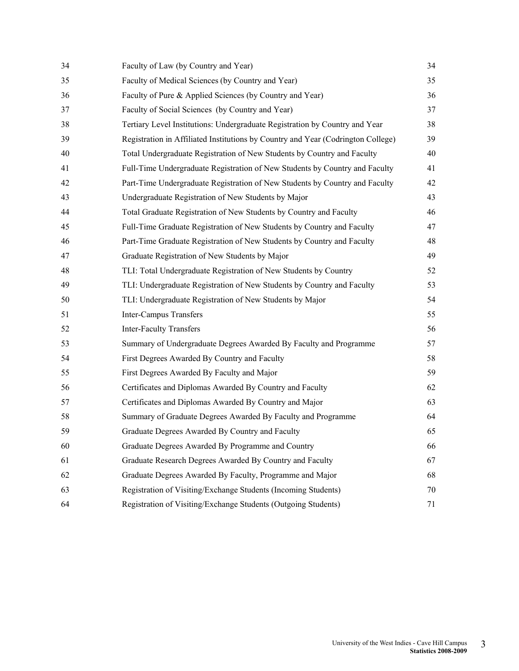| 34 | Faculty of Law (by Country and Year)                                             | 34 |
|----|----------------------------------------------------------------------------------|----|
| 35 | Faculty of Medical Sciences (by Country and Year)                                | 35 |
| 36 | Faculty of Pure & Applied Sciences (by Country and Year)                         | 36 |
| 37 | Faculty of Social Sciences (by Country and Year)                                 | 37 |
| 38 | Tertiary Level Institutions: Undergraduate Registration by Country and Year      | 38 |
| 39 | Registration in Affiliated Institutions by Country and Year (Codrington College) | 39 |
| 40 | Total Undergraduate Registration of New Students by Country and Faculty          | 40 |
| 41 | Full-Time Undergraduate Registration of New Students by Country and Faculty      | 41 |
| 42 | Part-Time Undergraduate Registration of New Students by Country and Faculty      | 42 |
| 43 | Undergraduate Registration of New Students by Major                              | 43 |
| 44 | Total Graduate Registration of New Students by Country and Faculty               | 46 |
| 45 | Full-Time Graduate Registration of New Students by Country and Faculty           | 47 |
| 46 | Part-Time Graduate Registration of New Students by Country and Faculty           | 48 |
| 47 | Graduate Registration of New Students by Major                                   | 49 |
| 48 | TLI: Total Undergraduate Registration of New Students by Country                 | 52 |
| 49 | TLI: Undergraduate Registration of New Students by Country and Faculty           | 53 |
| 50 | TLI: Undergraduate Registration of New Students by Major                         | 54 |
| 51 | <b>Inter-Campus Transfers</b>                                                    | 55 |
| 52 | <b>Inter-Faculty Transfers</b>                                                   | 56 |
| 53 | Summary of Undergraduate Degrees Awarded By Faculty and Programme                | 57 |
| 54 | First Degrees Awarded By Country and Faculty                                     | 58 |
| 55 | First Degrees Awarded By Faculty and Major                                       | 59 |
| 56 | Certificates and Diplomas Awarded By Country and Faculty                         | 62 |
| 57 | Certificates and Diplomas Awarded By Country and Major                           | 63 |
| 58 | Summary of Graduate Degrees Awarded By Faculty and Programme                     | 64 |
| 59 | Graduate Degrees Awarded By Country and Faculty                                  | 65 |
| 60 | Graduate Degrees Awarded By Programme and Country                                | 66 |
| 61 | Graduate Research Degrees Awarded By Country and Faculty                         | 67 |
| 62 | Graduate Degrees Awarded By Faculty, Programme and Major                         | 68 |
| 63 | Registration of Visiting/Exchange Students (Incoming Students)                   | 70 |
| 64 | Registration of Visiting/Exchange Students (Outgoing Students)                   | 71 |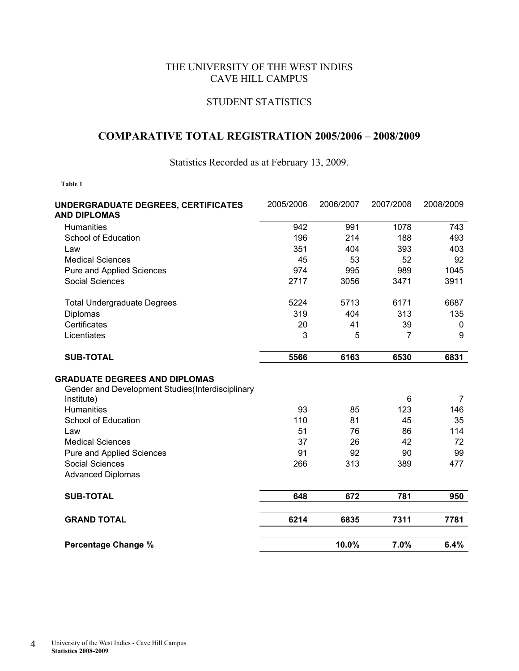### THE UNIVERSITY OF THE WEST INDIES CAVE HILL CAMPUS

### STUDENT STATISTICS

### **COMPARATIVE TOTAL REGISTRATION 2005/2006 – 2008/2009**

Statistics Recorded as at February 13, 2009.

| UNDERGRADUATE DEGREES, CERTIFICATES<br><b>AND DIPLOMAS</b>                               | 2005/2006 | 2006/2007 | 2007/2008 | 2008/2009      |
|------------------------------------------------------------------------------------------|-----------|-----------|-----------|----------------|
| <b>Humanities</b>                                                                        | 942       | 991       | 1078      | 743            |
| School of Education                                                                      | 196       | 214       | 188       | 493            |
| Law                                                                                      | 351       | 404       | 393       | 403            |
| <b>Medical Sciences</b>                                                                  | 45        | 53        | 52        | 92             |
| <b>Pure and Applied Sciences</b>                                                         | 974       | 995       | 989       | 1045           |
| Social Sciences                                                                          | 2717      | 3056      | 3471      | 3911           |
| <b>Total Undergraduate Degrees</b>                                                       | 5224      | 5713      | 6171      | 6687           |
| Diplomas                                                                                 | 319       | 404       | 313       | 135            |
| Certificates                                                                             | 20        | 41        | 39        | 0              |
| Licentiates                                                                              | 3         | 5         | 7         | 9              |
| <b>SUB-TOTAL</b>                                                                         | 5566      | 6163      | 6530      | 6831           |
| <b>GRADUATE DEGREES AND DIPLOMAS</b><br>Gender and Development Studies(Interdisciplinary |           |           |           |                |
| Institute)                                                                               |           |           | 6         | $\overline{7}$ |
| <b>Humanities</b>                                                                        | 93        | 85        | 123       | 146            |
| School of Education                                                                      | 110       | 81        | 45        | 35             |
| Law                                                                                      | 51        | 76        | 86        | 114            |
| <b>Medical Sciences</b>                                                                  | 37        | 26        | 42        | 72             |
| Pure and Applied Sciences                                                                | 91        | 92        | 90        | 99             |
| <b>Social Sciences</b>                                                                   | 266       | 313       | 389       | 477            |
| <b>Advanced Diplomas</b>                                                                 |           |           |           |                |
| <b>SUB-TOTAL</b>                                                                         | 648       | 672       | 781       | 950            |
| <b>GRAND TOTAL</b>                                                                       | 6214      | 6835      | 7311      | 7781           |
| <b>Percentage Change %</b>                                                               |           | 10.0%     | 7.0%      | 6.4%           |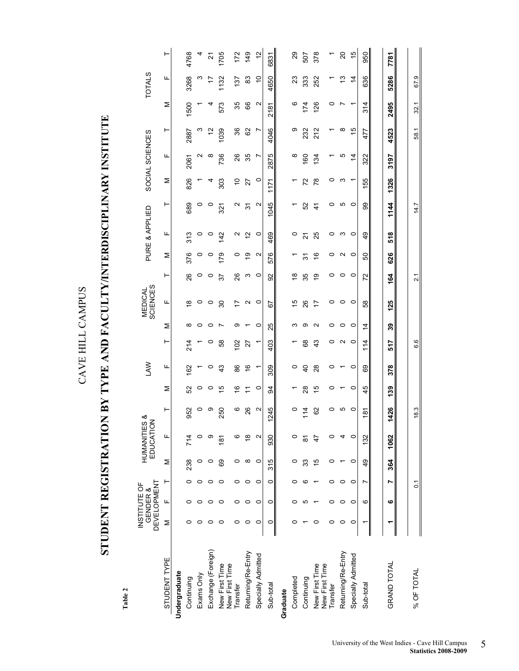# STUDENT REGISTRATION BY TYPE AND FACULTY/INTERDISCIPLINARY INSTITUTE **STUDENT REGISTRATION BY TYPE AND FACULTY/INTERDISCIPLINARY INSTITUTE**

|                                  |         | <b>DEVELOPMENT</b><br>INSTITUTE OF<br>GENDER & |                |               | <b>HUMANITIES</b><br>EDUCATION | య             |               | <b>NVT</b>     |         |                | <b>SCIENCES</b><br>MEDICAL |                 |                   | PURE & APPLIED |               |               | SOCIAL SCIENCES |               |                   | <b>TOTALS</b>  |               |
|----------------------------------|---------|------------------------------------------------|----------------|---------------|--------------------------------|---------------|---------------|----------------|---------|----------------|----------------------------|-----------------|-------------------|----------------|---------------|---------------|-----------------|---------------|-------------------|----------------|---------------|
| STUDENT TYPE                     | Σ       | щ                                              | ۲              | Σ             | щ                              | ⊢             | Σ             | щ              | ⊢       | Σ              | Щ                          | ⊢               | Σ                 | щ              | ⊢             | Σ             | щ               | ⊢             | Σ                 | щ              | ۲             |
| Undergraduate                    |         |                                                |                |               |                                |               |               |                |         |                |                            |                 |                   |                |               |               |                 |               |                   |                |               |
| Continuing                       | 0       |                                                |                | 238           | 714                            | 952           | 52            | 162            | 214     | ∞              | $\frac{8}{1}$              | 26              | 376               | 313            | 689           | 826           | 2061            | 2887          | 1500              | 3268           | 4768          |
| Exams Only                       | 0       |                                                |                |               | 0                              | 0             | 0             |                |         | 0              | 0                          | $\circ$         | $\circ$           | $\circ$        | $\circ$       |               | ี               | ო             |                   | ო              | 4             |
| Exchange (Foreign)               | 0       |                                                |                | 0             | თ                              | တ             | 0             | 0              | 0       | c              | 0                          | 0               | 0                 | 0              | 0             |               | ∞               | 57            | 4                 | 17             | 2             |
| New First Time<br>New First Time | $\circ$ | $\circ$                                        | 0              | 89            | 181                            | 250           | $\frac{5}{1}$ | $\frac{3}{4}$  | 58      |                | 80                         | 57              | 179               | $\frac{42}{5}$ | 321           | 303           | 736             | 1039          | 573               | 1132           | 1705          |
| Transfer                         | 0       | 0                                              | 0              | 0             | ဖ                              | ဖ             | 9             | 86             | 102     | თ              | 17                         | 26              | 0                 | Ν              | Ν             | $\frac{1}{2}$ | 26              | 36            | 35                | 137            | 172           |
| Returning/Re-Entry               | $\circ$ | $\circ$                                        | $\circ$        | $\infty$      | $\frac{8}{1}$                  | 26            | Ξ             | $\frac{6}{5}$  | 27      |                | $\sim$                     | ო               | e,                | $\frac{1}{2}$  | 9             | 27            | 35              | 82            | 89                | 83             | 149           |
| Specially Admitted               | $\circ$ | $\circ$                                        | $\circ$        | $\circ$       | $\mathbf{\Omega}$              | N             | $\circ$       | ↽              |         | $\circ$        | $\circ$                    | $\circ$         | $\mathbf{\Omega}$ | $\circ$        | Ν             | $\circ$       | r               | <sup>N</sup>  | $\mathbf{\Omega}$ | $\overline{0}$ | $\frac{1}{2}$ |
| Sub-total                        | $\circ$ | $\circ$                                        | $\circ$        | 315           | 930                            | 245           | æ             | 309            | 403     | 25             | 59                         | $\overline{9}$  | 576               | 469            | 045           | 1171          | 2875            | 4046          | 2181              | 4650           | 6831          |
| Graduate                         |         |                                                |                |               |                                |               |               |                |         |                |                            |                 |                   |                |               |               |                 |               |                   |                |               |
| Completed                        | c       | 0                                              | 0              | 0             | $\circ$                        | 0             |               | $\circ$        |         | ო              | 10                         | $\frac{8}{1}$   |                   | $\circ$        |               |               | ∞               | თ             | ဖ                 | 23             | 29            |
| Continuing                       |         | Ю                                              | ဖ              | 33            | 8                              | 114           | $\frac{8}{2}$ | $\overline{a}$ | 68      | တ              | 26                         | 35              | 2                 | $\overline{2}$ | 52            | 72            | 160             | 232           | 174               | 333            | 507           |
| New First Time<br>New First Time | 0       |                                                |                | $\frac{5}{1}$ | $\overline{4}$                 | 8             | 15            | 28             | 43      | Σ              | $\overline{1}$             | <u>ဝှ</u>       | $\frac{6}{5}$     | 25             | $\frac{4}{3}$ | $\frac{8}{2}$ | 134             | 212           | 126               | 252            | 378           |
| Transfer                         | 0       | 0                                              | 0              | 0             | 0                              | 0             | 0             | 0              | 0       | 0              | 0                          | 0               | 0                 | 0              | 0             | 0             |                 |               | 0                 |                |               |
| Returning/Re-Entry               | 0       | $\circ$                                        | $\circ$        |               | 4                              | ю             |               |                | $\sim$  | 0              | $\circ$                    | 0               | $\mathbf{\Omega}$ | ω              | ю             | ო             | ပ               | ∞             |                   | مبر<br>ب       | $\Omega$      |
| Specially Admitted               | 0       | $\circ$                                        | $\circ$        | $\circ$       | $\circ$                        | $\circ$       | $\circ$       | $\circ$        | $\circ$ | $\circ$        | $\circ$                    | 0               | $\circ$           | $\circ$        | $\circ$       |               | $\overline{4}$  | $\frac{5}{2}$ |                   | $\overline{4}$ | $\frac{1}{2}$ |
| Sub-total                        |         | ဖ                                              | r              | 49            | 132                            | $\frac{1}{8}$ | 45            | 89             | 114     | $\overline{4}$ | 58                         | 72              | 8                 | 49             | 8             | 55            | 322             | 477           | 314               | 636            | 950           |
|                                  |         |                                                |                |               |                                |               |               |                |         |                |                            |                 |                   |                |               |               |                 |               |                   |                |               |
| <b>GRAND TOTAL</b>               |         | ဖ                                              | r              | 364           | 1062                           | 426           | 139           | 378            | 517     | 39             | 125                        | 164             | 626               | 518            | 1144          | 1326          | 3197            | 4523          | 2495              | 5286           | 7781          |
|                                  |         |                                                |                |               |                                |               |               |                |         |                |                            |                 |                   |                |               |               |                 |               |                   |                |               |
| % OF TOTAL                       |         |                                                | $\overline{c}$ |               |                                | 18.3          |               |                | 6.6     |                |                            | $\overline{21}$ |                   |                | 14.7          |               |                 | 58.1          | 32.1              | 67.9           |               |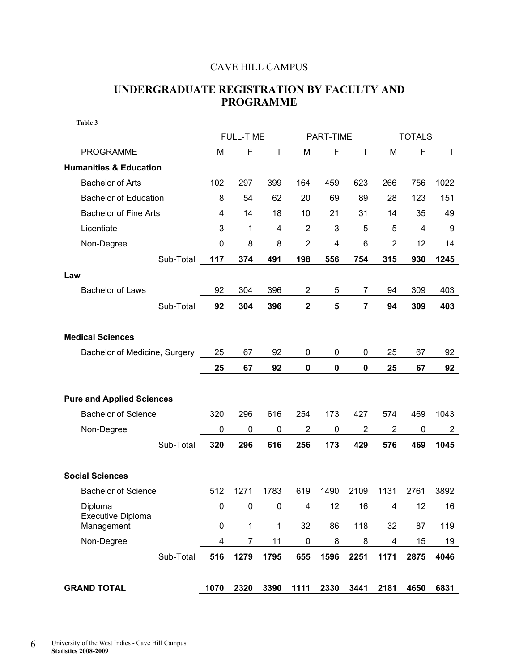### CAVE HILL CAMPUS

### **UNDERGRADUATE REGISTRATION BY FACULTY AND PROGRAMME**

| Table 3                           |           |                  |             |                  |             |                |                |               |      |
|-----------------------------------|-----------|------------------|-------------|------------------|-------------|----------------|----------------|---------------|------|
|                                   |           | <b>FULL-TIME</b> |             |                  | PART-TIME   |                |                | <b>TOTALS</b> |      |
| <b>PROGRAMME</b>                  | M         | F                | Τ           | M                | F           | Т              | M              | F             | T.   |
| <b>Humanities &amp; Education</b> |           |                  |             |                  |             |                |                |               |      |
| <b>Bachelor of Arts</b>           | 102       | 297              | 399         | 164              | 459         | 623            | 266            | 756           | 1022 |
| <b>Bachelor of Education</b>      | 8         | 54               | 62          | 20               | 69          | 89             | 28             | 123           | 151  |
| <b>Bachelor of Fine Arts</b>      | 4         | 14               | 18          | 10               | 21          | 31             | 14             | 35            | 49   |
| Licentiate                        | 3         | 1                | 4           | $\overline{2}$   | 3           | 5              | 5              | 4             | 9    |
| Non-Degree                        | 0         | 8                | 8           | $\overline{2}$   | 4           | 6              | $\overline{c}$ | 12            | 14   |
| Sub-Total                         | 117       | 374              | 491         | 198              | 556         | 754            | 315            | 930           | 1245 |
| Law                               |           |                  |             |                  |             |                |                |               |      |
| <b>Bachelor of Laws</b>           | 92        | 304              | 396         | $\overline{2}$   | 5           | 7              | 94             | 309           | 403  |
| Sub-Total                         | 92        | 304              | 396         | $\boldsymbol{2}$ | 5           | $\overline{7}$ | 94             | 309           | 403  |
|                                   |           |                  |             |                  |             |                |                |               |      |
| <b>Medical Sciences</b>           |           |                  |             |                  |             |                |                |               |      |
| Bachelor of Medicine, Surgery     | 25        | 67               | 92          | 0                | 0           | 0              | 25             | 67            | 92   |
|                                   | 25        | 67               | 92          | $\pmb{0}$        | $\mathbf 0$ | $\mathbf 0$    | 25             | 67            | 92   |
|                                   |           |                  |             |                  |             |                |                |               |      |
| <b>Pure and Applied Sciences</b>  |           |                  |             |                  |             |                |                |               |      |
| <b>Bachelor of Science</b>        | 320       | 296              | 616         | 254              | 173         | 427            | 574            | 469           | 1043 |
| Non-Degree                        | 0         | 0                | $\mathbf 0$ | $\overline{2}$   | $\mathbf 0$ | $\overline{2}$ | $\overline{2}$ | $\mathbf 0$   | 2    |
| Sub-Total                         | 320       | 296              | 616         | 256              | 173         | 429            | 576            | 469           | 1045 |
|                                   |           |                  |             |                  |             |                |                |               |      |
| <b>Social Sciences</b>            |           |                  |             |                  |             |                |                |               |      |
| <b>Bachelor of Science</b>        | 512       | 1271             | 1783        | 619              | 1490        | 2109           | 1131           | 2761          | 3892 |
| Diploma                           | $\pmb{0}$ | $\pmb{0}$        | 0           | 4                | 12          | 16             | 4              | 12            | 16   |
| Executive Diploma<br>Management   | $\pmb{0}$ | $\mathbf 1$      | $\mathbf 1$ | 32               | 86          | 118            | 32             | 87            | 119  |
| Non-Degree                        | 4         | $\overline{7}$   | 11          | $\pmb{0}$        | 8           | 8              | 4              | 15            | 19   |
| Sub-Total                         | 516       | 1279             | 1795        | 655              | 1596        | 2251           | 1171           | 2875          | 4046 |
|                                   |           |                  |             |                  |             |                |                |               |      |
| <b>GRAND TOTAL</b>                | 1070      | 2320             | 3390        | 1111             | 2330        | 3441           | 2181           | 4650          | 6831 |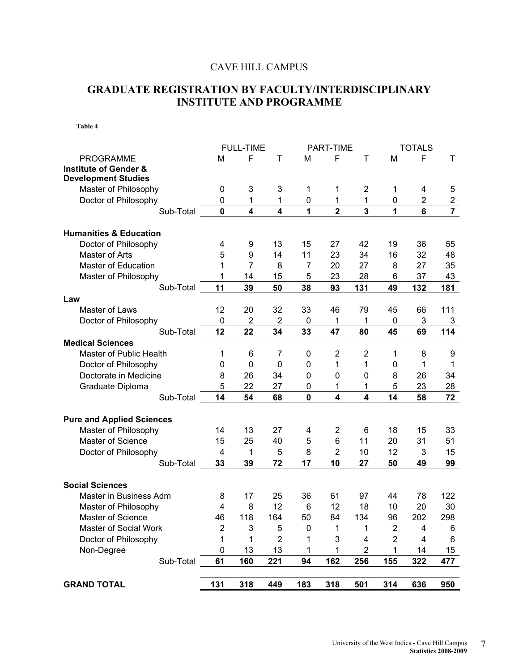### CAVE HILL CAMPUS

### **GRADUATE REGISTRATION BY FACULTY/INTERDISCIPLINARY INSTITUTE AND PROGRAMME**

|                                   |                | <b>FULL-TIME</b> |                         |             | PART-TIME               |                         |                | <b>TOTALS</b> |                |
|-----------------------------------|----------------|------------------|-------------------------|-------------|-------------------------|-------------------------|----------------|---------------|----------------|
| <b>PROGRAMME</b>                  | M              | F                | Т                       | M           | F                       | Τ                       | M              | F             | Τ              |
| <b>Institute of Gender &amp;</b>  |                |                  |                         |             |                         |                         |                |               |                |
| <b>Development Studies</b>        |                |                  |                         |             |                         |                         |                |               |                |
| Master of Philosophy              | 0              | 3                | 3                       | 1           | 1                       | $\overline{2}$          | 1              | 4             | 5              |
| Doctor of Philosophy              | 0              | 1                | 1                       | 0           | 1                       | 1                       | 0              | 2             | $\overline{c}$ |
| Sub-Total                         | $\mathbf{0}$   | 4                | $\overline{\mathbf{4}}$ | 1           | $\overline{2}$          | 3                       | 1              | 6             | $\overline{7}$ |
|                                   |                |                  |                         |             |                         |                         |                |               |                |
| <b>Humanities &amp; Education</b> |                |                  |                         |             |                         |                         |                |               |                |
| Doctor of Philosophy              | 4              | 9                | 13                      | 15          | 27                      | 42                      | 19             | 36            | 55             |
| Master of Arts                    | 5              | 9                | 14                      | 11          | 23                      | 34                      | 16             | 32            | 48             |
| <b>Master of Education</b>        | 1              | $\overline{7}$   | 8                       | 7           | 20                      | 27                      | 8              | 27            | 35             |
| Master of Philosophy              | 1              | 14               | 15                      | 5           | 23                      | 28                      | 6              | 37            | 43             |
| Sub-Total                         | 11             | 39               | 50                      | 38          | 93                      | 131                     | 49             | 132           | 181            |
| Law                               |                |                  |                         |             |                         |                         |                |               |                |
| Master of Laws                    | 12             | 20               | 32                      | 33          | 46                      | 79                      | 45             | 66            | 111            |
| Doctor of Philosophy              | $\pmb{0}$      | $\overline{2}$   | $\overline{\mathbf{c}}$ | 0           | 1                       | 1                       | $\pmb{0}$      | 3             | 3              |
| Sub-Total                         | 12             | 22               | 34                      | 33          | 47                      | 80                      | 45             | 69            | 114            |
| <b>Medical Sciences</b>           |                |                  |                         |             |                         |                         |                |               |                |
| Master of Public Health           | 1              | 6                | 7                       | 0           | $\overline{2}$          | $\overline{2}$          | 1              | 8             | 9              |
| Doctor of Philosophy              | 0              | $\mathbf 0$      | $\mathbf{0}$            | 0           | 1                       | 1                       | 0              | 1             | 1              |
| Doctorate in Medicine             | 8              | 26               | 34                      | $\mathbf 0$ | 0                       | 0                       | 8              | 26            | 34             |
| Graduate Diploma                  | 5              | 22               | 27                      | 0           | 1                       | 1                       | 5              | 23            | 28             |
| Sub-Total                         | 14             | 54               | 68                      | 0           | $\overline{\mathbf{4}}$ | $\overline{\mathbf{4}}$ | 14             | 58            | 72             |
|                                   |                |                  |                         |             |                         |                         |                |               |                |
| <b>Pure and Applied Sciences</b>  |                |                  |                         |             |                         |                         |                |               |                |
| Master of Philosophy              | 14             | 13               | 27                      | 4           | 2                       | 6                       | 18             | 15            | 33             |
| Master of Science                 | 15             | 25               | 40                      | 5           | 6                       | 11                      | 20             | 31            | 51             |
| Doctor of Philosophy              | 4              | 1                | 5                       | 8           | $\overline{2}$          | 10                      | 12             | 3             | 15             |
| Sub-Total                         | 33             | 39               | 72                      | 17          | 10                      | 27                      | 50             | 49            | 99             |
|                                   |                |                  |                         |             |                         |                         |                |               |                |
| <b>Social Sciences</b>            |                |                  |                         |             |                         |                         |                |               |                |
| Master in Business Adm            | 8              | 17               | 25                      | 36          | 61                      | 97                      | 44             | 78            | 122            |
| Master of Philosophy              | 4              | 8                | 12                      | 6           | 12                      | 18                      | 10             | 20            | 30             |
| Master of Science                 | 46             | 118              | 164                     | 50          | 84                      | 134                     | 96             | 202           | 298            |
| Master of Social Work             | $\overline{2}$ | 3                | 5                       | 0           | 1                       | 1                       | $\overline{c}$ | 4             | 6              |
| Doctor of Philosophy              | 1              | 1                | $\overline{2}$          | 1           | 3                       | 4                       | $\overline{2}$ | 4             |                |
| Non-Degree                        | 0              | 13               | 13                      | 1           | 1                       | $\overline{2}$          | 1              | 14            | 6<br>15        |
|                                   |                |                  |                         |             |                         |                         |                |               |                |
| Sub-Total                         | 61             | 160              | 221                     | 94          | 162                     | 256                     | 155            | 322           | 477            |
|                                   |                |                  |                         |             |                         |                         |                |               |                |
| <b>GRAND TOTAL</b>                | 131            | 318              | 449                     | 183         | 318                     | 501                     | 314            | 636           | 950            |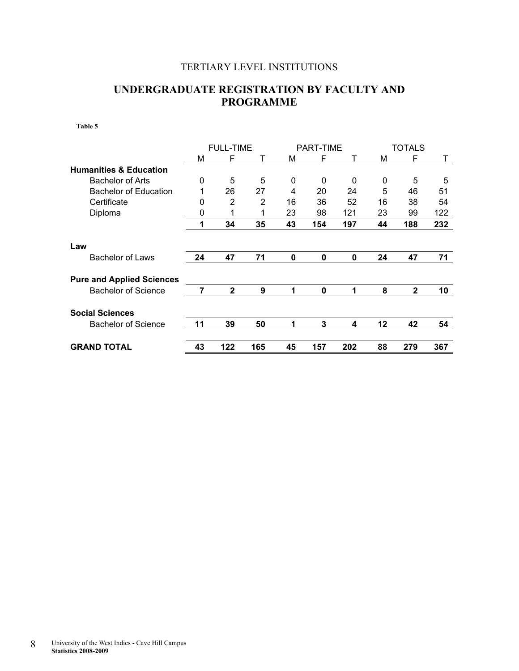### TERTIARY LEVEL INSTITUTIONS

### **UNDERGRADUATE REGISTRATION BY FACULTY AND PROGRAMME**

|                                   |    | <b>FULL-TIME</b> |     |             | <b>PART-TIME</b> |     |    | <b>TOTALS</b> |     |
|-----------------------------------|----|------------------|-----|-------------|------------------|-----|----|---------------|-----|
|                                   | М  | F                | т   | М           | F                | Т   | М  | F             | Τ   |
| <b>Humanities &amp; Education</b> |    |                  |     |             |                  |     |    |               |     |
| <b>Bachelor of Arts</b>           | 0  | 5                | 5   | 0           | 0                | 0   | 0  | 5             | 5   |
| <b>Bachelor of Education</b>      | 1  | 26               | 27  | 4           | 20               | 24  | 5  | 46            | 51  |
| Certificate                       | 0  | 2                | 2   | 16          | 36               | 52  | 16 | 38            | 54  |
| Diploma                           | 0  |                  |     | 23          | 98               | 121 | 23 | 99            | 122 |
|                                   | 1  | 34               | 35  | 43          | 154              | 197 | 44 | 188           | 232 |
| Law                               |    |                  |     |             |                  |     |    |               |     |
| <b>Bachelor of Laws</b>           | 24 | 47               | 71  | 0           | $\mathbf 0$      | 0   | 24 | 47            | 71  |
| <b>Pure and Applied Sciences</b>  |    |                  |     |             |                  |     |    |               |     |
| <b>Bachelor of Science</b>        | 7  | $\mathbf{2}$     | 9   | 1           | 0                | 1   | 8  | $\mathbf{2}$  | 10  |
| <b>Social Sciences</b>            |    |                  |     |             |                  |     |    |               |     |
| <b>Bachelor of Science</b>        | 11 | 39               | 50  | $\mathbf 1$ | 3                | 4   | 12 | 42            | 54  |
| <b>GRAND TOTAL</b>                | 43 | 122              | 165 | 45          | 157              | 202 | 88 | 279           | 367 |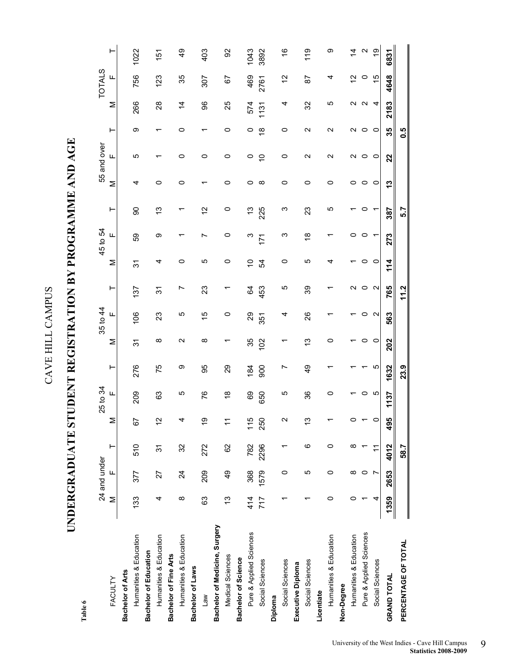# UNDERGRADUATE STUDENT REGISTRATION BY PROGRAMME AND AGE **UNDERGRADUATE STUDENT REGISTRATION BY PROGRAMME AND AGE**

|                               |               | 24 and under    |      |                          | 25 to 34                        |               |                 | 35 to 44          |                   |         | 45 to 54                |          |          | 55 and over        |                   |                             | <b>TOTALS</b> |                          |
|-------------------------------|---------------|-----------------|------|--------------------------|---------------------------------|---------------|-----------------|-------------------|-------------------|---------|-------------------------|----------|----------|--------------------|-------------------|-----------------------------|---------------|--------------------------|
| <b>FACULTY</b>                | Σ             | Щ               | ۳    | Σ                        | Щ                               | ⊢             | Σ               | Щ                 | ۳                 | Σ       | Щ                       | ۳        | Σ        | Щ                  | ۳                 | Σ                           | Щ             | ۲                        |
| Bachelor of Arts              |               |                 |      |                          |                                 |               |                 |                   |                   |         |                         |          |          |                    |                   |                             |               |                          |
| Humanities & Education        | 133           | 377             | 510  | 5                        | 209                             | 276           | $\overline{3}$  | 06                | 37                | 37      | 6S                      | 8        | 4        | 5                  | တ                 | 266                         | 756           | 1022                     |
| <b>Bachelor of Education</b>  |               |                 |      |                          |                                 |               |                 |                   |                   |         |                         |          |          |                    |                   |                             |               |                          |
| Humanities & Education        | 4             | 27              | 22   | Ν<br>$\overline{ }$      | යි                              | 75            | ∞               | 23                | 37                | 4       | ග                       | ĉ        | 0        |                    |                   | $\mathop{\rm {}8}\nolimits$ | 123           | 151                      |
| Bachelor of Fine Arts         |               |                 |      |                          |                                 |               |                 |                   |                   |         |                         |          |          |                    |                   |                             |               |                          |
| Humanities & Education        | $\infty$      | $\overline{24}$ | 32   |                          | ю                               | တ             | $\mathbf{\sim}$ | 5                 | Ľ                 | 0       |                         |          | 0        | 0                  | 0                 | $\dot{4}$                   | 35            | $\frac{9}{4}$            |
| Bachelor of Laws              |               |                 |      |                          |                                 |               |                 |                   |                   |         |                         |          |          |                    |                   |                             |               |                          |
| <b>Law</b>                    | 63            | 209             | 272  | တ<br>$\overline{ }$      | 76                              | 95            | ∞               | $\frac{5}{1}$     | 23                | ю       |                         | 2        |          | 0                  |                   | 96                          | 307           | 403                      |
| Bachelor of Medicine, Surgery |               |                 |      |                          |                                 |               |                 |                   |                   |         |                         |          |          |                    |                   |                             |               |                          |
| Medical Sciences              | $\frac{3}{2}$ | $\frac{4}{9}$   | 8    | $\overline{\phantom{0}}$ | $\overset{\infty}{\rightarrow}$ | 29            |                 | 0                 |                   | 0       | 0                       | 0        | 0        | 0                  | 0                 | 25                          | 5             | 8                        |
| Bachelor of Science           |               |                 |      |                          |                                 |               |                 |                   |                   |         |                         |          |          |                    |                   |                             |               |                          |
| Pure & Applied Sciences       | 414           | 368             | 782  | 115                      | 69                              | 184           | 35              | 29                | \$4               | S       | ო                       | مبر<br>ب | 0        | 0                  | 0                 | 574                         | 469           | 1043                     |
| Social Sciences               | 717           | 1579            | 2296 | 250                      | 650                             | 900           | 102             | 351               | 453               | 54      | 171                     | 225      | $\infty$ | $\circ$            | $\frac{8}{1}$     | 1131                        | 2761          | 3892                     |
| Diploma                       |               |                 |      |                          |                                 |               |                 |                   |                   |         |                         |          |          |                    |                   |                             |               |                          |
| Social Sciences               |               | 0               |      | $\scriptstyle\sim$       | 5                               | Ņ             |                 | 4                 | 5                 | 0       | ო                       | ო        | 0        | 0                  | 0                 | 4                           | 57            | $\overset{\circ}{\cdot}$ |
| Executive Diploma             |               |                 |      |                          |                                 |               |                 |                   |                   |         |                         |          |          |                    |                   |                             |               |                          |
| Social Sciences               |               | 5               | ဖ    | ო<br>$\overline{ }$      | 36                              | $\frac{9}{4}$ | ო<br>᠇          | 26                | 39                | ю       | $\frac{\infty}{\infty}$ | 23       | $\circ$  | $\sim$             | $\mathbf{\Omega}$ | 32                          | 59            | 119                      |
| Licentiate                    |               |                 |      |                          |                                 |               |                 |                   |                   |         |                         |          |          |                    |                   |                             |               |                          |
| Humanities & Education        | 0             | 0               | 0    |                          | 0                               |               | 0               |                   |                   | 4       |                         | ю        | 0        | $\scriptstyle\sim$ | Z                 | ю                           | 4             | တ                        |
| Non-Degree                    |               |                 |      |                          |                                 |               |                 |                   |                   |         |                         |          |          |                    |                   |                             |               |                          |
| Humanities & Education        | 0             | ∞               | ∞    |                          |                                 |               |                 |                   |                   |         | 0                       |          | 0        | $\scriptstyle\sim$ | N                 | $\scriptstyle\sim$          | 51            | 4                        |
| Pure & Applied Sciences       |               | 0               |      |                          | 0                               |               | 0               | 0                 | 0                 | 0       | 0                       | 0        | 0        | 0                  | 0                 | $\mathbf{\sim}$             | $\circ$       | $\sim$                   |
| Social Sciences               |               |                 |      |                          | 5                               | ю             | $\circ$         | $\mathbf{\Omega}$ | $\mathbf{\Omega}$ | $\circ$ |                         | ↽        | $\circ$  | $\circ$            | $\circ$           | 4                           | $\frac{1}{2}$ | $\overline{9}$           |
| <b>GRAND TOTAL</b>            | 1359          | 2653            | 4012 | 495                      | 137                             | 1632          | 202             | 563               | 765               | 114     | 273                     | 387      | 13       | 22                 | 35                | 2183                        | 4648          | 6831                     |
| PERCENTAGE OF TOTAL           |               |                 | 58.7 |                          |                                 | 23.9          |                 |                   | 11.2              |         |                         | 5.7      |          |                    | 0.5               |                             |               |                          |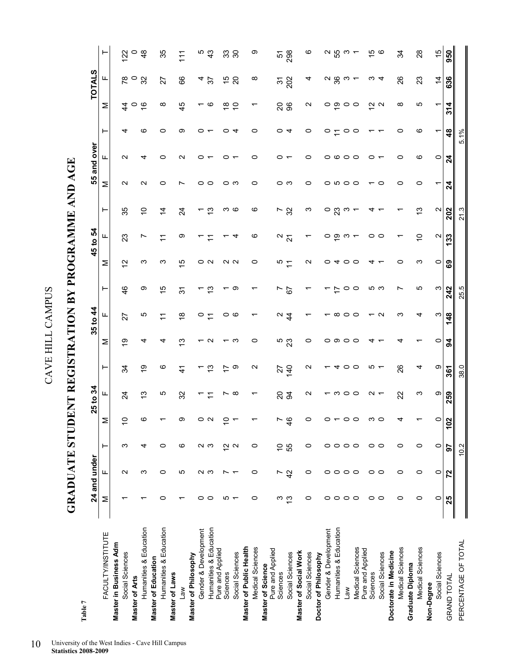GRADUATE STUDENT REGISTRATION BY PROGRAMME AND AGE **GRADUATE STUDENT REGISTRATION BY PROGRAMME AND AGE** 

| Table 7                      |         |                   |                        |                   |                          |                   |                   |                    |                                      |                   |                          |                   |                          |                   |                |                          |                  |                |
|------------------------------|---------|-------------------|------------------------|-------------------|--------------------------|-------------------|-------------------|--------------------|--------------------------------------|-------------------|--------------------------|-------------------|--------------------------|-------------------|----------------|--------------------------|------------------|----------------|
|                              |         | 24 and under      |                        |                   | 25 to 34                 |                   |                   | 35 to 44           |                                      |                   | 45 to 54                 |                   |                          | 55 and over       |                |                          | <b>TOTALS</b>    |                |
| FACULTY/INSTITUTE            | Σ       | ட                 | ⊢                      | Σ                 | ட                        | ⊢                 | Σ                 | ட                  | ⊢                                    | Σ                 | ட                        | ⊢                 | Σ                        | ட                 | ⊢              | Σ                        | щ                | ⊢              |
| Master in Business Adm       |         |                   |                        |                   |                          |                   |                   |                    |                                      |                   |                          |                   |                          |                   |                |                          |                  |                |
| Social Sciences              |         | $\mathbf{\Omega}$ | က                      | $\tilde{a}$       | 24                       | 34                | 6)                | 27                 | $\frac{4}{6}$                        | $\tilde{c}$       | 23                       | 35                | N                        | N                 | 4              | $\ddot{4}$               |                  | 122            |
| Master of Arts               |         |                   |                        |                   |                          |                   |                   |                    |                                      |                   |                          |                   |                          |                   |                | $\circ$ $\frac{6}{5}$    | ನ್ ು             | $\circ$        |
| Humanities & Education       |         | ო                 | 4                      | ဖ                 | 13                       | $\frac{6}{1}$     | 4                 | 5                  | တ                                    | ς                 | Ľ                        | 5)                | $\mathbf{\Omega}$        | 4                 | ဖ              |                          |                  | $\frac{8}{4}$  |
| <b>Master of Education</b>   |         |                   |                        |                   |                          |                   |                   |                    |                                      |                   |                          |                   |                          |                   |                |                          |                  |                |
| Humanities & Education       | 0       | 0                 | 0                      |                   | 5                        | ဖ                 | 4                 | ᡓ                  | 15                                   | ς                 | $\overline{\mathcal{L}}$ | $\overline{4}$    | 0                        | 0                 | 0              | $\infty$                 | 27               | 35             |
| Master of Laws               |         |                   |                        |                   |                          |                   |                   |                    |                                      |                   |                          |                   |                          |                   |                |                          |                  |                |
| Law                          |         | 5                 | ဖ                      | တ                 | 32                       | $\frac{4}{1}$     | <u>ლ</u>          | $\frac{8}{1}$      | $\overline{\widetilde{\mathcal{C}}}$ | 15                | တ                        | $\overline{2}$    | r                        | $\mathbf{\Omega}$ | တ              | 45                       | 89               | $\frac{1}{11}$ |
| Master of Philosophy         |         |                   |                        |                   |                          |                   |                   |                    |                                      |                   |                          |                   |                          |                   |                |                          |                  |                |
| Gender & Development         | 0       |                   |                        |                   | ↽                        |                   |                   | 0                  | ᠇                                    |                   |                          | ↽                 | 0                        |                   | o              |                          | 4                |                |
| Humanities & Education       | $\circ$ | ດ ພ               | ດ ພ                    | ೦ ೧               | $\overline{r}$           | $\frac{3}{2}$     | $\mathbf{\Omega}$ | $\tilde{t}$        | $\frac{3}{2}$                        | O N               | ᡓ                        | ဗု                | $\circ$                  |                   |                | ဖ                        | 57               | ნ<br>43        |
| Pure and Applied<br>Sciences |         |                   |                        | $\circ$           | Ľ                        |                   |                   | 0                  |                                      |                   |                          |                   |                          |                   | 0              | $\frac{8}{1}$            | 45               | 33             |
| Social Sciences              | ro –    |                   | $\frac{N}{2}$ $\alpha$ | $\overline{ }$    | $\infty$                 | $\tilde{c}$       | က                 | ဖ                  | တ                                    | $\sim$ $\sim$     | 4                        | ო დ               | ⊂ ຕ                      |                   | 4              | $\tilde{c}$              | $\overline{c}$   | 30             |
| Master of Public Health      |         |                   |                        |                   |                          |                   |                   |                    |                                      |                   |                          |                   |                          |                   |                |                          |                  |                |
| Medical Sciences             | 0       | 0                 | 0                      |                   | ↽                        | $\mathbf{\Omega}$ | 0                 |                    |                                      | 0                 | ဖ                        | ဖ                 | 0                        | 0                 | 0              |                          | ∞                | တ              |
| Master of Science            |         |                   |                        |                   |                          |                   |                   |                    |                                      |                   |                          |                   |                          |                   |                |                          |                  |                |
| Pure and Applied<br>Sciences | ო       | Ľ                 | $\tilde{c}$            | Ľ                 |                          |                   |                   |                    | N                                    |                   |                          |                   |                          | 0                 | $\circ$        |                          | $\tilde{\bm{c}}$ | 5              |
| Social Sciences              | ဗ္      | 42                | 55                     | $\frac{6}{4}$     | 83                       | 740               | <sub>ნ</sub><br>გ | $\frac{4}{4}$      | 57                                   | $\frac{1}{2}$     | $\frac{2}{2}$            | $\frac{5}{3}$     | ဝ က                      |                   | $\overline{4}$ | <b>26</b>                | 202              | 298            |
| Master of Social Work        |         |                   |                        |                   |                          |                   |                   |                    |                                      |                   |                          |                   |                          |                   |                |                          |                  |                |
| Social Sciences              | 0       | 0                 | 0                      | 0                 | $\mathbf{\Omega}$        | $\mathbf{\Omega}$ | 0                 |                    |                                      | $\mathbf{\Omega}$ | ᠇                        | ო                 | 0                        | 0                 | $\circ$        | $\mathbf{\Omega}$        | 4                | ဖ              |
| Doctor of Philosophy         |         |                   |                        |                   |                          |                   |                   |                    |                                      |                   |                          |                   |                          |                   |                |                          |                  |                |
| Gender & Development         | 0       | 0                 | 0                      | 0                 |                          |                   |                   |                    |                                      |                   | 0                        | $\circ$           |                          | ၀ ဖ               | $\frac{1}{2}$  |                          |                  |                |
| Humanities & Education       | $\circ$ | $\circ$           | $\circ$                |                   |                          |                   | ဝ ၈ ဝ             | $\infty$           | $\ddot{ }$                           | $\circ$ 4         | $\frac{1}{6}$            | 23                |                          |                   |                | ၀ စ္                     | လ မ္ဟ က          | လ ပ္ဟာ က       |
| <b>Law</b>                   | $\circ$ | $\circ$           | $\circ$                | $\circ$           | $ \circ$ $\circ$ $\circ$ | 400               |                   | $\circ$            | $\circ$                              | $\circ$           | ო                        | ო                 |                          | $\circ$           | $\circ$        | $\circ$                  |                  |                |
| Medical Sciences             | $\circ$ | $\circ$           | $\circ$                | $\circ$           |                          |                   | $\circ$           | $\circ$            | $\circ$                              | $\circ$           |                          |                   |                          | $\circ$           | $\circ$        | $\circ$                  |                  | $\overline{ }$ |
| Pure and Applied<br>Sciences | O       |                   |                        |                   |                          |                   |                   |                    |                                      |                   |                          | 4                 |                          | 0                 |                |                          |                  |                |
| Social Sciences              | $\circ$ | 00                | 0 ၀                    | ຕ ໐               | $\sim$ $\sim$            | ທ <del>ເ</del>    |                   | $\sim$             | ი ო                                  | 4 r               | 0 ၀                      | ↽                 | $\circ$                  |                   | ↽              | $\frac{\alpha}{\pi}$ a   |                  | မှာ ဇ          |
| Doctorate in Medicine        |         |                   |                        |                   |                          |                   |                   |                    |                                      |                   |                          |                   |                          |                   |                |                          |                  |                |
| Medical Sciences             | 0       | $\circ$           | $\circ$                | 4                 | 22                       | 26                | 4                 | က                  | Ľ                                    | 0                 | ↽                        |                   | 0                        | 0                 | 0              | $\infty$                 | 26               | 34             |
| Graduate Diploma             |         |                   |                        |                   |                          |                   |                   |                    |                                      |                   |                          |                   |                          |                   |                |                          |                  |                |
| Medical Sciences             | 0       | 0                 | 0                      |                   | က                        | 4                 |                   | 4                  | ம                                    | ω                 | S                        | 5                 | 0                        | ဖ                 | ဖ              | ю                        | 23               | $\frac{8}{2}$  |
| Non-Degree                   |         |                   |                        |                   |                          |                   |                   |                    |                                      |                   |                          |                   |                          |                   |                |                          |                  |                |
| Social Sciences              | 0       | 0                 | $\circ$                | $\circ$           | တ                        | စာ                | $\circ$           | က                  | ო                                    | $\circ$           | $\mathbf{\Omega}$        | $\mathbf{\Omega}$ | $\overline{\phantom{0}}$ | $\circ$           | ᠇              | $\overline{\phantom{0}}$ | $\overline{4}$   | 15             |
| <b>GRAND TOTAL</b>           | 25      | 22                | 5                      | $\mathbf{S}$<br>٣ | 259                      | 361               | 54                | $\frac{8}{4}$<br>᠆ | 242                                  | ශී                | 133                      | 202               | $\mathbf{z}$             | $\boldsymbol{z}$  | $\frac{48}{5}$ | 314                      | 636              | 950            |
| PERCENTAGE OF TOTAL          |         |                   | 10.2                   |                   |                          | 38.0              |                   |                    | 25.5                                 |                   |                          | 21.3              |                          |                   | 5.1%           |                          |                  |                |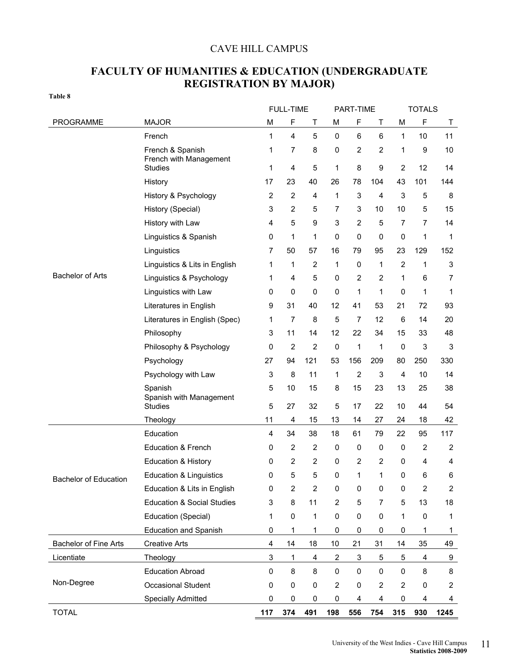### CAVE HILL CAMPUS

### **FACULTY OF HUMANITIES & EDUCATION (UNDERGRADUATE REGISTRATION BY MAJOR)**

| ۰.<br>v<br>۰.<br>×<br>۰,<br>v<br>i |  |  |  |
|------------------------------------|--|--|--|
|------------------------------------|--|--|--|

|                              |                                            |                           | <b>FULL-TIME</b>        |                |                  | PART-TIME               |                |                | <b>TOTALS</b>           |                |
|------------------------------|--------------------------------------------|---------------------------|-------------------------|----------------|------------------|-------------------------|----------------|----------------|-------------------------|----------------|
| PROGRAMME                    | <b>MAJOR</b>                               | M                         | F                       | Τ              | M                | F                       | Τ              | M              | $\mathsf F$             | T              |
|                              | French                                     | 1                         | 4                       | 5              | $\pmb{0}$        | 6                       | 6              | 1              | 10                      | 11             |
|                              | French & Spanish<br>French with Management | 1                         | 7                       | 8              | 0                | 2                       | 2              | 1              | 9                       | 10             |
|                              | <b>Studies</b>                             | 1                         | 4                       | 5              | 1                | 8                       | 9              | $\overline{2}$ | 12                      | 14             |
|                              | History                                    | 17                        | 23                      | 40             | 26               | 78                      | 104            | 43             | 101                     | 144            |
|                              | History & Psychology                       | 2                         | $\overline{\mathbf{c}}$ | 4              | 1                | 3                       | 4              | 3              | 5                       | 8              |
|                              | History (Special)                          | 3                         | 2                       | 5              | 7                | 3                       | 10             | 10             | 5                       | 15             |
|                              | History with Law                           | 4                         | 5                       | 9              | 3                | $\overline{2}$          | 5              | 7              | 7                       | 14             |
|                              | Linguistics & Spanish                      | 0                         | 1                       | 1              | 0                | 0                       | 0              | $\pmb{0}$      | 1                       | 1              |
|                              | Linguistics                                | 7                         | 50                      | 57             | 16               | 79                      | 95             | 23             | 129                     | 152            |
|                              | Linguistics & Lits in English              | 1                         | 1                       | $\overline{c}$ | 1                | 0                       | 1              | $\overline{2}$ | 1                       | 3              |
| <b>Bachelor of Arts</b>      | Linguistics & Psychology                   | 1                         | 4                       | 5              | 0                | $\boldsymbol{2}$        | 2              | 1              | 6                       | 7              |
|                              | Linguistics with Law                       | 0                         | 0                       | 0              | 0                | 1                       | 1              | 0              | 1                       | 1              |
|                              | Literatures in English                     | 9                         | 31                      | 40             | 12               | 41                      | 53             | 21             | 72                      | 93             |
|                              | Literatures in English (Spec)              | 1                         | 7                       | 8              | 5                | 7                       | 12             | 6              | 14                      | 20             |
|                              | Philosophy                                 | 3                         | 11                      | 14             | 12               | 22                      | 34             | 15             | 33                      | 48             |
|                              | Philosophy & Psychology                    | 0                         | $\overline{2}$          | $\overline{2}$ | $\boldsymbol{0}$ | 1                       | 1              | 0              | 3                       | 3              |
|                              | Psychology                                 | 27                        | 94                      | 121            | 53               | 156                     | 209            | 80             | 250                     | 330            |
|                              | Psychology with Law                        | 3                         | 8                       | 11             | 1                | $\overline{\mathbf{c}}$ | 3              | 4              | 10                      | 14             |
|                              | Spanish<br>Spanish with Management         | 5<br>5                    | 10<br>27                | 15<br>32       | 8                | 15<br>17                | 23<br>22       | 13             | 25                      | 38             |
|                              | <b>Studies</b>                             | 11                        |                         |                | 5                |                         |                | 10             | 44                      | 54             |
|                              | Theology<br>Education                      | 4                         | 4<br>34                 | 15<br>38       | 13<br>18         | 14<br>61                | 27<br>79       | 24<br>22       | 18<br>95                | 42<br>117      |
|                              | Education & French                         | 0                         | $\overline{c}$          | 2              | $\boldsymbol{0}$ | 0                       | 0              | 0              | $\overline{c}$          | 2              |
|                              | <b>Education &amp; History</b>             | 0                         | 2                       | 2              | $\pmb{0}$        | $\boldsymbol{2}$        | 2              | $\mathbf 0$    | 4                       | 4              |
|                              | <b>Education &amp; Linguistics</b>         | 0                         | 5                       | 5              | 0                | 1                       | 1              | 0              | 6                       | 6              |
| <b>Bachelor of Education</b> | Education & Lits in English                | 0                         | $\overline{2}$          | $\overline{2}$ | 0                | 0                       | $\pmb{0}$      | 0              | $\overline{2}$          | $\overline{2}$ |
|                              | <b>Education &amp; Social Studies</b>      | 3                         | 8                       | 11             | $\overline{2}$   | 5                       | $\overline{7}$ | 5              | 13                      | 18             |
|                              | Education (Special)                        | 1                         | $\pmb{0}$               | 1              | $\pmb{0}$        | $\pmb{0}$               | 0              | 1              | $\pmb{0}$               | 1              |
|                              | <b>Education and Spanish</b>               | 0                         | 1                       | 1              | 0                | 0                       | 0              | $\pmb{0}$      | 1                       | $\mathbf{1}$   |
| <b>Bachelor of Fine Arts</b> | <b>Creative Arts</b>                       | 4                         | 14                      | 18             | $10$             | 21                      | 31             | 14             | 35                      | 49             |
| Licentiate                   | Theology                                   | $\ensuremath{\mathsf{3}}$ | 1                       | 4              | $\boldsymbol{2}$ | 3                       | 5              | 5              | 4                       | 9              |
|                              | <b>Education Abroad</b>                    | $\mathbf 0$               | 8                       | 8              | $\pmb{0}$        | $\pmb{0}$               | 0              | $\pmb{0}$      | 8                       | 8              |
| Non-Degree                   | <b>Occasional Student</b>                  | 0                         | $\pmb{0}$               | $\pmb{0}$      | $\overline{2}$   | $\pmb{0}$               | $\mathbf 2$    | $\overline{2}$ | $\pmb{0}$               | 2              |
|                              | Specially Admitted                         | $\pmb{0}$                 | $\pmb{0}$               | $\pmb{0}$      | $\pmb{0}$        | 4                       | 4              | $\pmb{0}$      | $\overline{\mathbf{4}}$ | 4              |
| <b>TOTAL</b>                 |                                            | 117                       | 374                     | 491            | 198              | 556                     | 754            | 315            | 930                     | 1245           |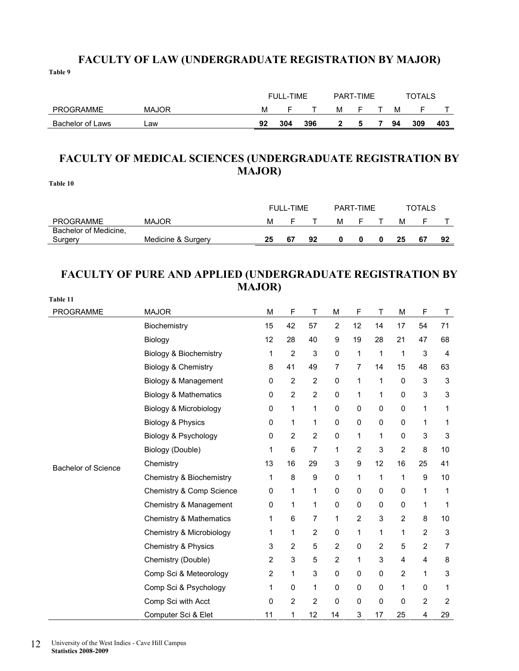### **FACULTY OF LAW (UNDERGRADUATE REGISTRATION BY MAJOR)**

**Table 9** 

|                  |              |    | <b>FULL-TIME</b> |     | PART-TIME |   | <b>TOTALS</b> |     |     |
|------------------|--------------|----|------------------|-----|-----------|---|---------------|-----|-----|
| <b>PROGRAMME</b> | <b>MAJOR</b> | м  |                  |     | м         |   | м             |     |     |
| Bachelor of Laws | _aw          | 92 | 304              | 396 |           | 5 | 94            | 309 | 403 |

### **FACULTY OF MEDICAL SCIENCES (UNDERGRADUATE REGISTRATION BY MAJOR)**

**Table 10** 

|                       |                    | FULL-TIME<br>PART-TIMF |     |    |   | TOTALS |    |  |    |
|-----------------------|--------------------|------------------------|-----|----|---|--------|----|--|----|
| <b>PROGRAMME</b>      | <b>MAJOR</b>       | M                      |     |    | M |        | м  |  |    |
| Bachelor of Medicine, |                    |                        |     |    |   |        |    |  |    |
| Surgery               | Medicine & Surgery | 25                     | -67 | 92 |   |        | 25 |  | 92 |

### **FACULTY OF PURE AND APPLIED (UNDERGRADUATE REGISTRATION BY MAJOR)**

| Table 11            |                                    |    |                |                  |                |                |                           |                |                |                |
|---------------------|------------------------------------|----|----------------|------------------|----------------|----------------|---------------------------|----------------|----------------|----------------|
| <b>PROGRAMME</b>    | <b>MAJOR</b>                       | M  | F              | Τ                | M              | F              | T                         | M              | $\mathsf F$    | Τ              |
|                     | Biochemistry                       | 15 | 42             | 57               | $\overline{c}$ | 12             | 14                        | 17             | 54             | 71             |
|                     | Biology                            | 12 | 28             | 40               | 9              | 19             | 28                        | 21             | 47             | 68             |
|                     | Biology & Biochemistry             | 1  | $\overline{2}$ | 3                | $\mathbf 0$    | 1              | 1                         | 1              | 3              | $\overline{4}$ |
|                     | Biology & Chemistry                | 8  | 41             | 49               | 7              | 7              | 14                        | 15             | 48             | 63             |
|                     | Biology & Management               | 0  | 2              | $\overline{c}$   | $\mathbf 0$    | 1              | 1                         | $\Omega$       | 3              | $\mathsf 3$    |
|                     | <b>Biology &amp; Mathematics</b>   | 0  | $\overline{2}$ | $\overline{2}$   | $\mathbf 0$    | 1              | 1                         | $\mathbf 0$    | 3              | 3              |
|                     | <b>Biology &amp; Microbiology</b>  | 0  | 1              | 1                | $\mathbf 0$    | $\mathbf 0$    | $\mathbf 0$               | $\mathbf 0$    | 1              | 1              |
|                     | Biology & Physics                  | 0  | 1              | 1                | 0              | 0              | 0                         | 0              | 1              | 1              |
|                     | Biology & Psychology               | 0  | $\overline{c}$ | $\overline{2}$   | 0              | 1              | 1                         | 0              | 3              | 3              |
|                     | Biology (Double)                   | 1  | 6              | 7                | 1              | $\overline{2}$ | $\ensuremath{\mathsf{3}}$ | $\overline{2}$ | 8              | 10             |
| Bachelor of Science | Chemistry                          | 13 | 16             | 29               | 3              | 9              | 12                        | 16             | 25             | 41             |
|                     | Chemistry & Biochemistry           | 1  | 8              | $\boldsymbol{9}$ | $\mathbf 0$    | 1              | 1                         | 1              | 9              | 10             |
|                     | Chemistry & Comp Science           | 0  | 1              | 1                | $\mathbf 0$    | $\mathbf 0$    | $\mathbf 0$               | 0              | 1              | 1              |
|                     | Chemistry & Management             | 0  | 1              | 1                | 0              | $\mathbf 0$    | 0                         | 0              | 1              | 1              |
|                     | <b>Chemistry &amp; Mathematics</b> | 1  | 6              | $\overline{7}$   | 1              | $\overline{2}$ | 3                         | $\overline{c}$ | 8              | 10             |
|                     | Chemistry & Microbiology           | 1  | 1              | $\overline{2}$   | 0              | 1              | 1                         | 1              | $\overline{2}$ | 3              |
|                     | <b>Chemistry &amp; Physics</b>     | 3  | $\overline{2}$ | 5                | $\overline{2}$ | $\mathbf 0$    | $\overline{2}$            | 5              | 2              | $\overline{7}$ |
|                     | Chemistry (Double)                 | 2  | 3              | 5                | $\overline{2}$ | 1              | 3                         | 4              | 4              | 8              |
|                     | Comp Sci & Meteorology             | 2  | 1              | 3                | $\mathbf 0$    | $\Omega$       | $\mathbf 0$               | $\overline{2}$ | 1              | 3              |
|                     | Comp Sci & Psychology              | 1  | 0              | 1                | $\mathbf 0$    | 0              | $\mathbf 0$               | 1              | 0              | 1              |
|                     | Comp Sci with Acct                 | 0  | 2              | $\overline{2}$   | 0              | 0              | 0                         | 0              | 2              | $\overline{c}$ |
|                     | Computer Sci & Elet                | 11 | 1              | 12               | 14             | 3              | 17                        | 25             | 4              | 29             |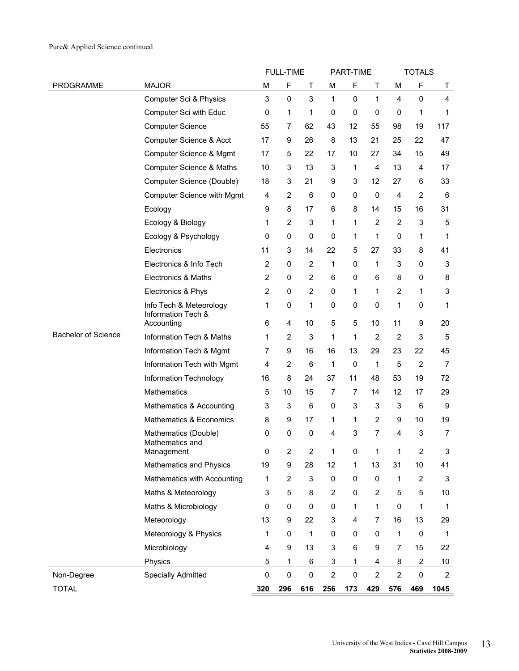|                     |                                               |                           | <b>FULL-TIME</b>        |                         |                | PART-TIME   |                |                | <b>TOTALS</b>    |                           |
|---------------------|-----------------------------------------------|---------------------------|-------------------------|-------------------------|----------------|-------------|----------------|----------------|------------------|---------------------------|
| PROGRAMME           | <b>MAJOR</b>                                  | М                         | F                       | Τ                       | М              | F           | т              | M              | F                | Т                         |
|                     | Computer Sci & Physics                        | $\ensuremath{\mathsf{3}}$ | 0                       | 3                       | $\mathbf{1}$   | 0           | 1              | $\overline{4}$ | $\mathbf 0$      | 4                         |
|                     | Computer Sci with Educ                        | 0                         | 1                       | 1                       | 0              | 0           | 0              | 0              | 1                | 1                         |
|                     | <b>Computer Science</b>                       | 55                        | 7                       | 62                      | 43             | 12          | 55             | 98             | 19               | 117                       |
|                     | Computer Science & Acct                       | 17                        | 9                       | 26                      | 8              | 13          | 21             | 25             | 22               | 47                        |
|                     | Computer Science & Mgmt                       | 17                        | 5                       | 22                      | 17             | 10          | 27             | 34             | 15               | 49                        |
|                     | <b>Computer Science &amp; Maths</b>           | 10                        | 3                       | 13                      | 3              | 1           | 4              | 13             | 4                | 17                        |
|                     | Computer Science (Double)                     | 18                        | 3                       | 21                      | 9              | 3           | 12             | 27             | 6                | 33                        |
|                     | Computer Science with Mgmt                    | 4                         | $\overline{2}$          | 6                       | 0              | 0           | $\pmb{0}$      | $\overline{4}$ | $\overline{2}$   | $\,6\,$                   |
|                     | Ecology                                       | 9                         | 8                       | 17                      | 6              | 8           | 14             | 15             | 16               | 31                        |
|                     | Ecology & Biology                             | 1                         | $\overline{2}$          | 3                       | 1              | 1           | $\overline{2}$ | $\overline{2}$ | 3                | 5                         |
|                     | Ecology & Psychology                          | 0                         | 0                       | 0                       | $\mathbf 0$    | 1           | 1              | $\mathbf 0$    | 1                | 1                         |
|                     | Electronics                                   | 11                        | 3                       | 14                      | 22             | 5           | 27             | 33             | 8                | 41                        |
|                     | Electronics & Info Tech                       | $\boldsymbol{2}$          | 0                       | $\overline{2}$          | 1              | 0           | 1              | 3              | 0                | 3                         |
|                     | Electronics & Maths                           | $\overline{2}$            | 0                       | 2                       | 6              | 0           | 6              | 8              | 0                | 8                         |
|                     | Electronics & Phys                            | $\boldsymbol{2}$          | $\mathbf 0$             | $\overline{\mathbf{c}}$ | 0              | 1           | 1              | $\overline{2}$ | 1                | $\ensuremath{\mathsf{3}}$ |
|                     | Info Tech & Meteorology<br>Information Tech & | 1                         | 0                       | 1                       | $\mathbf 0$    | 0           | 0              | 1              | $\mathbf 0$      | 1                         |
|                     | Accounting                                    | 6                         | $\overline{\mathbf{4}}$ | 10                      | 5              | 5           | 10             | 11             | 9                | 20                        |
| Bachelor of Science | Information Tech & Maths                      | 1                         | $\overline{2}$          | 3                       | 1              | 1           | $\overline{2}$ | $\overline{2}$ | 3                | $\overline{5}$            |
|                     | Information Tech & Mgmt                       | 7                         | 9                       | 16                      | 16             | 13          | 29             | 23             | 22               | 45                        |
|                     | Information Tech with Mgmt                    | 4                         | $\boldsymbol{2}$        | 6                       | 1              | $\mathbf 0$ | 1              | 5              | $\boldsymbol{2}$ | $\overline{7}$            |
|                     | Information Technology                        | 16                        | 8                       | 24                      | 37             | 11          | 48             | 53             | 19               | 72                        |
|                     | Mathematics                                   | 5                         | 10                      | 15                      | 7              | 7           | 14             | 12             | 17               | 29                        |
|                     | Mathematics & Accounting                      | 3                         | 3                       | 6                       | 0              | 3           | 3              | 3              | 6                | 9                         |
|                     | Mathematics & Economics                       | 8                         | 9                       | 17                      | 1              | 1           | $\overline{c}$ | 9              | 10               | 19                        |
|                     | Mathematics (Double)<br>Mathematics and       | 0                         | $\pmb{0}$               | 0                       | 4              | 3           | 7              | 4              | 3                | $\overline{7}$            |
|                     | Management                                    | 0                         | 2                       | 2                       | 1              | 0           | 1              | 1              | 2                | 3                         |
|                     | <b>Mathematics and Physics</b>                | 19                        | 9                       | 28                      | 12             | 1           | 13             | 31             | 10               | 41                        |
|                     | Mathematics with Accounting                   | 1                         | $\overline{2}$          | 3                       | $\pmb{0}$      | 0           | $\pmb{0}$      | $\mathbf{1}$   | $\overline{2}$   | $\sqrt{3}$                |
|                     | Maths & Meteorology                           | $\ensuremath{\mathsf{3}}$ | 5                       | 8                       | $\overline{2}$ | 0           | $\overline{2}$ | 5              | 5                | $10$                      |
|                     | Maths & Microbiology                          | 0                         | 0                       | 0                       | $\pmb{0}$      | 1           | $\mathbf{1}$   | $\mathbf 0$    | 1                | $\mathbf 1$               |
|                     | Meteorology                                   | 13                        | 9                       | 22                      | 3              | 4           | 7              | 16             | 13               | 29                        |
|                     | Meteorology & Physics                         | 1                         | 0                       | 1                       | 0              | 0           | 0              | $\mathbf{1}$   | $\mathbf 0$      | $\mathbf{1}$              |
|                     | Microbiology                                  | 4                         | 9                       | 13                      | 3              | 6           | 9              | 7              | 15               | 22                        |
|                     | Physics                                       | 5                         | 1                       | 6                       | 3              | 1           | 4              | 8              | $\overline{2}$   | $10$                      |
| Non-Degree          | Specially Admitted                            | $\pmb{0}$                 | $\pmb{0}$               | $\mathsf 0$             | $\overline{2}$ | $\pmb{0}$   | $\overline{2}$ | $\overline{2}$ | 0                | $\overline{c}$            |
| <b>TOTAL</b>        |                                               | 320                       | 296                     | 616                     | 256            | 173         | 429            | 576            | 469              | 1045                      |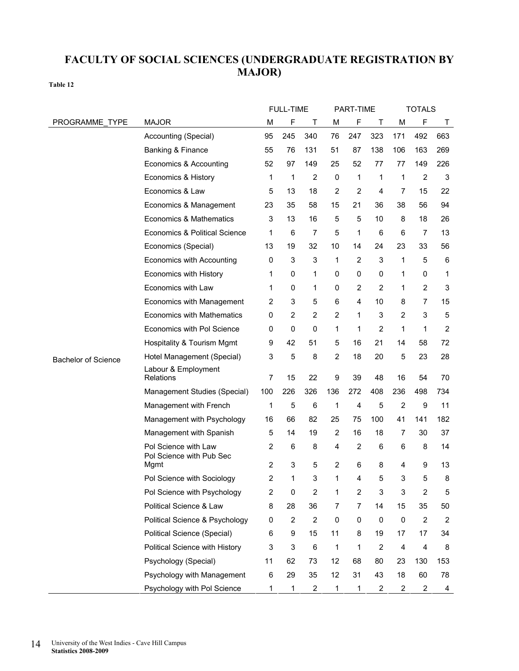### **FACULTY OF SOCIAL SCIENCES (UNDERGRADUATE REGISTRATION BY MAJOR)**

|                            |                                                  |     | <b>FULL-TIME</b> |                  |                | PART-TIME      |                  |                | <b>TOTALS</b>    |                  |
|----------------------------|--------------------------------------------------|-----|------------------|------------------|----------------|----------------|------------------|----------------|------------------|------------------|
| PROGRAMME TYPE             | <b>MAJOR</b>                                     | M   | F                | Τ                | M              | F              | Τ                | M              | F                | Τ                |
|                            | Accounting (Special)                             | 95  | 245              | 340              | 76             | 247            | 323              | 171            | 492              | 663              |
|                            | Banking & Finance                                | 55  | 76               | 131              | 51             | 87             | 138              | 106            | 163              | 269              |
|                            | Economics & Accounting                           | 52  | 97               | 149              | 25             | 52             | 77               | 77             | 149              | 226              |
|                            | Economics & History                              | 1   | 1                | $\overline{c}$   | $\mathbf 0$    | 1              | 1                | 1              | $\overline{2}$   | 3                |
|                            | Economics & Law                                  | 5   | 13               | 18               | $\overline{2}$ | $\overline{2}$ | 4                | $\overline{7}$ | 15               | 22               |
|                            | Economics & Management                           | 23  | 35               | 58               | 15             | 21             | 36               | 38             | 56               | 94               |
|                            | Economics & Mathematics                          | 3   | 13               | 16               | 5              | 5              | 10               | 8              | 18               | 26               |
|                            | Economics & Political Science                    | 1   | 6                | 7                | 5              | 1              | 6                | 6              | 7                | 13               |
|                            | Economics (Special)                              | 13  | 19               | 32               | 10             | 14             | 24               | 23             | 33               | 56               |
|                            | Economics with Accounting                        | 0   | 3                | 3                | 1              | 2              | 3                | 1              | 5                | 6                |
|                            | Economics with History                           | 1   | 0                | 1                | 0              | 0              | 0                | 1              | $\mathbf 0$      | 1                |
|                            | Economics with Law                               | 1   | 0                | 1                | 0              | 2              | $\overline{2}$   | 1              | $\overline{c}$   | 3                |
|                            | Economics with Management                        | 2   | 3                | 5                | 6              | 4              | 10               | 8              | 7                | 15               |
|                            | <b>Economics with Mathematics</b>                | 0   | 2                | 2                | $\overline{2}$ | 1              | 3                | $\overline{2}$ | 3                | 5                |
|                            | Economics with Pol Science                       | 0   | 0                | 0                | 1              | 1              | $\overline{2}$   | 1              | 1                | $\boldsymbol{2}$ |
|                            | Hospitality & Tourism Mgmt                       | 9   | 42               | 51               | 5              | 16             | 21               | 14             | 58               | 72               |
| <b>Bachelor of Science</b> | Hotel Management (Special)                       | 3   | 5                | 8                | $\overline{2}$ | 18             | 20               | 5              | 23               | 28               |
|                            | Labour & Employment<br><b>Relations</b>          | 7   | 15               | 22               | 9              | 39             | 48               | 16             | 54               | 70               |
|                            | Management Studies (Special)                     | 100 | 226              | 326              | 136            | 272            | 408              | 236            | 498              | 734              |
|                            | Management with French                           | 1   | 5                | 6                | 1              | 4              | 5                | $\overline{2}$ | 9                | 11               |
|                            | Management with Psychology                       | 16  | 66               | 82               | 25             | 75             | 100              | 41             | 141              | 182              |
|                            | Management with Spanish                          | 5   | 14               | 19               | $\overline{2}$ | 16             | 18               | 7              | 30               | 37               |
|                            | Pol Science with Law<br>Pol Science with Pub Sec | 2   | 6                | 8                | 4              | $\overline{2}$ | 6                | 6              | 8                | 14               |
|                            | Mgmt                                             | 2   | 3                | 5                | 2              | 6              | 8                | 4              | 9                | 13               |
|                            | Pol Science with Sociology                       | 2   | 1                | 3                | 1              | 4              | 5                | 3              | 5                | 8                |
|                            | Pol Science with Psychology                      | 2   | 0                | $\overline{2}$   | 1              | $\overline{c}$ | 3                | 3              | $\overline{c}$   | 5                |
|                            | Political Science & Law                          | 8   | 28               | 36               | 7              | $\overline{7}$ | 14               | 15             | 35               | 50               |
|                            | Political Science & Psychology                   | 0   | 2                | $\boldsymbol{2}$ | 0              | 0              | 0                | $\pmb{0}$      | $\boldsymbol{2}$ | $\overline{c}$   |
|                            | Political Science (Special)                      | 6   | 9                | 15               | 11             | 8              | 19               | 17             | 17               | 34               |
|                            | Political Science with History                   | 3   | 3                | $\,6$            | 1              | 1              | $\boldsymbol{2}$ | 4              | 4                | 8                |
|                            | Psychology (Special)                             | 11  | 62               | 73               | 12             | 68             | 80               | 23             | 130              | 153              |
|                            | Psychology with Management                       | 6   | 29               | 35               | 12             | 31             | 43               | 18             | 60               | 78               |
|                            | Psychology with Pol Science                      | 1   | 1                | $\overline{2}$   | 1              | 1              | $\overline{c}$   | $\overline{2}$ | $\overline{2}$   | 4                |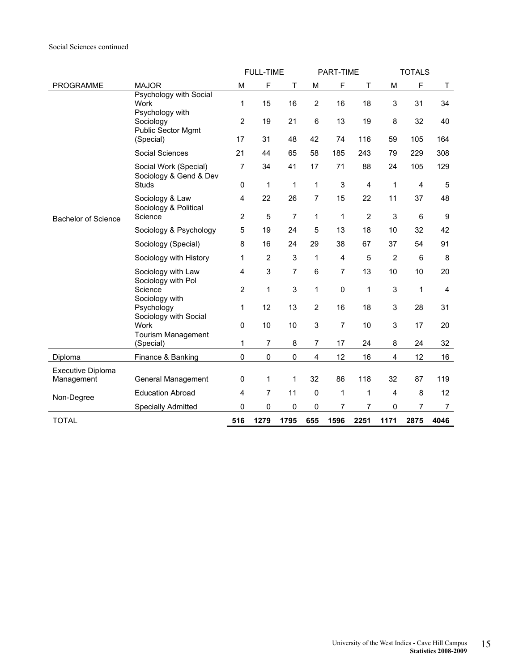### Social Sciences continued

|                                 |                                                       |                         | <b>FULL-TIME</b> |                |                | PART-TIME        |                |                | <b>TOTALS</b>  |                |
|---------------------------------|-------------------------------------------------------|-------------------------|------------------|----------------|----------------|------------------|----------------|----------------|----------------|----------------|
| <b>PROGRAMME</b>                | <b>MAJOR</b>                                          | M                       | $\mathsf F$      | T              | M              | F                | Τ              | M              | F              | $\sf T$        |
|                                 | Psychology with Social<br>Work<br>Psychology with     | 1                       | 15               | 16             | $\overline{2}$ | 16               | 18             | 3              | 31             | 34             |
|                                 | Sociology<br><b>Public Sector Mgmt</b>                | $\overline{2}$          | 19               | 21             | 6              | 13               | 19             | 8              | 32             | 40             |
|                                 | (Special)                                             | 17                      | 31               | 48             | 42             | 74               | 116            | 59             | 105            | 164            |
|                                 | Social Sciences                                       | 21                      | 44               | 65             | 58             | 185              | 243            | 79             | 229            | 308            |
|                                 | Social Work (Special)<br>Sociology & Gend & Dev       | $\overline{7}$          | 34               | 41             | 17             | 71               | 88             | 24             | 105            | 129            |
|                                 | Studs                                                 | 0                       | 1                | 1              | 1              | $\mathsf 3$      | 4              | 1              | $\overline{4}$ | $\sqrt{5}$     |
|                                 | Sociology & Law<br>Sociology & Political              | $\overline{\mathbf{4}}$ | 22               | 26             | $\overline{7}$ | 15               | 22             | 11             | 37             | 48             |
| <b>Bachelor of Science</b>      | Science                                               | $\overline{2}$          | 5                | $\overline{7}$ | $\mathbf{1}$   | 1                | $\overline{2}$ | 3              | 6              | 9              |
|                                 | Sociology & Psychology                                | 5                       | 19               | 24             | 5              | 13               | 18             | 10             | 32             | 42             |
|                                 | Sociology (Special)                                   | 8                       | 16               | 24             | 29             | 38               | 67             | 37             | 54             | 91             |
|                                 | Sociology with History                                | 1                       | $\overline{2}$   | 3              | 1              | $\overline{4}$   | 5              | $\overline{2}$ | 6              | 8              |
|                                 | Sociology with Law<br>Sociology with Pol              | $\overline{4}$          | 3                | $\overline{7}$ | 6              | $\overline{7}$   | 13             | 10             | 10             | 20             |
|                                 | Science                                               | $\overline{2}$          | 1                | 3              | $\mathbf{1}$   | 0                | 1              | $\mathsf 3$    | 1              | 4              |
|                                 | Sociology with<br>Psychology<br>Sociology with Social | 1                       | 12               | 13             | $\overline{2}$ | 16               | 18             | 3              | 28             | 31             |
|                                 | Work<br>Tourism Management                            | $\pmb{0}$               | 10               | 10             | 3              | $\boldsymbol{7}$ | 10             | 3              | 17             | 20             |
|                                 | (Special)                                             | 1                       | 7                | 8              | 7              | 17               | 24             | 8              | 24             | 32             |
| Diploma                         | Finance & Banking                                     | $\pmb{0}$               | $\pmb{0}$        | $\pmb{0}$      | 4              | 12               | 16             | 4              | 12             | 16             |
| Executive Diploma<br>Management | General Management                                    | $\pmb{0}$               | 1                | $\mathbf{1}$   | 32             | 86               | 118            | 32             | 87             | 119            |
|                                 | <b>Education Abroad</b>                               | $\overline{4}$          | $\overline{7}$   | 11             | $\mathbf 0$    | 1                | 1              | 4              | 8              | 12             |
| Non-Degree                      | <b>Specially Admitted</b>                             | $\Omega$                | $\mathbf 0$      | 0              | 0              | 7                | 7              | $\mathbf 0$    | 7              | $\overline{7}$ |
|                                 |                                                       |                         |                  |                |                |                  |                |                |                |                |
| <b>TOTAL</b>                    |                                                       | 516                     | 1279             | 1795           | 655            | 1596             | 2251           | 1171           | 2875           | 4046           |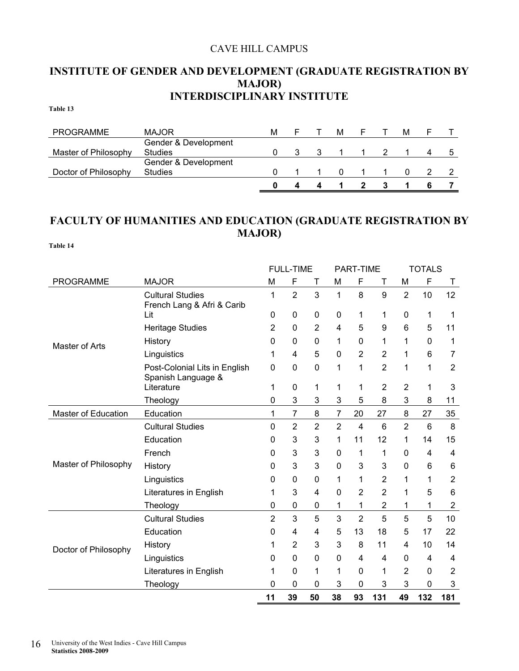### CAVE HILL CAMPUS

### **INSTITUTE OF GENDER AND DEVELOPMENT (GRADUATE REGISTRATION BY MAJOR) INTERDISCIPLINARY INSTITUTE**

**Table 13** 

| <b>PROGRAMME</b>     | <b>MAJOR</b>         | м |  | м        |  | м |  |
|----------------------|----------------------|---|--|----------|--|---|--|
|                      | Gender & Development |   |  |          |  |   |  |
| Master of Philosophy | <b>Studies</b>       |   |  |          |  |   |  |
|                      | Gender & Development |   |  |          |  |   |  |
| Doctor of Philosophy | <b>Studies</b>       |   |  | $\Omega$ |  |   |  |
|                      |                      |   |  |          |  |   |  |

### **FACULTY OF HUMANITIES AND EDUCATION (GRADUATE REGISTRATION BY MAJOR)**

|                            |                                                       |                | <b>FULL-TIME</b> |                |                | PART-TIME      |                |                | <b>TOTALS</b> |                |
|----------------------------|-------------------------------------------------------|----------------|------------------|----------------|----------------|----------------|----------------|----------------|---------------|----------------|
| <b>PROGRAMME</b>           | <b>MAJOR</b>                                          | M              | F                | Т              | M              | F              | Т              | M              | F             | Τ              |
|                            | <b>Cultural Studies</b><br>French Lang & Afri & Carib | 1              | $\overline{2}$   | 3              | 1              | 8              | 9              | $\overline{2}$ | 10            | 12             |
|                            | Lit                                                   | 0              | 0                | 0              | 0              | 1              | 1              | 0              | 1             | 1              |
|                            | <b>Heritage Studies</b>                               | 2              | 0                | $\overline{2}$ | 4              | 5              | 9              | 6              | 5             | 11             |
| Master of Arts             | History                                               | 0              | 0                | 0              | 1              | 0              | 1              | 1              | 0             | 1              |
|                            | Linguistics                                           | 1              | 4                | 5              | 0              | $\overline{2}$ | $\overline{2}$ | 1              | 6             | 7              |
|                            | Post-Colonial Lits in English<br>Spanish Language &   | 0              | 0                | 0              | 1              | 1              | 2              | 1              | 1             | $\overline{2}$ |
|                            | Literature                                            | 1              | 0                | 1              | 1              | 1              | 2              | $\overline{2}$ | 1             | 3              |
|                            | Theology                                              | 0              | 3                | 3              | 3              | 5              | 8              | 3              | 8             | 11             |
| <b>Master of Education</b> | Education                                             | 1              | 7                | 8              | 7              | 20             | 27             | 8              | 27            | 35             |
|                            | <b>Cultural Studies</b>                               | 0              | $\overline{2}$   | 2              | $\overline{2}$ | 4              | 6              | $\overline{2}$ | 6             | 8              |
|                            | Education                                             | 0              | 3                | 3              | 1              | 11             | 12             | 1              | 14            | 15             |
|                            | French                                                | 0              | 3                | 3              | 0              | 1              | 1              | 0              | 4             | 4              |
| Master of Philosophy       | History                                               | 0              | 3                | 3              | 0              | 3              | 3              | 0              | 6             | 6              |
|                            | Linguistics                                           | 0              | 0                | 0              | 1              | 1              | 2              | 1              | 1             | $\overline{2}$ |
|                            | Literatures in English                                | 1              | 3                | 4              | 0              | $\overline{2}$ | $\overline{2}$ | 1              | 5             | 6              |
|                            | Theology                                              | 0              | 0                | 0              | 1              | 1              | 2              | 1              | 1             | $\overline{2}$ |
|                            | <b>Cultural Studies</b>                               | $\overline{2}$ | 3                | 5              | 3              | $\overline{2}$ | 5              | 5              | 5             | 10             |
|                            | Education                                             | 0              | 4                | 4              | 5              | 13             | 18             | 5              | 17            | 22             |
| Doctor of Philosophy       | History                                               | 1              | 2                | 3              | 3              | 8              | 11             | 4              | 10            | 14             |
|                            | Linguistics                                           | 0              | 0                | 0              | 0              | 4              | 4              | 0              | 4             | 4              |
|                            | Literatures in English                                | 1              | 0                | 1              | 1              | 0              | 1              | $\overline{2}$ | $\mathbf 0$   | $\overline{2}$ |
|                            | Theology                                              | 0              | 0                | 0              | 3              | 0              | 3              | 3              | 0             | 3              |
|                            |                                                       | 11             | 39               | 50             | 38             | 93             | 131            | 49             | 132           | 181            |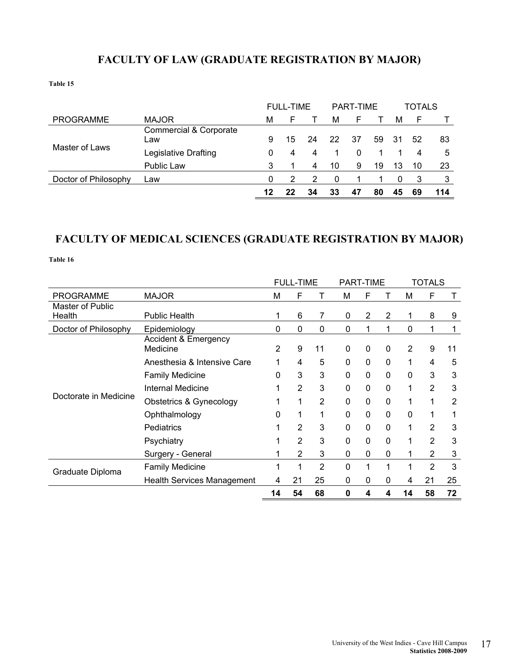### **FACULTY OF LAW (GRADUATE REGISTRATION BY MAJOR)**

**Table 15** 

|                      |                                          | <b>FULL-TIME</b> |    |    |    | PART-TIME |    | TOTALS |    |     |
|----------------------|------------------------------------------|------------------|----|----|----|-----------|----|--------|----|-----|
| <b>PROGRAMME</b>     | <b>MAJOR</b>                             | М                |    |    | м  | ⊢         |    | м      | F  |     |
|                      | <b>Commercial &amp; Corporate</b><br>Law | 9                | 15 | 24 | 22 | -37       | 59 | -31    | 52 | 83  |
| Master of Laws       | Legislative Drafting                     | 0                | 4  | 4  |    | 0         |    |        | 4  | 5   |
|                      | Public Law                               | 3                |    | 4  | 10 | 9         | 19 | 13     | 10 | 23  |
| Doctor of Philosophy | Law                                      | $\Omega$         |    | 2  | 0  |           |    |        | 3  | 3   |
|                      |                                          | 12               | 22 | 34 | 33 | 47        | 80 | 45     | 69 | 114 |

### **FACULTY OF MEDICAL SCIENCES (GRADUATE REGISTRATION BY MAJOR)**

|                       |                                   | <b>FULL-TIME</b><br>T |                |                | <b>PART-TIME</b> |              |              | <b>TOTALS</b> |                |    |
|-----------------------|-----------------------------------|-----------------------|----------------|----------------|------------------|--------------|--------------|---------------|----------------|----|
| <b>PROGRAMME</b>      | <b>MAJOR</b>                      | M                     | F              |                | м                | F            |              | М             | F              |    |
| Master of Public      |                                   |                       |                |                |                  |              |              |               |                |    |
| Health                | <b>Public Health</b>              | 1                     | 6              | 7              | 0                | 2            | 2            | 1             | 8              | 9  |
| Doctor of Philosophy  | Epidemiology                      | 0                     | $\mathbf{0}$   | $\mathbf 0$    | 0                | 1            | 1            | 0             | 1              |    |
|                       | <b>Accident &amp; Emergency</b>   |                       |                |                |                  |              |              |               |                |    |
|                       | Medicine                          | 2                     | 9              | 11             | 0                | 0            | 0            | 2             | 9              | 11 |
|                       | Anesthesia & Intensive Care       |                       | 4              | 5              | 0                | 0            | $\mathbf{0}$ | 1             | 4              | 5  |
|                       | <b>Family Medicine</b>            | 0                     | 3              | 3              | 0                | $\mathbf{0}$ | $\mathbf{0}$ | 0             | 3              | 3  |
|                       | <b>Internal Medicine</b>          |                       | $\overline{2}$ | 3              | 0                | 0            | $\mathbf 0$  | 1             | $\overline{2}$ | 3  |
| Doctorate in Medicine | Obstetrics & Gynecology           |                       | 1              | $\overline{2}$ | 0                | 0            | $\mathbf{0}$ | 1             | 1              | 2  |
|                       | Ophthalmology                     | 0                     | 1              | 1              | 0                | 0            | $\mathbf{0}$ | 0             |                |    |
|                       | Pediatrics                        |                       | $\overline{2}$ | 3              | $\mathbf 0$      | $\mathbf{0}$ | $\mathbf{0}$ | 1             | $\overline{2}$ | 3  |
|                       | Psychiatry                        |                       | $\mathfrak{p}$ | 3              | $\Omega$         | $\Omega$     | $\Omega$     | 1             | 2              | 3  |
|                       | Surgery - General                 |                       | 2              | 3              | 0                | 0            | $\mathbf{0}$ | 1             | 2              | 3  |
| Graduate Diploma      | <b>Family Medicine</b>            |                       |                | 2              | $\mathbf 0$      | 1            | 1            |               | $\overline{2}$ | 3  |
|                       | <b>Health Services Management</b> | 4                     | 21             | 25             | 0                | 0            | 0            | 4             | 21             | 25 |
|                       |                                   | 14                    | 54             | 68             | 0                | 4            | 4            | 14            | 58             | 72 |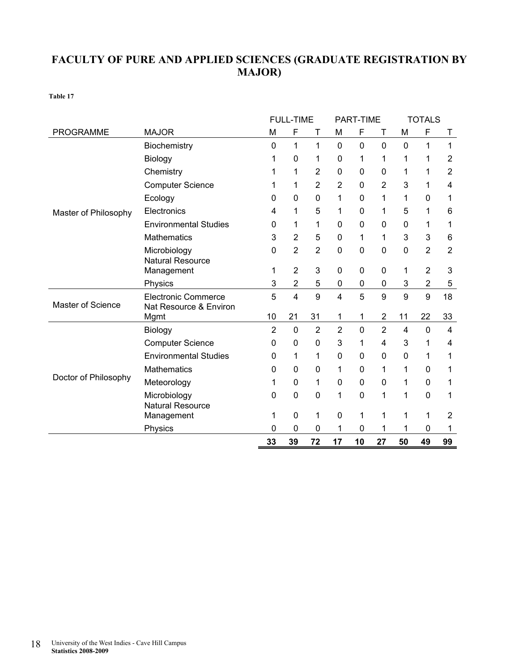### **FACULTY OF PURE AND APPLIED SCIENCES (GRADUATE REGISTRATION BY MAJOR)**

|                          |                              |                | <b>FULL-TIME</b> |                |                | PART-TIME    |                |                | <b>TOTALS</b>  |                |
|--------------------------|------------------------------|----------------|------------------|----------------|----------------|--------------|----------------|----------------|----------------|----------------|
| <b>PROGRAMME</b>         | <b>MAJOR</b>                 | M              | F                | Т              | M              | F            | Τ              | M              | F              | Τ              |
|                          | Biochemistry                 | 0              | 1                | 1              | 0              | $\mathbf{0}$ | $\mathbf{0}$   | $\mathbf{0}$   | 1              | 1              |
|                          | Biology                      | 1              | 0                | 1              | 0              | 1            | 1              | 1              | 1              | $\overline{2}$ |
|                          | Chemistry                    | 1              | 1                | 2              | 0              | $\mathbf{0}$ | $\mathbf{0}$   | 1              | 1              | $\overline{2}$ |
|                          | <b>Computer Science</b>      | 1              | 1                | $\overline{2}$ | $\overline{2}$ | $\mathbf 0$  | 2              | 3              | 1              | 4              |
|                          | Ecology                      | 0              | 0                | 0              | 1              | 0            | 1              | 1              | 0              | 1              |
| Master of Philosophy     | Electronics                  | 4              | 1                | 5              | 1              | $\mathbf 0$  | 1              | 5              | 1              | 6              |
|                          | <b>Environmental Studies</b> | 0              | 1                | 1              | 0              | $\mathbf 0$  | 0              | $\mathbf 0$    | 1              | 1              |
|                          | <b>Mathematics</b>           | 3              | $\overline{2}$   | 5              | 0              | 1            | 1              | 3              | 3              | 6              |
|                          | Microbiology                 | 0              | $\overline{2}$   | $\overline{2}$ | 0              | $\mathbf 0$  | $\mathbf 0$    | $\mathbf 0$    | $\overline{2}$ | $\overline{2}$ |
|                          | <b>Natural Resource</b>      | 1              | $\overline{2}$   | 3              | 0              | 0            | 0              | 1              | $\overline{2}$ | 3              |
|                          | Management<br>Physics        | 3              | $\overline{2}$   | 5              | $\mathbf 0$    | 0            | 0              | 3              | $\overline{c}$ | 5              |
|                          | <b>Electronic Commerce</b>   | 5              | 4                | 9              | $\overline{4}$ | 5            | 9              | 9              | 9              | 18             |
| <b>Master of Science</b> | Nat Resource & Environ       |                |                  |                |                |              |                |                |                |                |
|                          | Mgmt                         | 10             | 21               | 31             | 1              | 1            | $\overline{2}$ | 11             | 22             | 33             |
|                          | Biology                      | $\overline{2}$ | 0                | $\overline{2}$ | $\overline{2}$ | $\mathbf 0$  | $\overline{2}$ | $\overline{4}$ | $\mathbf 0$    | 4              |
|                          | <b>Computer Science</b>      | 0              | 0                | 0              | 3              | 1            | 4              | 3              | 1              | 4              |
|                          | <b>Environmental Studies</b> | 0              | 1                | 1              | 0              | $\mathbf{0}$ | $\mathbf{0}$   | $\mathbf 0$    | 1              | 1              |
|                          | <b>Mathematics</b>           | 0              | 0                | 0              | 1              | 0            | 1              | 1              | 0              | 1              |
| Doctor of Philosophy     | Meteorology                  | 1              | 0                | 1              | 0              | 0            | 0              | 1              | 0              | 1              |
|                          | Microbiology                 | 0              | 0                | 0              | 1              | $\mathbf 0$  | 1              | 1              | $\mathbf 0$    | 1              |
|                          | <b>Natural Resource</b>      |                |                  | 1              |                |              | 1              | 1              |                |                |
|                          | Management                   | 1              | 0                |                | 0              | 1            |                |                | 1              | 2              |
|                          | Physics                      | 0              | 0                | 0              | 1              | 0            | 1              | 1              | 0              | 1              |
|                          |                              | 33             | 39               | 72             | 17             | 10           | 27             | 50             | 49             | 99             |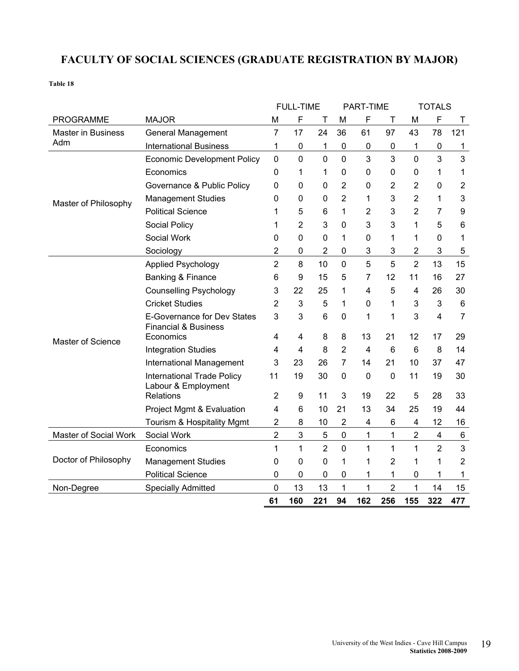### **FACULTY OF SOCIAL SCIENCES (GRADUATE REGISTRATION BY MAJOR)**

|                           |                                                                | <b>FULL-TIME</b> |                |                |                | PART-TIME      |                |                | <b>TOTALS</b>  |                         |  |  |
|---------------------------|----------------------------------------------------------------|------------------|----------------|----------------|----------------|----------------|----------------|----------------|----------------|-------------------------|--|--|
| PROGRAMME                 | <b>MAJOR</b>                                                   | M                | F              | Т              | M              | F              | Τ              | M              | F              | Τ                       |  |  |
| <b>Master in Business</b> | <b>General Management</b>                                      | $\overline{7}$   | 17             | 24             | 36             | 61             | 97             | 43             | 78             | 121                     |  |  |
| Adm                       | <b>International Business</b>                                  | 1                | 0              | 1              | $\mathbf 0$    | 0              | 0              | 1              | 0              | 1                       |  |  |
|                           | <b>Economic Development Policy</b>                             | $\mathbf 0$      | $\overline{0}$ | $\overline{0}$ | $\overline{0}$ | 3              | 3              | $\overline{0}$ | 3              | 3                       |  |  |
|                           | Economics                                                      | 0                | 1              | 1              | 0              | 0              | 0              | 0              | 1              | 1                       |  |  |
|                           | Governance & Public Policy                                     | $\mathbf 0$      | 0              | $\mathbf 0$    | $\overline{2}$ | 0              | 2              | $\overline{2}$ | 0              | $\overline{\mathbf{c}}$ |  |  |
| Master of Philosophy      | <b>Management Studies</b>                                      | 0                | 0              | 0              | $\overline{2}$ | 1              | 3              | $\overline{2}$ | 1              | 3                       |  |  |
|                           | <b>Political Science</b>                                       | 1                | 5              | 6              | 1              | $\overline{2}$ | 3              | $\overline{2}$ | 7              | 9                       |  |  |
|                           | Social Policy                                                  | 1                | 2              | 3              | $\mathbf 0$    | 3              | 3              | 1              | 5              | 6                       |  |  |
|                           | Social Work                                                    | $\mathbf 0$      | 0              | 0              | $\mathbf{1}$   | 0              | 1              | 1              | 0              | 1                       |  |  |
|                           | Sociology                                                      | $\overline{2}$   | 0              | $\overline{2}$ | $\mathbf 0$    | 3              | 3              | 2              | 3              | 5                       |  |  |
|                           | <b>Applied Psychology</b>                                      | $\overline{2}$   | 8              | 10             | $\mathbf 0$    | 5              | 5              | $\overline{2}$ | 13             | 15                      |  |  |
|                           | Banking & Finance                                              | 6                | 9              | 15             | 5              | 7              | 12             | 11             | 16             | 27                      |  |  |
|                           | <b>Counselling Psychology</b>                                  | 3                | 22             | 25             | 1              | 4              | 5              | 4              | 26             | 30                      |  |  |
|                           | <b>Cricket Studies</b>                                         | $\overline{2}$   | 3              | 5              | 1              | 0              | 1              | 3              | 3              | 6                       |  |  |
|                           | E-Governance for Dev States<br><b>Financial &amp; Business</b> | 3                | 3              | $6\phantom{1}$ | $\mathbf 0$    | 1              | 1              | 3              | 4              | $\overline{7}$          |  |  |
| Master of Science         | Economics                                                      | 4                | 4              | 8              | 8              | 13             | 21             | 12             | 17             | 29                      |  |  |
|                           | <b>Integration Studies</b>                                     | 4                | 4              | 8              | $\overline{2}$ | 4              | 6              | 6              | 8              | 14                      |  |  |
|                           | International Management                                       | 3                | 23             | 26             | $\overline{7}$ | 14             | 21             | 10             | 37             | 47                      |  |  |
|                           | <b>International Trade Policy</b><br>Labour & Employment       | 11               | 19             | 30             | $\mathbf 0$    | 0              | $\mathbf 0$    | 11             | 19             | 30                      |  |  |
|                           | Relations                                                      | $\overline{2}$   | 9              | 11             | 3              | 19             | 22             | 5              | 28             | 33                      |  |  |
|                           | Project Mgmt & Evaluation                                      | 4                | 6              | 10             | 21             | 13             | 34             | 25             | 19             | 44                      |  |  |
|                           | Tourism & Hospitality Mgmt                                     | 2                | 8              | 10             | $\overline{2}$ | 4              | 6              | 4              | 12             | 16                      |  |  |
| Master of Social Work     | Social Work                                                    | $\overline{2}$   | 3              | $\sqrt{5}$     | $\mathbf 0$    | 1              | 1              | $\overline{2}$ | 4              | 6                       |  |  |
|                           | Economics                                                      | 1                | 1              | $\overline{2}$ | $\mathbf 0$    | 1              | 1              | 1              | $\overline{2}$ | 3                       |  |  |
| Doctor of Philosophy      | <b>Management Studies</b>                                      | $\mathbf 0$      | 0              | 0              | $\mathbf{1}$   | 1              | 2              | 1              | 1              | 2                       |  |  |
|                           | <b>Political Science</b>                                       | $\mathbf 0$      | 0              | 0              | $\mathbf 0$    | 1              | 1              | 0              | 1              | 1                       |  |  |
| Non-Degree                | <b>Specially Admitted</b>                                      | $\mathbf 0$      | 13             | 13             | 1              | 1              | $\overline{2}$ | 1              | 14             | 15                      |  |  |
|                           |                                                                | 61               | 160            | 221            | 94             | 162            | 256            | 155            | 322            | 477                     |  |  |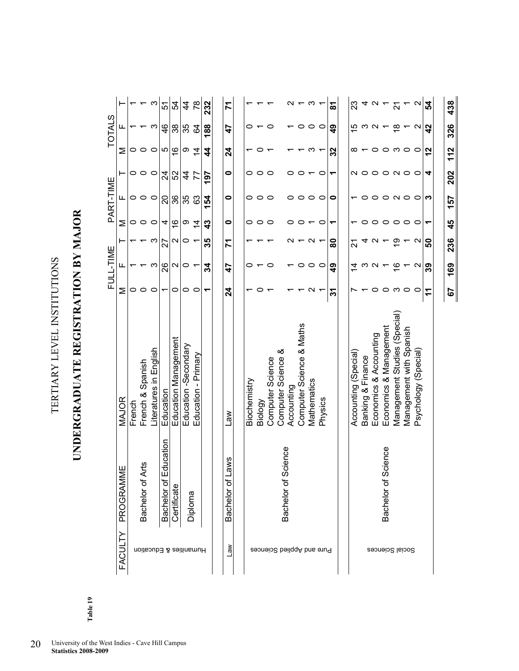| ן<br>י         |
|----------------|
|                |
|                |
|                |
|                |
|                |
|                |
|                |
|                |
|                |
|                |
| <br> <br> <br> |
|                |
|                |
|                |
|                |
| í              |
|                |
|                |
| $\frac{1}{2}$  |
| $\frac{1}{2}$  |
|                |
|                |
|                |

### UNDERGRADUATE REGISTRATION BY MAJOR **UNDERGRADUATE REGISTRATION BY MAJOR**

|               |                |        |                            | $\infty$               | 5                          | R,                   | 4                    | $\frac{8}{2}$          | 232 | 71                 |              |         |                  |                        |            |                          | က                 |                           | ౚ             | ಔ                                  |                   | 4 U                    |                        | $\tau$ $\frac{1}{2}$ $\tau$ $\alpha$ |                         |                      | ¦2             |
|---------------|----------------|--------|----------------------------|------------------------|----------------------------|----------------------|----------------------|------------------------|-----|--------------------|--------------|---------|------------------|------------------------|------------|--------------------------|-------------------|---------------------------|---------------|------------------------------------|-------------------|------------------------|------------------------|--------------------------------------|-------------------------|----------------------|----------------|
| <b>TOTALS</b> | щ              |        |                            | က                      | $\frac{4}{6}$              | 38                   | 35                   | 34                     | 188 | 47                 | 0            |         | o                |                        |            | 0                        | $\circ$           | $\circ$                   | ဒ္            | 15                                 | ო                 | N                      |                        | $\frac{\infty}{\infty}$              | ↽                       | $\mathbf{\Omega}$    | $\overline{4}$ |
|               | Σ              | 0      | $\circ$                    | $\circ$                | rU                         | $\frac{6}{1}$        | တ                    | $\overline{4}$         | 4   | 24                 |              |         |                  |                        |            |                          | ო                 | ▼                         | 32            | ∞                                  |                   | 0                      |                        | $\circ$ $\circ$ $\circ$              |                         |                      | $\mathbf{r}$   |
|               | ⊢              | 0 ၀    |                            | $\circ$                | শ্ৰ                        | 52                   | 4                    | 77                     | 197 | 0                  | 0            | $\circ$ | 0                |                        | 0          | 0                        |                   | $\circ$                   | ↽             |                                    | N 0 0             |                        |                        | $O$ $N$ $O$                          |                         | $\circ$              | 4              |
| PART-TIME     | ட              | 0      | $\circ$                    | $\circ$                | ន                          | ని                   | 35                   | 63                     | 154 | 0                  | 0            | 0       | 0                |                        | 0          | 0                        | $\circ$           | $\circ$                   | 0             |                                    |                   |                        | 0                      | $\sim$                               | $\circ$                 | $\circ$              | S              |
|               | Σ              | 0      | 0                          | $\circ$                | 4                          | $\frac{6}{1}$        | თ                    | $\frac{1}{4}$          | 43  | 0                  | 0            | $\circ$ | 0                |                        | 0          | ○                        | ᅮ                 | $\circ$                   | ᡪ             |                                    |                   | 0                      | $\circ$ $\circ$        |                                      | $\circ$                 | $\circ$              |                |
|               | ⊢              |        |                            | ო                      | 27                         | $\mathbf{\sim}$      | 0                    |                        | 35  | 71                 |              |         |                  |                        |            |                          | $\mathbf{\Omega}$ | $\overline{\phantom{a}}$  | ႜ             | 24                                 |                   |                        |                        | စ္                                   |                         | $\mathbf{\Omega}$    | ន              |
| FULL-TIME     | щ              |        |                            | ო                      | 26                         | $\mathbf{\sim}$      | 0                    |                        | ಸ   | 47                 | 0            |         | 0                |                        |            | 0                        | $\circ$           | $\circ$                   | $\frac{9}{4}$ | $\stackrel{\text{+}}{\rightarrow}$ | ო                 | N                      |                        | ≌                                    |                         | $\mathbf{\Omega}$    | 39             |
|               | Σ              | 0      | 0                          | $\circ$                | ᡪ                          | 0                    | $\circ$              | $\circ$                | ᡪ   | $\overline{2}$     |              |         |                  |                        |            |                          | $\mathbf{\Omega}$ |                           | స్            |                                    |                   | 0                      | $\circ$                | က                                    | $\circ$                 |                      | $\mathbf{r}$   |
|               | MAJOR          | French | French & Spanish           | Literatures in English | Education                  | Education Management | Education -Secondary | Education - Primary    |     | Law                | Biochemistry | Biology | Computer Science | Computer Science &     | Accounting | Computer Science & Maths | Mathematics       | Physics                   |               | Accounting (Special)               | Banking & Finance | Economics & Accounting | Economics & Management | Management Studies (Special)         | Management with Spanish | Psychology (Special) |                |
|               | 쁮<br>PROGRAMM  |        | <b>Arts</b><br>Bachelor of |                        | Education<br>৳<br>Bachelor | Certificate          |                      | Diploma                |     | sws<br>Bachelor of |              |         |                  | Science<br>Bachelor of |            |                          |                   |                           |               |                                    |                   |                        | Science<br>Bachelor of |                                      |                         |                      |                |
|               | <b>FACULTY</b> |        |                            |                        |                            |                      |                      | Humanities & Education |     | <b>Law</b>         |              |         |                  |                        |            |                          |                   | Pure and Applied Sciences |               |                                    |                   | Social Sciences        |                        |                                      |                         |                      |                |

157

45

236

169

67

438

326

 $112$ 

202

Table 19 **Table 19**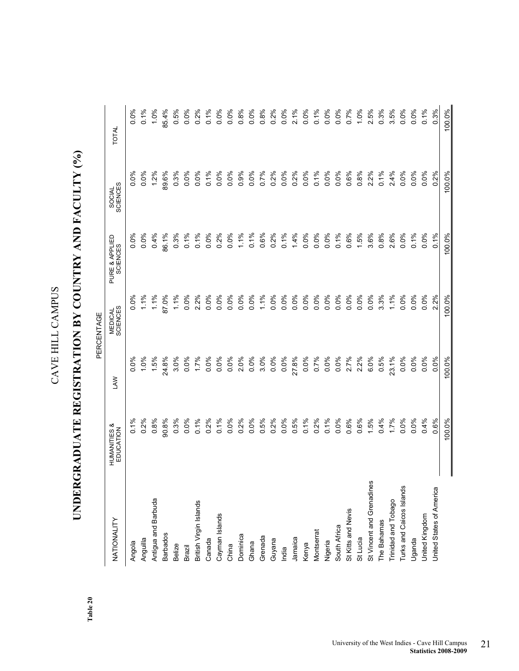# UNDERGRADUATE REGISTRATION BY COUNTRY AND FACULTY (%) **UNDERGRADUATE REGISTRATION BY COUNTRY AND FACULTY (%)**

**Table 20** 

|                            |                                      |            | PERCENTAGE          |                            |                    |              |
|----------------------------|--------------------------------------|------------|---------------------|----------------------------|--------------------|--------------|
| NATIONALITY                | <b>HUMANITIES &amp;</b><br>EDUCATION | <b>NAJ</b> | MEDICAL<br>SCIENCES | PURE & APPLIED<br>SCIENCES | SOCIAL<br>SCIENCES | <b>TOTAL</b> |
| Angola                     | 0.1%                                 | $0.0\%$    | 0.0%                | 0.0%                       | 0.0%               | 0.0%         |
| Anguilla                   | 0.2%                                 | 1.0%       | 1.1%                | 0.0%                       | 0.0%               | 0.1%         |
| Antigua and Barbuda        | 0.8%                                 | 1.5%       | 1.1%                | 0.4%                       | 1.2%               | 1.0%         |
| <b>Barbados</b>            | 90.8%                                | 24.8%      | 87.0%               | <b>96.1%</b>               | 89.6%              | 85.4%        |
| <b>Belize</b>              | 0.3%                                 | 3.0%       | 1.1%                | 0.3%                       | 0.3%               | 0.5%         |
| Brazil                     | $0.0\%$                              | 0.0%       | 0.0%                | 0.1%                       | 0.0%               | 0.0%         |
| British Virgin Islands     | 0.1%                                 | 1.7%       | 2.2%                | 0.1%                       | 0.0%               | 0.2%         |
| Canada                     | $0.2\%$                              | $0.0\%$    | 0.0%                | $0.0\%$                    | 0.1%               | 0.1%         |
| Cayman Islands             | 0.1%                                 | 0.0%       | $0.0\%$             | $0.2\%$                    | $0.0\%$            | 0.0%         |
| China                      | $0.0\%$                              | 0.0%       | 0.0%                | $0.0\%$                    | $0.0\%$            | 0.0%         |
| Dominica                   | 0.2%                                 | 2.0%       | 0.0%                | 1.1%                       | 0.9%               | 0.8%         |
| Ghana                      | 0.0%                                 | 0.0%       | 0.0%                | 0.1%                       | $0.0\%$            | 0.0%         |
| Grenada                    | 0.5%                                 | 3.0%       | 1.1%                | 0.6%                       | 0.7%               | 0.8%         |
| Guyana                     | 0.2%                                 | 0.0%       | 0.0%                | 0.2%                       | 0.2%               | 0.2%         |
| India                      | 0.0%                                 | 0.0%       | $0.0\%$             | 0.1%                       | 0.0%               | 0.0%         |
| Jamaica                    | 0.5%                                 | 27.8%      | $0.0\%$             | 1.4%                       | 0.2%               | 2.1%         |
| Kenya                      | 0.1%                                 | 0.0%       | 0.0%                | 0.0%                       | 0.0%               | 0.0%         |
| Montserrat                 | 0.2%                                 | 0.7%       | 0.0%                | 0.0%                       | 0.1%               | 0.1%         |
| Nigeria                    | 0.1%                                 | 0.0%       | 0.0%                | 0.0%                       | 0.0%               | $0.0\%$      |
| South Africa               | 0.0%                                 | 0.0%       | 0.0%                | 0.1%                       | 0.0%               | 0.0%         |
| St Kitts and Nevis         | 0.6%                                 | 2.7%       | 0.0%                | 0.6%                       | 0.6%               | 0.7%         |
| St Lucia                   | 0.6%                                 | 2.2%       | 0.0%                | 1.5%                       | 0.8%               | 1.0%         |
| St Vincent and Grenadines  | 1.5%                                 | 6.0%       | 0.0%                | 3.6%                       | 2.2%               | 2.5%         |
| The Bahamas                | 0.4%                                 | 0.5%       | 3.3%                | 0.8%                       | 0.1%               | 0.3%         |
| <b>Trinidad and Tobago</b> | 1.7%                                 | 23.1%      | 1.1%                | 2.6%                       | 2.4%               | 3.5%         |
| Turks and Caicos Islands   | 0.0%                                 | 0.0%       | 0.0%                | 0.0%                       | 0.0%               | 0.0%         |
| Uganda                     | 0.0%                                 | 0.0%       | 0.0%                | 0.1%                       | 0.0%               | 0.0%         |
| United Kingdom             | 0.4%                                 | 0.0%       | 0.0%                | 0.0%                       | 0.0%               | 0.1%         |
| United States of America   | 0.6%                                 | 0.0%       | 2.2%                | 0.1%                       | 0.2%               | 0.3%         |
|                            | 100.0%                               | 100.0%     | 100.0%              | 100.0%                     | 100.0%             | 100.0%       |

University of the West Indies - Cave Hill Campus 21 **Statistics 2008-2009**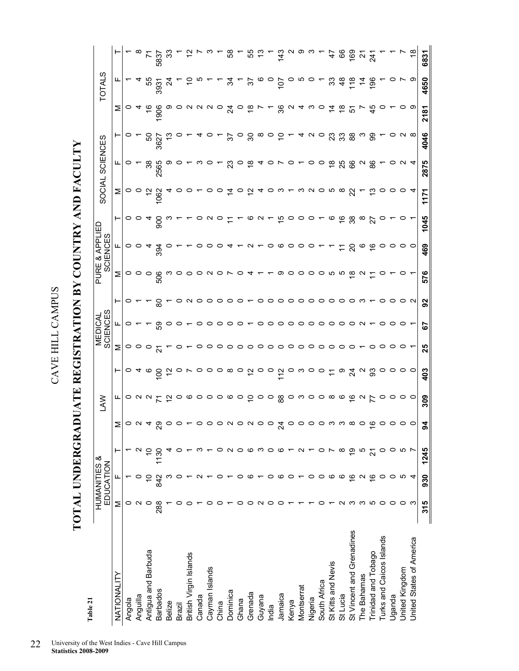**TOTAL UNDERGRADUATE REGISTRATION BY COUNTRY AND FACULTY**  TOTAL UNDERGRADUATE REGISTRATION BY COUNTRY AND FACULTY

| Table 21                  |         |                                      |                |                          |                                                                                |                                                 |                                 |                                                                                                       |                                                                          |                                                 |                                 |               |                        |                   |                                |                                                    |               |                |
|---------------------------|---------|--------------------------------------|----------------|--------------------------|--------------------------------------------------------------------------------|-------------------------------------------------|---------------------------------|-------------------------------------------------------------------------------------------------------|--------------------------------------------------------------------------|-------------------------------------------------|---------------------------------|---------------|------------------------|-------------------|--------------------------------|----------------------------------------------------|---------------|----------------|
|                           |         | <b>HUMANITIES &amp;</b><br>EDUCATION |                |                          | Š                                                                              |                                                 |                                 | <b>SCIENCES</b><br><b>MEDICAL</b>                                                                     |                                                                          | PURE.                                           | JRE & APPLIED<br>SCIENCES       |               | SOCIAL                 | SCIENCES          |                                |                                                    | TOTALS        |                |
| NATIONALITY               | Σ       |                                      |                |                          | ட                                                                              | ⊢                                               | Σ                               | ட                                                                                                     | ⊢                                                                        | Σ                                               | ட                               | ⊢             | Σ                      | ட                 |                                | Σ                                                  | ட             |                |
| Angola                    | 0       |                                      |                | $\geq$ $\circ$ $\circ$ 4 |                                                                                | $\circ$                                         |                                 | o                                                                                                     | 0                                                                        |                                                 | $\circ$ $\circ$                 | $\circ$       |                        | o                 | o                              | O,                                                 |               |                |
| Anguilla                  |         |                                      |                |                          |                                                                                | ᠴ                                               | $\circ$ $\circ$                 |                                                                                                       |                                                                          | $\circ \circ \circ$                             |                                 | っ             | $\circ$ $\circ$        |                   |                                |                                                    |               |                |
| Antigua and Barbuda       |         |                                      |                |                          |                                                                                | ဖ                                               | $\circ$                         |                                                                                                       |                                                                          |                                                 |                                 |               | 5,                     | ని                | ន                              |                                                    | 55            | $\overline{r}$ |
| <b>Barbados</b>           | 288     | 842                                  | $\frac{50}{2}$ | ଅ                        | $\circ$ $\circ$ $\circ$ $\sim$ $\sim$ $\sim$                                   | $\overline{5}$                                  |                                 | င္ပ                                                                                                   | င္စ                                                                      | 506                                             | 394                             | 80            | 062                    | 2565              | 3627                           | 906                                                | 3931          | 5837<br>33     |
| <b>Belize</b>             |         |                                      |                |                          |                                                                                | $\tilde{5}$                                     |                                 | o                                                                                                     |                                                                          |                                                 |                                 |               |                        | တ                 |                                |                                                    | $\mathbb{Z}$  |                |
| Brazil                    |         |                                      |                |                          |                                                                                |                                                 |                                 | っ                                                                                                     |                                                                          |                                                 |                                 |               |                        |                   |                                |                                                    |               |                |
| British Virgin Islands    |         |                                      |                |                          |                                                                                |                                                 |                                 |                                                                                                       |                                                                          |                                                 |                                 |               |                        |                   |                                |                                                    |               |                |
| Canada                    |         |                                      |                |                          | $\begin{array}{c} \circ \circ \circ \circ \circ \circ \circ \circ \end{array}$ | $\circ$                                         | o                               |                                                                                                       | ပ                                                                        | OOONON                                          |                                 |               |                        |                   |                                | $\circ$ $\circ$ $\circ$ $\circ$ $\frac{4}{\alpha}$ |               |                |
| Cayman Islands            |         |                                      |                |                          |                                                                                | $\circ$ $\circ$ $\circ$ $\circ$                 | 0000                            |                                                                                                       | ం                                                                        |                                                 |                                 |               |                        | $\circ$           |                                |                                                    |               |                |
| China                     |         |                                      |                |                          |                                                                                |                                                 |                                 |                                                                                                       |                                                                          |                                                 |                                 |               |                        |                   |                                |                                                    |               |                |
| Dominica                  |         |                                      |                |                          |                                                                                |                                                 |                                 |                                                                                                       |                                                                          |                                                 |                                 |               | $\dot{a}$              | ಔ                 | $\mathcal{L}$                  |                                                    | रु            | $\frac{8}{3}$  |
| Ghana                     |         |                                      |                |                          |                                                                                |                                                 |                                 | $\circ \circ \circ \circ \circ \vdash$                                                                | $\circ$ $\circ$                                                          | $\circ$                                         |                                 |               | $\circ$                |                   |                                | $\circ$                                            |               | Σ              |
| Grenada                   |         |                                      |                |                          | $\tilde{a}$                                                                    | $\ddot{\sigma}$ $\ddot{\sigma}$ $\ddot{\sigma}$ | $\circ \circ \circ \circ \circ$ |                                                                                                       |                                                                          | $\boldsymbol{a}$                                | $\sim$ $\sim$                   | ဖ             | $\tilde{a}$            | ဆု                | ం జ                            | $\frac{8}{1}$                                      | $\approx$     | <b>55</b> ສ    |
| Guyana                    |         |                                      |                |                          |                                                                                |                                                 |                                 |                                                                                                       | ပ                                                                        |                                                 |                                 | $\sim$        | ᠴ                      | ᠴ                 |                                |                                                    |               |                |
| India                     |         | o                                    |                |                          | $\circ$ $\circ$ $\frac{8}{8}$                                                  |                                                 |                                 |                                                                                                       |                                                                          |                                                 | $\circ \circ \circ \circ \circ$ | $-6000$       | $\circ$ $\circ$ $\sim$ | $\circ$ $\sim$    | $\circ$ $\circ$ $\circ$ $\sim$ |                                                    |               |                |
| Jamaica                   |         | ဖ                                    |                | Ň                        |                                                                                |                                                 |                                 |                                                                                                       |                                                                          | တ                                               |                                 |               |                        |                   |                                | 36                                                 | 107           | 143            |
| Kenya                     |         | $\circ$                              |                |                          |                                                                                | ဝ က                                             |                                 |                                                                                                       |                                                                          | $\circ$                                         |                                 |               |                        | $\circ$           |                                | $\mathbf{\Omega}$                                  |               |                |
| Montserrat                |         |                                      |                |                          |                                                                                |                                                 | $\circ$                         |                                                                                                       |                                                                          |                                                 |                                 |               |                        |                   |                                |                                                    |               | လ တ က          |
| Nigeria                   |         | 0                                    |                |                          | $\circ$ $\circ$ $\circ$ $\circ$ $\circ$                                        | $\circ$ $\circ$                                 | $\circ \circ \circ$             | $\begin{array}{c} \circ \circ \circ \circ \circ \circ \circ \circ \circ \circ \circ \ast \end{array}$ | $\begin{array}{c} \circ \circ \circ \circ \circ \circ \circ \end{array}$ | $\circ$ $\circ$ $\circ$ $\circ$ $\circ$ $\circ$ |                                 |               | ຕ N O ທ ထ              | $\circ$           | $4$ $0$                        | ო                                                  |               |                |
| South Africa              |         | $\circ$                              |                |                          |                                                                                |                                                 |                                 |                                                                                                       |                                                                          |                                                 |                                 |               |                        | $\circ$           |                                | O                                                  |               |                |
| St Kitts and Nevis        |         | ဖ                                    |                |                          |                                                                                | $\tilde{t}$                                     |                                 |                                                                                                       |                                                                          |                                                 |                                 | $\circ$       |                        | $\frac{8}{1}$     | 23                             | $\dot{z}$                                          | ္တ            | 47             |
| St Lucia                  |         | ဖ                                    |                |                          |                                                                                | တ                                               | $\circ$                         |                                                                                                       | $\circ$ $\circ$                                                          |                                                 |                                 | 68            |                        | 25                | <u>ಬಿ ಙ</u>                    | $\frac{8}{1}$                                      | $\frac{8}{4}$ | 66             |
| St Vincent and Grenadines |         | $\frac{6}{1}$                        | စ္             |                          | 997                                                                            | $\frac{4}{9}$ $\sim$ $\frac{2}{9}$              | $\circ$                         |                                                                                                       |                                                                          |                                                 | ຊ                               |               | ୍ଷ                     | 66                |                                | 오                                                  | $\frac{8}{1}$ | $68 - 5$       |
| The Bahamas               |         | $\mathbf{\Omega}$                    | ഥ              |                          |                                                                                |                                                 |                                 |                                                                                                       |                                                                          | $\sim$                                          | $\circ$                         | $\frac{8}{2}$ |                        | $\mathbf{\Omega}$ | ო                              |                                                    | $rac{1}{4}$   |                |
| Trinidad and Tobago       | ഥ       | ≌                                    |                | ↽                        |                                                                                |                                                 | o                               |                                                                                                       |                                                                          |                                                 | $\overset{\circ}{\cdot}$        |               | చ                      | 86                | 8                              | 45                                                 |               |                |
| Turks and Caicos Islands  | $\circ$ | 0                                    | o              |                          | o                                                                              | $\circ$                                         | ○                               | $\circ$                                                                                               | o                                                                        |                                                 | o                               |               | $\circ$                |                   |                                |                                                    |               |                |
| Uganda                    | 0       | 0                                    | 0              |                          |                                                                                | $\circ$                                         | 0                               | $\circ$                                                                                               | 0                                                                        |                                                 | $\circ$                         |               | o                      |                   |                                |                                                    |               |                |
| United Kingdom            | 0       | ທ                                    | ယ              |                          | $\circ \circ \circ$                                                            | $\circ$ $\circ$                                 | o                               | $\circ$                                                                                               | o                                                                        |                                                 | $\circ$ $\circ$                 |               |                        | N                 | $\circ$ $\sim$ $\infty$        |                                                    |               |                |
| United States of America  | ო       | 4                                    |                |                          |                                                                                |                                                 |                                 |                                                                                                       | $\sim$                                                                   |                                                 |                                 |               | 4                      | $\overline{4}$    |                                | ာ                                                  | တ             | $\frac{8}{10}$ |
|                           | 315     | 930                                  | 1245           | ड                        | 309                                                                            | 403                                             | 25                              | 55                                                                                                    | 92                                                                       | 576                                             | 469                             | 1045          | 1171                   | 2875              | 4046                           | 2181                                               | 4650          | 6831           |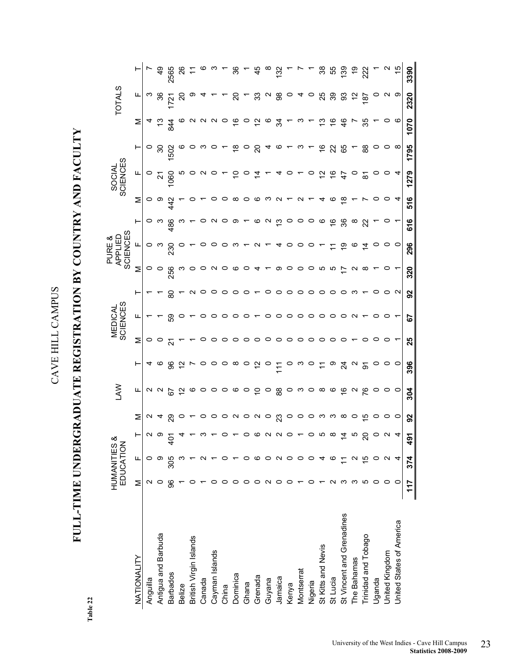# **FULL-TIME UNDERGRADUATE REGISTRATION BY COUNTRY AND FACULTY**  FULL-TIME UNDERGRADUATE REGISTRATION BY COUNTRY AND FACULTY

Table 22 **Table 22** 

|                           |                  | HUMANITIES &<br>EDUCATION |            |                | ≷<br>A                                                                                                                                                                                                |                                                                                                               |                                                                                                              | <b>MEDICAL</b><br>SCIENCES                                                     |                                                                          |                                  | APPLIED<br>SCIENCES<br>PURE &  |                                         |                  | SOCIAL<br>SCIENCES                       |                                        |                      | <b>TOTALS</b>   |                             |
|---------------------------|------------------|---------------------------|------------|----------------|-------------------------------------------------------------------------------------------------------------------------------------------------------------------------------------------------------|---------------------------------------------------------------------------------------------------------------|--------------------------------------------------------------------------------------------------------------|--------------------------------------------------------------------------------|--------------------------------------------------------------------------|----------------------------------|--------------------------------|-----------------------------------------|------------------|------------------------------------------|----------------------------------------|----------------------|-----------------|-----------------------------|
| NATIONALITY               | Σ                | щ                         | ⊢          | Σ              | щ                                                                                                                                                                                                     | ⊢                                                                                                             | Σ                                                                                                            | щ                                                                              | ⊢                                                                        | Σ                                | щ                              |                                         | Σ                | щ                                        | H                                      | Σ                    | щ               |                             |
| Anguilla                  |                  | 0                         |            |                |                                                                                                                                                                                                       |                                                                                                               |                                                                                                              |                                                                                |                                                                          |                                  |                                | 0                                       |                  |                                          |                                        |                      | <u>က</u>        |                             |
| Antigua and Barbuda       |                  | တ                         |            | $\alpha$ 4     |                                                                                                                                                                                                       |                                                                                                               | $\circ$ $\circ$ $\frac{1}{2}$                                                                                |                                                                                |                                                                          | ၀ ၀ ဖွ<br>လ                      | ဝ က                            |                                         | ဝ ၈ ဗု<br>၁ ၈ ဗု |                                          | ិ និ<br>ខេ                             |                      | 86              | $\frac{6}{3}$               |
| <b>Barbados</b>           | န္တ              | 305                       | 9<br>4     | ଅ              | $\alpha$ $\alpha$ $\beta$ $\beta$ $\alpha$ $\alpha$ $\alpha$ $\alpha$ $\alpha$ $\alpha$ $\beta$ $\alpha$ $\beta$ $\alpha$ $\beta$ $\alpha$ $\beta$ $\alpha$ $\beta$ $\alpha$ $\beta$ $\alpha$ $\beta$ | $4 \, \circ \, 8 \, \sigma \, \nu \, \circ \, \circ \, \circ \, \circ \, \circ \, \overleftarrow{c} \, \circ$ |                                                                                                              | 59                                                                             | 80                                                                       |                                  | <b>SS</b>                      | 486                                     |                  |                                          |                                        | <u>ದ 4</u><br>ದ      | $\overline{27}$ | 2565                        |
| <b>Belize</b>             |                  |                           |            | $\circ$ $\sim$ |                                                                                                                                                                                                       |                                                                                                               | $\overline{ }$                                                                                               |                                                                                |                                                                          |                                  |                                |                                         |                  | ഗ                                        |                                        | 0                    | ຊ               | $\frac{8}{2}$               |
| British Virgin Islands    |                  |                           |            |                |                                                                                                                                                                                                       |                                                                                                               |                                                                                                              |                                                                                | $\mathbf{N}$                                                             | a o o u o co q + e o o o o n n r |                                |                                         |                  |                                          | <b>© O W O L Ö O Ö 4 ® L W L Ö S Ö</b> |                      | တ               |                             |
| Canada                    |                  |                           |            |                |                                                                                                                                                                                                       |                                                                                                               | $\circ$                                                                                                      | o                                                                              | $\circ$                                                                  |                                  |                                |                                         |                  | $\circ$ $\circ$ $\circ$ $\sim$           |                                        | a a a o co co co y c |                 |                             |
| Cayman Islands            |                  |                           |            |                |                                                                                                                                                                                                       |                                                                                                               |                                                                                                              |                                                                                |                                                                          |                                  |                                |                                         |                  |                                          |                                        |                      |                 |                             |
| China                     |                  |                           |            |                |                                                                                                                                                                                                       |                                                                                                               |                                                                                                              |                                                                                |                                                                          |                                  |                                |                                         |                  |                                          |                                        |                      |                 |                             |
| Dominica                  |                  |                           |            |                |                                                                                                                                                                                                       |                                                                                                               |                                                                                                              | $\circ \circ \circ \circ$                                                      | $\circ \circ \circ \circ$                                                |                                  | $\circ$ $\circ$ $\circ$ $\sim$ | $\circ$ $\circ$ $\sim$                  |                  | S.                                       |                                        |                      | ನಿ - ಜಿ         | ~ % ~ \$                    |
| Ghana                     |                  |                           |            |                |                                                                                                                                                                                                       |                                                                                                               |                                                                                                              |                                                                                |                                                                          |                                  |                                |                                         |                  |                                          |                                        |                      |                 |                             |
| Grenada                   |                  |                           |            |                |                                                                                                                                                                                                       |                                                                                                               |                                                                                                              |                                                                                |                                                                          |                                  | $U - 4000$                     | $\circ$ $\circ$ $\circ$ $\circ$ $\circ$ |                  | $\dot{z}$                                |                                        |                      |                 |                             |
| Guyana                    |                  |                           |            |                |                                                                                                                                                                                                       |                                                                                                               |                                                                                                              |                                                                                | $\circ$                                                                  |                                  |                                |                                         |                  |                                          |                                        |                      | 98040           | $\frac{8}{2}$ $\frac{1}{2}$ |
| Jamaica                   |                  | N                         |            |                |                                                                                                                                                                                                       |                                                                                                               |                                                                                                              |                                                                                | O                                                                        |                                  |                                |                                         |                  | 4                                        |                                        |                      |                 |                             |
| Kenya                     |                  |                           |            |                |                                                                                                                                                                                                       |                                                                                                               |                                                                                                              |                                                                                |                                                                          |                                  |                                |                                         |                  | $\circ$                                  |                                        |                      |                 |                             |
| Montserrat                |                  |                           |            |                |                                                                                                                                                                                                       |                                                                                                               |                                                                                                              |                                                                                |                                                                          |                                  |                                |                                         |                  |                                          |                                        | $\omega$ $\sim$      |                 |                             |
| Nigeria                   |                  |                           |            |                |                                                                                                                                                                                                       |                                                                                                               | $\begin{array}{c} \circ \circ \circ \circ \circ \circ \circ \circ \circ \circ \circ \circ \circ \end{array}$ | $\begin{array}{c} \circ \circ \circ \circ \circ \circ \circ \circ \end{array}$ | $\begin{array}{c} \circ \circ \circ \circ \circ \circ \circ \end{array}$ |                                  |                                |                                         |                  | $ \circ$ $\circ$ $\circ$ $\circ$ $\circ$ |                                        |                      |                 |                             |
| St Kitts and Nevis        |                  |                           |            |                |                                                                                                                                                                                                       |                                                                                                               |                                                                                                              |                                                                                |                                                                          |                                  |                                | $\circ$                                 | 4                |                                          |                                        | <u>ဗ</u> ီ ခ         | ಸಿ ಇ ಇ          |                             |
| St Lucia                  | $\mathbf \alpha$ |                           |            |                |                                                                                                                                                                                                       |                                                                                                               |                                                                                                              |                                                                                |                                                                          |                                  | $\tilde{L}$                    |                                         | $\circ$          |                                          |                                        |                      |                 |                             |
| St Vincent and Grenadines |                  |                           | ÷          |                |                                                                                                                                                                                                       |                                                                                                               |                                                                                                              |                                                                                |                                                                          |                                  | ္င                             | $\frac{6}{36}$                          | $\frac{8}{10}$   |                                          |                                        | $\frac{6}{4}$        |                 | ន ឧ ទី ទ ខ័                 |
| The Bahamas               |                  |                           |            |                | $\sim$ 76                                                                                                                                                                                             |                                                                                                               |                                                                                                              | $\sim$                                                                         | က                                                                        | $\sim$ $\infty$                  |                                | $\infty$                                |                  | $\circ$ $\frac{5}{6}$                    |                                        |                      | $\tilde{a}$     |                             |
| Trinidad and Tobago       | ഥ                | 15                        | N          |                |                                                                                                                                                                                                       | wo t w g w 2 o                                                                                                | o                                                                                                            |                                                                                |                                                                          |                                  | $\dot{4}$                      | ಜ                                       |                  |                                          | 88                                     | 35                   | $\frac{187}{2}$ |                             |
| Uganda                    | $\circ$          |                           |            |                | $\circ$                                                                                                                                                                                               |                                                                                                               | $\circ$                                                                                                      | P                                                                              |                                                                          |                                  |                                |                                         |                  |                                          |                                        |                      | $\circ$         |                             |
| United Kingdom            | 0                |                           |            |                | $\circ$ $\circ$                                                                                                                                                                                       | $\circ$ $\circ$                                                                                               |                                                                                                              |                                                                                |                                                                          | $\circ$ $\cdot$                  | $\circ$ $\circ$                |                                         |                  |                                          | $\circ$ $\circ$ $\infty$               |                      | $\sim$ $\circ$  | $\frac{1}{2}$               |
| United States of America  | o                |                           |            |                |                                                                                                                                                                                                       |                                                                                                               |                                                                                                              |                                                                                | $\sim$                                                                   |                                  |                                |                                         |                  | $\overline{4}$                           |                                        | $\circ$              |                 |                             |
|                           | 117              | 374                       | $\ddot{a}$ | 92             | 304                                                                                                                                                                                                   | 396                                                                                                           | 25                                                                                                           | 55                                                                             | 92                                                                       | 320                              | 296                            | 616                                     | 516              | 1279                                     | 1795                                   | 1070                 | 2320            | 3390                        |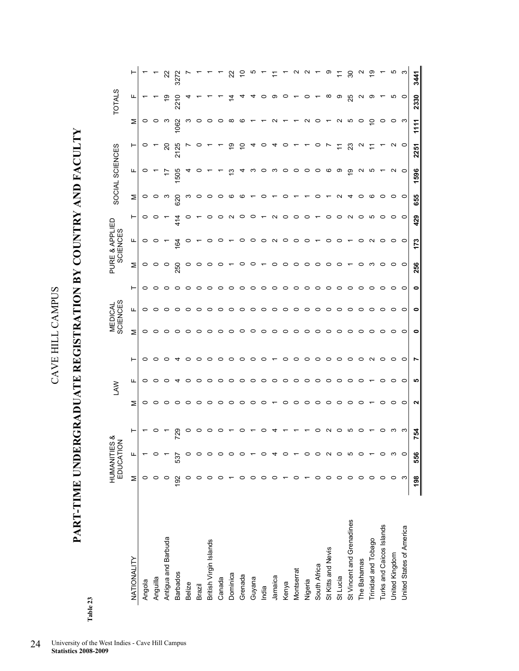**PART-TIME UNDERGRADUATE REGISTRATION BY COUNTRY AND FACULTY**  PART-TIME UNDERGRADUATE REGISTRATION BY COUNTRY AND FACULTY

| s.     |  |
|--------|--|
| œ<br>c |  |

|                           |     | <b>HUMANITIES</b><br>EDUCATION | ∞                 |                | <b>SVV</b> |                     |         | MEDICAL<br>SCIENCES |         |         | PURE & APPLIED<br><b>SCIENCES</b> |                          |         | SOCIAL SCIENCES   |             |          | <b>TOTALS</b> |                   |
|---------------------------|-----|--------------------------------|-------------------|----------------|------------|---------------------|---------|---------------------|---------|---------|-----------------------------------|--------------------------|---------|-------------------|-------------|----------|---------------|-------------------|
| NATIONALITY               | Σ   | Щ                              | ⊢                 | Σ              | щ          | ۳                   | Σ       | щ                   | ⊢       | Σ       | щ                                 | ۳                        | Σ       | щ                 | ۳           | Σ        | щ             | ۳                 |
| Angola                    | 0   |                                |                   | $\circ$        | 0          | $\circ$             | $\circ$ | $\circ$             | $\circ$ | $\circ$ | $\circ$                           | 0                        | $\circ$ | $\circ$           |             | $\circ$  |               |                   |
| Anguilla                  |     |                                |                   | $\circ$        | 0          | $\circ$             | $\circ$ | $\circ$             | $\circ$ | $\circ$ | $\circ$                           | O                        | $\circ$ |                   |             | $\circ$  |               |                   |
| Antigua and Barbuda       |     |                                |                   | $\circ$        | $\circ$    | $\circ$             | $\circ$ | $\circ$             | $\circ$ | $\circ$ |                                   |                          | ო       |                   | <u>ន</u>    | ო        | ဒု            | ನಿ                |
| <b>Barbados</b>           | 192 | 537                            | 729               | $\circ$        | 4          | 4                   | $\circ$ | $\circ$             | $\circ$ | 250     | 164                               | 414                      | 620     | 505               | 2125        | 062      | 221           | 3272              |
| Belize                    | 0   |                                | 0                 | $\circ$        | $\circ$    | $\circ$             | $\circ$ | $\circ$             | $\circ$ | O       | O                                 | 0                        | ო       | 4                 |             | ო        |               |                   |
| Brazil                    |     |                                | o                 | $\circ$        | $\circ$    | $\circ$             | $\circ$ | $\circ$             | $\circ$ |         |                                   |                          | O       |                   |             | $\circ$  |               |                   |
| British Virgin Islands    |     |                                | 0                 | $\circ$        | 0          | $\circ$             | $\circ$ | $\circ$             | $\circ$ |         | 0                                 | 0                        | O       |                   |             | 0        |               |                   |
| Canada                    |     |                                | o                 | $\circ$        | $\circ$    | $\circ$             | $\circ$ | $\circ$             | $\circ$ |         | $\circ$                           | ○                        | o       |                   |             | $\circ$  |               |                   |
| Dominica                  |     |                                |                   | $\circ$        | $\circ$    | $\circ$             | $\circ$ | $\circ$             | $\circ$ |         |                                   | $\sim$                   | ဖ       | ౖ                 | ၥ           | $\infty$ |               | ನ                 |
| Grenada                   |     |                                | 0                 | $\circ$        | $\circ$    | $\circ$ $\circ$     | $\circ$ | $\circ$             | $\circ$ |         | 0                                 | $\circ$                  | ဖ       |                   |             | ဖ        |               |                   |
| Guyana                    |     |                                |                   | $\circ$        | $\circ$    |                     | $\circ$ | $\circ$             | $\circ$ |         | $\circ$                           | $\circ$                  |         | ო                 |             |          |               |                   |
| India                     |     |                                |                   | $\circ$        | $\circ$    | $\circ$             | $\circ$ | $\circ$             | $\circ$ |         | 0                                 |                          | c       | $\circ$           |             |          |               |                   |
| Jamaica                   | c   |                                |                   | $\overline{ }$ | $\circ$    | $\overline{ }$      | $\circ$ | $\circ$             | $\circ$ | ∘       | $\sim$ $\sim$                     | $\sim$                   |         | က ဝ               |             | $\sim$   | ၜ             |                   |
| Kenya                     |     |                                |                   | $\circ$        | $\circ$    | $\circ$             | $\circ$ | $\circ$ $\circ$     | $\circ$ | ∘       |                                   | $\circ$                  | o       |                   |             |          | $\circ$       |                   |
| Montserrat                |     |                                |                   | $\circ$        | $\circ$    | $\circ$             | $\circ$ |                     | $\circ$ | $\circ$ | $\circ$                           | $\circ$                  |         | $\circ$           |             |          |               |                   |
| Nigeria                   |     |                                |                   | $\circ$        | $\circ$    | $\circ$             | $\circ$ | $\circ$             | $\circ$ | $\circ$ | $\circ$                           | $\circ$                  |         | $\circ$           |             | $\sim$   |               | $\sim$            |
| South Africa              |     |                                | o                 | $\circ$        | $\circ$    | $\circ \circ \circ$ | $\circ$ | $\circ$             | $\circ$ | $\circ$ |                                   | $\overline{\phantom{0}}$ | o       | $\circ$           |             | $\circ$  |               |                   |
| St Kitts and Nevis        |     |                                | $\mathbf{\Omega}$ | $\circ$        | $\circ$    |                     | $\circ$ | $\circ$             | $\circ$ | 0       | ∘                                 | $\circ$                  |         | ဖ                 |             |          | $\infty$      | တ                 |
| St Lucia                  |     |                                | 0                 | $\circ$        | $\circ$    |                     | $\circ$ | $\circ$             | $\circ$ | 0       | 0                                 | $\circ$                  |         | ာ                 | $\tilde{=}$ | $\sim$   | တ             |                   |
| St Vincent and Grenadines | c   |                                | ю                 | $\circ$        | $\circ$    | $\circ$             | $\circ$ | $\circ$             | $\circ$ |         |                                   | $\sim$                   | ᠴ       | ္ဘာ               | ಔ           | ю        | 25            | 30                |
| The Bahamas               |     |                                | 0                 | 0              | $\circ$    | $\circ$             | 0       | $\circ$             | $\circ$ | 0       |                                   | $\circ$                  | 0       | $\mathbf{\Omega}$ |             | $\circ$  | ∾             | $\mathbf{\Omega}$ |
| Trinidad and Tobago       | ○   |                                |                   |                |            | $\sim$              | 0       | $\circ$             | $\circ$ | ო       | N                                 | LO.                      | ဖ       | ယ                 |             | ₽        | ၜ             | စ္                |
| Turks and Caicos Islands  | 0   |                                | 0                 | 0              | 0          | $\circ$             | 0       | 0                   | 0       | 0       | 0                                 | 0                        | 0       |                   |             | 0        |               |                   |
| United Kingdom            | 0   |                                | က                 | 0              | 0          | $\circ$             | 0       | 0                   | $\circ$ |         | 0                                 | 0                        | 0       | $\sim$            |             | $\circ$  | ယ             | ယ                 |
| United States of America  | S   | c                              | က                 | $\circ$        | $\circ$    | $\circ$             | $\circ$ | $\circ$             | $\circ$ | $\circ$ | $\circ$                           | $\circ$                  | $\circ$ | $\circ$           | $\circ$     | က        | $\circ$       | ო                 |
|                           | 198 | 556                            | 754               | N              | <b>LO</b>  | r                   | 0       | 0                   | 0       | 256     | 173                               | 429                      | 655     | 1596              | 2251        | 1111     | 2330          | 3441              |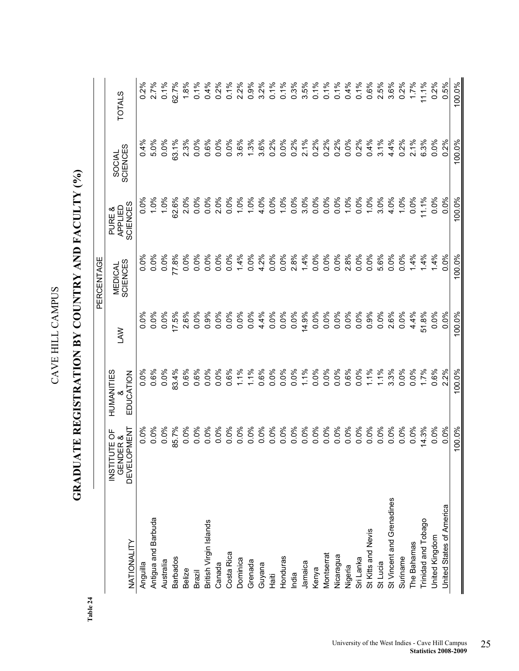| ć<br>i             |  |
|--------------------|--|
| $\frac{1}{2}$<br>ĺ |  |
| $\ddot{ }$         |  |

## GRADUATE REGISTRATION BY COUNTRY AND FACULTY (%) **GRADUATE REGISTRATION BY COUNTRY AND FACULTY (%)**

|                           |                                      |            |            | PERCENTAGE     |                   |                    |               |
|---------------------------|--------------------------------------|------------|------------|----------------|-------------------|--------------------|---------------|
|                           | JTE OF<br>GENDER &<br><b>INSTITI</b> | HUMANITIES | <b>NAJ</b> | <b>MEDICAL</b> | APPLIED<br>PURE & | SOCIAL<br>SCIENCES | <b>TOTALS</b> |
| NATIONALITY               | <b>DEVELOPMENT</b>                   | EDUCATION  |            | SCIENCES       | SCIENCES          |                    |               |
| Anguilla                  | 0.0%                                 | $0.0\%$    | $0.0\%$    | 0.0%           | $0.0\%$           | 0.4%               | 0.2%          |
| Antigua and Barbuda       | 0.0%                                 | 0.6%       | 0.0%       | 0.0%           | 1.0%              | 5.0%               | 2.7%          |
| Australia                 | 0.0%                                 | 0.0%       | 0.0%       | 0.0%           | 1.0%              | 0.0%               | 0.1%          |
| <b>Barbados</b>           | 85.7%                                | 83.4%      | 17.5%      | 77.8%          | 62.6%             | 63.1%              | 62.7%         |
| Belize                    | 0.0%                                 | 0.6%       | 2.6%       | 0.0%           | 2.0%              | 2.3%               | 1.8%          |
| Brazil                    | $0.0\%$                              | 0.6%       | 0.0%       | 0.0%           | 0.0%              | 0.0%               | 0.1%          |
| British Virgin Islands    | 0.0%                                 | 0.0%       | 0.9%       | 0.0%           | 0.0%              | 0.6%               | 0.4%          |
| Canada                    | 50%                                  | 0.0%       | 0.0%       | 0.0%           | 2.0%              | 0.0%               | 0.2%          |
| Costa Rica                | ઁ                                    | 0.6%       | 0.0%       | 0.0%           | 0.0%              | 0.0%               | 0.1%          |
| Dominica                  | ို                                   | 1.1%       | 0.0%       | 1.4%           | 1.0%              | 3.6%               | 2.2%          |
| Grenada                   | 0.0%                                 | 1.1%       | 0.0%       | $0.0\%$        | 1.0%              | 1.3%               | 0.9%          |
| Guyana                    | $0.0\%$                              | 0.6%       | 4.4%       | 4.2%           | 4.0%              | 3.6%               | 3.2%          |
| Haiti                     | 0%                                   | 0.0%       | 0.0%       | 0.0%           | 0.0%              | 0.2%               | 0.1%          |
| Honduras                  | 50%                                  | $0.0\%$    | 0.0%       | $0.0\%$        | 1.0%              | 0.0%               | 0.1%          |
| India                     | 0.0%                                 | 0.0%       | 0.0%       | 2.8%           | 0.0%              | 0.2%               | 0.3%          |
| Jamaica                   | $\delta$<br>ö                        | 1.1%       | 14.9%      | 1.4%           | 3.0%              | 2.1%               | 3.5%          |
| Kenya                     | <u>%0</u><br>$\circ$                 | 0.0%       | 0.0%       | 0.0%           | 0.0%              | 0.2%               | 0.1%          |
| Montserrat                | $\delta$<br>0                        | 0.0%       | 0.0%       | 0.0%           | 0.0%              | 0.2%               | 0.1%          |
| Nicaragua                 | 0%                                   | 0.0%       | 0.0%       | 0.0%           | 0.0%              | 0.2%               | 0.1%          |
| Nigeria                   | 50%<br>0                             | 0.6%       | 0.0%       | 2.8%           | 1.0%              | 0.0%               | 0.4%          |
| Sri Lanka                 | 0.0%                                 | 0.0%       | 0.0%       | 0.0%           | 0.0%              | 0.2%               | 0.1%          |
| St Kitts and Nevis        | 0.0%                                 | 1.1%       | 0.9%       | 0.0%           | 1.0%              | 0.4%               | 0.6%          |
| St Lucia                  | 0.0%                                 | 1.1%       | 0.0%       | 5.6%           | 3.0%              | 3.1%               | 2.5%          |
| St Vincent and Grenadines | 0%<br>$\circ$                        | 3.3%       | 2.6%       | $0.0\%$        | 4.0%              | 4.4%               | 3.6%          |
| Suriname                  | 0.0%                                 | 0.0%       | 0.0%       | 0.0%           | 1.0%              | 0.2%               | 0.2%          |
| The Bahamas               | 0.0%                                 | 0.0%       | 4.4%       | 1.4%           | 0.0%              | 2.1%               | 1.7%          |
| Trinidad and Tobago       | 14.3%                                | 1.7%       | 51.8%      | 1.4%           | 11.1%             | 6.3%               | 11.1%         |
| United Kingdom            | 0.0%                                 | 0.6%       | 0.0%       | 1.4%           | 0.0%              | 0.0%               | 0.2%          |
| United States of America  | 0.0%                                 | 2.2%       | 0.0%       | 0.0%           | 0.0%              | 0.2%               | 0.5%          |
|                           | 100.0%                               | 100.0%     | 100.0%     | 100.0%         | 100.0%            | 100.0%             | 100.0%        |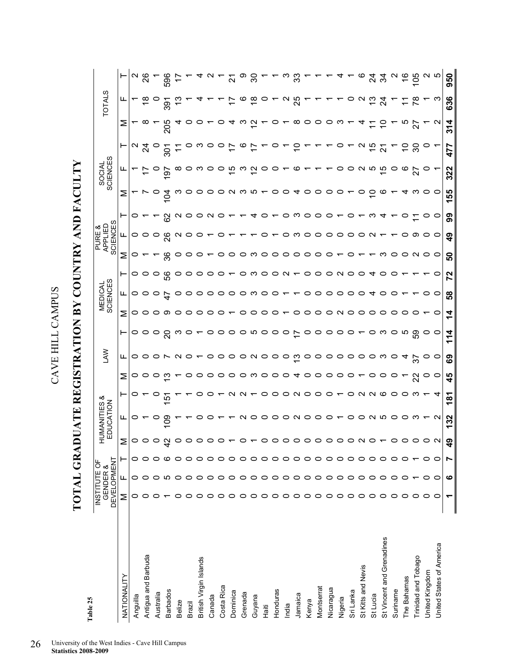**TOTAL GRADUATE REGISTRATION BY COUNTRY AND FACULTY**  TOTAL GRADUATE REGISTRATION BY COUNTRY AND FACULTY

| Table 25                  |                                    |          |         |        |                           |                 |         |                     |         |               |                     |                   |                         |                                      |    |         |                    |                   |                   |                         |                         |
|---------------------------|------------------------------------|----------|---------|--------|---------------------------|-----------------|---------|---------------------|---------|---------------|---------------------|-------------------|-------------------------|--------------------------------------|----|---------|--------------------|-------------------|-------------------|-------------------------|-------------------------|
|                           | <b>DEVELOPMENT</b><br>INSTITUTE OF | GENDER & |         |        | HUMANITIES &<br>EDUCATION |                 |         | <b>NVT</b>          |         |               | MEDICAL<br>SCIENCES |                   |                         | <b>SCIENCES</b><br>APPLIED<br>PURE & |    |         | SOCIAL<br>SCIENCES |                   |                   | <b>TOTALS</b>           |                         |
| NATIONALITY               | Σ                                  | щ        | ۲       | Σ      | ட                         | ۳               | Σ       | ட                   | ⊢       | Σ             | ட                   | ۳                 | Σ                       | ட                                    | ⊢  | Σ       | щ                  | ۳                 | Σ                 | ட                       | ۳                       |
| Anguilla                  | 0                                  | 0        | 0       | 0      | 0                         | o               | 0       | 0                   | 0       | 0             | 0                   | 0                 | o                       | 0                                    |    |         |                    | $\mathbf{\Omega}$ |                   |                         |                         |
| Antigua and Barbuda       | c                                  |          |         | ○      |                           |                 |         | ○                   | ○       | ⊂             |                     |                   |                         | ○                                    |    |         |                    | $\frac{5}{4}$     |                   |                         | $\frac{2}{3}$           |
| Australia                 |                                    |          |         | 0      | c                         |                 |         |                     | $\circ$ |               |                     |                   |                         |                                      |    |         | 0                  |                   |                   |                         |                         |
| <b>Barbados</b>           |                                    | LO.      | ဖ       |        | ဥ                         | ιņ              |         |                     | ର       | တ             | 4                   | ပ္ပ               | ్లం                     | ၛ                                    |    | ड       | 5                  | $\overline{5}$    | 205               | 391                     | 596                     |
| Belize                    |                                    | ○        | ○       |        |                           |                 |         | $\mathbf{\Omega}$   | ო       | o             |                     |                   | c                       | $\mathbf{\Omega}$                    |    |         | $\infty$           |                   |                   |                         |                         |
| Brazil                    | c                                  | ○        | ○       |        |                           |                 |         |                     |         | c             |                     |                   |                         |                                      |    |         |                    |                   |                   |                         |                         |
| British Virgin Islands    |                                    | ○        | ○       |        |                           |                 |         |                     |         |               |                     |                   |                         |                                      |    |         | ო                  |                   |                   |                         |                         |
| Canada                    |                                    |          | ○       |        |                           |                 |         |                     |         |               |                     |                   |                         |                                      |    |         |                    |                   |                   |                         |                         |
| Costa Rica                |                                    |          | ○       |        |                           |                 |         |                     |         |               |                     |                   |                         |                                      |    | o       | o                  | o                 |                   |                         |                         |
| Dominica                  | c                                  | 0        | ○       |        |                           |                 |         | ○                   |         |               |                     |                   |                         |                                      |    | N       | 으                  |                   |                   |                         | ត                       |
| Grenada                   | 0                                  | ○        | $\circ$ |        | $\sim$                    | r.              | ပ       |                     | 0       |               |                     |                   |                         |                                      |    |         | ო                  |                   |                   | ൕ                       |                         |
| Guyana                    | っ                                  | ○        | $\circ$ |        | ပ                         |                 | ო       | $O' \cap O' \cap O$ | ഥ       |               | ຕາ                  |                   | ຕາ                      |                                      |    | ຕ ທ —   | $\tilde{c}$        |                   | $\mathbf{v}$      | $\frac{\infty}{\infty}$ | ನ                       |
| Haiti                     | ○                                  |          | $\circ$ |        | $\circ$ $\circ$           | ပ               | $\circ$ |                     | O       |               |                     |                   | ပ                       |                                      |    |         | 0                  |                   |                   |                         |                         |
| Honduras                  | ⊂                                  |          | $\circ$ |        |                           | o               | o       |                     | o       | 0             |                     | o                 | o                       |                                      |    | 0       | 0                  |                   |                   |                         |                         |
| India                     | ⊂                                  | 0        | $\circ$ | o      |                           | 0               | o       | $\circ$             | ○       |               |                     | $\mathbf{\Omega}$ | ○                       |                                      | o  | 0       |                    |                   |                   |                         |                         |
| Jamaica                   | ⊂                                  | 0        | $\circ$ | 0      |                           | N O             | ᠴ       | <u>ო</u>            |         | 0             |                     |                   | ○                       | ຕ                                    | ຕ  | ↴       | ဖ                  |                   | œ                 | ನೆ                      | က္က                     |
| Kenya                     | ○                                  | O        | $\circ$ | ○      | $\circ$ $\circ$ $\circ$   |                 | o       | O                   | o       | 0             |                     |                   | o                       |                                      | o  | o       |                    |                   | o                 |                         |                         |
| Montserrat                | ○                                  | ○        | $\circ$ | o      |                           | $\circ$         | ౦       |                     | o       | $\circ$       |                     | o                 | $\circ$                 |                                      | o  | $\circ$ |                    |                   | O                 |                         |                         |
| Nicaragua                 | 0                                  | 0        | ○       | o      | $\circ$                   | o               | ပ       | 0                   | o       | 0             |                     | o                 | o                       | 0                                    | o  | 0       |                    |                   | o                 |                         |                         |
| Nigeria                   | ○                                  | ○        | ○       | c      |                           |                 |         | ○                   |         | N             | o                   | $\mathbf{\Omega}$ |                         | ○                                    |    |         |                    |                   | W                 |                         |                         |
| Sri Lanka                 | ○                                  | 0        | 0       | 0      | o                         | 0               |         | ○                   |         | 0             |                     | o                 |                         | ○                                    | o  |         |                    |                   |                   |                         |                         |
| St Kitts and Nevis        | ○                                  |          | ○       | $\sim$ | $\circ$ $\circ$           | $\sim$          |         | ○                   |         | $\circ$       |                     |                   |                         | ○                                    |    | 0       | $\sim$             | $\sim$            |                   | $\mathbf{\Omega}$       |                         |
| St Lucia                  | ▭                                  |          | ○       |        |                           | $\sim$          |         | $\circ$             |         | o             |                     |                   |                         |                                      |    | o       | ഥ                  | င္                |                   |                         |                         |
| St Vincent and Grenadines | ⊂                                  |          | 0       |        |                           | ဖ               |         | ო                   |         |               |                     |                   | ო                       |                                      |    |         | $\frac{15}{2}$     | 21                | c                 | Z                       | रु                      |
| Suriname                  | ⊂                                  |          | ○       |        |                           | 0               |         |                     | o       | o             |                     |                   | o                       |                                      |    |         | 0                  |                   |                   |                         |                         |
| The Bahamas               | ○                                  |          | ○       | 0      | ဝ ဝ က                     | $\circ$         |         | ᠴ                   | ယ       | o             |                     |                   |                         | 0                                    | 0  |         | ဖ                  | S                 |                   |                         | $\overset{\circ}{\tau}$ |
| Trinidad and Tobago       | ○                                  |          |         |        |                           | ന               | ನ       | 75                  | 59      |               |                     |                   |                         | တ                                    |    | ო       | 27                 | న్లె              | 22                |                         | မိ                      |
| United Kingdom            | ○                                  |          | 0       |        |                           |                 | ပ       | 0                   |         |               |                     |                   | $\circ$ $\circ$ $\circ$ |                                      |    |         |                    |                   |                   |                         | ດ ເດ                    |
| United States of America  | o                                  | o        | o       | $\sim$ | $\sim$                    | ч               | 0       | o                   |         | o             |                     |                   |                         | $\circ$                              | o  | 0       |                    |                   | $\mathbf{\Omega}$ | ო                       |                         |
|                           |                                    | ဖ        |         | q9     | 132                       | $\frac{18}{18}$ | 45      | ශී                  | 114     | $\frac{4}{3}$ | 58                  | 72                | 50                      | $\frac{9}{4}$                        | 99 | 155     | 322                | 477               | 314               | 636                     | 950                     |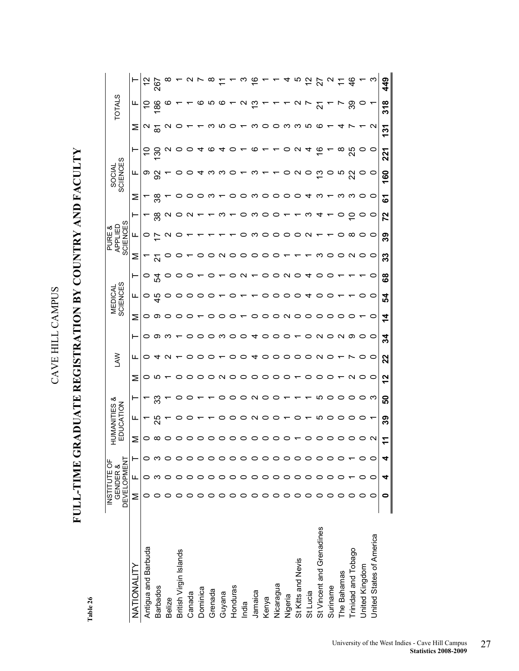# FULL-TIME GRADUATE REGISTRATION BY COUNTRY AND FACULTY **FULL-TIME GRADUATE REGISTRATION BY COUNTRY AND FACULTY**

Table 26 **Table 26** 

|                           | <b>DEVELOPMENT</b><br>INSTITUTE OF | GENDER & | 읍       | 35<br>MAN | ళ<br>TION<br>S<br>E     |                                 | ξ              |                                 |                         | <b>SCIENCES</b><br>MEDICAL |                 |                         | SCIENCES<br>APPLIED<br>PURE & |         |                                             | SOCIAL<br>SCIENCES              |                  |                      | <b>TOTAL</b>         |                          |
|---------------------------|------------------------------------|----------|---------|-----------|-------------------------|---------------------------------|----------------|---------------------------------|-------------------------|----------------------------|-----------------|-------------------------|-------------------------------|---------|---------------------------------------------|---------------------------------|------------------|----------------------|----------------------|--------------------------|
| NATIONALITY               | Σ                                  | щ        | Σ       | щ         | ٣                       | Σ                               | ட              | ⊢                               | Σ                       | ╙                          | ⊢               | Σ                       | ╙                             |         | Σ                                           | ட                               |                  | Σ                    | щ                    |                          |
| Antigua and Barbuda       |                                    | 0        |         |           |                         | $\circ$                         | $\circ$        |                                 |                         |                            | O               |                         |                               |         |                                             |                                 |                  |                      |                      |                          |
| <b>Barbados</b>           |                                    |          | ∞       | 25        | က္က                     | Ю                               |                |                                 |                         | င္ မွာ                     | rg              | $\tilde{\bm{\omega}}$   |                               | ္က      | ္က                                          | စ မ္က                           | ္က               | $\sim$ $\frac{8}{2}$ | $\frac{86}{5}$       | 267                      |
| <b>Belize</b>             |                                    |          |         |           |                         |                                 | 4 U            | $\circ$ $\circ$ $\circ$ $\sim$  | $\circ$ $\circ$ $\circ$ | O                          |                 |                         |                               |         |                                             |                                 |                  | $\mathbf{\Omega}$    | $\boldsymbol{\circ}$ |                          |
| British Virgin Islands    |                                    |          |         |           |                         |                                 |                |                                 |                         |                            |                 |                         |                               |         |                                             |                                 |                  | $\circ$              |                      |                          |
| Canada                    |                                    |          |         |           |                         | $\circ$                         | $\circ$        | $\circ$                         | $\circ$                 |                            |                 |                         |                               |         |                                             |                                 |                  |                      |                      |                          |
| Dominica                  |                                    |          |         |           |                         | O                               | O              | $\circ$ $\circ$                 |                         |                            |                 |                         |                               |         | $\circ\circ$ $\circ\circ\circ$ $\circ\circ$ |                                 |                  |                      |                      |                          |
| Grenada                   |                                    |          |         |           |                         | $\circ$                         |                |                                 | O                       |                            |                 |                         |                               |         |                                             | ຕາ                              | O                |                      | ဖ က ဖ                |                          |
| Guyana                    |                                    |          |         | o         | O                       | $\sim$                          | $\overline{ }$ | က ဝ                             | $\circ$                 |                            |                 |                         |                               |         |                                             | က ဝ                             |                  |                      |                      |                          |
| Honduras                  |                                    |          |         | $\circ$   | $\circ$                 | $\circ$                         | O              |                                 | $\circ$                 | O                          | $\circ$         |                         |                               |         |                                             |                                 |                  |                      |                      |                          |
| India                     |                                    | 0        | 0       | $\circ$   |                         |                                 | $\circ$        |                                 |                         |                            |                 |                         | O                             | O       |                                             |                                 |                  |                      |                      |                          |
| Jamaica                   |                                    |          | $\circ$ |           | $\circ$ $\circ$ $\circ$ | $\circ \circ \circ \circ \circ$ | A.             | $\circ$ 4                       | $\circ$                 | $\overline{ }$             | $\sim$ $-$      | NOOOOO                  | ຕ                             | ო       |                                             | ო                               | $\mathbf \omega$ |                      | ဂ ဗု                 | $\frac{6}{1}$            |
| Kenya                     |                                    |          |         | N O       |                         |                                 |                |                                 |                         |                            | $\circ$         |                         |                               | $\circ$ |                                             |                                 |                  |                      |                      |                          |
| Nicaragua                 |                                    |          |         | $\circ$   |                         |                                 |                | 000                             |                         |                            |                 |                         |                               | $\circ$ |                                             |                                 |                  |                      |                      |                          |
| Nigeria                   |                                    |          |         |           | $\overline{a}$          |                                 |                |                                 |                         | 000                        | $\circ$ $\circ$ | $\overline{ }$          | 0000                          |         |                                             |                                 |                  |                      |                      |                          |
| St Kitts and Nevis        |                                    |          |         |           |                         |                                 | 00000NO        | $\overline{ }$                  | O O N O O O             | $\circ$                    |                 |                         |                               |         |                                             | $\circ$ $\circ$ $\circ$ $\circ$ | $\mathbf{v}$     | concocococo          | $\mathbf{v}$         | ယ                        |
| St Lucia                  |                                    |          |         |           |                         | $\circ$                         |                |                                 |                         | ॼ                          | ᠴ               |                         | $\sim$                        |         |                                             |                                 |                  |                      |                      | $\tilde{c}$              |
| St Vincent and Grenadines |                                    |          |         | Ю         | <u>က</u>                | $\circ$                         |                | $\circ$ $\circ$ $\circ$ $\circ$ |                         | O                          | O               | ო                       |                               |         | ユのー                                         |                                 |                  |                      | $\overline{N}$       | $\overline{\mathcal{N}}$ |
| Suriname                  |                                    |          |         | $\circ$   | $\circ$                 | O                               |                |                                 | $\circ$                 |                            |                 | $\circ$                 |                               |         |                                             |                                 |                  |                      |                      |                          |
| The Bahamas               |                                    |          |         |           | $\circ$ $\circ$         |                                 |                |                                 |                         |                            |                 |                         |                               |         |                                             | ო უ                             |                  | ᠴ                    |                      |                          |
| Trinidad and Tobago       |                                    |          |         |           |                         | $\sim$                          |                |                                 |                         |                            |                 | $\circ$ $\circ$ $\circ$ | $\infty$                      |         | n n o o                                     |                                 | 25               |                      | တွ                   | क्ष                      |
| United Kingdom            |                                    |          |         |           |                         |                                 |                |                                 |                         |                            |                 |                         |                               |         |                                             | $\circ$ $\circ$                 |                  |                      |                      |                          |
| United States of America  |                                    |          |         |           | က                       | $\circ$                         | $\circ$        | $\circ$                         | o                       | O                          | o               |                         | $\circ$                       | O       |                                             |                                 | $\circ$          | $\sim$               |                      |                          |
|                           | 0                                  |          |         | 39        | ន                       | 12                              | 22             | 34                              | $\dot{\mathbf{4}}$      | 54                         | 68              | 33                      | ၵီ                            | 72      | 5                                           | 160                             | 221              | 131                  | 318                  | 449                      |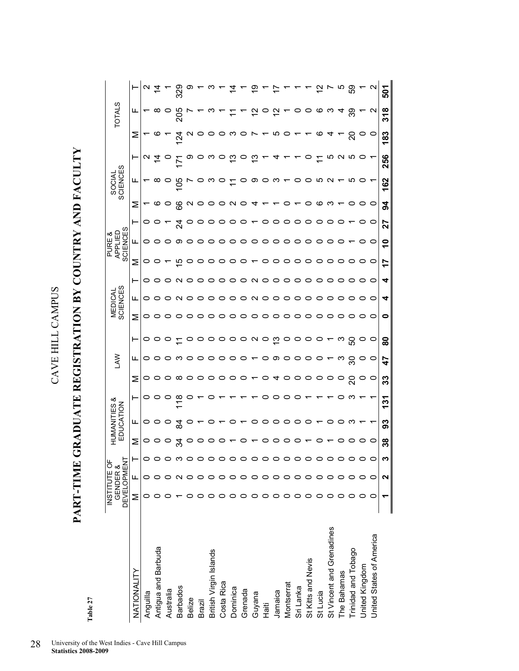**PART-TIME GRADUATE REGISTRATION BY COUNTRY AND FACULTY**  PART-TIME GRADUATE REGISTRATION BY COUNTRY AND FACULTY

> Table 27 **Table 27**

|                           | <b>DEVELOPMENT</b><br><b>INSTITUTE OF</b> | GENDER & |         |    | HUMANITIES &<br>EDUCATION |               |    | Š       |             |   | <b>SCIENCES</b><br>MEDICAL |                   |    | SCIENCES<br>APPLIED<br>PURE & |     |                   | <b>SCIENCES</b><br><b>SOCIAL</b> |                   |     | <b>TOTALS</b>     |     |
|---------------------------|-------------------------------------------|----------|---------|----|---------------------------|---------------|----|---------|-------------|---|----------------------------|-------------------|----|-------------------------------|-----|-------------------|----------------------------------|-------------------|-----|-------------------|-----|
| NATIONALITY               | Σ                                         | щ        |         | Σ  | ╙                         | ⊢             | Σ  | щ       | ⊢           | Σ | ட                          | ۳                 | Σ  | ட                             | ⊢   | Σ                 | ட                                | ⊢                 | Σ   | щ                 |     |
| Anguilla                  |                                           |          |         |    | o                         |               | 0  | $\circ$ | 0           | 0 | o                          |                   |    |                               |     |                   |                                  | $\mathbf{\Omega}$ |     |                   |     |
| Antigua and Barbuda       |                                           |          |         |    |                           |               | ○  | 0       |             |   |                            |                   |    |                               |     | $\bm{\omega}$     |                                  |                   |     |                   |     |
| Australia                 |                                           |          |         |    |                           | o             |    | 0       |             |   |                            |                   |    |                               |     |                   |                                  |                   |     |                   |     |
| <b>Barbados</b>           |                                           |          | ო       |    | ट्व                       | $\frac{8}{1}$ | ∞  | ო       | $\tilde{t}$ |   |                            |                   | 뜨  | တ                             | र्द | 8                 | 90                               |                   | 124 | 205               | 329 |
| Belize                    |                                           |          | 0       |    |                           |               | 0  | 0       |             |   |                            |                   |    |                               |     | $\mathbf{\Omega}$ |                                  | O)                |     |                   |     |
| Brazil                    |                                           |          | 0       |    |                           |               |    | 0       |             |   |                            |                   |    |                               |     |                   |                                  |                   |     |                   |     |
| British Virgin Islands    |                                           |          | 0       |    |                           |               |    | 0       |             |   |                            |                   |    |                               |     |                   |                                  |                   |     |                   |     |
| Costa Rica                |                                           |          | 0       |    |                           |               |    | 0       | o           |   |                            |                   |    |                               |     |                   |                                  |                   |     |                   |     |
| Dominica                  |                                           |          | 0       |    |                           |               | o  | 0       |             |   |                            |                   |    |                               |     | N                 |                                  | ლ                 |     |                   |     |
| Grenada                   |                                           |          | 0       |    |                           |               | o  | 0       | 0           |   |                            |                   | ပ  |                               |     |                   |                                  |                   |     |                   |     |
| Guyana                    |                                           |          | っ       |    |                           |               | ▼  |         | N           |   | ς                          | $\mathbf{\Omega}$ | ₹  |                               |     |                   | တ                                | ဗု                |     |                   |     |
| Haiti                     |                                           |          | $\circ$ |    |                           |               |    |         | $\circ$     |   |                            |                   |    |                               |     |                   |                                  |                   |     |                   |     |
| Jamaica                   |                                           |          | 0       |    |                           |               | ч  | တ       | $\tilde{c}$ |   |                            |                   |    |                               |     |                   | رى                               |                   | ഥ   |                   |     |
| Montserrat                |                                           |          | 0       |    | o                         |               |    | 0       |             |   |                            |                   |    |                               |     |                   |                                  |                   |     |                   |     |
| Sri Lanka                 |                                           |          | 0       |    |                           |               |    |         |             |   |                            |                   |    |                               |     |                   |                                  |                   |     |                   |     |
| St Kitts and Nevis        |                                           |          | 0       |    |                           |               | ပ  |         |             |   |                            |                   |    |                               |     |                   |                                  |                   |     |                   |     |
| St Lucia                  |                                           |          | $\circ$ |    |                           |               |    |         |             |   |                            |                   |    |                               |     | ൕ                 |                                  |                   | ဖ   | ൕ                 |     |
| St Vincent and Grenadines |                                           |          | 0       |    |                           |               |    |         |             |   |                            |                   |    |                               |     | 7                 |                                  |                   |     |                   |     |
| The Bahamas               |                                           |          | 0       |    |                           |               |    | ო       | ო           |   |                            |                   |    |                               |     |                   |                                  |                   |     |                   |     |
| Trinidad and Tobago       |                                           |          | $\circ$ |    |                           | ᠬ             | ຊ  | న్      | င္တ         |   |                            |                   |    |                               |     |                   |                                  | ro                | ິສ  | တွ                | တ္တ |
| United Kingdom            |                                           |          | 0       |    |                           |               |    | 0       |             |   |                            |                   |    |                               |     |                   |                                  |                   |     |                   |     |
| United States of America  |                                           | 0        | $\circ$ | 0  |                           |               | O  | $\circ$ | $\circ$     | 0 | 0                          | 0                 | 0  | 0                             | 0   | $\circ$           |                                  |                   | O   | $\mathbf{\Omega}$ |     |
|                           |                                           | ี        | ო       | 38 | 93                        | $\frac{2}{3}$ | ္က | 47      | 8           | 0 | 4                          | 4                 | 17 | ٩                             | 27  | ತ                 | 162                              | 256               | 183 | 318               | 501 |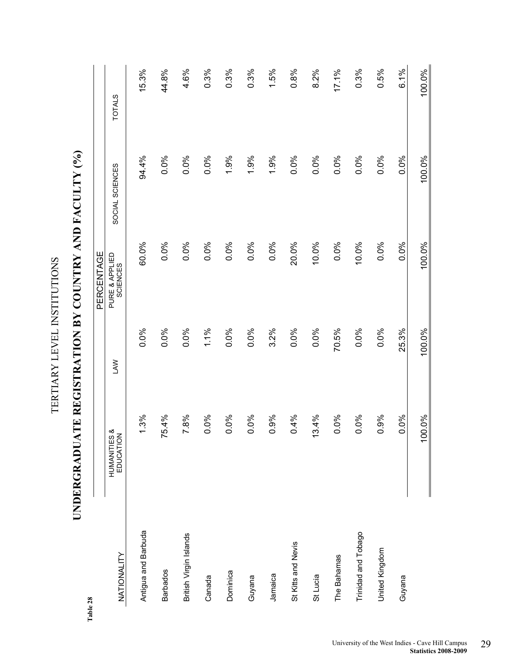| 28                     |                                  |            |                            |                 |               |
|------------------------|----------------------------------|------------|----------------------------|-----------------|---------------|
|                        |                                  |            | PERCENTAGE                 |                 |               |
| NATIONALITY            | &<br>S<br>EDUCATION<br>HUMANITIE | <b>LAW</b> | PURE & APPLIED<br>SCIENCES | SOCIAL SCIENCES | <b>TOTALS</b> |
| Antigua and Barbuda    | 1.3%                             | 0.0%       | 60.0%                      | 94.4%           | 15.3%         |
| <b>Barbados</b>        | 75.4%                            | 0.0%       | 0.0%                       | 0.0%            | 44.8%         |
| British Virgin Islands | 7.8%                             | 0.0%       | 0.0%                       | 0.0%            | 4.6%          |
| Canada                 | 0.0%                             | 1.1%       | 0.0%                       | 0.0%            | 0.3%          |
| Dominica               | 0.0%                             | 0.0%       | 0.0%                       | 1.9%            | 0.3%          |
| Guyana                 | 0.0%                             | 0.0%       | 0.0%                       | 1.9%            | 0.3%          |
| Jamaica                | 0.9%                             | 3.2%       | 0.0%                       | 1.9%            | 1.5%          |
| St Kitts and Nevis     | 0.4%                             | 0.0%       | 20.0%                      | 0.0%            | 0.8%          |
| St Lucia               | 13.4%                            | 0.0%       | 10.0%                      | 0.0%            | 8.2%          |
| The Bahamas            | 0.0%                             | 70.5%      | 0.0%                       | 0.0%            | 17.1%         |
| Trinidad and Tobago    | 0.0%                             | 0.0%       | 10.0%                      | 0.0%            | 0.3%          |
| United Kingdom         | 0.9%                             | 0.0%       | 0.0%                       | 0.0%            | 0.5%          |
| Guyana                 | 0.0%                             | 25.3%      | 0.0%                       | 0.0%            | 6.1%          |
|                        | 00.0%                            | 100.0%     | 100.0%                     | 100.0%          | 100.0%        |

UNDERGRADUATE REGISTRATION BY COUNTRY AND FACULTY (%) **UNDERGRADUATE REGISTRATION BY COUNTRY AND FACULTY (%)** 

TERTIARY LEVEL INSTITUTIONS

TERTIARY LEVEL INSTITUTIONS

**Table 28**  Table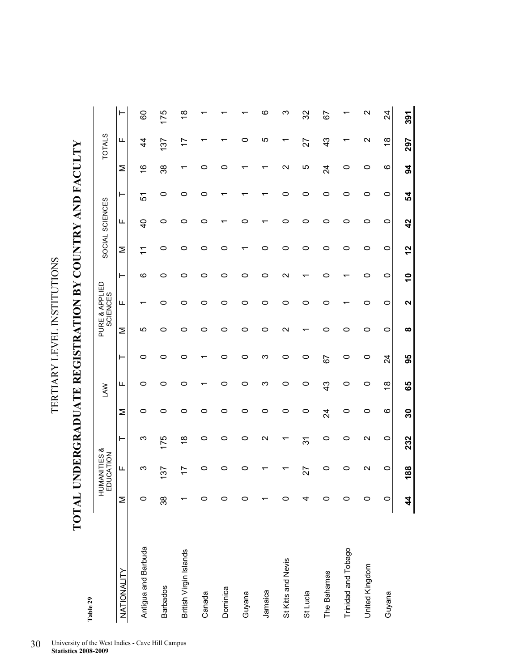TERTIARY LEVEL INSTITUTIONS TERTIARY LEVEL INSTITUTIONS

**TOTAL UNDERGRADUATE REGISTRATION BY COUNTRY AND FACULTY**  TOTAL UNDERGRADUATE REGISTRATION BY COUNTRY AND FACULTY

| Table 29               |    |                           |                           |                 |               |                |   |                            |                |              |                 |    |                |                   |                   |
|------------------------|----|---------------------------|---------------------------|-----------------|---------------|----------------|---|----------------------------|----------------|--------------|-----------------|----|----------------|-------------------|-------------------|
|                        |    | HUMANITIES &<br>EDUCATION |                           |                 | <b>NV</b>     |                |   | PURE & APPLIED<br>SCIENCES |                |              | SOCIAL SCIENCES |    |                | <b>TOTALS</b>     |                   |
| NATIONALITY            | Σ  | Щ                         | ⊢                         | Σ               | щ             | ⊢              | Σ | щ                          | ⊢              | Σ            | щ               | ⊢  | Σ              | щ                 | ⊢                 |
| Antigua and Barbuda    | 0  | ო                         | ო                         | 0               | 0             | 0              | ю | ↽                          | ဖ              |              | $\overline{4}$  | 5  | $\frac{6}{1}$  | 4                 | 60                |
| <b>Barbados</b>        | 38 | 137                       | 175                       | 0               | 0             | 0              | 0 | 0                          | 0              | 0            | 0               | 0  | 38             | 137               | 175               |
| British Virgin Islands |    | 17                        | $\overset{\infty}{\cdot}$ | 0               | 0             | 0              | 0 | 0                          | 0              | 0            | 0               | 0  | ᠇              | 17                | $\frac{8}{1}$     |
| Canada                 | o  | 0                         | 0                         | 0               |               |                | 0 | 0                          | 0              | 0            | 0               | 0  | 0              |                   |                   |
| Dominica               | 0  | 0                         | 0                         | 0               | 0             | 0              | 0 | 0                          | 0              | 0            |                 |    | 0              |                   |                   |
| Guyana                 | 0  | 0                         | 0                         | 0               | 0             | 0              | 0 | 0                          | 0              |              | 0               |    |                | 0                 |                   |
| Jamaica                |    |                           | Ν                         | 0               | ო             | ო              | 0 | 0                          | 0              | 0            |                 |    |                | ပ                 | ဖ                 |
| St Kitts and Nevis     | 0  | ↽                         | ↽                         | 0               | 0             | 0              | N | 0                          | Ν              | 0            | 0               | 0  | N              | ᠇                 | ო                 |
| St Lucia               | 4  | 27                        | 31                        | 0               | 0             | 0              |   | 0                          |                | 0            | 0               | 0  | 5              | 27                | 32                |
| The Bahamas            | o  | 0                         | 0                         | $\overline{24}$ | 43            | 57             | 0 | 0                          | 0              | 0            | 0               | 0  | $\overline{2}$ | $\frac{3}{4}$     | 5                 |
| Trinidad and Tobago    | o  | 0                         | 0                         | 0               | 0             | 0              | 0 |                            |                | 0            | 0               | 0  | 0              |                   |                   |
| United Kingdom         | 0  | $\mathbf{\Omega}$         | $\mathbf{\Omega}$         | 0               | 0             | 0              | 0 | 0                          | 0              | 0            | 0               | 0  | 0              | $\mathbf{\Omega}$ | $\mathbf{\Omega}$ |
| Guyana                 | 0  | 0                         | 0                         | ဖ               | $\frac{8}{1}$ | $\overline{2}$ | 0 | 0                          | 0              | 0            | $\circ$         | 0  | ဖ              | $\frac{8}{1}$     | 24                |
|                        |    | 188                       | 232                       | 30              | 65            | 95             | ထ | 2                          | $\overline{1}$ | $\mathbf{r}$ | $\frac{2}{3}$   | 54 | 54             | 297               | 391               |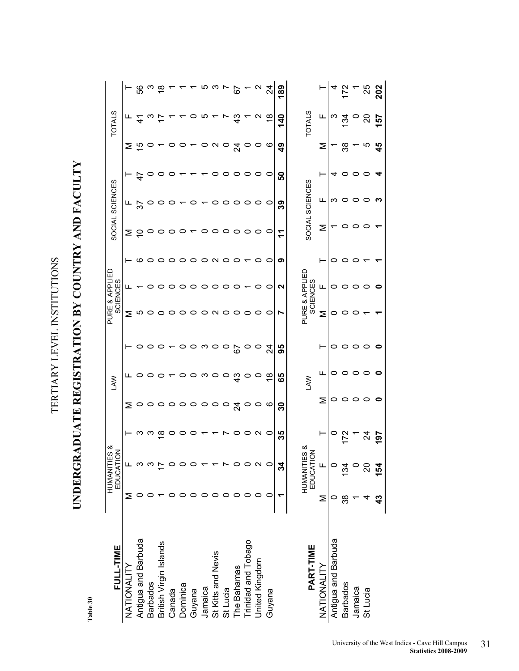TERTIARY LEVEL INSTITUTIONS TERTIARY LEVEL INSTITUTIONS

# UNDERGRADUATE REGISTRATION BY COUNTRY AND FACULTY **UNDERGRADUATE REGISTRATION BY COUNTRY AND FACULTY**

Table 30 **Table 30** 

| FULL-TIME              |     | HUMANITIES &<br>EDUCATION |    |               | <b>NVT</b>    |         |   | PURE & APPLIED<br><b>SCIENCES</b> |   |   | SOCIAL SCIENCES |               |               | <b>TOTALS</b> |                       |
|------------------------|-----|---------------------------|----|---------------|---------------|---------|---|-----------------------------------|---|---|-----------------|---------------|---------------|---------------|-----------------------|
| NATIONALITY            | Σ   | щ                         | ⊢  | Σ             | щ             |         | Σ | ட                                 | ⊢ | Σ | щ               |               | Σ             | щ             |                       |
| Antigua and Barbuda    |     |                           | ო  |               |               | o       | ഥ |                                   | ဖ |   | 55              | $\frac{4}{7}$ | 10            | $\frac{4}{1}$ | 56                    |
|                        |     |                           |    |               |               |         |   |                                   |   |   |                 |               |               |               |                       |
| <b>Barbados</b>        |     |                           |    |               |               |         |   |                                   | 0 |   |                 |               |               |               |                       |
| British Virgin Islands |     |                           | ∞  | $\circ$       |               |         |   |                                   | 0 |   |                 |               |               |               | $\frac{\infty}{\tau}$ |
| Canada                 |     |                           |    |               |               |         |   |                                   |   |   |                 |               |               |               |                       |
| Dominica               |     |                           |    |               |               |         | o |                                   |   |   |                 |               |               |               |                       |
| Guyana                 |     |                           |    |               |               |         |   |                                   |   |   |                 |               |               |               |                       |
| Jamaica                |     |                           |    |               | ო             | ო       |   |                                   |   |   |                 |               |               | rU            |                       |
| St Kitts and Nevis     |     |                           |    |               | 0             | c       | ς |                                   | C |   |                 |               | ς             |               |                       |
| St Lucia               |     |                           |    | $\circ$       | $\circ$       | $\circ$ |   |                                   |   |   |                 |               | $\circ$       |               |                       |
| The Bahamas            |     |                           |    | $\frac{4}{3}$ | ဒ္            | 67      |   |                                   |   |   |                 |               | र्य           | ဍ             | 67                    |
| Trinidad and Tobago    |     |                           |    | $\circ$       |               | $\circ$ |   |                                   |   |   |                 |               | ○             |               |                       |
| United Kingdom         |     | $\scriptstyle\sim$        | N  | $\circ$       | $\circ$       | $\circ$ |   |                                   | 0 |   |                 | 0             |               | N             |                       |
| Guyana                 |     |                           | 0  | ဖ             | $\frac{8}{1}$ | र्द     |   | o                                 | o |   | 0               | 0             | ဖ             | $\frac{8}{1}$ | 24                    |
|                        |     | 34                        | 35 | ္က            | 89            | 95      |   | ี                                 | ၈ | 7 | ၷ               | င္စ           | $\frac{6}{4}$ | $\frac{6}{3}$ | 189                   |
|                        |     |                           |    |               |               |         |   |                                   |   |   |                 |               |               |               |                       |
| PART-TIME              |     | HUMANITIES &<br>EDUCATION |    |               | <b>NVT</b>    |         |   | PURE & APPLIED<br><b>SCIENCES</b> |   |   | SOCIAL SCIENCES |               |               | <b>TOTALS</b> |                       |
| NATIONALITY            | Σ   | щ                         |    | Σ             | щ             | ⊢       | Σ | Щ.                                |   | Σ | щ               |               | ⋝             | щ             |                       |
| Antigua and Barbuda    |     |                           |    | $\circ$       |               | 0       |   | o                                 | 0 |   | ო               |               |               | ო             |                       |
| <b>Barbados</b>        | ్లి | 134                       |    | $\circ$       |               |         |   |                                   |   |   |                 |               | ္က            | $\frac{5}{2}$ | <u>541</u>            |
| Jamaica                |     |                           |    | 0             |               | 0       |   |                                   |   |   |                 |               |               |               |                       |
| St Lucia               |     | 20                        | द  |               |               | 0       |   |                                   |   |   |                 |               | ഥ             | ຊ             | 25                    |

 $\blacksquare$ 

 $\bullet$ 

 $\bullet$ 

 $\bullet$ 

197

154

 $43$ 

 $\bullet$ 

202

157

 $45$ 

 $\blacktriangleleft$ 

 $\boldsymbol{\omega}$ 

 $\blacktriangledown$ 

 $\overline{ }$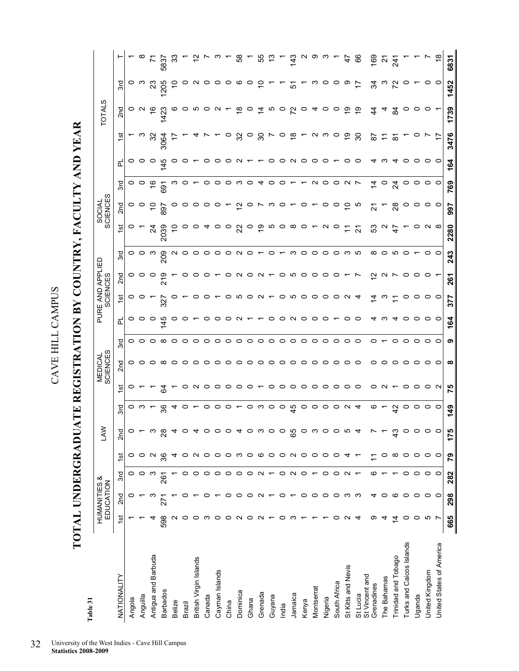TOTAL UNDERGRADUATE REGISTRATION BY COUNTRY, FACULTY AND YEAR **TOTAL UNDERGRADUATE REGISTRATION BY COUNTRY, FACULTY AND YEAR** 

| Table 31                   |                   |                                      |                          |               |                 |          |                           |                            |                 |         |                |                              |         |                          |                    |               |               |                     |                         |         |               |
|----------------------------|-------------------|--------------------------------------|--------------------------|---------------|-----------------|----------|---------------------------|----------------------------|-----------------|---------|----------------|------------------------------|---------|--------------------------|--------------------|---------------|---------------|---------------------|-------------------------|---------|---------------|
|                            |                   | <b>HUMANITIES &amp;</b><br>EDUCATION |                          |               | <b>NYT</b>      |          |                           | <b>MEDICAL</b><br>SCIENCES |                 |         |                | PURE AND APPLIED<br>SCIENCES |         |                          | SOCIAL<br>SCIENCES |               |               |                     | <b>TOTALS</b>           |         |               |
| NATIONALITY                | $\frac{1}{2}$     | 2 <sub>nd</sub>                      | 3rd                      | $\frac{1}{2}$ | 2 <sub>nd</sub> | 3rd      | ত                         | 2 <sub>nd</sub>            | 3rd             | 군       | ᢆ              | 2 <sub>nd</sub>              | 3rd     | $\frac{1}{2}$            | 2 <sub>nd</sub>    | 3rd           | 군             | $\frac{5}{2}$       | 2 <sub>nd</sub>         | ್ಲಿ     |               |
| Angola                     |                   |                                      |                          |               |                 | $\circ$  |                           |                            |                 | o       | o              | o                            |         |                          |                    | 0             | O             |                     |                         | 0       |               |
| Anguilla                   |                   |                                      |                          |               |                 | ო        |                           | 000                        | 000             | っ       |                |                              | ဝ ဝ က   |                          | $\circ$ $\circ$    |               |               |                     | $\circ$ $\circ$         | ო       |               |
| Antigua and Barbuda        |                   |                                      |                          |               | ო               |          |                           |                            |                 | o       |                |                              |         | শ্ৰ                      | S                  | \$            | o             | ಜ                   | ဖ                       |         | Σ             |
| <b>Barbados</b>            | 598               | 22                                   | $\rm \grave{8}$          | 36            | 28              | 36       | टु                        | $\infty$                   | $\infty$        | 45      | 327            | ন                            | 209     | 2039                     | 897                | ġ             | $\frac{4}{5}$ | 3064                | 423                     | 205     | 5837          |
| Belize                     |                   |                                      |                          |               |                 | ᠴ        |                           | $\circ$                    | $\circ$         | o       |                |                              |         | 0                        |                    |               |               |                     | ဖ                       |         | ္ကာ           |
| Brazil                     | o                 |                                      |                          |               |                 | O        |                           | $\circ$                    | $\circ$ $\circ$ | c       |                |                              | N O O   |                          |                    |               |               |                     | ဝ ທ                     |         |               |
| British Virgin Islands     | 0                 |                                      |                          |               | 4               |          |                           | っ                          |                 |         | o              |                              |         |                          |                    |               |               |                     |                         |         |               |
| Canada                     | ო                 |                                      |                          | o             | $\circ$         | 0        |                           | $\circ$                    | $\circ$         | o       | o              |                              | $\circ$ |                          | ب                  |               |               |                     | $\circ$                 |         |               |
| Cayman Islands             | 0                 |                                      |                          | 0             | $\circ$         | っ        |                           | $\circ$                    | $\circ$         | o       | $\overline{ }$ |                              | ○       | o                        | $\circ$            |               |               |                     | $\sim$                  |         |               |
| China                      | 0                 |                                      |                          | $\circ$       | $\circ$         | $\circ$  |                           | $\circ$                    | $\circ$         | o       | $\circ$        |                              | っ       | $\circ$                  |                    |               |               | $\circ$             |                         |         |               |
| Dominica                   | $\sim$            |                                      |                          | ო             | 4               |          |                           | $\circ$                    | $\circ$         | $\sim$  | $500y -$       |                              | $\sim$  | ୍ଷ                       | 5,                 |               |               | ೫                   | $\frac{\infty}{\infty}$ | ဖ       | œ             |
| Ghana                      | ○                 |                                      |                          | $\circ$       | ဝ က             |          |                           | $\circ$                    | $\circ$         |         |                |                              |         | $\circ$                  | ပ                  |               |               | $\circ$             | $\circ$                 | $\circ$ |               |
| Grenada                    | $\sim$            |                                      |                          | ဖ             |                 | ဝ က      |                           | $\circ$                    | $\circ$         |         |                |                              |         | ္ေ                       |                    |               |               | င္က                 | ⋣                       | S       | 55            |
| Guyana                     |                   |                                      |                          | $\circ$       | $\circ$         | $\circ$  | $\circ$                   | $\circ$                    | 0               | o       |                |                              |         | ഗ                        | ო                  |               |               |                     | Ю                       |         |               |
| India                      | 0                 | 0                                    | 0                        | $\circ$       | $\circ$         | $\circ$  | $\circ$                   | $\circ$                    | $\circ$         | o       | $\circ$        | o                            |         | $\circ$                  | $\circ$            |               | ○             | $\circ$             | $\circ$                 |         |               |
| Jamaica                    | m                 |                                      | $\sim$                   | $\sim$        | 65              | 45       | $\circ$                   | $\circ$                    | $\circ$         | $\sim$  | 0000           | ഗ                            | ო       | $\infty$                 |                    |               | N O O         | $\frac{8}{1}$       | 72                      | 오       | $\frac{3}{4}$ |
| Kenya                      |                   |                                      | $\circ$                  | $\circ$       | $\circ$         | $\circ$  |                           |                            | $\circ$         | っ       |                | $\circ$                      | っ       | $\circ$ $\sim$           | $\circ$            |               |               |                     | $\circ$                 |         |               |
| Montserrat                 |                   |                                      |                          | っ             | ო               | $\circ$  | $\circ \circ \circ \circ$ | $\circ \circ \circ$        | $\circ$         | o       |                | 0                            | $\circ$ |                          |                    | $\sim$        |               | $\sim$              | 4                       |         |               |
| Nigeria                    |                   | 0                                    | 0                        | 0             | $\circ$         | $\circ$  |                           |                            | 0               | o       |                | o                            | 0       | N                        | o                  | 0             | 0             | ო                   | $\circ$                 |         |               |
| South Africa               | o                 | $\circ$                              | $\circ$                  | $\circ$       | $\circ$         | $\circ$  |                           | $\circ$                    | $\circ$         |         | $\circ$        |                              | $\circ$ | O                        | O                  | ○             |               | $\circ$             | $\circ$                 |         |               |
| St Kitts and Nevis         | $\mathbf{\Omega}$ | ო                                    | $\mathbf{\Omega}$        |               | ယ               | $\sim$ 4 | $\circ$ $\circ$           | $\circ$                    | $\circ$         | O       | $\sim$         |                              | ო       | <u>:</u>                 | ₽                  | $\sim$ $\sim$ |               | စ္                  | $\frac{6}{1}$           | တ       | 47            |
| St Vincent and<br>St Lucia | ↴                 | က                                    | $\overline{\phantom{0}}$ |               | 4               |          |                           | $\circ$                    | $\circ$         | o       | 4              |                              | ယ       | $\overline{\mathcal{S}}$ | Ю                  |               | C             | ္က                  | ္                       | 17      | 8             |
| Grenadines                 | တ                 | 4                                    | ဖ                        |               |                 | ဖ        | 0                         | 0                          | 0               | 4       | 4              | $\mathbf{\tilde{a}}$         | ∞       | က္တ                      | <u>ম</u>           | $\dot{4}$     |               | 5                   | 4                       | ર્ઝ     | 091           |
| The Bahamas                | 4                 | 0                                    |                          | 0             |                 |          | $\sim$                    | 0                          |                 | ო       | ო              | $\sim$                       | 0       |                          |                    |               |               | H                   | 4                       | ო       | Ν             |
| Trinidad and Tobago        | $\overline{4}$    | ဖ                                    |                          | $\infty$      | $\frac{3}{4}$   | 42       |                           | 0                          | 0               |         |                |                              | ທ       | 4                        | ಙ                  | 24            |               | $\overline{\infty}$ | $\frac{9}{4}$           |         | $\mathcal{A}$ |
| Turks and Caicos Islands   | 0                 | 0                                    | ○                        | 0             | $\circ$         | o        | $\circ$                   | $\circ$                    | 0               | o       |                | c                            |         |                          | c                  |               |               |                     | o                       |         |               |
| Uganda                     | $\circ$           | 0                                    | 0                        | 0             | 0               | 0        | $\circ$                   | $\circ$                    | $\circ$         | 0       | 0              | o                            |         | o                        | o                  |               | 0             |                     | o                       |         |               |
| United Kingdom             | Ю                 | $\circ$                              | $\circ$                  | $\circ$       | 0               | $\circ$  | $\circ$ $\sim$            | $\circ\circ$               | $\circ$         | $\circ$ | $\circ$        | c                            | o       | $\mathbf{\Omega}$        | $\circ$            |               |               |                     | $\circ$                 | o       |               |
| United States of America   |                   | $\circ$                              | $\circ$                  | $\circ$       | $\circ$         | $\circ$  |                           |                            | $\circ$         | $\circ$ | $\circ$        |                              | $\circ$ | $\infty$                 | $\circ$            | 0             | 0             | 17                  |                         | $\circ$ | $\frac{8}{1}$ |
|                            | 665               | 298                                  | 282                      | <b>P2</b>     | 175             | 349      | 75                        | ∞                          | თ               | 164     | 377            | 261                          | 243     | 2280                     | 997                | 769           | 164           | 3476                | 1739                    | 1452    | 6831          |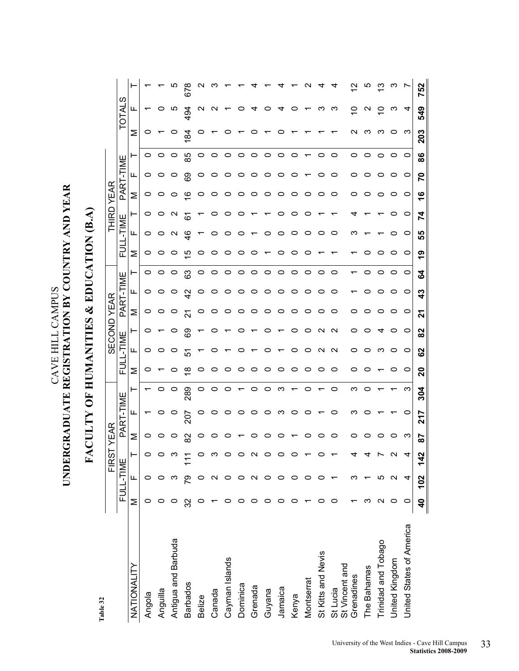Table 32 **Table 32** 

|                              |                   |                   | <b>FIRS</b> | <b>YEAR</b> |           |     |          |                   | <b>GECOND</b>     | YEAR     |    |         |                        | THIRD           | YEAR |           |         |                |            |     |
|------------------------------|-------------------|-------------------|-------------|-------------|-----------|-----|----------|-------------------|-------------------|----------|----|---------|------------------------|-----------------|------|-----------|---------|----------------|------------|-----|
|                              |                   | FULL-TIME         |             |             | PART-TIME |     |          | FULL-TIME         |                   | PART-TIM |    | щ       | FULL-TIME              |                 |      | PART-TIME |         |                | ၯ<br>TOTAL |     |
| NATIONALITY                  | Σ                 | щ                 |             | Σ           | ц,        |     | Σ        | Щ.                | ⊢                 | Σ        | щ  | ۳       | ц,<br>Σ                | ⊢               | Σ    | ட         | ۳       | Σ              | ц.         |     |
| Angola                       | 0                 |                   |             | 0           |           |     | 0        | 0                 | 0                 | 0        | 0  | 0       | 0<br>0                 | 0               | 0    | 0         | 0       | o              |            |     |
| Anguilla                     |                   |                   |             | o           |           | 0   |          |                   |                   |          |    | 0       | 0                      |                 |      |           | 0       |                |            |     |
| Antigua and Barbuda          |                   |                   |             | o           | o         | 0   | 0        | 0                 | 0                 |          |    | 0       | $\mathbf{\Omega}$<br>0 | $\mathbf{\sim}$ |      | ပ         | 0       | o              | Ю          |     |
| <b>Barbados</b>              | ္က                | లై                |             | 8           | 207       | 289 | $\infty$ | 5                 | ගි                |          |    | යි      | $\frac{6}{4}$<br>ယ     | فَ              | Ø    | စ္မ       | 85      | $\mathfrak{A}$ | र्ठ<br>4   | ة   |
| Belize                       |                   |                   |             | 0           |           | 0   | 0        |                   |                   |          |    | 0       | o                      |                 | o    | 0         | 0       |                |            |     |
| Canada                       |                   |                   |             |             |           | 0   | 0        |                   |                   |          |    | 0       | 0                      |                 | 0    |           | 0       |                |            |     |
| Cayman Islands               |                   |                   |             |             |           |     | 0        |                   |                   |          |    | o       | O<br>o                 |                 | 0    | 0         | 0       |                |            |     |
| Dominica                     |                   |                   |             |             |           |     | o        |                   |                   | o        |    | o       | c                      |                 | o    | o         | 0       |                |            |     |
| Grenada                      |                   |                   |             |             | o         | o   | 0        |                   |                   | o        |    | o       |                        |                 | 0    |           | 0       |                |            |     |
| Guyana                       |                   |                   |             |             |           | o   | 0        |                   |                   | 0        |    | o       |                        |                 | 0    | c         | 0       |                |            |     |
| Jamaica                      |                   | 0                 |             |             | ო         | ო   | 0        |                   |                   | o        |    | 0       | c                      |                 | 0    | o         | 0       |                |            |     |
| Kenya                        |                   |                   |             |             | c         |     | 0        |                   |                   | 0        |    | o       |                        |                 | 0    |           | 0       |                |            |     |
| Montserrat                   |                   | 0                 |             |             |           | 0   | 0        | o                 | 0                 | o        |    | 0       | O                      |                 | 0    |           |         |                |            |     |
| St Kitts and Nevis           |                   |                   |             |             |           |     | 0        | N                 | N                 | o        |    | o       |                        |                 | o    |           | 0       |                |            |     |
| St Lucia                     |                   |                   |             | 0           |           | 0   | 0        | $\mathbf{\Omega}$ | $\mathbf{\Omega}$ | c        |    | 0       | c                      |                 | o    | c         | 0       |                | ო          |     |
| St Vincent and<br>Grenadines |                   |                   |             | c           | ∾         | ო   | c        | 0                 | c                 | c        |    |         | ო                      |                 | 0    | o         | 0       |                | o          |     |
| The Bahamas                  |                   |                   |             |             |           |     |          |                   |                   |          |    |         |                        |                 |      |           | 0       |                |            |     |
| Trinidad and Tobago          | $\mathsf{\alpha}$ | LO                |             |             |           |     |          | ო                 |                   |          |    |         |                        |                 |      |           | 0       |                | c          |     |
| United Kingdom               | 0                 | $\mathsf{\alpha}$ |             | 0           |           |     | 0        | 0                 | 0                 | 0        |    | 0       | o                      |                 | 0    | o         | 0       | 0              | ო          |     |
| United States of America     | c                 | 4                 |             | က           | c         | က   | 0        | 0                 | 0                 | $\circ$  | 0  | $\circ$ | 0<br>$\circ$           | 0               | 0    | $\circ$   | $\circ$ | က              | 4          |     |
|                              | $\frac{1}{2}$     | 102               | $\ddot{4}$  | 58          | 24        | 304 | <u>ន</u> | 82                | 82                | <u>ដ</u> | ဒူ | 3       | 55<br>თ                | 74              | ဖ    | 20        | 86      | 203            | 549        | 752 |

### UNDERGRADUATE REGISTRATION BY COUNTRY AND YEAR **UNDERGRADUATE REGISTRATION BY COUNTRY AND YEAR**  CAVE HILL CAMPUS CAVE HILL CAMPUS

**FACULTY OF HUMANITIES & EDUCATION (B.A)** 

FACULTY OF HUMANITIES & EDUCATION (B.A)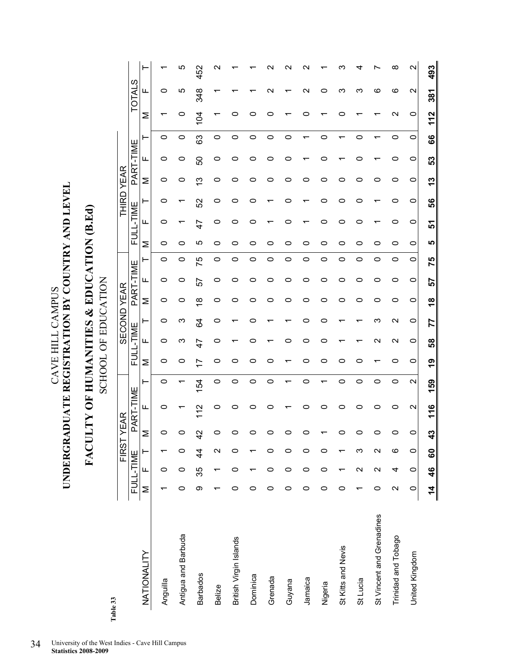UNDERGRADUATE REGISTRATION BY COUNTRY AND LEVEL **UNDERGRADUATE REGISTRATION BY COUNTRY AND LEVEL**  CAVE HILL CAMPUS CAVE HILL CAMPUS

## FACULTY OF HUMANITIES & EDUCATION (B.Ed) **FACULTY OF HUMANITIES & EDUCATION (B.Ed)**

**SCHOOL OF EDUCATION** SCHOOL OF EDUCATION

| Table 33                  |                     |                   |                 | FIRSTYEAR     |                                            |                   |       |                    |                    | <b>SECOND YEAR</b> |         |         |     |           | THIRD YEAR |   |           |         |                    |                   |                    |
|---------------------------|---------------------|-------------------|-----------------|---------------|--------------------------------------------|-------------------|-------|--------------------|--------------------|--------------------|---------|---------|-----|-----------|------------|---|-----------|---------|--------------------|-------------------|--------------------|
|                           |                     | FULL-TIME         |                 |               | PART-TIME                                  |                   | FULL- | <b>ENIL-</b>       |                    |                    | PART-TI | ME      |     | FULL-TIME |            |   | PART-TIME |         |                    | ഗ<br><b>INTOT</b> |                    |
| NATIONALITY               | Σ                   | Щ                 | ⊢               | Σ             | ட                                          | ⊢                 | Σ     | ட                  | ٣                  | Σ                  | ட       |         | ⋝   | ட         | ⊢          | Σ | ட         | ۳       | Σ                  | щ                 | ۲                  |
| Anguilla                  |                     | 0                 |                 | c             | 0                                          | 0                 | 0     | 0                  | 0                  | 0                  | 0       | 0       | 0   | 0         | o          | O | o         | 0       |                    | 0                 |                    |
| Antigua and Barbuda       | 0                   | 0                 | 0               | ⊂             |                                            |                   | 0     | ო                  | ო                  | 0                  | 0       | 0       | 0   |           |            | 0 | 0         | 0       | 0                  | rU                |                    |
| <b>Barbados</b>           | တ                   | 35                | $\frac{4}{4}$   | $\frac{2}{3}$ | $\bar{\mathbin{\scriptstyle{\mathsf{2}}}}$ | 154               | 17    | 47                 | 3                  | ∞                  | 57      | 75      | ഥ   | 47        | 52         | ო | 50        | 3       | 104                | 348               | 452                |
| Belize                    |                     |                   | $\mathbf{\sim}$ | 0             | 0                                          | 0                 | 0     | o                  | o                  | 0                  | o       | 0       | 0   | 0         | o          | o | o         | 0       |                    |                   |                    |
| British Virgin Islands    | 0                   | 0                 | 0               | o             | 0                                          | 0                 | o     |                    |                    | o                  | o       | 0       | c   |           | c          | c | 0         | 0       |                    |                   |                    |
| Dominica                  | 0                   |                   |                 | 0             | 0                                          | 0                 | 0     | 0                  | c                  | 0                  | 0       | 0       | 0   | c         | c          | 0 | 0         | 0       | c                  |                   |                    |
| Grenada                   | 0                   | 0                 | 0               | 0             | 0                                          | 0                 | 0     |                    |                    | 0                  | 0       | 0       | o   |           |            | 0 | 0         | 0       | c                  | N                 |                    |
| Guyana                    | 0                   | $\circ$           | 0               | o             |                                            |                   |       | o                  |                    | o                  | o       | 0       | o   | o         | o          | o | o         | 0       |                    |                   |                    |
| Jamaica                   | 0                   | $\circ$           | 0               | 0             | 0                                          | 0                 | 0     | 0                  | 0                  | 0                  | 0       | $\circ$ | 0   |           |            | o |           |         | ⊂                  | $\mathbf{\sim}$   |                    |
| Nigeria                   | 0                   | $\circ$           | 0               |               | 0                                          | ᠇                 | 0     | 0                  | 0                  | 0                  | 0       | 0       | 0   | 0         | 0          | 0 | 0         | 0       |                    | 0                 |                    |
| St Kitts and Nevis        | 0                   |                   |                 | o             | 0                                          | 0                 | 0     |                    |                    | o                  | 0       | 0       | 0   | o         | o          | o |           |         | c                  | က                 |                    |
| St Lucia                  |                     | $\mathbf{\Omega}$ | က               | 0             | o                                          | 0                 | 0     |                    |                    | 0                  | 0       | 0       | 0   | c         | c          | o | ○         | 0       |                    | က                 |                    |
| St Vincent and Grenadines | 0                   | $\mathbf{\Omega}$ | Ν               | 0             | 0                                          | 0                 |       | $\scriptstyle\sim$ | ო                  | 0                  | 0       | 0       | 0   |           |            | o |           |         |                    | ဖ                 |                    |
| Trinidad and Tobago       | $\sim$              | 4                 | ဖ               | 0             | 0                                          | 0                 | 0     | $\scriptstyle\sim$ | $\scriptstyle\sim$ | 0                  | 0       | 0       | 0   | 0         | 0          | 0 | 0         | 0       | $\mathsf{\alpha}$  | ဖ                 | ∞                  |
| United Kingdom            | $\circ$             | 0                 | $\circ$         | 0             | $\mathbf{\sim}$                            | $\mathbf{\Omega}$ | 0     | 0                  | 0                  | 0                  | 0       | 0       | 0   | 0         | 0          | 0 | $\circ$   | $\circ$ | 0                  | $\mathbf{\Omega}$ | $\mathbf{\sim}$    |
|                           | $\frac{4}{7}$<br>II | 46                | 60              | 43            | $\frac{6}{5}$<br>ᡪ                         | 59<br>᠆           | စ္    | 89                 | 77                 | $\frac{8}{1}$      | 57      | 75      | LO, | 5         | 99         | ო | ္ဟ        | 89      | $\frac{2}{3}$<br>ᡪ | 381               | ო<br>$\frac{9}{4}$ |
|                           |                     |                   |                 |               |                                            |                   |       |                    |                    |                    |         |         |     |           |            |   |           |         |                    |                   |                    |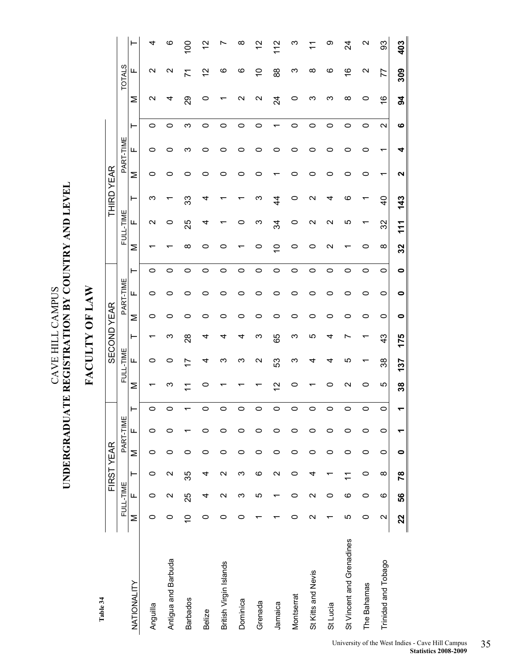**Table 34**

CAVE HILL CAMPUS **UNDERGRADUATE REGISTRATION BY COUNTRY AND LEVEL** 

CAVE HILL CAMPUS

UNDERGRADUATE REGISTRATION BY COUNTRY AND LEVEL

**FACULTY OF LAW**

FACULTY OF LAW

|                           |               |                   | FIRST YEAR        |         |           |   |                   |                          |               | <b>SECOND YEAR</b> |           |         |             |           | <b>THIRD YEAR</b> |   |           |                   |                    |                          |               |
|---------------------------|---------------|-------------------|-------------------|---------|-----------|---|-------------------|--------------------------|---------------|--------------------|-----------|---------|-------------|-----------|-------------------|---|-----------|-------------------|--------------------|--------------------------|---------------|
|                           |               | FULL-TIME         |                   |         | PART-TIME |   |                   | FULL-TIME                |               |                    | PART-TIME |         |             | FULL-TIME |                   |   | PART-TIME |                   |                    | <b>TOTALS</b>            |               |
| NATIONALITY               | Σ             | Щ                 | ⊢                 | Σ       | щ         | ⊢ | Σ                 | ட                        | ⊢             | Σ                  | щ         | ⊢       | Σ           | ட         | ⊢                 | Σ | ட         | ⊢                 | Σ                  | ட                        | ۲             |
| Anguilla                  | 0             | 0                 | 0                 | 0       | 0         | 0 |                   | 0                        |               | 0                  | 0         | 0       |             | N         | ო                 | 0 | 0         | 0                 | $\scriptstyle\sim$ | $\scriptstyle\mathtt{N}$ | 4             |
| Antigua and Barbuda       | 0             | $\mathbf{\Omega}$ | $\mathbf{\Omega}$ | 0       | 0         | 0 | ო                 | 0                        | ო             | 0                  | 0         | 0       |             | 0         |                   | 0 | o         | 0                 | 4                  | N                        | $\circ$       |
| <b>Barbados</b>           | $\frac{1}{2}$ | 25                | 35                | 0       |           |   | ᠇                 | $\overline{\phantom{0}}$ | $\frac{8}{2}$ | o                  | 0         | 0       | ∞           | 25        | ္လာ               | 0 | ო         | ო                 | 29                 | 71                       | $\frac{8}{1}$ |
| <b>Belize</b>             | 0             | 4                 | 4                 | 0       | 0         | 0 | 0                 | 4                        | 4             | 0                  | o         | 0       | c           | 4         | 4                 | 0 | ⊂         | 0                 | 0                  | 51                       | 51            |
| British Virgin Islands    | 0             | $\mathbf{\Omega}$ | $\mathbf{\Omega}$ | 0       | 0         | 0 |                   | ო                        | 4             | 0                  | 0         | 0       |             |           |                   | 0 | c         | 0                 |                    | ဖ                        |               |
| Dominica                  | 0             | ო                 | ω                 | 0       | 0         | 0 |                   | ო                        | 4             | 0                  | 0         | 0       |             | 0         |                   | 0 | o         | 0                 | $\scriptstyle\sim$ | ဖ                        | ∞             |
| Grenada                   |               | ပ                 | ဖ                 | 0       | 0         | 0 |                   | N                        | ო             | 0                  | 0         | 0       | 0           | ო         | ო                 | 0 | 0         | 0                 | N                  | S                        | 5             |
| Jamaica                   |               |                   | $\mathbf{\Omega}$ | 0       | 0         | 0 | $\mathbf{\Omega}$ | S3                       | 89            | 0                  | 0         | 0       | $\tilde{c}$ | 34        | 4                 |   | c         |                   | $\overline{2}$     | 88                       | $\frac{2}{1}$ |
| Montserrat                | 0             | 0                 | 0                 | 0       | 0         | 0 | o                 | ო                        | က             | 0                  | 0         | 0       | 0           | 0         | 0                 | 0 | 0         | 0                 | 0                  | ო                        | ო             |
| St Kitts and Nevis        | Ν             | $\mathbf{\sim}$   | 4                 | 0       | 0         | 0 |                   | 4                        | ю             | 0                  | 0         | 0       | 0           | N         | N                 | 0 | 0         | 0                 | ო                  | ∞                        |               |
| St Lucia                  |               | 0                 | ᡕ                 | 0       | 0         | 0 | 0                 | 4                        | 4             | 0                  | 0         | 0       | N           | N         | 4                 | 0 | o         | 0                 | ო                  | ဖ                        | တ             |
| St Vincent and Grenadines | Ю             | ဖ                 | $\tilde{\tau}$    | 0       | 0         | 0 | N                 | ഥ                        |               | 0                  | 0         | 0       |             | Ю         | ဖ                 | 0 | 0         | 0                 | ∞                  | ဖ                        | 24            |
| The Bahamas               | 0             | 0                 | 0                 | 0       | 0         | 0 | 0                 |                          |               | 0                  | 0         | 0       | 0           |           |                   | 0 | 0         | 0                 | 0                  | N                        | N             |
| Trinidad and Tobago       | $\sim$        | $\circ$           | $\infty$          | $\circ$ | $\circ$   | 0 | Ю                 | 38                       | $\frac{3}{4}$ | 0                  | $\circ$   | $\circ$ | $\infty$    | 32        | $\frac{4}{3}$     | ᡪ | ᠇         | $\mathbf{\Omega}$ | $\frac{6}{1}$      | 77                       | တွ            |
|                           | 22            | 56                | 78                | 0       |           |   | 38                | 137                      | 175           | 0                  | $\bullet$ | 0       | 32          | 111       | 143               | N | 4         | ဖ                 | $\overline{6}$     | 309                      | 403           |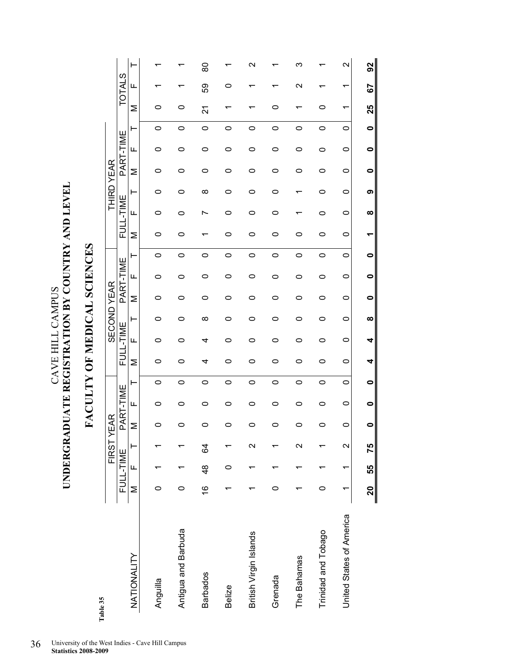UNDERGRADUATE REGISTRATION BY COUNTRY AND LEVEL **UNDERGRADUATE REGISTRATION BY COUNTRY AND LEVEL**  CAVE HILL CAMPUS CAVE HILL CAMPUS

### FACULTY OF MEDICAL SCIENCES **FACULTY OF MEDICAL SCIENCES**

Table 35 **Table 35** 

|                          |               |               | FIRST <sup>Y</sup> | <b>EAR</b> |           |         |   |           |   | <b>SECOND YEAR</b> |           |         |   |           | <b>THIRD YEAR</b> |   |           |         |    |                   |                   |
|--------------------------|---------------|---------------|--------------------|------------|-----------|---------|---|-----------|---|--------------------|-----------|---------|---|-----------|-------------------|---|-----------|---------|----|-------------------|-------------------|
|                          |               | FULL-TIME     |                    |            | PART-TIME |         |   | FULL-TIME |   |                    | PART-TIME |         |   | FULL-TIME |                   |   | PART-TIME |         |    | <b>TOTALS</b>     |                   |
| NATIONALITY              | Σ             | Щ             | ۲                  | Σ          | щ         | ۲       | Σ | Щ         | ⊢ | Σ                  | щ         | ۲       | Σ | щ         | ۳                 | Σ | щ         | ۲       | Σ  | щ                 | ۲                 |
|                          |               |               |                    |            |           |         |   |           |   |                    |           |         |   |           |                   |   |           |         |    |                   |                   |
| Anguilla                 | 0             |               |                    | c          | 0         | 0       | 0 | 0         | 0 | 0                  | 0         | 0       | 0 | 0         | 0                 | 0 | 0         | 0       | 0  |                   |                   |
| Antigua and Barbuda      | 0             |               |                    |            | 0         | 0       | 0 | 0         |   |                    | 0         | 0       | 0 | ⌒         | ▭                 | 0 | 0         | 0       | 0  |                   |                   |
| <b>Barbados</b>          | $\frac{6}{1}$ | $\frac{8}{4}$ | 84                 | 0          | 0         | 0       | 4 | 4         | ∞ | 0                  | 0         | 0       |   |           | ∞                 | 0 | 0         | 0       | 21 | 89                | 80                |
| <b>Belize</b>            |               | 0             |                    |            | 0         | $\circ$ | 0 | 0         | 0 | 0                  | 0         | $\circ$ | 0 | ◠         | 0                 | 0 | 0         | $\circ$ |    | o                 |                   |
| British Virgin Islands   |               |               | $\sim$             |            | 0         | $\circ$ | 0 | 0         | 0 | 0                  | 0         | $\circ$ | o | ◠         | 0                 | 0 | 0         | 0       |    |                   | N                 |
| Grenada                  | 0             |               |                    | 0          | 0         | 0       | 0 | 0         | 0 | 0                  | 0         | $\circ$ | 0 | 0         | 0                 | 0 | 0         | 0       | 0  |                   |                   |
| The Bahamas              |               |               | N                  | 0          | 0         | 0       | 0 | 0         | 0 | 0                  | 0         | 0       | 0 |           |                   | 0 | 0         | 0       |    | $\mathbf{\Omega}$ | ო                 |
| Trinidad and Tobago      | 0             |               |                    | 0          | 0         | 0       | 0 | 0         | 0 | 0                  | 0         | $\circ$ | 0 | o         | ▭                 | o | 0         | 0       | 0  |                   |                   |
| United States of America | ᡪ             |               | $\mathbf{\Omega}$  | 0          | 0         | $\circ$ | 0 | 0         | 0 | 0                  | 0         | 0       | 0 | 0         | 0                 | 0 | 0         | $\circ$ | ᠇  | ↽                 | $\mathbf{\Omega}$ |
|                          | 20            | 55            | 75                 |            | 0         | 0       | 4 | 4         | ထ | 0                  | 0         | 0       |   | ထ         | ග                 | 0 | 0         | 0       | 25 | 55                | 92                |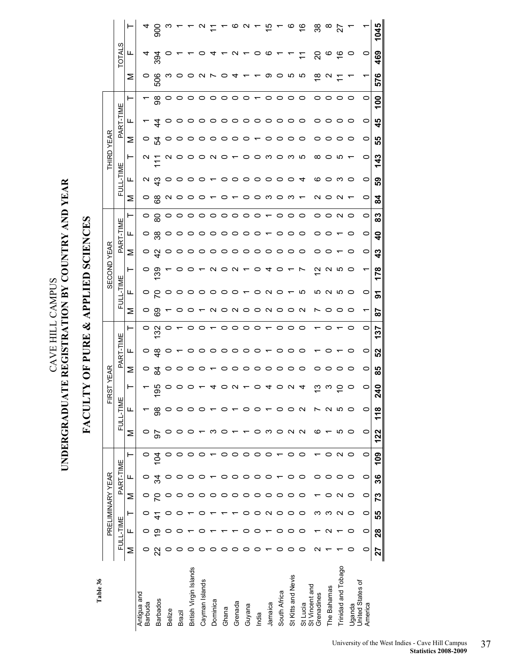FACULTY OF PURE & APPLIED SCIENCES **FACULTY OF PURE & APPLIED SCIENCES** 

> Table 36 **Table 36**

|                    |                   |   |                          | $\frac{8}{2}$   |               |        |                        |                |          |         |         |                |         | 5               |                |                    | $\frac{6}{1}$     | 38                           | $\infty$    | 27                  |         |                             | 1045             |
|--------------------|-------------------|---|--------------------------|-----------------|---------------|--------|------------------------|----------------|----------|---------|---------|----------------|---------|-----------------|----------------|--------------------|-------------------|------------------------------|-------------|---------------------|---------|-----------------------------|------------------|
|                    | w<br><b>TOTAL</b> | ட | 4                        | 394             |               |        |                        |                | ᠴ        |         | $\sim$  | $\overline{ }$ | $\circ$ | ဖ               | $\overline{ }$ |                    | $\mathcal{L}$     | ຊ                            | ဖ           | $\tilde{\epsilon}$  | $\circ$ | $\circ$                     | 469              |
|                    |                   | Σ | O                        | 506             | ო             |        |                        |                |          |         |         |                |         | တ               |                | ഥ                  | ယ                 | $\frac{8}{1}$                | c           |                     |         |                             | 576              |
|                    |                   | ⊢ | $\overline{\phantom{0}}$ | 8               | o             |        |                        |                |          |         |         |                |         | 0               | 0              | o                  | 0                 | 0                            | 0           | 0                   | 0       | 0                           | 100              |
|                    | PART-TIME         | щ |                          | 4               |               |        |                        | o              | o        | $\circ$ | $\circ$ | $\circ$        | ○       | $\circ$         | ○              | ○                  | ○                 | 0                            |             | o                   | 0       | 0                           | 45               |
|                    |                   | Σ | O                        | 모               |               |        |                        |                |          |         |         |                |         |                 |                |                    |                   |                              |             |                     | o       | 0                           | 55               |
| THIRD YEAR         |                   | ⊢ | $\mathbf{\sim}$          |                 |               |        |                        |                | N        |         |         | 0              |         | ო               | 0              | ო                  | ယ                 | ∞                            | o           | ഥ                   |         | 0                           | 143              |
|                    | FULL-TIME         | ட | N                        | ္မွာ            |               |        |                        |                |          |         | o       | $\circ$        | o       | o               | o              |                    | 4                 | ဖ                            |             | ო                   | 0       | 0                           | SS               |
|                    |                   | Σ | 0                        | 89              | N             |        |                        |                |          |         |         |                |         | ო               | $\circ$        | က                  |                   | N                            |             |                     |         | 0                           | $\boldsymbol{z}$ |
|                    |                   | ⊢ | $\circ$                  | ౚ               | o             | o      | o                      | $\circ$        | O        | $\circ$ | $\circ$ | $\circ$        | $\circ$ |                 | 0              | o                  | $\circ$           | 0                            | 0           | N                   | 0       | 0                           | 83               |
|                    | PART-TIME         | ட | 0                        | 38              |               |        |                        |                |          | o       | o       | o              |         |                 |                |                    |                   |                              |             |                     |         | 0                           | $\frac{6}{1}$    |
|                    |                   | Σ | 0                        | 45              |               |        |                        | o              | o        | $\circ$ | o       | $\circ$        | $\circ$ | $\circ$         | o              | $\circ$            | o                 | 0                            |             |                     | o       | $\circ$                     | 43               |
| <b>SECOND YEAR</b> |                   | ⊢ | 0                        | 139             |               |        |                        |                |          |         | N       |                |         |                 |                |                    |                   | $\overline{\mathsf{c}}$      |             | ယ                   | 0       | ᡪ                           | 178              |
|                    | FULL-TIME         | ட | 0                        | 5               | O             | O      |                        | o              | o        | $\circ$ | o       |                | o       | $\sim$          | $\circ$        |                    | ယ                 | rU                           | $\sim$      | ഥ                   | $\circ$ | $\circ$                     | ৯                |
|                    |                   | Σ | $\circ$                  | ගි              |               |        |                        |                |          |         | c       |                |         | $\mathbf{\sim}$ | 0              |                    | N                 |                              |             |                     | 0       | ᡪ                           | 59               |
|                    |                   | ⊢ | 0                        | 132             | 0             |        |                        |                |          | 0       | o       | $\circ$        | $\circ$ |                 | 0              | $\circ$            | 0                 |                              |             |                     | 0       | $\circ$                     | 137              |
|                    | PART-TIME         | ட | $\circ$                  | $\frac{8}{4}$   |               |        |                        |                |          |         | 0       | 0              |         |                 |                |                    |                   |                              |             |                     | 0       | 0                           | 52               |
| <b>YEAR</b>        |                   | Σ | 0                        | 84              |               |        |                        |                |          |         | o       | $\circ$        | $\circ$ | $\circ$         | 0              | っ                  | o                 | 0                            | o           | 0                   | 0       | $\circ$                     | 85               |
| 5                  |                   | ⊢ |                          | မ္တ             |               |        |                        |                |          |         |         |                |         |                 |                |                    |                   | ო                            |             |                     |         | c                           | ទ<br>N           |
| Æ                  | FULL-TIME         | щ |                          | 8               |               |        |                        |                |          |         |         |                |         |                 | 0              | 0                  | N                 |                              | N           | rU                  | 0       | 0                           | 118              |
|                    |                   | Σ | 0                        | 56              |               |        |                        |                |          |         |         |                |         | ო               |                | N                  | $\mathbf{\Omega}$ | ဖ                            |             | 5                   | 0       | 0                           | 122              |
|                    |                   |   | $\circ$                  | 104             |               |        | 0                      |                |          | 0       | 0       | 0              | 0       | 0               |                | 0                  | 0                 |                              | 0           | N O                 |         | 0                           | <b>091</b>       |
|                    | PART-TIME         | щ | o                        |                 |               |        |                        |                |          | 0       | o       | 0              | 0       | 0               |                | 0                  | 0                 | 0                            | 0           | 0                   | 0       | 0                           | 36               |
|                    |                   | Σ | O                        | 34<br>5         |               |        |                        |                |          |         |         | 0              | 0       | 0               |                |                    |                   |                              |             | N                   | 0       | 0                           | 73               |
| PRELIMINARY YEAR   |                   | ⊢ |                          |                 |               |        |                        |                |          |         |         |                |         | N               | 0              | 0                  | 0                 | ო                            | ო           | N                   | 0       | 0                           | 55               |
|                    | FULL-TIME         | щ | 0                        | တ               |               |        |                        |                |          |         |         |                |         |                 |                | 0                  | 0                 |                              |             |                     | 0       | 0                           | 28               |
|                    |                   | Σ | 0                        | 22              |               |        |                        |                |          |         |         |                |         |                 |                |                    |                   |                              |             |                     |         | 0                           | 27               |
|                    |                   |   | Antigua and<br>Barbuda   | <b>Barbados</b> | <b>Belize</b> | Brazil | British Virgin Islands | Cayman Islands | Dominica | Ghana   | Grenada | Guyana         | India   | Jamaica         | South Africa   | St Kitts and Nevis | St Lucia          | St Vincent and<br>Grenadines | The Bahamas | Trinidad and Tobago | Uganda  | United States of<br>America |                  |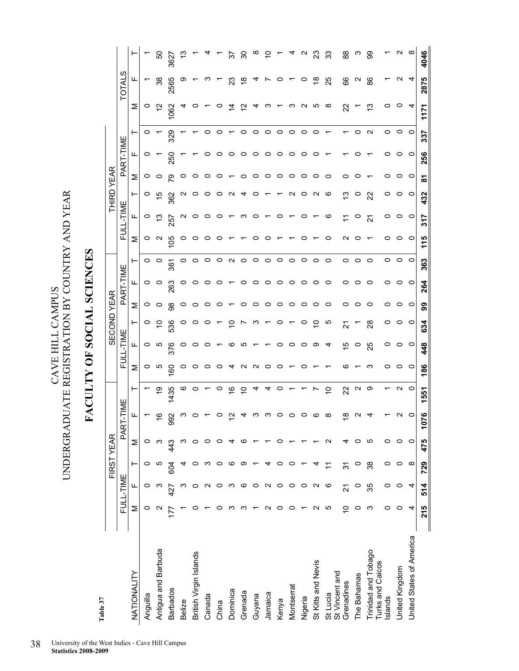$\begin{tabular}{ll} \multicolumn{2}{l}{\textbf{CAYE HILL CAMPUS}}\\ \multicolumn{2}{l}{\textbf{UNDERGRADUATE REGISTRATION BY COUNTRY AND YEAR}} \end{tabular}$ UNDERGRADUATE REGISTRATION BY COUNTRY AND YEAR CAVE HILL CAMPUS

## FACULTY OF SOCIAL SCIENCES **FACULTY OF SOCIAL SCIENCES**

Table 37 **Table 37** 

|                                         |     |           |                | FIRST YEAR      |                     |                   |         |           | <b>SECOND YEAR</b> |         |           |         |         |           | <b>THIRD YEAR</b> |         |           |                   |                   |                   |                |
|-----------------------------------------|-----|-----------|----------------|-----------------|---------------------|-------------------|---------|-----------|--------------------|---------|-----------|---------|---------|-----------|-------------------|---------|-----------|-------------------|-------------------|-------------------|----------------|
|                                         |     | FULL-TIME |                |                 | <b>ENNE</b><br>PART |                   |         | FULL-TIME |                    |         | PART-TIME |         |         | FULL-TIME |                   |         | PART-TIME |                   |                   | <b>TOTALS</b>     |                |
| NATIONALITY                             | ⋝   | щ         | ۲              | Σ               | щ                   | ۳                 | Σ       | ட         | ⊢                  | Σ       | ட         | ۳       | Σ       | щ         | ⊢                 | Σ       | ட         | ۳                 | Σ                 | щ                 |                |
| Anguilla                                | 0   |           | 0              | 0               |                     |                   | $\circ$ | $\circ$   | 0                  | $\circ$ | $\circ$   | 0       | $\circ$ | 0         | 0                 | $\circ$ | 0         | 0                 | o                 |                   |                |
| Antigua and Barbuda                     |     |           | ю              | ო               | ဖ                   | စ္                | ယ       | ယ         |                    | $\circ$ | $\circ$   | $\circ$ | $\sim$  | చ         |                   |         |           |                   | $\frac{2}{3}$     | 38                | 50             |
| <b>Barbados</b>                         |     |           | 604            |                 | ္တ<br>σ             | 1435              | 8       | 376       | 536                | 88      | 263       | 361     | 105     | 257       | 362               | ဇ္ဇာ    | 250       | 329               | 1062              | 2565              | 3627           |
| <b>Belize</b>                           |     |           |                |                 | ო                   | ဖ                 | 0       | o         |                    | $\circ$ | $\circ$   | 0       | 0       |           |                   | o       |           |                   | 4                 | တ                 |                |
| British Virgin Islands                  |     |           |                | 0               |                     | $\circ$           | 0       | 0         |                    | 0       | 0         | 0       | o       |           |                   |         |           |                   |                   |                   |                |
| Canada                                  |     |           |                | 0               |                     |                   | ပ       |           |                    | 0       | 0         | o       | c       |           |                   |         |           | 0                 |                   |                   |                |
| China                                   |     |           | っ              | o               |                     | 0                 | o       |           |                    | $\circ$ |           | 0       |         |           |                   |         |           | o                 |                   |                   |                |
| Dominica                                | ∝   |           | ശ              | ⅎ               |                     | $\frac{6}{5}$     |         | ဖ         |                    |         |           | N       |         |           |                   |         |           |                   | 4                 | ೫                 | స్             |
| Grenada                                 |     |           | σ              | ဖ               |                     | S                 |         | ယ         |                    | 0       | 0         | $\circ$ |         |           |                   |         |           | 0                 |                   | $\frac{8}{1}$     | ္က             |
| Guyana                                  |     |           |                |                 |                     |                   | N       |           |                    | 0       | 0         | 0       | c       |           |                   |         | c         | $\circ$           |                   |                   | ∞              |
| Jamaica                                 | ∾   |           |                |                 |                     | 4                 |         |           |                    | 0       | 0         | 0       |         |           |                   |         | 0         | $\circ$           |                   |                   |                |
| Kenya                                   | o   | 0         | 0              |                 |                     | o                 | 0       | 0         | 0                  | $\circ$ | $\circ$   | 0       |         |           |                   | O       | 0         | $\circ$           |                   | o                 |                |
| Montserrat                              | ⊂   | 0         | 0              |                 |                     |                   |         | 0         |                    | $\circ$ | $\circ$   | 0       |         |           | c                 | o       |           | $\circ$           |                   |                   |                |
| Nigeria                                 |     | 0         |                |                 |                     |                   | 0       | $\circ$   | 0                  | $\circ$ | $\circ$   | $\circ$ | 0       | 0         | o                 | o       | 0         | $\circ$           | $\mathbf{\Omega}$ | 0                 | N              |
| St Kitts and Nevis                      | N   | N         |                |                 |                     | Ņ                 |         | တ         | 9,                 | $\circ$ | $\circ$   | 0       |         |           | $\mathbf{\Omega}$ |         | 0         | $\circ$           | Ю                 | $\frac{8}{1}$     | $\mathbb{S}^3$ |
| St Vincent and<br>St Lucia              | ю   | ဖ         | $\tilde{\tau}$ | $\mathbf{\sim}$ | ∞                   | $\tilde{c}$       |         | 4         | Ю                  | $\circ$ | o         | 0       | o       | ဖ         | ဖ                 |         |           |                   | $\infty$          | 25                | ္တ             |
| Grenadines                              | ٥Ļ  | 24        | 91             | 4               | ∞                   | 22                | ဖ       | 15        | 2                  | 0       | 0         | 0       | $\sim$  |           | ≌                 |         |           |                   | 22                | 89                | 88             |
| The Bahamas                             | 0   | $\circ$   | $\circ$        | 0               |                     | $\mathbf{\Omega}$ |         | $\circ$   |                    | o       | 0         | 0       | c       |           | 0                 |         |           | 0                 |                   | $\mathbf{\Omega}$ | ო              |
| Trinidad and Tobago<br>Turks and Caicos | က   | 35        | 38             | 5               |                     | တ                 | ო       | 25        | $\approx$          | 0       | 0         | $\circ$ |         | ಸ         | $\mathbf{z}$      |         |           | $\mathbf{\Omega}$ | చ                 | 88                | 8              |
| Islands                                 | 0   | 0         | 0              | 0               |                     |                   | 0       | $\circ$   | 0                  | 0       | 0         | $\circ$ | o       | 0         | 0                 |         | 0         | $\circ$           | 0                 |                   |                |
| United Kingdom                          | 0   | 0         | $\circ$        | $\circ$         |                     | $\mathbf{\Omega}$ | 0       | 0         | 0                  | 0       | 0         | $\circ$ | $\circ$ | $\circ$   | 0                 | o       | 0         | $\circ$           | 0                 | $\sim$            | N              |
| United States of America                | 4   | 4         | $\infty$       | $\circ$         | 0                   | $\circ$           | $\circ$ | $\circ$   | $\circ$            | $\circ$ | $\circ$   | $\circ$ | $\circ$ | $\circ$   | $\circ$           | $\circ$ | $\circ$   | $\circ$           | 4                 | 4                 | $\infty$       |
|                                         | 215 | 514       | 729            | 475             | ۴                   | 1551              | 186     | 448       | 634                | 99      | 264       | 363     | 115     | 317       | 432               | ៵       | 256       | 337               | <b>171</b>        | 2875              | 4046           |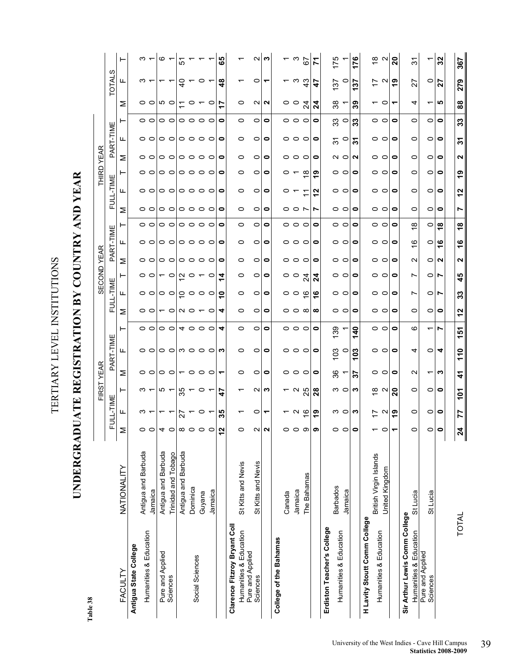Table 38 **Table 38** 

TERTIARY LEVEL INSTITUTIONS

TERTIARY LEVEL INSTITUTIONS

**UNDERGRADUATE REGISTRATION BY COUNTRY AND YEAR** 

UNDERGRADUATE REGISTRATION BY COUNTRY AND YEAR

|                                                                            |                                |                   |                  |                     | FIRST YEAR                                  |                                                 |                           |                       |                        |                  | SECOND YEAR       |                           |                                                                      |                           |                 | THIRD YEAR                |                                         |                           |                  |                |                             |
|----------------------------------------------------------------------------|--------------------------------|-------------------|------------------|---------------------|---------------------------------------------|-------------------------------------------------|---------------------------|-----------------------|------------------------|------------------|-------------------|---------------------------|----------------------------------------------------------------------|---------------------------|-----------------|---------------------------|-----------------------------------------|---------------------------|------------------|----------------|-----------------------------|
|                                                                            |                                |                   | <b>FULL-TIME</b> |                     |                                             | PART-TIME                                       |                           |                       | FULL-TIME              |                  |                   | PART-TIME                 |                                                                      | FULL-TIME                 |                 |                           | PART-TIME                               |                           |                  | ၯ<br>TOTAL     |                             |
| FACULTY                                                                    | NATIONALITY                    | Σ                 | ட                | ⊢                   | Σ                                           | ட                                               | ⊢                         | ⋝                     | ட                      | ⊢                | ⋝                 | ட                         | ⋝<br>⊢                                                               | щ                         | ⊢               | ⋝                         | ட                                       | ⊢                         | Σ                | ட              | ⊢                           |
| Antigua State College                                                      |                                |                   |                  |                     |                                             |                                                 |                           |                       |                        |                  |                   |                           |                                                                      |                           |                 |                           |                                         |                           |                  |                |                             |
| Humanities & Education                                                     | Antigua and Barbuda<br>Jamaica | o                 | ო —              | $\omega$ $-$        | $\circ \circ \circ \circ \circ \circ \circ$ | $\circ$ $\circ$                                 | $\circ$ $\circ$           | $\circ$ $\circ$       | $\circ$ $\circ$        | $\circ$ $\circ$  | 0 0 0 0 0 0 0 0   | $\circ$ $\circ$           | $\circ$ $\circ$<br>$\circ$ $\circ$                                   | $\circ$ $\circ$           | 00              | 00                        | $\circ$ $\circ$                         | $\circ$                   | $\circ$ $\circ$  | ო —            | $\infty$ $\leftarrow$       |
|                                                                            | Antigua and Barbuda            | 4                 | ᠇                |                     |                                             |                                                 |                           |                       |                        |                  |                   |                           |                                                                      |                           |                 |                           |                                         |                           |                  |                |                             |
| Pure and Applied<br>Sciences                                               | Trinidad and Tobago            |                   |                  | $\omega$ $-$        |                                             |                                                 | $\circ$ $\circ$           |                       | $\circ$ $\circ$        | $\sim$ 0         |                   | $\circ$ $\circ$           | $\circ$ $\circ$                                                      | $\circ$ $\circ$           | $\circ$ $\circ$ | $\circ$ $\circ$           |                                         | $\circ$ $\circ$           | 10 O             |                | $\circ$ $\sim$              |
|                                                                            | Antigua and Barbuda            | œ                 | 27               |                     |                                             |                                                 |                           |                       |                        |                  |                   |                           |                                                                      |                           |                 |                           |                                         |                           | $\tilde{\tau}$   | 9              | 5                           |
| Social Sciences                                                            | Dominica                       |                   | $\overline{ }$   | $\frac{10}{20}$ – 0 |                                             |                                                 |                           |                       |                        | $\sim$ $\sim$    |                   |                           |                                                                      |                           |                 |                           |                                         |                           | $\circ$ $\sim$   | $\overline{ }$ |                             |
|                                                                            | Guyana                         |                   | O                |                     |                                             | $\circ$ $\circ$ $\circ$ $\circ$ $\circ$ $\circ$ | 4000                      | $\tau$ oln o $\tau$ o | $\circ\circ\circ\circ$ |                  |                   | $\circ \circ \circ \circ$ | $\circ$ $\circ$ $\circ$ $\circ$ $\circ$<br>$\circ \circ \circ \circ$ | $\circ \circ \circ \circ$ | 0000            | $\circ \circ \circ \circ$ | $\circ$ $\circ$ $\circ$ $\circ$ $\circ$ | $\circ \circ \circ \circ$ |                  | $\circ$        |                             |
|                                                                            | Jamaica                        |                   |                  | $\overline{ }$      |                                             |                                                 |                           |                       |                        | $\circ$          |                   |                           |                                                                      |                           |                 |                           |                                         |                           | $\circ$          | $\overline{ }$ |                             |
|                                                                            |                                | $\frac{5}{2}$     | <u> ဟ</u><br>∾   | 47                  | ↽                                           |                                                 | 4                         | 4                     | ∘                      | ᠴ                | 0                 | 0                         | $\bullet$<br>0                                                       | 0                         | 0               | 0                         | 0                                       | $\bullet$                 |                  | $\frac{8}{4}$  | 89                          |
| Clarence Fitzroy Bryant Coll<br>Humanities & Education<br>Pure and Applied | St Kitts and Nevis             |                   |                  |                     | 0                                           | $\circ$                                         | 0                         | 0                     | 0                      | 0                | $\circ$           | 0                         | $\circ$<br>$\circ$                                                   | 0                         | 0               | $\circ$                   | 0                                       | $\circ$                   | 0                | ᡪ              |                             |
| Sciences                                                                   | St Kitts and Nevis             | $\mathbf{\Omega}$ | 0                | $\sim$              | 0                                           | 0                                               | $\circ$                   | 0                     | 0                      | 0                | $\circ$           | $\circ$                   | $\circ$<br>0                                                         | 0                         | 0               | 0                         | 0                                       | $\circ$                   | $\sim$           | 0              | $\mathbf{\Omega}$           |
|                                                                            |                                | $\mathbf{\Omega}$ | ᠆                | က                   | $\bullet$                                   | 0                                               | $\bullet$                 | $\bullet$             | 0                      | 0                | $\bullet$         | 0                         | $\bullet$<br>0                                                       | 0                         | 0               | 0                         | 0                                       | $\bullet$                 | N                | ↽              | က                           |
| College of the Bahamas                                                     |                                |                   |                  |                     |                                             |                                                 |                           |                       |                        |                  |                   |                           |                                                                      |                           |                 |                           |                                         |                           |                  |                |                             |
|                                                                            | Canada                         |                   |                  |                     |                                             |                                                 |                           |                       |                        | ၀ ၀              |                   |                           |                                                                      | 0                         | $\circ$ $\sim$  |                           |                                         |                           | ၀ ၀              |                | $\frac{2}{3}$ $\frac{2}{7}$ |
|                                                                            | Jamaica                        |                   | <u>പ ര</u>       | $-9.5$              | 000                                         | 000                                             | 000                       | 00 x                  | ၀ ၀ ဖ                  |                  | 000               | 000                       | 0 0 N<br>000                                                         | $\overline{ }$            |                 | 000                       | 000                                     | 000                       |                  | ာ အ            |                             |
|                                                                            | The Bahamas                    | တ                 |                  |                     |                                             |                                                 |                           |                       |                        | $\mathbb{Z}^4$   |                   |                           |                                                                      | $\mathbf{r}$              | $\infty$        |                           |                                         |                           | $\overline{c}$   |                |                             |
|                                                                            |                                |                   | စာ               | 28                  | 0                                           | $\bullet$                                       | 0                         | $\infty$              | ဖ                      | $\boldsymbol{z}$ | $\bullet$         | 0                         | Ľ<br>0                                                               | 2                         | ග               | 0                         | 0                                       | 0                         | $\boldsymbol{z}$ | 47             | 71                          |
| Erdiston Teacher's College                                                 |                                |                   |                  |                     |                                             |                                                 |                           |                       |                        |                  |                   |                           |                                                                      |                           |                 |                           |                                         |                           |                  |                |                             |
| Humanities & Education                                                     | <b>Barbados</b>                |                   | ຕ ⊂              | $\circ$ $\circ$     | <u> ఇ</u>                                   | ဗွ ၀                                            | 139                       | 00                    | 0 ၀                    | 00               | $\circ$ $\circ$   | 00                        | 00<br>$\circ$ $\circ$                                                | 0                         | 0 ၀             | N O                       | 92                                      | $\frac{3}{2}$             | 38               | 22             | 175                         |
|                                                                            | Jamaica                        |                   |                  |                     |                                             |                                                 |                           |                       |                        |                  |                   |                           |                                                                      | $\circ$                   |                 |                           | $\circ$                                 |                           |                  | $\circ$        |                             |
|                                                                            |                                |                   | ∾                | ო                   | 22                                          | ဒ<br>ᅮ                                          | $\boldsymbol{\mathsf{q}}$ | $\bullet$             | $\bullet$              | $\bullet$        | $\bullet$         | $\bullet$                 | $\circ$<br>$\bullet$                                                 | 0                         | 0               | N                         | रु                                      | 33                        | ్లి              | 22             | 176                         |
| H Lavity Stoutt Comm College                                               |                                |                   |                  |                     |                                             |                                                 |                           |                       |                        |                  |                   |                           |                                                                      |                           |                 |                           |                                         |                           |                  |                |                             |
| Humanities & Education                                                     | British Virgin Islands         |                   | r a              | $\infty$ $\sim$     | ၀ ၀                                         | 00                                              | 00                        | 00                    | 00                     | 00               | 00                | 00                        | 00<br>00                                                             | 00                        | 0 ၀             | 00                        | 0 ၀                                     | 00                        | — 0              | $\frac{1}{2}$  | $\frac{\infty}{2}$ $\sim$   |
|                                                                            | United Kingdom                 |                   |                  |                     |                                             |                                                 |                           |                       |                        |                  |                   |                           |                                                                      |                           |                 |                           |                                         |                           |                  |                |                             |
|                                                                            |                                |                   | စာ               | $\overline{20}$     | 0                                           | $\bullet$                                       | $\bullet$                 | $\bullet$             | 0                      | 0                | $\bullet$         | $\bullet$                 | $\bullet$<br>$\bullet$                                               | 0                         | 0               | 0                         | 0                                       | $\bullet$                 |                  | ဇ္             | 20                          |
| Sir Arthur Lewis Comm College                                              |                                |                   |                  |                     |                                             |                                                 |                           |                       |                        |                  |                   |                           |                                                                      |                           |                 |                           |                                         |                           |                  |                |                             |
| Humanities & Education                                                     | St Lucia                       |                   | 0                | 0                   | $\mathbf{\Omega}$                           | 4                                               | ဖ                         | $\circ$               | Ľ                      | Ľ                | $\mathbf{\Omega}$ | ဖ                         | $\circ$<br>∞                                                         | 0                         | 0               | O                         | 0                                       | $\circ$                   | 4                | 22             | <u>रू</u>                   |
| Pure and Applied<br>Sciences                                               | St Lucia                       |                   | 0                | 0                   |                                             | $\circ$                                         |                           | O                     | 0                      | 0                | $\circ$           | $\circ$                   | 0<br>0                                                               | 0                         | 0               | 0                         | 0                                       | 0                         |                  | $\circ$        |                             |
|                                                                            |                                |                   | $\circ$          | $\bullet$           | ∾                                           | 4                                               | r                         | $\bullet$             | ↖                      | ∣►               | N                 | $\frac{6}{5}$             | $\bullet$<br>$\infty$                                                | $\circ$                   | $\bullet$       | $\circ$                   | $\circ$                                 | $\bullet$                 | ம                | 27             | 32                          |
|                                                                            |                                |                   |                  |                     |                                             |                                                 |                           |                       |                        |                  |                   |                           |                                                                      |                           |                 |                           |                                         |                           |                  |                |                             |
| TOTAL                                                                      |                                | $\boldsymbol{z}$  | 77               | $\overline{101}$    | 4                                           | 110                                             | 151                       | 12                    | 33                     | 45               | Ν                 | ᅮ<br>$\frac{6}{5}$        | r<br>ထ                                                               | 57                        | თ               | 2                         | रु                                      | 33                        | 88               | 279            | 367                         |

### University of the West Indies - Cave Hill Campus 3<br>**Statistics 2008-2009**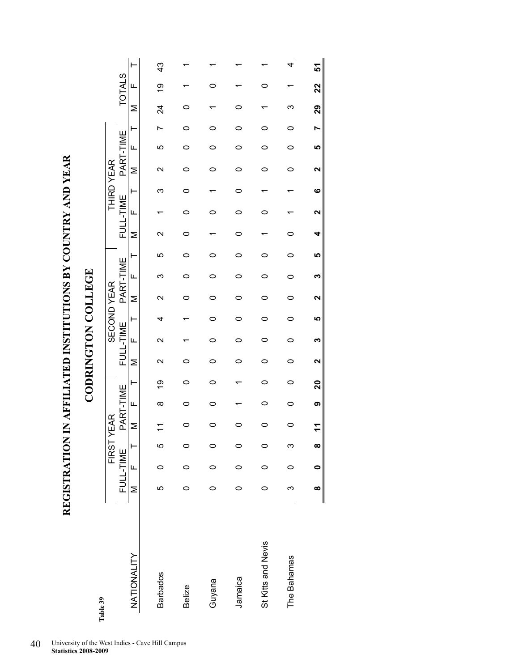**REGISTRATION IN AFFILIATED INSTITUTIONS BY COUNTRY AND YEAR**  REGISTRATION IN AFFILIATED INSTITUTIONS BY COUNTRY AND YEAR

**CODRINGTON COLLEGE CODRINGTON COLLEGE** 

| Table 39           |          |           |          | FIRST YEAR      |           |                 |                 |                 | <b>SECOND YEAR</b> |                 |           |         |                 |           | <b>THIRD YEAR</b> |                    |           |         |     |               |               |
|--------------------|----------|-----------|----------|-----------------|-----------|-----------------|-----------------|-----------------|--------------------|-----------------|-----------|---------|-----------------|-----------|-------------------|--------------------|-----------|---------|-----|---------------|---------------|
|                    |          | FULL-TIME |          |                 | PART-TIME |                 |                 | FULL-TIME       |                    |                 | PART-TIME |         |                 | FULL-TIME |                   |                    | PART-TIME |         |     | <b>TOTALS</b> |               |
| NATIONALITY        | Σ        | LL.       | $\vdash$ | Σ               | Щ         | ⊢               | Σ               | Щ               | ⊢                  | Σ               | Щ         | ۲       | Σ               | Щ         | ⊢                 | Σ                  | Щ         | ۳       | Σ   | Щ             |               |
| <b>Barbados</b>    | Ю        |           | Ю        |                 | $\infty$  | 6)              | $\mathsf{\sim}$ | $\mathsf{\sim}$ | 4                  | $\mathsf{\sim}$ | ∞         | 5       | $\mathsf{\sim}$ |           | ო                 | $\scriptstyle\sim$ | 5         |         | 24  | <u>စု</u>     | $\frac{3}{4}$ |
|                    |          |           |          |                 |           |                 |                 |                 |                    |                 |           |         |                 |           |                   |                    |           |         |     |               |               |
| <b>Belize</b>      | 0        | 0         | 0        |                 |           | 0               | 0               |                 |                    | 0               | 0         | 0       | 0               | 0         | 0                 | 0                  | 0         | 0       | 0   |               |               |
| Guyana             | 0        | 0         | $\circ$  |                 |           | ⌒               | 0               | 0               | 0                  | 0               | 0         | 0       |                 | ⌒         |                   | 0                  | 0         |         |     |               |               |
| Jamaica            | 0        |           | 0        |                 |           |                 |                 |                 | 0                  | 0               | 0         |         |                 |           | 0                 |                    | 0         |         | 0   |               |               |
| St Kitts and Nevis | 0        | $\circ$   | 0        |                 | 0         | 0               | 0               | $\circ$         | 0                  | 0               | 0         | 0       |                 | 0         |                   | 0                  | 0         | 0       |     | 0             |               |
| The Bahamas        | ო        | $\circ$   | ო        | $\circ$         | $\circ$   | $\circ$         | $\circ$         | $\circ$         | $\circ$            | $\circ$         | $\circ$   | $\circ$ | $\circ$         |           |                   | 0                  | $\circ$   | $\circ$ | ω   |               | 4             |
|                    | $\infty$ | 0         | $\infty$ | $\mathbf{\tau}$ | თ         | $\overline{20}$ | ຼ               |                 |                    |                 |           | ທ       |                 |           | ဖ                 |                    | LŊ,       |         | စ္လ | 22            | 5             |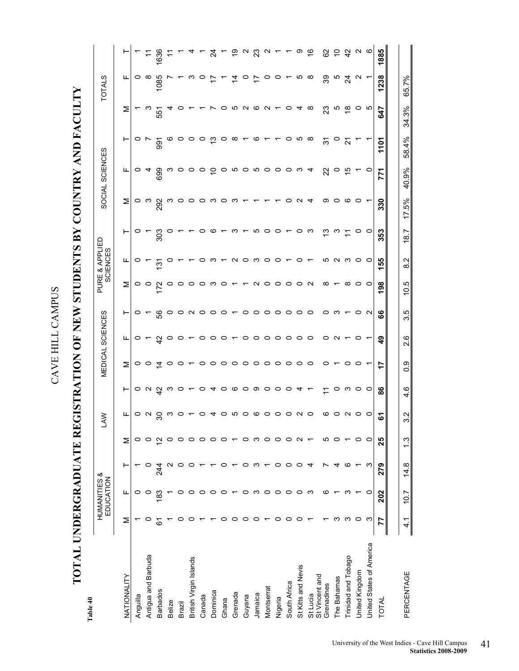**TOTAL UNDERGRADUATE REGISTRATION OF NEW STUDENTS BY COUNTRY AND FACULTY**  TOTAL UNDERGRADUATE REGISTRATION OF NEW STUDENTS BY COUNTRY AND FACULTY

| _      |  |
|--------|--|
| ω      |  |
| İ<br>٤ |  |

| Table 40                   |               |                           |         |                   |                                 |                                                                                             |                 |                  |                |                 |                            |                |                                 |                    |                 |                                                        |                   |                      |
|----------------------------|---------------|---------------------------|---------|-------------------|---------------------------------|---------------------------------------------------------------------------------------------|-----------------|------------------|----------------|-----------------|----------------------------|----------------|---------------------------------|--------------------|-----------------|--------------------------------------------------------|-------------------|----------------------|
|                            |               | HUMANITIES &<br>EDUCATION |         |                   | <b>LAW</b>                      |                                                                                             |                 | MEDICAL SCIENCES |                |                 | PURE & APPLIED<br>SCIENCES |                |                                 | SOCIAL SCIENCES    |                 |                                                        | <b>TOTALS</b>     |                      |
| NATIONALITY                | Σ             | щ                         | ۳       | Σ                 | ட                               | ⊢                                                                                           | Σ               | ட                | ⊢              | Σ               | щ                          | ⊢              | Σ                               | щ                  | ⊢               | Σ                                                      | ட                 |                      |
| Anguilla                   |               | o                         |         | 0                 |                                 |                                                                                             |                 |                  |                | o               | O                          |                |                                 |                    |                 |                                                        |                   |                      |
| Antigua and Barbuda        |               | 0                         |         | 0                 | $\circ$ $\circ$                 |                                                                                             | $\circ$ $\circ$ | $\circ$ $\sim$   | $\circ$ $\sim$ | $\circ$         |                            | $\circ$ $\sim$ | ဝ က ႙ာ<br>၃                     | $\circ$ 4          | $\circ$ $\sim$  | ო                                                      | ⇔ ∞               |                      |
| <b>Barbados</b>            | ڞ             | <u>အ</u>                  | 24<br>4 | $\mathbf{\sim}$   | $\approx$                       |                                                                                             | $\tilde{4}$     | $\frac{1}{4}$    | 56             | 172             | $\frac{5}{12}$             | 303            |                                 | 699                | 991             | 551                                                    | 1085              | 1636                 |
| Belize                     |               |                           |         | 0                 | ო                               |                                                                                             |                 | $\circ$          |                | 0               |                            | o              | ო                               |                    |                 |                                                        |                   |                      |
| Brazil                     |               |                           |         | 0                 | $\circ$                         |                                                                                             |                 |                  |                | o               |                            |                | $\circ$                         | က ဝ                | $\circ$ $\circ$ |                                                        |                   |                      |
| British Virgin Islands     |               |                           |         | 0                 | $\overline{ }$                  | $\circ a \overset{\alpha}{\circ} a \circ b \circ c \circ d \circ c \circ d \circ d \cdot c$ |                 |                  |                | o               |                            |                | $\circ \circ \circ \circ \circ$ | o o go no no o o w | $\circ$ $\circ$ |                                                        | ო                 |                      |
| Canada                     |               |                           |         | 0                 | $\circ$                         |                                                                                             |                 |                  |                | o               | o                          | o              |                                 |                    |                 |                                                        | O                 |                      |
| Dominica                   |               |                           |         | 0                 | 4                               |                                                                                             |                 |                  |                | ო               | ო                          |                |                                 |                    | ှာ              | $\overline{ }$                                         | 17                | $\frac{4}{3}$        |
| Ghana                      |               |                           |         | 0                 | $\circ$                         |                                                                                             |                 |                  |                | 0               | ↽                          | $\circ$ $\sim$ |                                 |                    | $\circ$         | $\circ$                                                | r.                |                      |
| Grenada                    |               |                           |         |                   |                                 |                                                                                             |                 |                  |                |                 |                            | က $-$          | က $-$                           |                    | $\infty$        |                                                        | 4                 |                      |
| Guyana                     | o             |                           |         | $\circ$           |                                 |                                                                                             |                 |                  |                |                 | N O W O                    |                |                                 |                    | ↽               |                                                        | $\circ$           | ల్ చి ద              |
| Jamaica                    | o             | ო                         | ო       | ო                 |                                 |                                                                                             |                 |                  |                | $\sim$          |                            |                | $\tau$ $\tau$                   |                    | $\circ$ $\sim$  |                                                        | $\div$            |                      |
| Montserrat                 |               | 0                         |         | $\circ$           | <b>wo co o o u o</b>            |                                                                                             |                 |                  |                | $\circ$         |                            | $500 -$        |                                 |                    |                 | $\begin{array}{c} 0.000000 \\ 0.000000 \\ \end{array}$ | $\circ$           | $\mathbf{\tilde{z}}$ |
| Nigeria                    | 0             | $\circ$                   | $\circ$ | $\circ$           |                                 |                                                                                             |                 |                  |                | $\circ$ $\circ$ | $\circ$ $\sim$             |                | $\overline{ }$                  |                    | $\sim$ 0        |                                                        | $\circ$ $\sim$    |                      |
| South Africa               | o             | 0                         | $\circ$ | $\circ$           |                                 |                                                                                             |                 |                  |                |                 |                            |                | $\circ$                         |                    |                 |                                                        |                   |                      |
| St Kitts and Nevis         | o             | 0                         | $\circ$ | $\mathbf{\Omega}$ |                                 |                                                                                             |                 |                  |                | $\circ$         | $\circ$                    |                | $\sim$                          |                    | ∽ ∞             | 4                                                      | ∽ ∞               | တ                    |
| St Vincent and<br>St Lucia |               | ო                         | 4       |                   |                                 |                                                                                             |                 |                  |                | $\sim$          | $\overline{ }$             |                | $\overline{4}$                  | $\boldsymbol{4}$   |                 | $\infty$                                               |                   | $\tilde{\mathbf{e}}$ |
| Grenadines                 |               | ဖ                         |         | ယ                 |                                 | F                                                                                           | 0               | $\circ$          | $\circ$        | ∞               |                            | င္း က          | တ                               | 22                 | 31              | 23                                                     | 39                |                      |
| The Bahamas                | ო             |                           | 4       | 0                 |                                 | 0                                                                                           |                 | $\sim$           | ო              |                 |                            |                | $\circ$                         | $\circ$            | $\circ$         | ယ                                                      | ယ                 |                      |
| Trinidad and Tobago        | က             | ო                         | ဖ       |                   | $\circ$ $\circ$ $\circ$ $\circ$ | ო                                                                                           | 0               |                  |                | ∞               | <b>いいのの</b>                | $\tilde{L}$    | ဖ                               | $\frac{1}{2}$      | 21              | $\frac{8}{10}$                                         | र्य               | 8 은 작                |
| United Kingdom             | 0             |                           |         | 0                 |                                 | $\circ$ $\circ$                                                                             | $\circ$         | 0                | $\circ$        | 0               |                            | 0              | $\circ$                         |                    |                 | ၀ ဖ                                                    | $\mathbf{\Omega}$ | N Q                  |
| United States of America   | က             | 0                         | က       | $\circ$           |                                 |                                                                                             |                 |                  | $\sim$         | $\circ$         |                            | $\circ$        |                                 | $\circ$            |                 |                                                        |                   |                      |
| TOTAL                      | 77            | 202                       | 279     | 25                | 5                               | 88                                                                                          | 17              | ဒ္               | န္ၿ            | 198             | 55                         | 353            | 330                             | 771                | ζ               | 647                                                    | 1238              | 1885                 |
|                            |               |                           |         |                   |                                 |                                                                                             |                 |                  |                |                 |                            |                |                                 |                    |                 |                                                        |                   |                      |
| PERCENTAGE                 | $\frac{4}{1}$ | 10.7                      | 14.8    | 13                | Ņ<br>ო                          | 4.6                                                                                         | 0.9             | 2.6              | 3.5            | 10.5            | $\frac{2}{8}$              | 18.7           | 17.5%                           | 40.9%              | 58.4%           | 34.3%                                                  | 65.7%             |                      |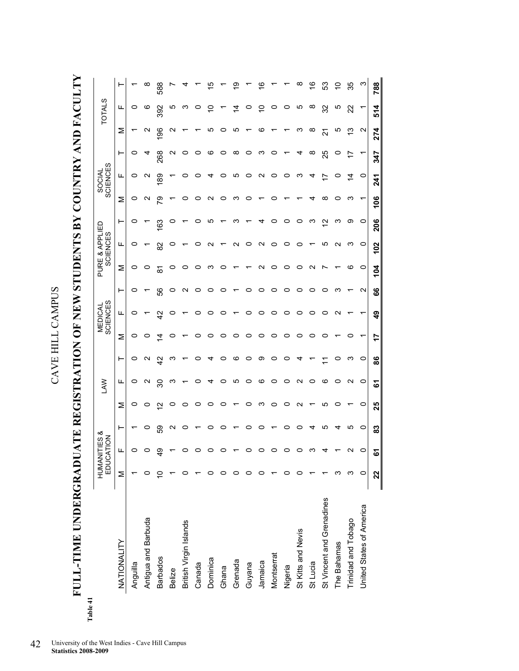**FULL-TIME UNDERGRADUATE REGISTRATION OF NEW STUDENTS BY COUNTRY AND FACULTY**  FULL-TIME UNDERGRADUATE REGISTRATION OF NEW STUDENTS BY COUNTRY AND FACULTY

| Table 41 |                           |    | HUMANITIES &<br>EDUCATION |         |                   | <b>LAW</b>        |               |    | MEDICAL<br>SCIENCES |                 |         | PURE & APPLIED<br>SCIENCES |                 |      | SOCIAL<br>SCIENCES |     |     | <b>TOTALS</b> |             |
|----------|---------------------------|----|---------------------------|---------|-------------------|-------------------|---------------|----|---------------------|-----------------|---------|----------------------------|-----------------|------|--------------------|-----|-----|---------------|-------------|
|          | NATIONALITY               | Σ  | щ                         | ⊢       | Σ                 | щ                 | ⊢             | Σ  | щ                   | ⊢               | Σ       | щ                          | ۳               | Σ    | щ                  | ⊢   | Σ   | щ             | ⊢           |
|          | Anguilla                  |    | 0                         |         | o                 | 0                 | 0             | 0  | o                   | c               | 0       | 0                          | 0               | 0    | 0                  | 0   |     | 0             |             |
|          | Antigua and Barbuda       |    |                           | o       | o                 | N                 | ี             |    |                     |                 |         |                            |                 | N    | $\mathbf{\sim}$    | ч   | N   | ဖ             | ∞           |
|          | <b>Barbados</b>           |    | တ                         | တွ      | N                 | వి                | $\frac{2}{3}$ | 4  | ञ                   | 8               | ౚ       | ಜ                          | ය               | ల్లి | စ္ထ                | 268 | န္တ | 392           | 588         |
|          | Belize                    |    |                           | ∾       | o                 | ო                 | ო             | o  | o                   | c               | o       | o                          | c               |      |                    | ∾   | N   | ယ             |             |
|          | British Virgin Islands    |    |                           | c       | o                 |                   |               |    |                     |                 |         |                            |                 |      |                    | o   |     | ო             |             |
|          | Canada                    |    |                           |         | c                 |                   | c             | o  | o                   |                 |         | c                          |                 |      |                    | o   |     |               |             |
|          | Dominica                  |    |                           |         | o                 | 4                 | ₹             | 0  | o                   |                 | ຕ       | ∾                          | ഥ               | ี่   | ↴                  | ဖ   | ഥ   |               |             |
|          | Ghana                     |    |                           | o       | c                 | o                 | c             | o  | o                   | o               | o       |                            |                 | o    | c                  | 0   | o   |               |             |
|          | Grenada                   |    |                           |         |                   | ယ                 | ဖ             | 0  |                     |                 |         | N                          | ო               | ო    | ഥ                  | ∞   | 5   | 4             | တ           |
|          | Guyana                    |    |                           | c       | o                 | 0                 | 0             | 0  | o                   | o               |         | 0                          |                 |      | ○                  | 0   |     |               |             |
|          | Jamaica                   |    |                           | c       | ო                 | ဖ                 | တ             | 0  | c                   | o               | ี       | N                          | 4               |      | ∾                  | ო   | ဖ   | c             |             |
|          | Montserrat                |    |                           |         | 0                 | o                 | c             | 0  | o                   | 0               | c       | 0                          | o               |      | 0                  | o   |     |               |             |
|          | Nigeria                   |    |                           | o       | o                 | o                 |               | 0  | o                   |                 |         | 0                          | c               |      | o                  |     |     | o             |             |
|          | St Kitts and Nevis        |    | 0                         | 0       | $\mathbf{\Omega}$ | $\mathbf{\Omega}$ | 4             | 0  | o                   | o               | o       | 0                          | c               |      | ო                  | 4   | ო   | Ю             | œ           |
|          | St Lucia                  |    | ო                         | 4       |                   | o                 |               | o  | o                   | c               | N       |                            | ო               | ↴    | 4                  | œ   | ∞   | $\infty$      | ≌           |
|          | St Vincent and Grenadines |    | ⅎ                         | ഥ       | ഥ                 | ဖ                 |               | o  | c                   | 0               |         | ഥ                          | $\mathbf{\sim}$ | ∞    |                    | 25  | 24  | 32            | က္လ         |
|          | The Bahamas               | ო  |                           | 4       | c                 | o                 |               |    | $\mathbf{\Omega}$   | ო               |         | N                          | ო               | o    |                    | 0   | ഥ   | Ю             | $\subseteq$ |
|          | Trinidad and Tobago       | ო  | N                         | ယ       |                   | N                 | ო             | o  |                     |                 | ဖ       | ო                          | တ               | ო    | $\dot{4}$          |     | ო   | 22            | 35          |
|          | United States of America  | 0  | $\circ$                   | $\circ$ | 0                 | $\circ$           | 0             | ↽  |                     | $\mathbf{\sim}$ | $\circ$ | $\circ$                    | $\circ$         | ↽    | $\circ$            |     | N   | ↽             | ო           |
|          |                           | 22 | ធ                         | 83      | 25                | 5                 | 86            | 17 | $\frac{9}{4}$       | 89              | 104     | 102                        | 206             | 106  | 241                | 347 | 274 | 514           | 788         |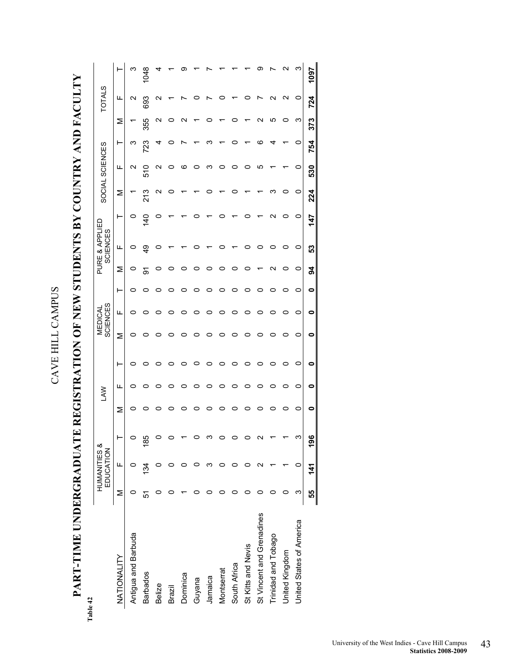**PART-TIME UNDERGRADUATE REGISTRATION OF NEW STUDENTS BY COUNTRY AND FACULTY**  PART-TIME UNDERGRADUATE REGISTRATION OF NEW STUDENTS BY COUNTRY AND FACULTY

**Table 42**   $\mathbf{F}$ 

| ble 42                    |    |                           |                |   |           |   |   |                            |   |    |                                   |               |     |                 |     |     |               |      |
|---------------------------|----|---------------------------|----------------|---|-----------|---|---|----------------------------|---|----|-----------------------------------|---------------|-----|-----------------|-----|-----|---------------|------|
|                           |    | HUMANITIES &<br>EDUCATION |                |   | <b>NV</b> |   |   | <b>SCIENCES</b><br>MEDICAL |   |    | PURE & APPLIED<br><b>SCIENCES</b> |               |     | SOCIAL SCIENCES |     |     | <b>TOTALS</b> |      |
| NATIONALITY               | Σ  | щ                         |                | Σ | щ         | ۲ | Σ | щ                          | ۲ | Σ  | щ                                 | ⊢             | Σ   | щ               | ۳   | Σ   | щ             |      |
| Antigua and Barbuda       |    | o                         |                | 0 | o         | o | o | c                          | o | 0  | 0                                 | o             |     | N               | ო   |     | Ν             |      |
| <b>Barbados</b>           | 51 | 134                       | $\frac{85}{3}$ |   |           |   |   |                            |   | δ  | ဒ္                                | $\frac{1}{4}$ | 213 | 510             | 723 | 355 | 693           |      |
| <b>Belize</b>             |    |                           |                |   |           |   |   |                            |   |    |                                   |               | N   | N               |     | ς   | N             |      |
| Brazil                    |    |                           |                |   |           |   |   |                            |   |    |                                   |               |     |                 |     |     |               |      |
| Dominica                  |    |                           |                |   |           |   |   |                            |   |    |                                   |               |     | ဖ               |     |     |               |      |
| Guyana                    |    |                           |                |   |           |   |   |                            |   |    |                                   |               |     |                 |     |     |               |      |
| Jamaica                   |    |                           |                |   |           |   |   |                            |   |    |                                   |               |     | ო               |     |     |               |      |
| Montserrat                |    |                           |                |   |           |   |   |                            |   |    |                                   |               |     |                 |     |     |               |      |
| South Africa              |    |                           |                |   |           |   |   |                            |   |    |                                   |               |     |                 |     |     |               |      |
| St Kitts and Nevis        |    |                           |                |   | o         |   |   |                            |   |    |                                   |               |     | o               |     |     |               |      |
| St Vincent and Grenadines |    |                           |                |   |           |   |   |                            |   |    |                                   |               |     | ഥ               | co  |     |               |      |
| Trinidad and Tobago       |    |                           |                |   |           |   |   |                            |   | ี  |                                   | С<br>N        |     |                 |     | ഥ   | C             |      |
| United Kingdom            |    |                           |                | o |           |   |   |                            |   | o  |                                   | 0             |     |                 |     |     | N             |      |
| United States of America  | ო  |                           | ر۳             | 0 | 0         | 0 | 0 | 0                          | 0 | 0  | 0                                 | 0             | 0   | 0               | 0   | ო   | 0             | ო    |
|                           | 55 | 141                       | $rac{6}{1}$    | 0 | 0         | 0 | 0 | 0                          | 0 | 34 | ၵ္တ                               | 147           | 224 | 530             | 754 | 373 | 724           | 1097 |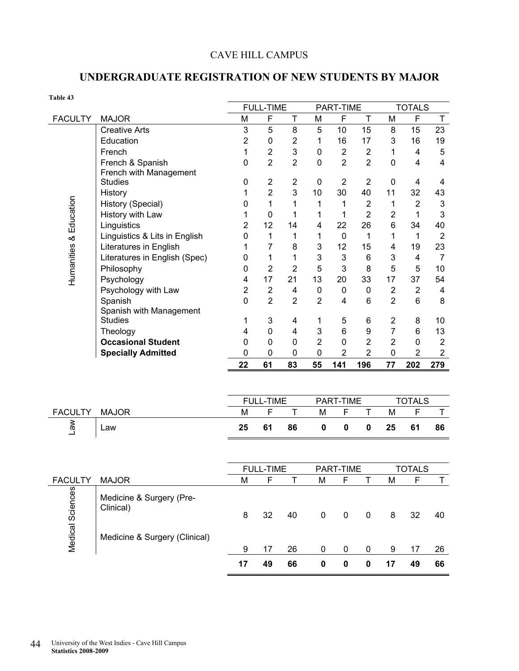### CAVE HILL CAMPUS

### **UNDERGRADUATE REGISTRATION OF NEW STUDENTS BY MAJOR**

| Table 43               |                               |                |                  |                         |                |                |                  |                |                  |                           |
|------------------------|-------------------------------|----------------|------------------|-------------------------|----------------|----------------|------------------|----------------|------------------|---------------------------|
|                        |                               |                | <b>FULL-TIME</b> |                         |                | PART-TIME      |                  |                | <b>TOTALS</b>    |                           |
| <b>FACULTY</b>         | <b>MAJOR</b>                  | M              | $\mathsf{F}$     | $\mathsf T$             | M              | F              | $\mathsf{T}$     | M              | F                | T                         |
|                        | <b>Creative Arts</b>          | $\mathbf{3}$   | 5                | 8                       | 5              | 10             | 15               | 8              | 15               | 23                        |
|                        | Education                     | $\overline{2}$ | $\mathbf 0$      | $\overline{2}$          | 1              | 16             | 17               | 3              | 16               | 19                        |
|                        | French                        | 1              | $\overline{2}$   | $\mathsf 3$             | 0              | $\overline{2}$ | $\boldsymbol{2}$ | 1              | 4                | 5                         |
|                        | French & Spanish              | $\mathbf 0$    | $\overline{2}$   | $\overline{2}$          | 0              | $\overline{2}$ | $\overline{2}$   | $\mathbf 0$    | $\overline{4}$   | $\overline{\mathbf{4}}$   |
|                        | French with Management        |                |                  |                         |                |                |                  |                |                  |                           |
|                        | <b>Studies</b>                | 0              | $\overline{2}$   | $\overline{\mathbf{c}}$ | 0              | $\overline{2}$ | $\overline{2}$   | $\pmb{0}$      | 4                | 4                         |
|                        | History                       | 1              | $\overline{2}$   | 3                       | 10             | 30             | 40               | 11             | 32               | 43                        |
|                        | History (Special)             | $\mathbf 0$    | 1                | 1                       | 1              | 1              | $\overline{2}$   | 1              | $\boldsymbol{2}$ | $\ensuremath{\mathsf{3}}$ |
|                        | History with Law              | 1              | $\mathbf 0$      | 1                       | 1              | 1              | $\overline{2}$   | $\overline{2}$ | $\mathbf{1}$     | $\mathbf{3}$              |
|                        | Linguistics                   | $\overline{2}$ | 12               | 14                      | 4              | 22             | 26               | 6              | 34               | 40                        |
|                        | Linguistics & Lits in English | 0              | 1                | 1                       | 1              | $\mathbf 0$    | 1                | 1              | 1                | $\overline{2}$            |
|                        | Literatures in English        | 1              | $\overline{7}$   | 8                       | 3              | 12             | 15               | 4              | 19               | 23                        |
| Humanities & Education | Literatures in English (Spec) | 0              | 1                | 1                       | 3              | 3              | $\,6$            | 3              | 4                | $\overline{7}$            |
|                        | Philosophy                    | 0              | $\overline{2}$   | $\overline{2}$          | 5              | 3              | 8                | 5              | 5                | 10                        |
|                        | Psychology                    | 4              | 17               | 21                      | 13             | 20             | 33               | 17             | 37               | 54                        |
|                        | Psychology with Law           | $\overline{2}$ | $\overline{2}$   | 4                       | 0              | $\pmb{0}$      | $\pmb{0}$        | $\mathbf 2$    | $\overline{2}$   | $\overline{\mathbf{4}}$   |
|                        | Spanish                       | $\mathbf 0$    | $\overline{2}$   | $\overline{2}$          | $\overline{2}$ | 4              | 6                | $\overline{2}$ | 6                | 8                         |
|                        | Spanish with Management       |                |                  |                         |                |                |                  |                |                  |                           |
|                        | <b>Studies</b>                | 1              | 3                | 4                       | 1              | 5              | 6                | $\mathbf 2$    | 8                | 10                        |
|                        | Theology                      | 4              | $\mathbf 0$      | 4                       | 3              | $6\phantom{1}$ | 9                | $\overline{7}$ | 6                | 13                        |
|                        | <b>Occasional Student</b>     | 0              | $\mathbf 0$      | $\pmb{0}$               | $\overline{2}$ | $\mathbf 0$    | $\overline{2}$   | $\overline{2}$ | $\pmb{0}$        | $\overline{2}$            |
|                        | <b>Specially Admitted</b>     | 0              | $\mathbf 0$      | $\mathbf 0$             | 0              | $\overline{2}$ | $\overline{2}$   | $\mathbf 0$    | $\overline{2}$   | $\overline{2}$            |
|                        |                               | 22             | 61               | 83                      | 55             | 141            | 196              | 77             | 202              | 279                       |
|                        |                               |                |                  |                         |                |                |                  |                |                  |                           |
|                        |                               |                |                  |                         |                |                |                  |                |                  |                           |
|                        |                               |                | <b>FULL-TIME</b> |                         |                | PART-TIME      |                  |                | <b>TOTALS</b>    |                           |
| <b>FACULTY</b>         | <b>MAJOR</b>                  | M              | F                | $\mathsf T$             | M              | F              | $\mathsf T$      | M              | F                | T                         |
| $\mathbb{R}$           | Law                           | 25             | 61               | 86                      | $\bf{0}$       | $\mathbf 0$    | $\pmb{0}$        | 25             | 61               | 86                        |
|                        |                               |                |                  |                         |                |                |                  |                |                  |                           |
|                        |                               |                | <b>FULL-TIME</b> |                         |                | PART-TIME      |                  |                | <b>TOTALS</b>    |                           |
| <b>FACULTY</b>         | <b>MAJOR</b>                  | M              | F                | T                       | M              | F              | T                | M              | F                | Τ                         |
|                        | Medicine & Surgery (Pre-      |                |                  |                         |                |                |                  |                |                  |                           |
|                        | Clinical)                     |                |                  |                         |                |                |                  |                |                  |                           |
|                        |                               | 8              | 32               | 40                      | $\pmb{0}$      | $\pmb{0}$      | $\pmb{0}$        | $\bf 8$        | 32               | 40                        |
| Medical Sciences       |                               |                |                  |                         |                |                |                  |                |                  |                           |
|                        | Medicine & Surgery (Clinical) |                |                  |                         |                |                |                  |                |                  |                           |
|                        |                               | 9              | 17               | 26                      | 0              | 0              | 0                | 9              | 17               | 26                        |
|                        |                               | 17             | 49               | 66                      | $\pmb{0}$      | $\pmb{0}$      | $\pmb{0}$        | 17             | 49               | 66                        |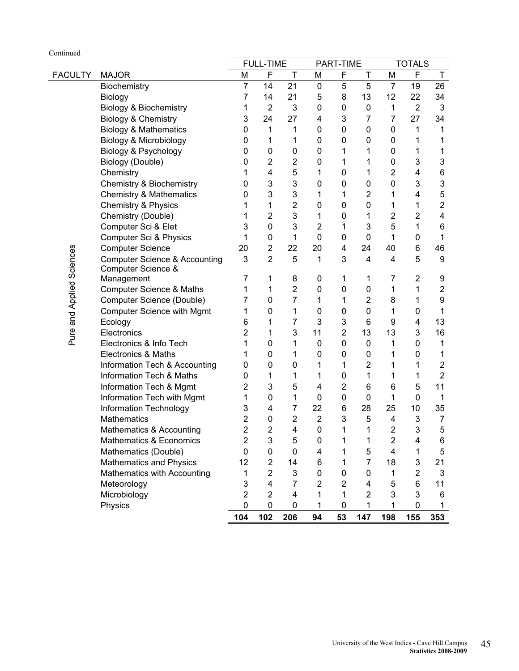| Continued                 |                                          |                         |                            |                         |                |                          |                               |                         |                |                                  |
|---------------------------|------------------------------------------|-------------------------|----------------------------|-------------------------|----------------|--------------------------|-------------------------------|-------------------------|----------------|----------------------------------|
|                           |                                          |                         | <b>FULL-TIME</b>           |                         |                | PART-TIME                |                               |                         | <b>TOTALS</b>  |                                  |
| <b>FACULTY</b>            | <b>MAJOR</b>                             | M                       | F                          | T                       | M              | F                        | Τ                             | M                       | F              | T.                               |
|                           | Biochemistry                             | $\overline{7}$          | 14                         | 21                      | $\pmb{0}$      | 5                        | 5                             | $\overline{7}$          | 19             | 26                               |
|                           | Biology                                  | $\overline{7}$          | 14                         | 21                      | 5              | 8                        | 13                            | 12                      | 22             | 34                               |
|                           | <b>Biology &amp; Biochemistry</b>        | 1                       | $\overline{2}$             | 3                       | 0              | $\mathsf{O}\xspace$      | 0                             | 1                       | $\overline{2}$ | $\mathfrak{B}$                   |
|                           | Biology & Chemistry                      | 3                       | 24                         | 27                      | 4              | 3                        | 7                             | 7                       | 27             | 34                               |
|                           | <b>Biology &amp; Mathematics</b>         | 0                       | 1                          | 1                       | 0              | $\mathsf{O}\xspace$      | $\mathbf 0$                   | 0                       | 1              | 1                                |
|                           | Biology & Microbiology                   | 0                       | 1                          | 1                       | 0              | $\mathsf{O}\xspace$      | 0                             | 0                       | 1              | 1                                |
|                           | Biology & Psychology                     | 0                       | 0                          | $\mathbf 0$             | 0              | 1                        | 1                             | $\mathbf 0$             | 1              | 1                                |
|                           | Biology (Double)                         | 0                       | $\overline{2}$             | $\overline{2}$          | 0              | 1                        | 1                             | $\mathbf 0$             | 3              | $\mathsf 3$                      |
|                           | Chemistry                                |                         | 4                          | 5                       | 1              | $\mathsf{O}\xspace$      | 1                             | $\overline{2}$          | 4              | 6                                |
|                           | Chemistry & Biochemistry                 | 0                       | 3                          | 3                       | 0              | 0                        | 0                             | 0                       | 3              | 3                                |
|                           | <b>Chemistry &amp; Mathematics</b>       | 0                       | 3                          | 3                       | 1              | 1                        | $\overline{c}$                | 1                       | 4              | 5                                |
|                           | Chemistry & Physics                      |                         | 1                          | $\overline{2}$          | 0              | $\mathsf{O}\xspace$      | $\mathbf 0$                   | 1                       | 1              | $\overline{2}$                   |
|                           | Chemistry (Double)                       |                         | $\overline{2}$             | 3                       | 1              | $\mathsf{O}\xspace$      | 1                             | $\overline{2}$          | $\overline{2}$ | $\overline{\mathbf{4}}$          |
|                           | Computer Sci & Elet                      | 3                       | $\mathbf 0$                | 3                       | $\overline{2}$ | 1                        | 3                             | 5                       | 1              | 6                                |
|                           | Computer Sci & Physics                   | 1                       | $\mathbf 0$                | 1                       | $\pmb{0}$      | $\pmb{0}$                | $\mathbf 0$                   | 1                       | 0              | 1                                |
|                           | <b>Computer Science</b>                  | 20                      | $\overline{2}$             | 22                      | 20             | 4                        | 24                            | 40                      | 6              | 46                               |
| Pure and Applied Sciences | <b>Computer Science &amp; Accounting</b> | 3                       | $\overline{2}$             | 5                       | 1              | 3                        | 4                             | 4                       | 5              | 9                                |
|                           | Computer Science &                       |                         |                            |                         |                |                          |                               |                         |                |                                  |
|                           | Management                               | 7                       | 1                          | 8<br>$\mathbf 2$        | 0              | 1<br>$\mathbf 0$         | 1                             | 7<br>1                  | $\overline{2}$ | 9<br>$\overline{2}$              |
|                           | <b>Computer Science &amp; Maths</b>      | 1                       | 1                          |                         | 0              |                          | 0                             |                         | 1              |                                  |
|                           | Computer Science (Double)                | 7                       | 0<br>$\mathbf 0$           | 7                       | 1              | 1<br>$\mathbf 0$         | $\overline{2}$<br>$\mathbf 0$ | 8                       | 1              | 9<br>1                           |
|                           | <b>Computer Science with Mgmt</b>        | 1                       |                            | 1                       | 0              |                          |                               | 1                       | 0              |                                  |
|                           | Ecology                                  | 6                       | 1                          | 7                       | 3              | 3<br>$\overline{2}$      | 6<br>13                       | 9                       | 4<br>3         | 13                               |
|                           | Electronics                              | 2                       | 1                          | 3                       | 11             |                          |                               | 13                      |                | 16                               |
|                           | Electronics & Info Tech                  | 1                       | $\mathbf 0$<br>$\mathbf 0$ | 1                       | 0              | $\mathsf{O}\xspace$<br>0 | 0<br>0                        | 1                       | 0              | 1                                |
|                           | <b>Electronics &amp; Maths</b>           |                         |                            | 1                       | 0              |                          |                               | 1                       | 0              | 1                                |
|                           | Information Tech & Accounting            | 0                       | 0                          | 0                       | 1              | 1                        | $\overline{2}$                | 1                       | 1              | $\overline{c}$<br>$\overline{2}$ |
|                           | Information Tech & Maths                 | 0                       | 1                          | 1                       | 1              | $\mathsf{O}\xspace$      | 1                             | 1                       | 1              |                                  |
|                           | Information Tech & Mgmt                  | 2                       | 3                          | 5                       | 4              | $\mathbf 2$              | 6                             | 6                       | 5              | 11                               |
|                           | Information Tech with Mgmt               | 1                       | $\mathbf 0$                | 1                       | 0              | $\mathbf 0$              | $\mathbf 0$                   | 1                       | 0              | 1                                |
|                           | Information Technology                   | 3                       | 4                          | 7                       | 22             | 6                        | 28                            | 25                      | 10             | 35                               |
|                           | <b>Mathematics</b>                       | $\overline{2}$          | $\pmb{0}$                  | $\overline{2}$          | $\overline{2}$ | 3                        | 5                             | 4                       | $\mathsf 3$    | $\overline{7}$                   |
|                           | Mathematics & Accounting                 | $\overline{\mathbf{c}}$ | $\mathbf 2$                | $\overline{\mathbf{4}}$ | $\mathbf 0$    | 1                        | $\mathbf{1}$                  | $\overline{\mathbf{c}}$ | 3              | 5                                |
|                           | Mathematics & Economics                  | $\overline{2}$          | 3                          | 5                       | 0              | 1                        | 1                             | $\overline{2}$          | 4              | 6                                |
|                           | Mathematics (Double)                     | $\mathbf 0$             | 0                          | $\mathbf 0$             | 4              | 1                        | 5                             | $\overline{\mathbf{4}}$ | 1              | 5                                |
|                           | Mathematics and Physics                  | 12                      | $\overline{2}$             | 14                      | 6              | 1                        | $\overline{7}$                | 18                      | 3              | 21                               |
|                           | Mathematics with Accounting              | 1                       | $\overline{2}$             | 3                       | 0              | 0                        | 0                             | 1                       | $\overline{2}$ | $\mathfrak{B}$                   |
|                           | Meteorology                              | 3                       | $\overline{4}$             | $\overline{7}$          | $\overline{2}$ | $\overline{2}$           | 4                             | 5                       | 6              | 11                               |
|                           | Microbiology                             | $\overline{2}$          | $\overline{2}$             | 4                       | 1              | 1                        | $\overline{2}$                | 3                       | 3              | 6                                |
|                           | Physics                                  | 0                       | $\mathbf 0$                | 0                       | 1              | 0                        | 1                             | 1                       | 0              | 1                                |
|                           |                                          | 104                     | 102                        | 206                     | 94             | 53                       | 147                           | 198                     | 155            | 353                              |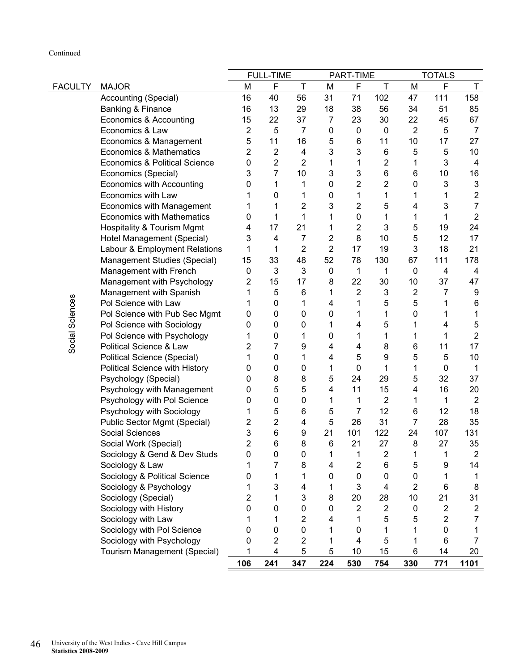### Continued

|                 |                                          |                | <b>FULL-TIME</b>        |                |                | PART-TIME               |                         |                         | <b>TOTALS</b>  |                           |
|-----------------|------------------------------------------|----------------|-------------------------|----------------|----------------|-------------------------|-------------------------|-------------------------|----------------|---------------------------|
| <b>FACULTY</b>  | <b>MAJOR</b>                             | M              | F                       | Τ              | M              | F                       | Т                       | M                       | F              | Τ                         |
|                 | Accounting (Special)                     | 16             | 40                      | 56             | 31             | 71                      | 102                     | 47                      | 111            | 158                       |
|                 | Banking & Finance                        | 16             | 13                      | 29             | 18             | 38                      | 56                      | 34                      | 51             | 85                        |
|                 | Economics & Accounting                   | 15             | 22                      | 37             | 7              | 23                      | 30                      | 22                      | 45             | 67                        |
|                 | Economics & Law                          | $\overline{2}$ | 5                       | $\overline{7}$ | 0              | $\pmb{0}$               | $\mathbf 0$             | $\overline{2}$          | 5              | 7                         |
|                 | Economics & Management                   | 5              | 11                      | 16             | 5              | 6                       | 11                      | 10                      | 17             | 27                        |
|                 | <b>Economics &amp; Mathematics</b>       | 2              | 2                       | 4              | 3              | 3                       | 6                       | 5                       | 5              | 10                        |
|                 | <b>Economics &amp; Political Science</b> | 0              | $\overline{2}$          | 2              | 1              | 1                       | $\overline{\mathbf{c}}$ | 1                       | 3              | 4                         |
|                 | Economics (Special)                      | 3              | $\overline{7}$          | 10             | 3              | 3                       | 6                       | 6                       | 10             | 16                        |
|                 | <b>Economics with Accounting</b>         | 0              | 1                       | 1              | 0              | $\overline{\mathbf{c}}$ | 2                       | 0                       | 3              | $\ensuremath{\mathsf{3}}$ |
|                 | Economics with Law                       |                | 0                       | 1              | 0              | $\mathbf{1}$            | 1                       | 1                       | 1              | 2                         |
|                 | <b>Economics with Management</b>         |                | 1                       | 2              | 3              | $\overline{2}$          | 5                       | 4                       | 3              | $\overline{7}$            |
|                 | <b>Economics with Mathematics</b>        | 0              | 1                       | 1              | 1              | 0                       | 1                       | 1                       | 1              | $\overline{2}$            |
|                 | <b>Hospitality &amp; Tourism Mgmt</b>    | 4              | 17                      | 21             | 1              | $\overline{2}$          | 3                       | 5                       | 19             | 24                        |
|                 | Hotel Management (Special)               | 3              | 4                       | 7              | 2              | 8                       | 10                      | 5                       | 12             | 17                        |
|                 | Labour & Employment Relations            | 1              | 1                       | $\overline{2}$ | $\overline{2}$ | 17                      | 19                      | 3                       | 18             | 21                        |
|                 | Management Studies (Special)             | 15             | 33                      | 48             | 52             | 78                      | 130                     | 67                      | 111            | 178                       |
|                 | Management with French                   | 0              | 3                       | 3              | 0              | $\mathbf 1$             | 1                       | 0                       | 4              | 4                         |
|                 | Management with Psychology               | 2              | 15                      | 17             | 8              | 22                      | 30                      | 10                      | 37             | 47                        |
|                 | Management with Spanish                  |                | 5                       | 6              | 1              | $\overline{2}$          | 3                       | $\overline{\mathbf{c}}$ | 7              | 9                         |
|                 | Pol Science with Law                     |                | $\mathbf 0$             | 1              | 4              | 1                       | 5                       | 5                       | 1              | 6                         |
| Social Sciences | Pol Science with Pub Sec Mgmt            | 0              | 0                       | 0              | 0              | 1                       | 1                       | 0                       | 1              | 1                         |
|                 | Pol Science with Sociology               | 0              | 0                       | 0              | 1              | 4                       | 5                       | 1                       | 4              | 5                         |
|                 | Pol Science with Psychology              |                | 0                       | 1              | 0              | 1                       | 1                       | 1                       | 1              | $\mathbf 2$               |
|                 | Political Science & Law                  | 2              | $\overline{7}$          | 9              | 4              | 4                       | 8                       | 6                       | 11             | 17                        |
|                 | Political Science (Special)              | 1              | 0                       | 1              | 4              | 5                       | 9                       | 5                       | 5              | 10                        |
|                 | Political Science with History           | 0              | 0                       | 0              | 1              | 0                       | 1                       | 1                       | 0              | 1                         |
|                 | Psychology (Special)                     | 0              | 8                       | 8              | 5              | 24                      | 29                      | 5                       | 32             | 37                        |
|                 | Psychology with Management               | 0              | 5                       | 5              | 4              | 11                      | 15                      | 4                       | 16             | 20                        |
|                 | Psychology with Pol Science              | 0              | 0                       | $\mathbf 0$    | 1              | 1                       | $\boldsymbol{2}$        | 1                       | 1              | $\overline{2}$            |
|                 | Psychology with Sociology                | 1              | 5                       | 6              | 5              | 7                       | 12                      | 6                       | 12             | 18                        |
|                 | Public Sector Mgmt (Special)             | 2              | $\overline{2}$          | 4              | 5              | 26                      | 31                      | 7                       | 28             | 35                        |
|                 | Social Sciences                          | 3              | 6                       | 9              | 21             | 101                     | 122                     | 24                      | 107            | 131                       |
|                 | Social Work (Special)                    | 2              | 6                       | 8              | 6              | 21                      | 27                      | 8                       | 27             | 35                        |
|                 | Sociology & Gend & Dev Studs             | $\mathbf 0$    | 0                       | 0              | 1              | 1                       | $\overline{c}$          | 1                       | 1              | $\overline{2}$            |
|                 | Sociology & Law                          |                | 7                       | 8              | 4              | $\overline{2}$          | 6                       | 5                       | 9              | 14                        |
|                 | Sociology & Political Science            | 0              | 1                       | 1              | 0              | $\mathbf 0$             | 0                       | 0                       | 1              | 1                         |
|                 | Sociology & Psychology                   |                | 3                       | 4              | 1              | 3                       | 4                       | $\overline{2}$          | 6              | 8                         |
|                 | Sociology (Special)                      | 2              | 1                       | 3              | 8              | 20                      | 28                      | 10                      | 21             | 31                        |
|                 | Sociology with History                   | 0              | 0                       | 0              | 0              | $\overline{2}$          | $\overline{\mathbf{c}}$ | 0                       | 2              | $\overline{\mathbf{c}}$   |
|                 | Sociology with Law                       |                | 1                       | 2              | 4              | 1                       | 5                       | 5                       | $\overline{2}$ | $\overline{7}$            |
|                 | Sociology with Pol Science               | 0              | 0                       | 0              | 1              | 0                       |                         | 1                       | 0              | 1                         |
|                 | Sociology with Psychology                | 0              | $\overline{\mathbf{c}}$ | 2              | 1              | 4                       | 5                       | 1                       | 6              | 7                         |
|                 | Tourism Management (Special)             | 1              | $\overline{4}$          | 5              | 5              | 10                      | 15                      | 6                       | 14             | 20                        |
|                 |                                          | 106            | 241                     | 347            | 224            | 530                     | 754                     | 330                     | 771            | 1101                      |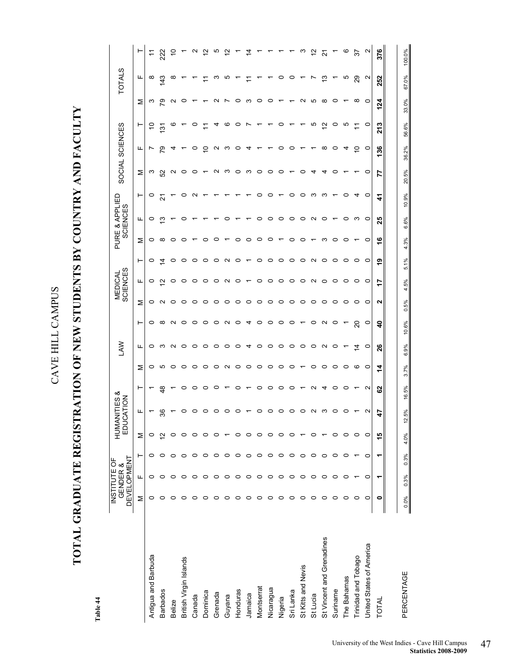# **TOTAL GRADUATE REGISTRATION OF NEW STUDENTS BY COUNTRY AND FACULTY**  TOTAL GRADUATE REGISTRATION OF NEW STUDENTS BY COUNTRY AND FACULTY

Table 44 **Table 44** 

|                           |         | <b>DEVELOPMENT</b><br>INSTITUTE OF<br>GENDER & |         | ΞŪ      | HUMANITIES &<br><b>ICATION</b> |       |         | Š           |          |         | <b>SCIENCES</b><br><b>MEDICAL</b> |                   |         | PURE & APPLIED<br><b>SCIENCES</b> |         | SOCIAL SCIENCES |          |               |         | <b>TOTALS</b> |                   |
|---------------------------|---------|------------------------------------------------|---------|---------|--------------------------------|-------|---------|-------------|----------|---------|-----------------------------------|-------------------|---------|-----------------------------------|---------|-----------------|----------|---------------|---------|---------------|-------------------|
|                           | Σ       | Щ                                              | ۳       | Σ       | щ                              | ۳     | Σ       | щ           | ⊢        | Σ       | щ                                 | ⊢                 | Σ       | щ                                 | ⊢       | Σ               | щ        | $\vdash$      | Σ       | щ             |                   |
| Antigua and Barbuda       | 0       | 0                                              |         | 0       |                                |       | 0       | 0           | 0        | 0       | 0                                 | 0                 | 0       | 0                                 | $\circ$ | ო               | r        | S             | ო       | ∞             | Ξ                 |
| <b>Barbados</b>           | c       |                                                |         | Ν       | వి                             | \$    | ю       | ო           | $\infty$ | N       | $\mathbf{\Omega}$                 | ₫                 | ∞       | ო                                 | ম       | S <sub>2</sub>  | 54       | $\frac{5}{2}$ | ౭       | 143           | 222               |
| <b>Belize</b>             |         |                                                |         |         |                                |       | 0       | N           | N        | 0       | 0                                 | ∘                 | 0       |                                   |         | $\sim$          | ᠴ        | Ø             | $\sim$  | œ             | Ş                 |
| British Virgin Islands    |         |                                                |         |         |                                |       | $\circ$ | $\circ$     | $\circ$  | 0       | 0                                 | 0                 | 0       |                                   | c       | ∘               |          |               | 0       |               |                   |
| Canada                    | c       |                                                |         |         | c                              |       | 0       | $\circ$     | 0        | 0       | 0                                 | ∘                 |         |                                   | c       | 0               | 0        |               |         |               | $\mathbf{\Omega}$ |
| Dominica                  |         |                                                |         |         | 0                              |       | $\circ$ | $\circ$     | 0        | 0       | ∘                                 | ∘                 | 0       |                                   |         |                 | <u>۽</u> |               |         |               | 5,                |
| Grenada                   |         |                                                |         |         | 0                              |       | 0       | $\circ$     | 0        | 0       | 0                                 | 0                 |         |                                   |         | ∾               | ∾        |               | ี       |               | ယ                 |
| Guyana                    | 0       | 0                                              |         |         | っ                              |       | $\sim$  | $\circ$     | $\sim$   | 0       | $\mathbf{\Omega}$                 | $\mathbf{\Omega}$ |         |                                   |         | ო               | ო        | ဖ             | r       |               | 5,                |
| Honduras                  | 0       | 0                                              | 0       |         | 0                              |       | $\circ$ | $\circ$     | $\circ$  | $\circ$ | ∘                                 | $\circ$           | 0       |                                   |         | ∘               | $\circ$  | 0             | 0       |               |                   |
| Jamaica                   | $\circ$ | 0                                              | 0       |         |                                |       | $\circ$ | 4           | 4        | 0       |                                   |                   | 0       |                                   |         | ო               | 4        |               | ო       |               |                   |
| Montserrat                | 0       | 0                                              |         |         | 0                              | 0     | $\circ$ | $\circ$     | $\circ$  | $\circ$ | 0                                 | ∘                 | $\circ$ | 0                                 | o       | $\circ$         |          |               | 0       |               |                   |
| Nicaragua                 | 0       | 0                                              | 0       | o       | 0                              | ∘     | $\circ$ | $\circ$     | $\circ$  | $\circ$ | ∘                                 | $\circ$           | $\circ$ | 0                                 | ○       | $\circ$         |          |               | 0       |               |                   |
| Nigeria                   | 0       | 0                                              | 0       |         | 0                              | 0     | $\circ$ | $\circ$     | $\circ$  | $\circ$ | $\circ$                           | $\circ$           |         | $\circ$                           |         | ∘               | c        | o             |         | o             |                   |
| Sri Lanka                 | ○       | 0                                              |         |         | 0                              | 0     | 0       | $\circ$     | $\circ$  | 0       | $\circ$                           | ∘                 | 0       | ∘                                 | o       |                 | 0        |               |         |               |                   |
| St Kitts and Nevis        | ○       | 0                                              | 0       |         | $\circ$                        |       |         | $\circ$     |          | 0       | 0                                 | $\circ$           | 0       | 0                                 | c       | 0               |          |               | N       |               | ო                 |
| St Lucia                  | ○       | 0                                              | 0       |         | $\sim$                         |       | 0       | $\circ$     | 0        | $\circ$ | $\sim$                            | $\sim$            |         | $\sim$                            | ო       | 4               |          | ம             | ю       |               | 2                 |
| St Vincent and Grenadines | 0       | o                                              |         |         | ო                              |       | 0       | $\sim$      | $\sim$   | 0       | $\circ$                           | $\circ$           | က       | 0                                 | ∞       | 4               | ∞        | $\tilde{c}$   | ∞       | చ             | <u>ير</u>         |
| Suriname                  | 0       | ○                                              | 0       | c       | $\circ$                        | o     | 0       | 0           | 0        | 0       | 0                                 | 0                 | 0       |                                   |         | 0               | $\circ$  | 0             | 0       |               |                   |
| The Bahamas               | $\circ$ | 0                                              | $\circ$ | 0       | $\circ$                        |       | $\circ$ |             |          | 0       | 0                                 | $\circ$           | 0       | 0                                 | c       |                 | 4        | ю             |         | ю             | ဖ                 |
| Trinidad and Tobago       | 0       |                                                |         | O       |                                |       | ဖ       | $\tilde{4}$ | 20       | 0       | 0                                 | 0                 |         | ო                                 | 4       |                 | S        |               | ∞       | 29            | 57                |
| United States of America  | $\circ$ | $\circ$                                        | $\circ$ | $\circ$ | N                              | N     | $\circ$ | $\circ$     | $\circ$  | $\circ$ | $\circ$                           | $\circ$           | o       | $\circ$                           | o       | $\circ$         | $\circ$  | $\circ$       | $\circ$ | $\sim$        | Ν                 |
| TOTAL                     | 0<br>∥  | ۳                                              | ۰       | 49      | 47                             | 29    | 4       | 26          | ੩        | ี       | 17                                | စ္                | ې       | 25                                | 4       | 77              | 36       | 213           | 124     | 252           | 376               |
|                           |         |                                                |         |         |                                |       |         |             |          |         |                                   |                   |         |                                   |         |                 |          |               |         |               |                   |
| PERCENTAGE                | $0.0\%$ | $0.3\%$                                        | 0.3%    | $4.0\%$ | 12.5%                          | 16.5% | 3.7%    | 6.9%        | 10.6%    | 0.5%    | 4.5%                              | 5.1%              | 4.3%    | 6.6%                              | 10.9%   | 20.5%           | 36.2%    | 56.6%         | 33.0%   | 67.0%         | 100.0%            |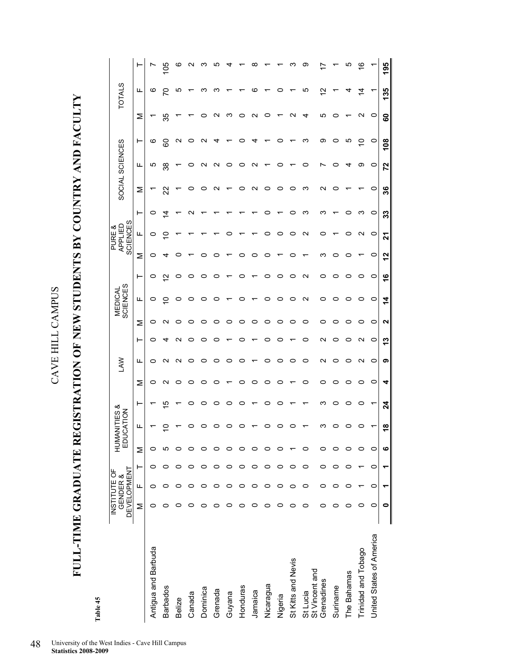**FULL-TIME GRADUATE REGISTRATION OF NEW STUDENTS BY COUNTRY AND FACULTY**  FULL-TIME GRADUATE REGISTRATION OF NEW STUDENTS BY COUNTRY AND FACULTY

| Į |
|---|
| _ |

|                            | <b>DEVELOPMENT</b><br>INSTITUTE OF | GENDER & |   |   | <b>HUMANITIES &amp;<br/>EDUCATION</b> |                |        | <b>SAN</b>      |                 |   | MEDICAL<br>SCIENCES |         |         | <b>SCIENCES</b><br>APPLIED<br>PURE & |           | SOCIAL SCIENCES |         |                   |         | <b>TOTALS</b> |            |
|----------------------------|------------------------------------|----------|---|---|---------------------------------------|----------------|--------|-----------------|-----------------|---|---------------------|---------|---------|--------------------------------------|-----------|-----------------|---------|-------------------|---------|---------------|------------|
|                            | Σ                                  | щ        | ⊢ | Σ | щ                                     | ۳              | Σ      | щ               | ۳               | Σ | щ                   | ⊢       | Σ       | щ                                    | ⊢         | Σ               | ட       | ⊢                 | Σ       | щ             |            |
| Antigua and Barbuda        | ○                                  | ⊂        | o | o |                                       |                | 0      | 0               | 0               | 0 | 0                   | 0       | 0       | 0                                    | 0         |                 | ഥ       | ဖ                 |         | ဖ             |            |
| <b>Barbados</b>            |                                    |          |   |   |                                       | 10             | $\sim$ | ∾               | ⅎ               | ∾ | $\overline{C}$      | 2       |         |                                      | $\dot{4}$ | 22              | ౢ       | 8                 | 35      | 5             | <u>901</u> |
| Belize                     |                                    |          |   |   |                                       |                | 0      | $\mathbf{\sim}$ | ∾               | 0 | 0                   |         |         |                                      |           |                 |         | $\mathbf{\Omega}$ |         | ഥ             | ဖ          |
| Canada                     |                                    |          |   |   |                                       | 0              | 0      | 0               | 0               | 0 | 0                   |         |         |                                      |           | 0               | c       | 0                 |         |               |            |
| Dominica                   |                                    |          |   |   |                                       | 0              | 0      | 0               | 0               | 0 | 0                   |         |         |                                      |           | o               | ี่      | $\sim$            |         | ო             |            |
| Grenada                    |                                    |          |   |   |                                       | o              | 0      | 0               | o               | 0 | 0                   |         |         |                                      |           | ∾               | ᡕ       |                   |         | ო             | ц.         |
| Guyana                     |                                    |          |   |   |                                       | 0              |        | 0               |                 | 0 |                     |         |         |                                      |           |                 |         |                   | ო       |               |            |
| Honduras                   |                                    |          |   |   |                                       | 0              | 0      | 0               |                 | 0 | 0                   |         |         |                                      |           | 0               |         | o                 |         |               |            |
| Jamaica                    |                                    |          |   |   |                                       |                | 0      |                 |                 | 0 |                     |         |         |                                      |           | N               |         | 4                 | ς<br>ч  | ဖ             |            |
| Nicaragua                  |                                    | c        |   |   |                                       | 0              | 0      | 0               |                 | 0 | 0                   | 0       | ⊂       |                                      | 0         | 0               |         |                   | c       |               |            |
| Nigeria                    |                                    |          |   |   |                                       | 0              | 0      | 0               | 0               | 0 | 0                   |         |         | o                                    |           | 0               |         | o                 |         | 0             |            |
| St Kitts and Nevis         |                                    |          | c |   |                                       |                |        | 0               |                 | 0 | 0                   |         |         | 0                                    | 0         | 0               |         |                   |         |               |            |
| St Vincent and<br>St Lucia |                                    | o        | o |   |                                       |                | 0      | 0               | 0               | 0 | $\mathbf{\Omega}$   | $\sim$  |         | $\sim$                               | ო         | ო               |         | ო                 | ₹       | <u>က</u>      | တ          |
| Grenadines                 |                                    |          |   |   |                                       | ო              | 0      | $\mathbf{\sim}$ | $\mathbf{\sim}$ | 0 | 0                   | 0       | ო       | 0                                    | ო         | $\mathbf{\sim}$ |         | တ                 | ю       | 51            |            |
| Suriname                   |                                    |          |   |   |                                       | 0              | 0      | 0               | 0               | 0 | 0                   |         |         |                                      |           | o               |         | 0                 |         |               |            |
| The Bahamas                |                                    |          |   |   |                                       | 0              | 0      | 0               | 0               | 0 | 0                   |         |         |                                      | 0         |                 |         | ယ                 |         |               | Ю          |
| Trinidad and Tobago        |                                    |          |   |   |                                       | 0              | 0      | N               | N               | 0 | 0                   | 0       |         | N                                    | ო         |                 | თ       | $\subseteq$       | ∾       | ュ             | ဖ          |
| United States of America   | 0                                  | 0        | 0 | o |                                       | ↽              | 0      | 0               | 0               | 0 | $\circ$             | $\circ$ | $\circ$ | $\circ$                              | $\circ$   | $\circ$         | $\circ$ | $\circ$           | $\circ$ |               |            |
|                            |                                    |          |   |   | œ                                     | $\overline{2}$ | 4      | ග               | ≌               | ິ | 14                  | \$      | 2       | 21                                   | 33        | 36              | 72      | 108               | 8       | 135           | 195        |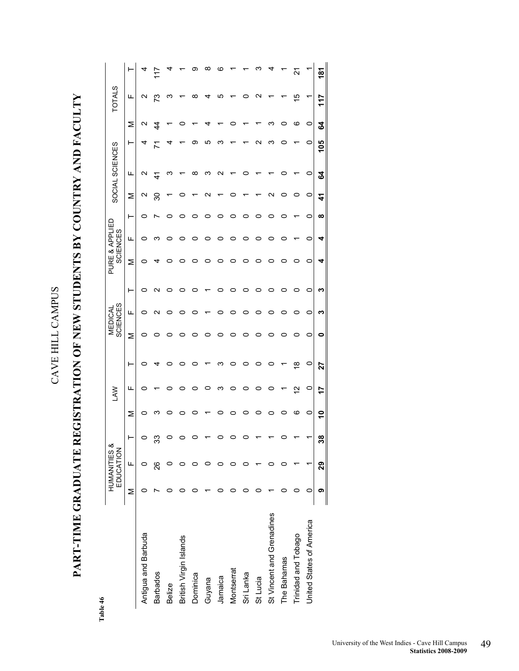# PART-TIME GRADUATE REGISTRATION OF NEW STUDENTS BY COUNTRY AND FACULTY **PART-TIME GRADUATE REGISTRATION OF NEW STUDENTS BY COUNTRY AND FACULTY**

Table 46 **Table 46** 

|                           |   | HUMANITIES &<br>EDUCATION |    |   | <b>NAJ</b> |    |   | <b>SCIENCES</b><br>MEDICAL |                 |   | PURE & APPLIED<br><b>SCIENCES</b> |          |    | SOCIAL SCIENCES |     |                 | <b>TOTALS</b> |                 |
|---------------------------|---|---------------------------|----|---|------------|----|---|----------------------------|-----------------|---|-----------------------------------|----------|----|-----------------|-----|-----------------|---------------|-----------------|
|                           | Σ | щ                         |    | Σ | ட          | ۲  | Σ | щ                          | ⊢               | Σ | щ                                 | ⊢        | ⋝  | ட               | ۲   | Σ               | ட             |                 |
| Antigua and Barbuda       |   | c                         |    | 0 | c          | c  | c | 0                          | 0               |   | 0                                 | 0        | N  | N               |     | $\mathbf{\sim}$ | N             |                 |
| <b>Barbados</b>           |   | 88                        | ကိ | c |            |    |   | c                          | $\mathbf{\sim}$ |   | ო                                 |          | ్ల | đ               |     | 4               | ಌ             |                 |
| <b>Belize</b>             |   |                           |    |   |            |    |   |                            |                 |   |                                   |          |    |                 |     |                 | ო             |                 |
| British Virgin Islands    |   |                           |    |   |            |    |   |                            | ○               |   | ○                                 |          |    |                 |     |                 |               |                 |
| Dominica                  |   |                           |    |   |            |    |   |                            |                 |   |                                   |          |    | ∞               | တ   |                 | ∞             |                 |
| Guyana                    |   |                           |    |   |            |    |   |                            |                 |   |                                   |          |    | ო               | ഥ   |                 | ┓             | ∞               |
| Jamaica                   |   |                           |    |   | ო          |    |   |                            | o               |   | o                                 |          |    |                 |     |                 | ഥ             |                 |
| Montserrat                |   |                           |    |   |            |    |   |                            | o               |   |                                   |          |    |                 |     |                 |               |                 |
| Sri Lanka                 |   |                           |    |   |            |    |   |                            |                 |   |                                   |          |    |                 |     |                 |               |                 |
| St Lucia                  |   |                           |    |   |            |    |   |                            | 0               |   |                                   |          |    |                 |     |                 |               |                 |
| St Vincent and Grenadines |   |                           |    |   |            |    |   |                            | o               |   |                                   |          |    |                 |     |                 |               |                 |
| The Bahamas               |   |                           |    |   |            |    |   |                            | 0               |   |                                   |          |    |                 |     |                 |               |                 |
| Trinidad and Tobago       |   |                           |    | ဖ | 2          | œ  |   |                            | 0               |   |                                   |          |    |                 |     | ဖ               | 15            | 21              |
| United States of America  | 0 |                           |    | 0 | 0          | 0  | 0 | 0                          | 0               | 0 | 0                                 | 0        | 0  | 0               | 0   | 0               |               |                 |
|                           | თ | 29                        | ౚఀ | ٩ | 17         | 27 | 0 | ო                          | n               |   | 4                                 | $\infty$ | 41 | 54              | 105 | 3               | 117           | $\frac{18}{18}$ |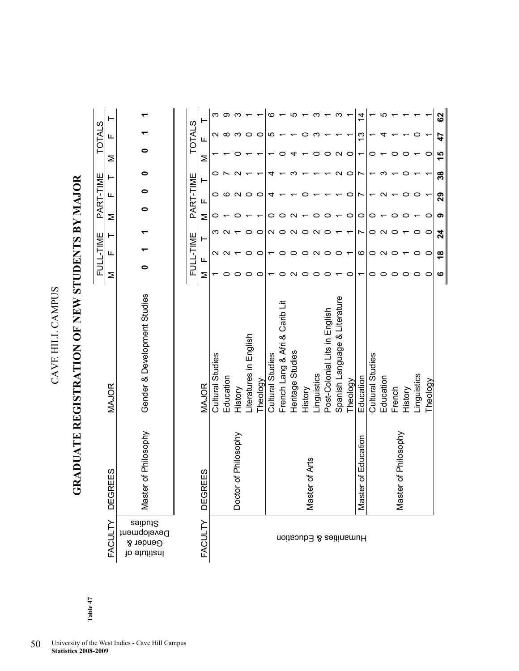## GRADUATE REGISTRATION OF NEW STUDENTS BY MAJOR **GRADUATE REGISTRATION OF NEW STUDENTS BY MAJOR**

| FULL-TIME PART-TIME TOTALS |                |                                                    |
|----------------------------|----------------|----------------------------------------------------|
|                            |                |                                                    |
|                            |                | $\overline{\phantom{0}}$                           |
|                            |                |                                                    |
|                            |                |                                                    |
|                            |                |                                                    |
|                            |                | $\overline{a}$                                     |
|                            | MAJOR          | Gender & Development Studies                       |
|                            | EES<br>ت       | r of Philosophy                                    |
|                            | <b>FACULTY</b> | Studies<br>Development<br>Gender &<br>lo ətutitanl |
|                            |                |                                                    |

|               | ۲               |                         |           |                      |                      |          | c                       |                                |                  |                |             |                               |                               |          | 4                   |                  |           |                      |         |             |          | 83            |
|---------------|-----------------|-------------------------|-----------|----------------------|----------------------|----------|-------------------------|--------------------------------|------------------|----------------|-------------|-------------------------------|-------------------------------|----------|---------------------|------------------|-----------|----------------------|---------|-------------|----------|---------------|
| <b>TOTALS</b> | Щ               |                         |           |                      |                      | c        | ιΩ                      |                                |                  |                |             |                               |                               |          | م.<br>ا             |                  |           |                      |         |             |          | 47            |
|               | Σ               |                         |           |                      |                      |          |                         |                                |                  |                |             |                               |                               | o        |                     |                  |           |                      |         |             | 0        | 15            |
|               | ۳               |                         |           |                      |                      |          |                         |                                |                  |                |             |                               |                               | O        |                     |                  |           |                      |         |             |          | 38            |
| PART-TIME     | щ               |                         |           |                      |                      | c        |                         |                                |                  |                |             |                               |                               | c        |                     |                  |           |                      |         |             |          | 29            |
|               | Σ               |                         |           |                      |                      |          |                         |                                |                  |                |             |                               |                               |          | c                   |                  |           |                      |         |             |          | ග             |
|               | ⊢               |                         |           |                      |                      |          |                         |                                |                  |                |             |                               |                               |          |                     |                  |           |                      |         |             |          | 24            |
| FULL-TIME     |                 |                         |           |                      |                      |          |                         |                                |                  |                |             |                               |                               |          | ဖ                   |                  |           |                      |         |             | 0        | $\frac{8}{1}$ |
|               | Щ<br>Σ          |                         |           |                      |                      |          |                         |                                |                  |                |             |                               |                               |          |                     |                  |           |                      |         |             | 0        | ဖ             |
|               |                 |                         |           |                      |                      |          |                         |                                |                  |                |             |                               |                               |          |                     |                  |           |                      |         |             |          |               |
|               | <b>MAJOR</b>    | <b>Cultural Studies</b> | Education | History              | teratures in English | Theology | <b>Cultural Studies</b> | French Lang & Afri & Carib Lit | Heritage Studies | History        | Linguistics | Post-Colonial Lits in English | Spanish Language & Literature | Theology | Education           | Cultural Studies | Education | French               | History | Linguistics | Theology |               |
|               | FACULTY DEGREES |                         |           | Doctor of Philosophy |                      |          |                         |                                |                  | Master of Arts |             |                               |                               |          | Master of Education |                  |           | Master of Philosophy |         |             |          |               |
|               |                 |                         |           |                      |                      |          |                         |                                |                  |                |             |                               | Humanities & Education        |          |                     |                  |           |                      |         |             |          |               |

Table 47 **Table 47**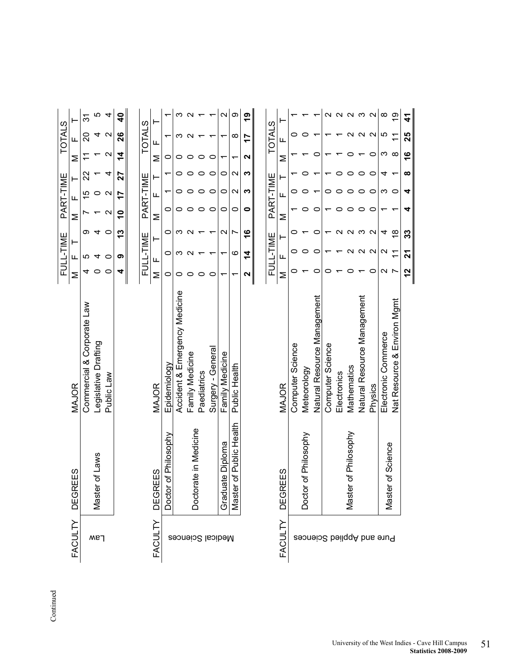|                           |                         |                               |                    | FULL-TIME         |                         |             | PART-TIME         |                   |                   | <b>TOTALS</b>     |                         |
|---------------------------|-------------------------|-------------------------------|--------------------|-------------------|-------------------------|-------------|-------------------|-------------------|-------------------|-------------------|-------------------------|
| <b>FACULTY</b>            | <b>DEGREES</b>          | MAJOR                         | Σ                  | щ                 | ⊢                       | Σ           | щ                 |                   | Σ                 | Щ                 |                         |
|                           |                         | Commercial & Corporate Law    | 4                  | ഥ                 | တ                       |             | 15                | 22                |                   | ສ                 | 31                      |
| Law                       | Master of Laws          | Legislative Drafting          | 0                  |                   | 4                       |             | 0                 |                   |                   |                   | ഥ                       |
|                           |                         | Public Law                    | $\circ$            | 0                 | $\circ$                 | N           | $\mathbf{\Omega}$ | 4                 | $\mathbf{\Omega}$ | $\mathbf{\Omega}$ | 4                       |
|                           |                         |                               | 4                  | თ                 | 13                      | $\tilde{e}$ | 7                 | 27                | 4                 | 26                | $\overline{\mathbf{a}}$ |
|                           |                         |                               |                    |                   |                         |             |                   |                   |                   |                   |                         |
|                           |                         |                               |                    | FULL-TIME         |                         |             | PART-TIME         |                   |                   | <b>TOTALS</b>     |                         |
| FACULTY                   | <b>DEGREES</b>          | MAJOR                         | Σ                  | щ                 |                         | Σ           | щ                 |                   | Σ                 | щ                 | ⊢                       |
|                           | Doctor of Philosophy    | Epidemiology                  | 0                  | o                 | o                       | 0           |                   |                   | c                 |                   |                         |
| Medical Sciences          |                         | Accident & Emergency Medicine | 0                  | ო                 | ო                       | 0           |                   |                   | 0                 | ო                 | ო                       |
|                           | Doctorate in Medicine   | Family Medicine               |                    |                   |                         |             |                   |                   |                   | $\sim$            |                         |
|                           |                         | Paediatrics                   | 0                  |                   |                         | 0           |                   | 0                 | 0                 |                   |                         |
|                           |                         | Surgery - General             | 0                  |                   |                         | $\circ$     | $\circ$           | $\circ$           | 0                 |                   |                         |
|                           | Graduate Diploma        | Family Medicine               | ᡪ                  |                   | $\mathbf{\Omega}$       | 0           | 0                 | 0                 |                   |                   | $\mathbf{\Omega}$       |
|                           | Master of Public Health | Public Health                 | ᡪ                  | ဖ                 | r                       | 0           | $\mathbf{\Omega}$ | $\mathbf{\Omega}$ | ᡪ                 | ∞                 | တ                       |
|                           |                         |                               | N                  | 4                 | $\frac{6}{1}$           | 0           | က                 | S                 | $\mathbf{\Omega}$ | 7                 | <u>ဇု</u>               |
|                           |                         |                               |                    |                   |                         |             |                   |                   |                   |                   |                         |
|                           |                         |                               |                    | FULL-TIME         |                         |             | PART-TIME         |                   |                   | <b>TOTALS</b>     |                         |
| FACULTY                   | <b>DEGREES</b>          | MAJOR                         | Σ                  | щ                 |                         | Σ           | щ                 |                   | ⋝                 | щ                 |                         |
|                           |                         | Computer Science              | ⊂                  | 0                 |                         |             |                   |                   |                   | 0                 |                         |
|                           | Doctor of Philosophy    | Meteorology                   |                    | o                 |                         | 0           |                   |                   |                   | o                 |                         |
|                           |                         | Natural Resource Management   | o                  | C                 | C                       | C           |                   |                   | c                 |                   |                         |
| Pure and Applied Sciences |                         | Computer Science              | c                  |                   |                         |             |                   |                   |                   |                   | $\scriptstyle\sim$      |
|                           |                         | Electronics                   |                    |                   |                         |             |                   |                   |                   |                   | $\sim$                  |
|                           | Master of Philosophy    | Mathematics                   |                    |                   |                         |             |                   |                   |                   | N                 | $\mathbf{\Omega}$       |
|                           |                         | Natural Resource Management   |                    | $\mathbf{\Omega}$ | ო                       | 0           |                   | 0                 |                   | $\sim$            | ო                       |
|                           |                         | Physics                       | 0                  | $\mathbf{\Omega}$ | $\mathbf{\Omega}$       | 0           | O                 | 0                 | 0                 | $\sim$            | $\mathbf{\Omega}$       |
|                           | Master of Science       | Electronic Commerce           | $\scriptstyle\sim$ | $\mathbf{\sim}$   | 4                       |             | ო                 |                   | ო                 | Ю                 | ∞                       |
|                           |                         | Nat Resource & Environ Mgmt   |                    |                   | $\frac{\infty}{\infty}$ |             | c                 |                   | $\infty$          |                   | $\overline{9}$          |

4

33

 $\mathbf{z}$ 

 $\frac{1}{2}$ 

4

 $\frac{4}{1}$ 

25

 $\frac{6}{7}$  $\infty$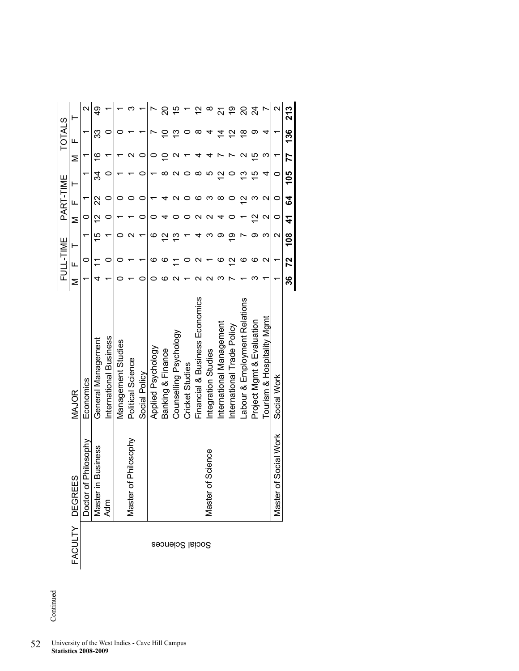|                 |                                       |                                |     | FULL-TIME             |     |                    | PART-TIME          |     |                           | <b>TOTALS</b> |                   |
|-----------------|---------------------------------------|--------------------------------|-----|-----------------------|-----|--------------------|--------------------|-----|---------------------------|---------------|-------------------|
|                 | FACULTY DEGREES                       | <b>MAJOR</b>                   | Σ   | Щ                     | ⊢   | Σ                  | Щ                  |     | Σ                         | щ             |                   |
|                 | Philosophy<br>Doctor of               | Economics                      |     |                       |     |                    |                    |     |                           |               | $\mathbf{\sim}$   |
|                 | <b>Business</b><br>Master in I<br>Adm | General Management             |     |                       | rö  | $\bar{\mathbf{c}}$ | ನ                  | 34  | $\widetilde{\phantom{a}}$ | ్ల            |                   |
|                 |                                       | International Business         |     |                       |     |                    |                    |     |                           |               |                   |
|                 |                                       | Management Studies             |     |                       |     |                    |                    |     |                           |               |                   |
|                 | Philosophy<br>Master of               | Political Science              |     |                       |     |                    |                    |     |                           |               |                   |
|                 |                                       | Social Policy                  |     |                       |     |                    |                    |     |                           |               |                   |
|                 |                                       | Applied Psychology             |     | ဖ                     | ဖ   |                    |                    |     |                           |               |                   |
|                 |                                       | Banking & Finance              |     |                       | c   |                    |                    |     |                           |               | ຊ                 |
| Social Sciences |                                       | Counselling Psychology         |     |                       |     |                    |                    |     |                           |               |                   |
|                 |                                       | Cricket Studies                |     |                       |     |                    |                    |     |                           |               |                   |
|                 |                                       | Financial & Business Economics |     |                       |     |                    |                    |     |                           | ∞             |                   |
|                 | Science<br>Master of                  | Integration Studies            |     |                       |     |                    |                    |     |                           |               | ∞                 |
|                 |                                       | nternational Management        |     |                       |     |                    | ∞                  | ς   |                           | ź             |                   |
|                 |                                       | International Trade Policy     |     | $\mathbf{\mathsf{N}}$ |     |                    |                    |     |                           | ć             | စ္                |
|                 |                                       | Labour & Employment Relations  |     |                       |     |                    |                    | ო   |                           | ≌             | ຊ                 |
|                 |                                       | Project Mgmt & Evaluation      |     |                       | တ   | ς                  | ო                  | 으   | ഥ                         | တ             | $\overline{c}$    |
|                 |                                       | Tourism & Hospitality Mgmt     |     | N                     | ო   | $\scriptstyle\sim$ | $\scriptstyle\sim$ | 4   | ო                         | 4             |                   |
|                 | Social Work<br>Master of              | Social Work                    |     | ۳                     | N   | 0                  | 0                  | 0   |                           |               | $\mathbf{\Omega}$ |
|                 |                                       |                                | ్లి | 72                    | 108 | 4                  | \$                 | 105 | 77                        | 136           | 213               |

Continued Continued

52 University of the West Indies - Cave Hill Campus **Statistics 2008-2009**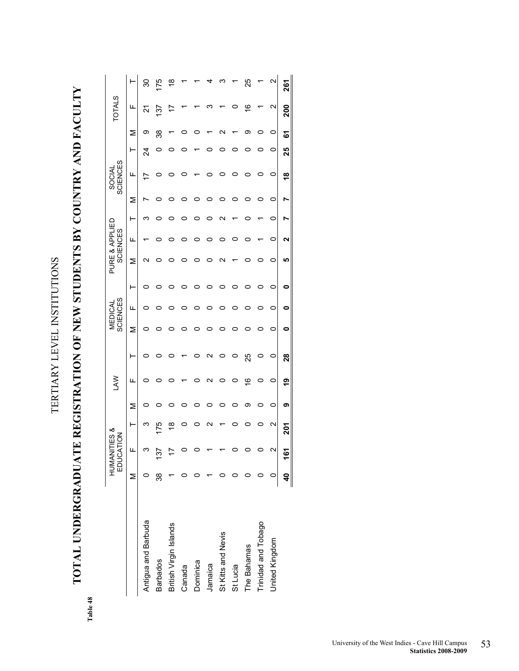TERTIARY LEVEL INSTITUTIONS TERTIARY LEVEL INSTITUTIONS

**TOTAL UNDERGRADUATE REGISTRATION OF NEW STUDENTS BY COUNTRY AND FACULTY**  TOTAL UNDERGRADUATE REGISTRATION OF NEW STUDENTS BY COUNTRY AND FACULTY

> Table 48 **Table 48**

|                        |    | HUMANI<br>EDUCA | TES &<br><b>NOLT</b> |   | ŠΡ      |    |   | <b>SCIENCES</b><br>MEDICAL |   | PURE & APPLIED | <b>SCIENCES</b> |                    |   | <b>SCIENCES</b><br><b>SOCIAL</b> |    |   | <b>TOTALS</b>   |                       |
|------------------------|----|-----------------|----------------------|---|---------|----|---|----------------------------|---|----------------|-----------------|--------------------|---|----------------------------------|----|---|-----------------|-----------------------|
|                        | Σ  | ╙               | ŀ                    | Σ | щ       | ⊢  | Σ | щ                          | ۳ | Σ              | щ               | ۲                  | Σ | щ                                | ۳  | Σ | щ               |                       |
| Antigua and Barbuda    |    |                 | ო                    |   | o       | o  |   |                            | c | c              |                 | ო                  |   |                                  | 24 | თ | 21              | వి                    |
| <b>Barbados</b>        | 38 | 137             | 75                   |   | ○       |    |   |                            |   |                |                 |                    | 0 |                                  |    | ૹ | 137             | <u>75</u>             |
| British Virgin Islands |    |                 | ∞                    |   |         |    |   |                            |   |                |                 |                    |   |                                  |    |   |                 | ≌                     |
| Canada                 |    |                 |                      |   |         |    |   |                            |   |                |                 |                    |   |                                  |    |   |                 |                       |
| Dominica               |    |                 |                      |   |         |    |   |                            |   |                |                 |                    |   |                                  |    |   |                 |                       |
| Jamaica                |    |                 |                      |   | N       | ς  |   |                            |   |                |                 |                    |   |                                  |    |   |                 |                       |
| St Kitts and Nevis     |    |                 |                      |   | 0       |    |   |                            |   |                |                 | $\scriptstyle\sim$ |   |                                  |    |   |                 |                       |
| St Lucia               |    |                 |                      |   | $\circ$ |    |   |                            |   |                |                 |                    |   |                                  |    |   |                 |                       |
| The Bahamas            |    |                 |                      | თ | ڥ       | 25 |   |                            |   |                |                 |                    |   |                                  |    | თ | ڥ               | ని                    |
| Trinidad and Tobago    |    |                 |                      | o | 0       | 0  |   |                            |   |                |                 |                    | ○ |                                  |    |   |                 |                       |
| United Kingdom         |    |                 | Ν                    | 0 | 0       | 0  | o | 0                          | 0 | 0              | 0               | 0                  | 0 | $\circ$                          | 0  | 0 | $\mathbf{\sim}$ | $\mathbf{\mathsf{N}}$ |
|                        | \$ | <u>يہ</u>       | 201                  | თ | e,      | 28 |   | o                          | 0 | ഥ              |                 |                    |   | $\frac{8}{1}$                    | 25 | 5 | 200             | 261                   |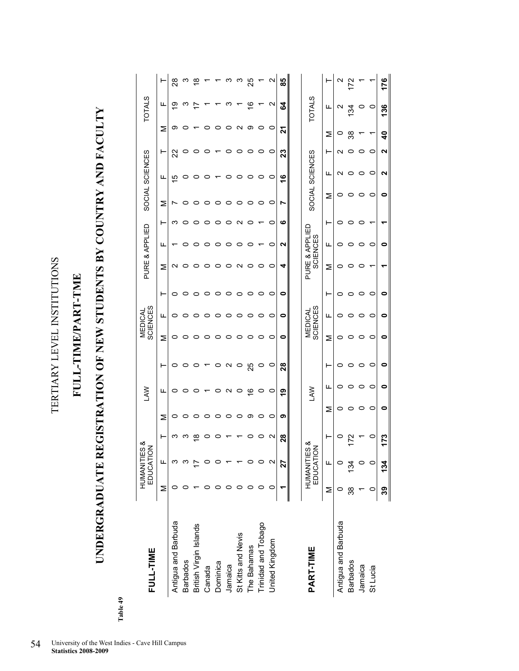TERTIARY LEVEL INSTITUTIONS TERTIARY LEVEL INSTITUTIONS

## **FULL-TIME/PART-TME**  FULL-TIME/PART-TME

# **UNDERGRADUATE REGISTRATION OF NEW STUDENTS BY COUNTRY AND FACULTY**  UNDERGRADUATE REGISTRATION OF NEW STUDENTS BY COUNTRY AND FACULTY

**Table 49** 

Table 49

| FULL-TIME              |     | HUMANITIES<br>EDUCATION | య   |         | Š             |                   |         | <b>SCIENCES</b><br>MEDICAL |         | PURE & APPLIED |                                   |   |         | SOCIAL SCIENCES |         |         | <b>TOTALS</b> |               |
|------------------------|-----|-------------------------|-----|---------|---------------|-------------------|---------|----------------------------|---------|----------------|-----------------------------------|---|---------|-----------------|---------|---------|---------------|---------------|
|                        | Σ   | ц                       | ۳   | Σ       | ட             | ⊢                 | Σ       | щ                          | ⊢       | Σ              | щ                                 | ⊢ | Σ       | щ               | ⊢       | Σ       | щ             |               |
| Antigua and Barbuda    |     |                         | ო   | 0       | 0             | 0                 | 0       | 0                          | 0       | N              |                                   | ო |         | $\overline{5}$  | ଅ       | တ       | ഇ             | $\frac{8}{2}$ |
| <b>Barbados</b>        |     |                         |     | 0       |               |                   | o       |                            |         | 0              |                                   |   |         | 0               | o       |         | ო             |               |
| British Virgin Islands |     |                         | ∞   | 0       |               |                   | 0       |                            |         | 0              |                                   |   |         | 0               |         |         |               |               |
| Canada                 |     |                         |     | 0       |               |                   |         |                            |         |                |                                   |   |         | 0               |         |         |               |               |
| Dominica               |     |                         |     | 0       |               | o                 |         |                            |         |                |                                   |   |         |                 |         |         |               |               |
| Jamaica                |     |                         |     | 0       | ∾             | $\mathbf{\Omega}$ |         |                            |         |                |                                   |   |         | 0               |         |         | ᡕ᠈            |               |
| St Kitts and Nevis     |     |                         |     | 0       | 0             | 0                 |         |                            |         | N              |                                   |   |         | 0               |         | c<br>ч  |               |               |
| The Bahamas            |     |                         |     | တ       | $\frac{6}{1}$ | 25                |         |                            |         |                |                                   |   |         | 0               |         | တ       | $\frac{6}{1}$ | 25            |
| Trinidad and Tobago    |     |                         |     | 0       | 0             | $\circ$           |         |                            |         |                |                                   |   |         | 0               |         |         |               |               |
| United Kingdom         |     |                         | N   | $\circ$ | 0             | $\circ$           | 0       | o                          | 0       | 0              | o                                 | 0 | 0       | 0               | 0       | 0       | N             | N             |
|                        |     | 27                      | 28  | თ       | <u>ღ</u>      | $\overline{28}$   | 0       | 0                          | 0       | 4              | N                                 | ဖ | r       | $\frac{6}{5}$   | 23      | ដ       | 54            | 89            |
|                        |     |                         |     |         |               |                   |         |                            |         |                |                                   |   |         |                 |         |         |               |               |
| PART-TIME              |     | HUMANITIES<br>EDUCATION | య   |         | <b>NAJ</b>    |                   |         | <b>SCIENCES</b><br>MEDICAL |         |                | PURE & APPLIED<br><b>SCIENCES</b> |   |         | SOCIAL SCIENCES |         |         | <b>TOTALS</b> |               |
|                        | Σ   | щ                       | ۲   | Σ       | щ             | ۲                 | ⋝       | щ                          | ⊢       | ⋝              | щ                                 | ۲ | ⋝       | щ               | ۲       | Σ       | щ             |               |
| Antigua and Barbuda    |     |                         | 0   | 0       | o             | 0                 | 0       | o                          | 0       | 0              | o                                 | o | 0       | ∾               | N       | $\circ$ | N             |               |
| <b>Barbados</b>        |     |                         |     | 0       | o             | $\circ$           | 0       | o                          | 0       | 0              |                                   | 0 | 0       | $\circ$         | 0       | ౢ       | <u>रु</u>     |               |
| Jamaica                |     |                         |     | 0       | o             | $\circ$           | 0       | o                          | $\circ$ | 0              | o                                 | 0 | $\circ$ | o               | $\circ$ |         | $\circ$       |               |
| St Lucia               |     |                         | o   | 0       | 0             | $\circ$           | $\circ$ | 0                          | $\circ$ |                | 0                                 |   | 0       | 0               | 0       |         | $\circ$       |               |
|                        | ్లి | 134                     | 173 | 0       | 0             | 0                 | 0       | 0                          | 0       |                | 0                                 |   | 0       | ุ               | ุ       | ទ       | 136           | 176           |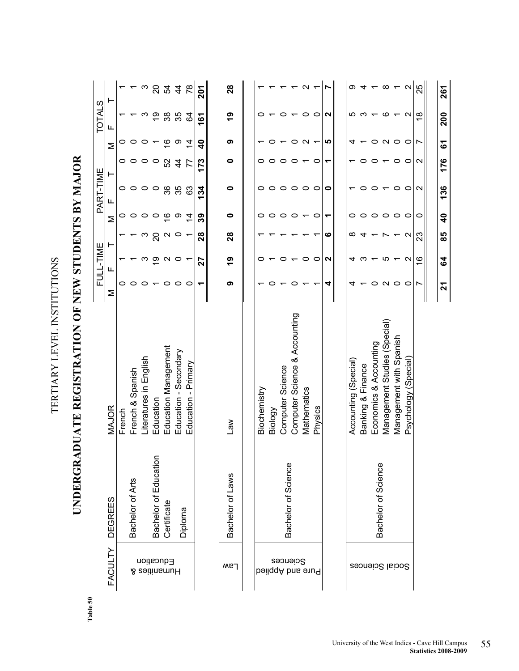| ì                                                 |
|---------------------------------------------------|
|                                                   |
|                                                   |
|                                                   |
| Í<br>٦                                            |
|                                                   |
|                                                   |
|                                                   |
|                                                   |
|                                                   |
|                                                   |
|                                                   |
|                                                   |
| トート・トーー                                           |
|                                                   |
| ֧֧֛֛֛֚֚֚֚֚֚֚֚֚֚֚֚֚֚֚֚֚֚֚֚֚֚֚֚֚֚֚֚֚֚֚֡֡֡֡֡֓֡֞֡֡֡֡֡ |
|                                                   |
| י<br>أ                                            |
|                                                   |
| $\frac{1}{2}$                                     |
|                                                   |
| ı                                                 |
|                                                   |
|                                                   |

## UNDERGRADUATE REGISTRATION OF NEW STUDENTS BY MAJOR **UNDERGRADUATE REGISTRATION OF NEW STUDENTS BY MAJOR**

**Table 50**

|                              |                                      |                               |         | FULL-TIME                |                   |                         | PART-TIME       |                 |                      | <b>TOTALS</b>            |                            |
|------------------------------|--------------------------------------|-------------------------------|---------|--------------------------|-------------------|-------------------------|-----------------|-----------------|----------------------|--------------------------|----------------------------|
| FACULTY                      | <b>DEGREES</b>                       | MAJOR                         | Σ       | щ                        | ⊢                 | Σ                       | щ               | ⊢               | Σ                    | щ                        | ۳                          |
|                              |                                      | French                        | 0       |                          |                   | 0                       | 0               | 0               | 0                    |                          |                            |
|                              | Bachelor of Arts                     | French & Spanish              | 0       |                          |                   |                         | $\circ$         | $\circ$         | 0                    |                          |                            |
|                              |                                      | Literatures in English        | $\circ$ | ო                        | ო                 | $\circ$                 | $\circ$ $\circ$ | $\circ$ $\circ$ | $\circ$              | ო                        |                            |
|                              |                                      | Education                     |         | စ္                       | 20                | $\circ$                 |                 |                 |                      | ღ<br>1                   |                            |
| Education<br>Humanities &    | Bachelor of Education<br>Certificate | Education Management          | 0       | $\mathbf{\Omega}$        | $\mathbf{\Omega}$ | ڢ                       |                 | 52              | $\frac{6}{5}$        | 38                       | $\omega$ 8 $\frac{9}{4}$ 4 |
|                              |                                      | Education - Secondary         | $\circ$ | 0                        | $\circ$           | တ                       | 86<br>85        | $\frac{4}{3}$   | တ                    | 35                       |                            |
|                              | Diploma                              | Education - Primary           | $\circ$ | $\overline{\phantom{0}}$ |                   | $\overline{4}$          | 63              | 77              | $\dot{4}$            | 2                        | 78                         |
|                              |                                      |                               | ᡪ       | 27                       | 28                | ၵ္တ                     | 134             | 173             | ទ                    | 161                      | 201                        |
|                              |                                      |                               |         |                          |                   |                         |                 |                 |                      |                          |                            |
| Law                          | Bachelor of Laws                     | <b>Ne</b>                     | თ       | <u>ဇ</u>                 | 28                | 0                       | 0               | $\bullet$       | თ                    | <u>ဇ</u>                 | 28                         |
|                              |                                      |                               |         |                          |                   |                         |                 |                 |                      |                          |                            |
|                              |                                      | Biochemistry                  |         |                          |                   | 0                       | 0               |                 |                      |                          |                            |
|                              |                                      | Biology                       |         |                          |                   | $\circ$                 | $\circ$         | 0               |                      |                          |                            |
| Sciences<br>beilqqA bns enu9 | Bachelor of Science                  | Computer Science              |         |                          |                   | $\circ$                 | $\circ$         | $\circ$         |                      | 0                        |                            |
|                              |                                      | Computer Science & Accounting | 0       |                          |                   | $\circ$ $\sim$          | $\circ$ $\circ$ | $\circ$ $\sim$  | $\circ$ $\sim$       | $\overline{\phantom{0}}$ |                            |
|                              |                                      | Mathematics                   |         | $\circ$                  |                   |                         |                 |                 |                      | $\circ$                  | N                          |
|                              |                                      | Physics                       |         | 0                        |                   | $\circ$                 | $\circ$         | $\circ$         | $\overline{ }$       | $\circ$                  |                            |
|                              |                                      |                               | 4       | N                        | ဖ                 | ↽                       | 0               | ↽               | <u> ဟ</u>            | N                        | r                          |
|                              |                                      |                               |         |                          |                   |                         |                 |                 |                      |                          |                            |
|                              |                                      | Accounting (Special)          | ч       |                          | ∞                 | 0                       |                 |                 | 4                    | <u>၊ </u>                | တ                          |
|                              |                                      | Banking & Finance             |         | ო                        | 4                 | 0                       | 0               | 0               |                      | က                        | 4                          |
|                              | Bachelor of Science                  | Economics & Accounting        | 0       |                          |                   | $\circ$                 | 0               | 0               | $\circ$              | $\overline{\phantom{0}}$ |                            |
| Social Sciences              |                                      | Management Studies (Special)  | $\sim$  | <u>၊ </u>                |                   | $\circ$ $\circ$         |                 | $\overline{ }$  | $\sim$ $\sim$ $\sim$ | ဖ                        | $\infty$                   |
|                              |                                      | Management with Spanish       | $\circ$ | ↽                        |                   |                         | $\circ$         | $\circ$         |                      | $\overline{ }$           |                            |
|                              |                                      | Psychology (Special)          | $\circ$ | $\mathbf{\Omega}$        | $\mathbf{\Omega}$ | $\circ$                 | $\circ$         | $\circ$         |                      | $\sim$                   | $\sim$                     |
|                              |                                      |                               | Ľ       | ≌                        | 23                | 0                       | N               | N               | L                    | $\frac{\infty}{\infty}$  | 25                         |
|                              |                                      |                               |         |                          |                   |                         |                 |                 |                      |                          |                            |
|                              |                                      |                               | 21      | 54                       | 85                | $\overline{\mathbf{a}}$ | 136             | 176             | 5                    | 200                      | 261                        |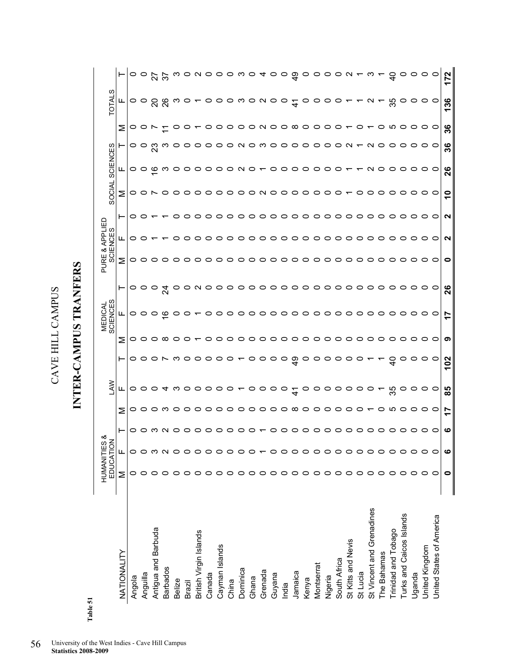INTER-CAMPUS TRANFERS **INTER-CAMPUS TRANFERS** 

| n |  |
|---|--|
|   |  |
| ω |  |
|   |  |
| œ |  |
| ۰ |  |

|                           |         | EDUCATION<br><b>HUMANITIES</b> | య                      |                                       | Š                                            |                 |                                         | <b>MEDICAL</b><br>SCIENCES |                 | PURE | APPLIED<br><b>SCIENCES</b><br>∞ |                                                              | <b>SOCIAL</b> | SCIENCES        |         |    | <b>NTO</b>      |                              |
|---------------------------|---------|--------------------------------|------------------------|---------------------------------------|----------------------------------------------|-----------------|-----------------------------------------|----------------------------|-----------------|------|---------------------------------|--------------------------------------------------------------|---------------|-----------------|---------|----|-----------------|------------------------------|
| NATIONALITY               | Σ       | щ                              | ⊢                      | Σ                                     | ட                                            |                 | Σ                                       | щ                          | H               | Σ    | щ                               | ⊢                                                            | Σ             | ட               |         | Σ  | ட               |                              |
| Angola                    | 0       | 0                              |                        |                                       |                                              |                 |                                         |                            |                 |      |                                 | $\circ$                                                      |               |                 |         |    |                 |                              |
| Anguilla                  |         |                                |                        |                                       |                                              |                 |                                         |                            |                 |      | 0 0 T                           |                                                              |               |                 |         |    |                 |                              |
| Antigua and Barbuda       |         |                                | o o m n o o o          |                                       |                                              |                 | $\circ\circ\circ\circ\circ\circ\bullet$ |                            |                 |      |                                 |                                                              |               |                 |         |    |                 |                              |
| <b>Barbados</b>           |         |                                |                        |                                       |                                              |                 |                                         |                            |                 |      |                                 |                                                              |               |                 |         |    |                 |                              |
| <b>Belize</b>             |         |                                |                        |                                       |                                              |                 |                                         |                            |                 |      | o                               |                                                              |               |                 |         |    |                 |                              |
| Brazil                    |         |                                |                        |                                       |                                              |                 |                                         |                            |                 |      | ○                               |                                                              |               |                 |         |    |                 |                              |
| British Virgin Islands    |         |                                |                        |                                       |                                              |                 |                                         |                            |                 |      | $\circ$ $\circ$                 |                                                              |               |                 |         |    |                 |                              |
| Canada                    |         |                                | ○                      |                                       |                                              |                 |                                         |                            |                 |      |                                 |                                                              |               |                 |         |    |                 |                              |
| Cayman Islands            |         |                                |                        |                                       |                                              |                 |                                         |                            |                 |      |                                 |                                                              |               |                 |         |    |                 |                              |
| China                     | 0       |                                | o                      |                                       |                                              |                 |                                         |                            |                 |      |                                 |                                                              |               |                 |         |    |                 |                              |
| Dominica                  | 0       | $\circ$                        |                        |                                       |                                              |                 |                                         |                            |                 |      |                                 |                                                              |               |                 |         |    |                 |                              |
| Ghana                     | $\circ$ | $\circ$                        | $\circ$ $\circ$ $\sim$ |                                       |                                              |                 |                                         |                            |                 |      |                                 |                                                              |               |                 |         |    |                 |                              |
| Grenada                   | 0       |                                |                        |                                       |                                              |                 |                                         |                            |                 |      |                                 |                                                              |               |                 |         |    |                 |                              |
| Guyana                    | 0       | 0                              |                        |                                       |                                              |                 |                                         |                            |                 |      |                                 |                                                              |               |                 |         |    |                 |                              |
| India                     | 0       | 0                              |                        |                                       |                                              |                 |                                         |                            |                 |      |                                 |                                                              |               |                 |         |    |                 |                              |
| Jamaica                   | $\circ$ | 0                              |                        |                                       |                                              |                 |                                         |                            |                 |      |                                 |                                                              |               |                 |         |    |                 |                              |
| Kenya                     | $\circ$ | $\circ$                        |                        |                                       |                                              |                 |                                         |                            |                 |      |                                 |                                                              |               |                 |         |    |                 |                              |
| Montserrat                | っ       | $\circ$                        |                        | o o o m o o o o o o o o o o o o o o o | 0004 w 00000 00000 <del>4</del> 0000000 0 00 |                 | 00000000000000000000                    |                            |                 |      |                                 | $\begin{array}{c} \texttt{-0000000000000000000} \end{array}$ |               |                 |         |    |                 | oorrwoooowodoogoooon-w-doooo |
| Nigeria                   | 0       | $\circ$                        |                        |                                       |                                              |                 |                                         |                            |                 |      |                                 |                                                              |               |                 |         |    |                 |                              |
| South Africa              | ○       | $\circ$                        |                        |                                       |                                              |                 |                                         |                            |                 |      |                                 |                                                              |               |                 |         |    |                 |                              |
| St Kitts and Nevis        | O       | $\circ$                        |                        | $\circ$                               |                                              |                 |                                         |                            |                 |      |                                 |                                                              |               |                 |         |    |                 |                              |
| St Lucia                  | 0       | 0                              |                        | $\circ$ $\sim$                        |                                              |                 |                                         |                            |                 |      |                                 |                                                              |               |                 |         |    |                 |                              |
| St Vincent and Grenadines | ○       | 0                              |                        |                                       |                                              |                 |                                         |                            |                 |      |                                 |                                                              |               |                 |         |    |                 |                              |
| The Bahamas               |         | 0                              |                        |                                       |                                              |                 |                                         |                            |                 |      |                                 |                                                              |               |                 |         |    |                 |                              |
| Trinidad and Tobago       | 0       | 0                              | $\circ$                | ယ                                     |                                              |                 |                                         |                            |                 |      |                                 |                                                              |               |                 |         |    |                 |                              |
| Turks and Caicos Islands  | 0       | 0                              | O                      | っ                                     |                                              | $\circ$         |                                         |                            |                 |      |                                 | $\circ$                                                      |               | $\circ$         | ○       |    |                 |                              |
| Uganda                    | 0       | $\circ$                        | $\circ$                | $\circ$                               | $\circ$                                      | $\circ$         |                                         | $\circ$                    | $\circ$         |      |                                 | $\circ$                                                      |               | $\circ$         | $\circ$ |    | $\circ$         |                              |
| United Kingdom            | 0       | っ                              | $\circ$ $\circ$        | $\circ$ $\circ$                       | $\circ$ $\circ$                              | $\circ$ $\circ$ |                                         | $\circ$ $\circ$            | $\circ$ $\circ$ |      |                                 | $\circ$ $\circ$                                              |               | $\circ$ $\circ$ | 00      |    | $\circ$ $\circ$ |                              |
| United States of America  | ○       | っ                              |                        |                                       |                                              |                 |                                         |                            |                 |      |                                 |                                                              |               |                 |         |    |                 |                              |
|                           | 0       | ဖ                              | ဖ                      | r<br>$\overline{\phantom{0}}$         | 85                                           | 102             | စာ                                      | 17                         | 26              | 0    | N                               | N                                                            | $\circ$       | 26              | 36      | 36 | 136             | 172                          |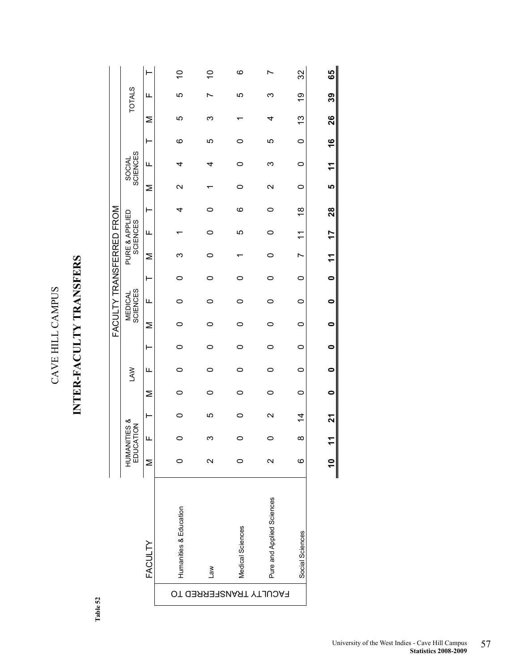## INTER-FACULTY TRANSFERS **INTER-FACULTY TRANSFERS**

Table 52 **Table 52** 

|                  |                                   | ⊢              | S                      | S               | ဖ                |                           | 32              | 65                    |
|------------------|-----------------------------------|----------------|------------------------|-----------------|------------------|---------------------------|-----------------|-----------------------|
|                  | <b>TOTALS</b>                     | щ              | LO                     |                 | Ю                | ო                         | Q)              | ၵီ                    |
|                  |                                   | Σ              | ပ                      | ო               |                  | 4                         | <u>ლ</u>        | 26                    |
|                  |                                   | ⊢              | ဖ                      | ю               | 0                | ပ                         | $\circ$         | 9                     |
|                  | <b>SCIENCES</b><br><b>SOCIAL</b>  | Щ              | 4                      | 4               |                  | ო                         | $\circ$         | $\tilde{\tau}$        |
|                  |                                   | Σ              | $\mathbf{\Omega}$      |                 | 0                | $\mathbf{\Omega}$         | $\circ$         | LQ                    |
|                  |                                   | ⊢              | 4                      | 0               | ဖ                | 0                         | $\frac{8}{1}$   | 28                    |
| TRANSFERRED FROM | PURE & APPLIED<br><b>SCIENCES</b> | Щ              |                        | 0               | 5                | 0                         | $\tilde{\tau}$  | 77                    |
|                  |                                   | Σ              | ო                      |                 |                  |                           | r               | $\tilde{\mathcal{L}}$ |
|                  |                                   | ⊢              |                        |                 |                  |                           | $\circ$         | $\bullet$             |
|                  | <b>SCIENCES</b><br><b>MEDICAL</b> | Щ              | 0                      | 0               | 0                | 0                         | $\circ$         | $\bullet$             |
| FACULT           |                                   | Σ              |                        |                 |                  |                           | 0               | 0                     |
|                  |                                   | ⊢              |                        |                 |                  |                           | $\circ$         | $\bullet$             |
|                  | LAW                               | Щ              |                        |                 | 0                | 0                         | $\circ$         | 0                     |
|                  |                                   | Σ              |                        | 0               | 0                | 0                         | $\circ$         | 0                     |
|                  |                                   | ⊢              |                        | 5               | 0                | $\mathbf{\Omega}$         | $\frac{4}{4}$   | ম                     |
|                  | HUMANITIES &<br><b>NOITAC</b>     | щ              |                        | ო               |                  |                           | $\infty$        | $\tilde{t}$           |
|                  | md<br>EDUC                        | Σ              |                        | Ν               |                  | $\mathbf{\Omega}$         | ဖ               |                       |
|                  |                                   | <b>FACULTY</b> | Humanities & Education | $\mathsf{lead}$ | Medical Sciences | Pure and Applied Sciences | Social Sciences |                       |
|                  |                                   |                |                        |                 |                  | FACULTY TRANSFERRED TO    |                 |                       |
|                  |                                   |                |                        |                 |                  |                           |                 |                       |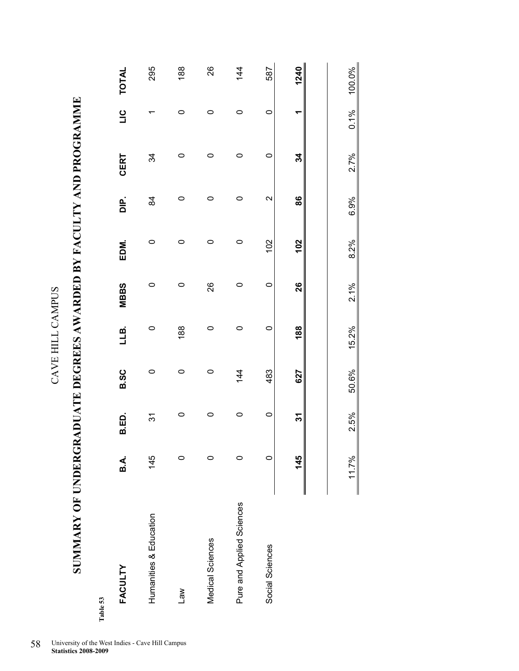SUMMARY OF UNDERGRADUATE DEGREES AWARDED BY FACULTY AND PROGRAMME **SUMMARY OF UNDERGRADUATE DEGREES AWARDED BY FACULTY AND PROGRAMME** 

| ូ |  |
|---|--|
| í |  |

| FACULTY                   | B.A. | B.ED.            | <b>B.SC</b> | LLB.    | <b>MBBS</b> | EDM.    | $\frac{p}{D}$     | <b>CERT</b> | $\frac{1}{2}$ | <b>TOTAL</b> |
|---------------------------|------|------------------|-------------|---------|-------------|---------|-------------------|-------------|---------------|--------------|
| Humanities & Education    | 145  | $\tilde{\bm{c}}$ | 0           | 0       | 0           | 0       | 84                | 34          |               | 295          |
| $\mathsf{w}$              |      | $\circ$          | $\circ$     | 188     | $\circ$     | $\circ$ | $\circ$           | 0           | $\circ$       | 188          |
| Medical Sciences          |      | $\circ$          | $\circ$     | 0       | 26          | $\circ$ | $\circ$           | $\circ$     | $\circ$       | 26           |
| Pure and Applied Sciences |      | $\circ$          | 144         | 0       | 0           | $\circ$ | 0                 | 0           | 0             | 144          |
| Social Sciences           | 0    | $\circ$          | 483         | $\circ$ | $\circ$     | 102     | $\mathbf{\Omega}$ | $\circ$     | $\circ$       | 587          |
|                           | 145  | స్               | 627         | 188     | 26          | 102     | 86                | 34          |               | 1240         |

11.7% 2.5% 50.6% 15.2% 2.1% 8.2% 6.9% 2.7% 0.1% 100.0%

 $2.1%$ 

15.2%

50.6%

2.5%

11.7%

8.2%

100.0%

 $0.1%$ 

 $2.7%$ 

6.9%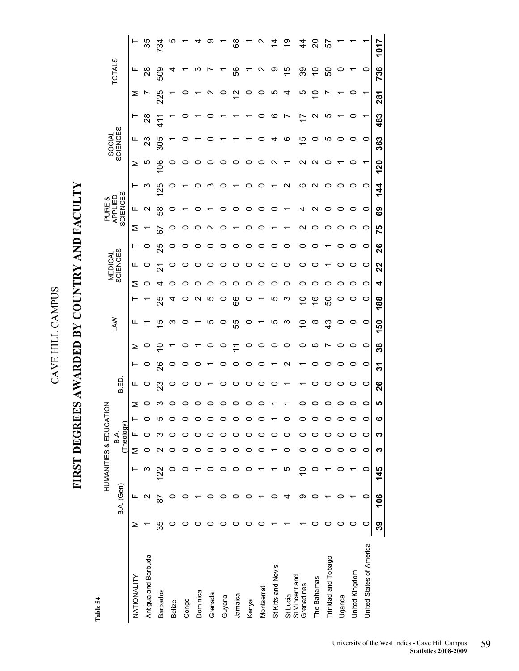FIRST DEGREES AWARDED BY COUNTRY AND FACULTY

CAVE HILL CAMPUS

CAVE HILL CAMPUS

**FIRST DEGREES AWARDED BY COUNTRY AND FACULTY** 

Table 54 **Table 54** 

|                              |    |            | HUMANITIES & EDUCATION |   |                    |   |           |         |                   |                |               |                   |         |                     |         |                   | PURE &                               |                   |                   |                    |               |                   |                 |                     |
|------------------------------|----|------------|------------------------|---|--------------------|---|-----------|---------|-------------------|----------------|---------------|-------------------|---------|---------------------|---------|-------------------|--------------------------------------|-------------------|-------------------|--------------------|---------------|-------------------|-----------------|---------------------|
|                              |    | B.A. (Gen) |                        |   | (Theology)<br>B A. |   |           | B.ED    |                   |                | ₹             |                   |         | MEDICAL<br>SCIENCES |         |                   | <b>SCIENCES</b><br>읍<br><b>APPLI</b> |                   |                   | SOCIAL<br>SCIENCES |               |                   | <b>TOTALS</b>   |                     |
| NATIONALITY                  | ≥  |            |                        | Σ |                    |   | Σ         | ட       | ⊢                 | Σ              | ட             |                   | Σ       | щ                   | ۳       | Σ                 | ட                                    |                   | Σ                 | щ                  |               | Σ                 | щ               | Η,                  |
| Antigua and Barbuda          |    | N          |                        |   |                    |   |           | $\circ$ | $\circ$           | O              |               |                   | 0       |                     |         |                   | $\mathbf{\Omega}$                    | ო                 | ယ                 | <u>ಞ</u>           | $\frac{8}{2}$ |                   | $\frac{8}{2}$   | 85                  |
| <b>Barbados</b>              | 35 | 56         | ನ                      |   |                    | ഥ |           | ಔ       | 26                | $\tilde{=}$    | 40            | 25                | ᠴ       | ন                   | 25      | 57                | အိ                                   | 125               | ိ                 | 305                | $\frac{1}{4}$ | 225               | 509             | ट्र                 |
| <b>Belize</b>                |    |            |                        |   |                    |   |           | 0       | $\circ$           |                | ო             | 4                 | 0       | $\circ$             | o       | 0                 | 0                                    |                   |                   |                    |               |                   |                 |                     |
| Congo                        |    |            |                        |   |                    |   |           |         | 0                 | 0              | 0             | 0                 | 0       |                     |         |                   |                                      |                   |                   |                    |               |                   |                 |                     |
| Dominica                     |    |            |                        |   |                    |   |           |         | 0                 |                | ↽             | $\mathbf{\Omega}$ | 0       | $\circ$             |         |                   |                                      |                   |                   |                    |               |                   | ო               |                     |
| Grenada                      |    |            |                        |   |                    |   |           |         |                   | $\circ$        | ယ             | Ю                 | 0       | $\circ$             |         | $\mathbf{\Omega}$ |                                      | ຕຸ                |                   |                    |               | $\mathbf{\Omega}$ |                 |                     |
| Guyana                       |    |            |                        |   |                    |   |           | $\circ$ | O                 | $\circ$        | $\circ$       | $\circ$           | 0       | $\circ$             | O       | $\circ$           |                                      |                   |                   |                    |               | $\circ$           |                 |                     |
| Jamaica                      |    |            |                        |   |                    |   |           | 0       | $\circ$           | $\overline{r}$ | 55            | 89                | 0       | $\circ$             | $\circ$ |                   | O                                    |                   |                   |                    |               | 5,                | 99              | 8                   |
| Kenya                        |    |            |                        |   |                    |   |           | 0       | $\circ$           | $\circ$        | $\circ$       | $\circ$           | 0       | $\circ$             | O       | o                 | $\circ$                              |                   | O                 |                    |               | $\circ$           |                 |                     |
| Montserrat                   |    |            |                        |   |                    |   |           | 0       | $\circ$           | $\circ$        | ↽             |                   | $\circ$ | $\circ$             | O       | 0                 | O                                    |                   | o                 |                    | ပ             | $\circ$           | $\mathbf{\sim}$ |                     |
| St Kitts and Nevis           |    |            |                        |   |                    |   |           | $\circ$ | ٣                 | $\circ$        | ယ             | ယ                 | 0       | $\circ$             | O       |                   | 0                                    |                   | $\mathbf{\Omega}$ | 4                  | ဖ             | ယ                 | တ               | $\dot{\mathcal{A}}$ |
| St Lucia                     |    | ₹          | Ю                      |   |                    | 0 |           |         | $\mathbf{\Omega}$ | $\circ$        | ო             | ო                 | 0       | O                   |         |                   |                                      | N                 |                   | ဖ                  |               |                   | $\frac{5}{3}$   | စ္                  |
| St Vincent and<br>Grenadines |    | တ          | $\subseteq$            |   |                    |   |           |         |                   | $\circ$        | S             | S                 | 0       | $\circ$             | O       | N                 | 4                                    | ဖ                 | N                 | 40                 |               | Ю                 | 89              | 4                   |
| The Bahamas                  |    |            |                        |   |                    |   |           |         | O                 | $\infty$       | $\infty$      | $\frac{6}{1}$     | 0       | 0                   |         | 0                 | $\mathbf{\Omega}$                    | $\mathbf{\Omega}$ | $\mathbf{\Omega}$ | O                  | $\sim$        |                   | $\tilde{c}$     | ຊ                   |
| Trinidad and Tobago          |    |            |                        |   |                    |   |           |         | 0                 |                | $\frac{3}{4}$ | 50                | 0       |                     |         |                   | $\circ$                              |                   |                   | ယ                  | ю             |                   | င္တ             | ပြ                  |
| Uganda                       |    |            |                        |   |                    |   |           | o       | 0                 | 0              | O             | 0                 | 0       | 0                   |         |                   | $\circ$                              |                   |                   | O                  |               |                   |                 |                     |
| United Kingdom               |    |            |                        |   |                    | 0 |           | $\circ$ | $\circ$           |                | O             | 0                 | 0       | $\circ$             |         |                   |                                      |                   |                   | $\circ$            |               |                   |                 |                     |
| United States of America     | 0  | 0          | 0                      | 0 | $\circ$            | 0 | o         | $\circ$ | $\circ$           | $\circ$        | $\circ$       | $\circ$           | 0       | $\circ$             | $\circ$ | $\circ$           | $\circ$                              | O                 |                   | $\circ$            |               |                   | $\circ$         |                     |
|                              | 39 | 106        | 145                    | ო | ო                  | ဖ | <u>၊ဂ</u> | 26      | స్                | 38             | 150           | 188               | 4       | 22                  | 26      | 75                | ශී                                   | 144               | 120               | 363                | 483           | 281               | 736             | 1017                |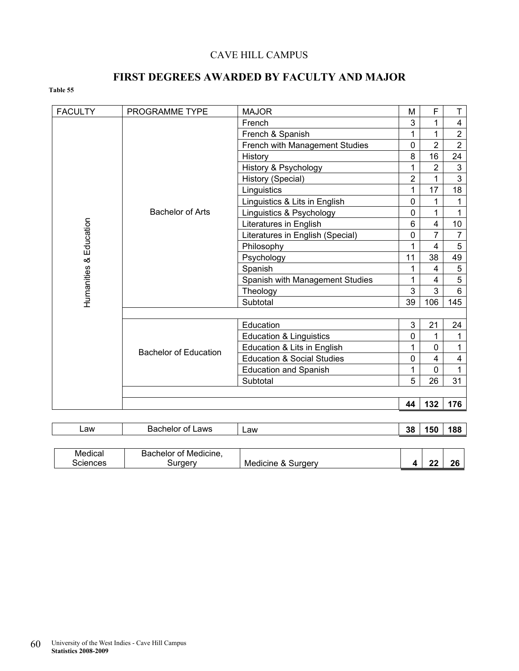### CAVE HILL CAMPUS

### **FIRST DEGREES AWARDED BY FACULTY AND MAJOR**

### **Table 55**

| <b>FACULTY</b>         | PROGRAMME TYPE               | <b>MAJOR</b>                          | M              | F              | T                       |
|------------------------|------------------------------|---------------------------------------|----------------|----------------|-------------------------|
|                        |                              | French                                | 3              | 1              | $\overline{\mathbf{4}}$ |
|                        |                              | French & Spanish                      |                | 1              | $\overline{2}$          |
|                        |                              | French with Management Studies        | 0              | $\overline{2}$ | $\overline{2}$          |
|                        |                              | History                               | 8              | 16             | 24                      |
|                        |                              | History & Psychology                  | 1              | $\overline{2}$ | $\mathfrak{S}$          |
|                        |                              | History (Special)                     | $\overline{2}$ | 1              | $\overline{3}$          |
|                        |                              | Linguistics                           | 1              | 17             | 18                      |
|                        |                              | Linguistics & Lits in English         | 0              | 1              | $\mathbf{1}$            |
|                        | <b>Bachelor of Arts</b>      | Linguistics & Psychology              | 0              | 1              | $\mathbf{1}$            |
|                        |                              | Literatures in English                | 6              | 4              | 10                      |
|                        |                              | Literatures in English (Special)      | 0              | 7              | $\overline{7}$          |
|                        |                              | Philosophy                            |                | 4              | 5                       |
|                        |                              | Psychology                            | 11             | 38             | 49                      |
|                        |                              | Spanish                               | 1              | $\overline{4}$ | 5                       |
|                        |                              | Spanish with Management Studies       |                | 4              | 5                       |
| Humanities & Education |                              | Theology                              | 3              | 3              | 6                       |
|                        |                              | Subtotal                              | 39             | 106            | 145                     |
|                        |                              |                                       |                |                |                         |
|                        |                              | Education                             | 3              | 21             | 24                      |
|                        |                              | <b>Education &amp; Linguistics</b>    | 0              | 1              | $\mathbf{1}$            |
|                        | <b>Bachelor of Education</b> | Education & Lits in English           |                | 0              | 1                       |
|                        |                              | <b>Education &amp; Social Studies</b> | 0              | 4              | 4                       |
|                        |                              | <b>Education and Spanish</b>          | 1              | $\Omega$       | $\mathbf{1}$            |
|                        |                              | Subtotal                              | 5              | 26             | 31                      |
|                        |                              |                                       |                |                |                         |
|                        |                              |                                       | 44             | 132            | 176                     |

| ∟aw      | Bachelor of Laws      | _aw                | 38 | 150 | 188 |
|----------|-----------------------|--------------------|----|-----|-----|
|          |                       |                    |    |     |     |
| Medical  | Bachelor of Medicine, |                    |    |     |     |
| Sciences | Suraerv               | Medicine & Surgery |    |     | 26  |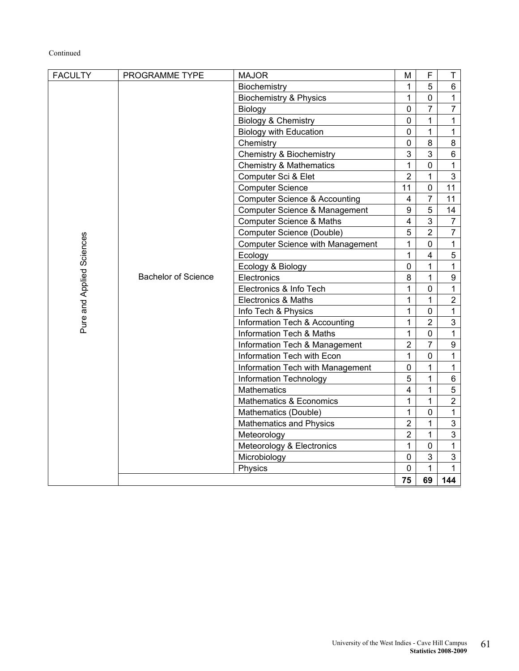### Continued

| <b>FACULTY</b>            | PROGRAMME TYPE             | <b>MAJOR</b>                             | М                       | F              | $\mathsf T$      |
|---------------------------|----------------------------|------------------------------------------|-------------------------|----------------|------------------|
|                           |                            | Biochemistry                             | 1                       | 5              | 6                |
|                           |                            | <b>Biochemistry &amp; Physics</b>        | 1                       | $\pmb{0}$      | $\mathbf{1}$     |
|                           |                            | Biology                                  | 0                       | $\overline{7}$ | $\overline{7}$   |
|                           |                            | Biology & Chemistry                      | 0                       | 1              | $\mathbf{1}$     |
|                           |                            | <b>Biology with Education</b>            | 0                       | 1              | $\mathbf{1}$     |
|                           |                            | Chemistry                                | 0                       | 8              | 8                |
|                           |                            | <b>Chemistry &amp; Biochemistry</b>      | 3                       | 3              | 6                |
|                           |                            | <b>Chemistry &amp; Mathematics</b>       | 1                       | $\mathbf 0$    | $\mathbf 1$      |
|                           |                            | Computer Sci & Elet                      | $\overline{2}$          | 1              | $\mathfrak{S}$   |
|                           |                            | <b>Computer Science</b>                  | 11                      | 0              | 11               |
|                           |                            | <b>Computer Science &amp; Accounting</b> | $\overline{\mathbf{4}}$ | $\overline{7}$ | 11               |
|                           |                            | <b>Computer Science &amp; Management</b> | 9                       | 5              | 14               |
|                           |                            | <b>Computer Science &amp; Maths</b>      | $\overline{\mathbf{4}}$ | 3              | $\overline{7}$   |
|                           |                            | Computer Science (Double)                | 5                       | $\overline{2}$ | $\overline{7}$   |
|                           |                            | <b>Computer Science with Management</b>  | 1                       | $\pmb{0}$      | $\mathbf{1}$     |
|                           |                            | Ecology                                  | 1                       | 4              | $\sqrt{5}$       |
|                           |                            | Ecology & Biology                        | 0                       | 1              | $\mathbf{1}$     |
| Pure and Applied Sciences | <b>Bachelor of Science</b> | Electronics                              | 8                       | $\mathbf{1}$   | $\boldsymbol{9}$ |
|                           |                            | Electronics & Info Tech                  | 1                       | $\pmb{0}$      | $\mathbf{1}$     |
|                           |                            | <b>Electronics &amp; Maths</b>           | 1                       | 1              | $\overline{2}$   |
|                           |                            | Info Tech & Physics                      | 1                       | $\mathbf 0$    | $\mathbf{1}$     |
|                           |                            | Information Tech & Accounting            | 1                       | $\overline{2}$ | $\mathbf{3}$     |
|                           |                            | Information Tech & Maths                 | 1                       | $\mathbf 0$    | $\mathbf{1}$     |
|                           |                            | Information Tech & Management            | $\overline{2}$          | 7              | $\boldsymbol{9}$ |
|                           |                            | Information Tech with Econ               | $\mathbf{1}$            | $\pmb{0}$      | $\mathbf{1}$     |
|                           |                            | Information Tech with Management         | 0                       | 1              | $\mathbf{1}$     |
|                           |                            | Information Technology                   | 5                       | 1              | $\,6\,$          |
|                           |                            | <b>Mathematics</b>                       | $\overline{4}$          | 1              | $\sqrt{5}$       |
|                           |                            | Mathematics & Economics                  | 1                       | $\mathbf{1}$   | $\overline{2}$   |
|                           |                            | Mathematics (Double)                     | 1                       | $\mathbf 0$    | $\mathbf{1}$     |
|                           |                            | <b>Mathematics and Physics</b>           | $\overline{2}$          | 1              | $\mathfrak{S}$   |
|                           |                            | Meteorology                              | $\overline{2}$          | $\mathbf{1}$   | $\mathbf{3}$     |
|                           |                            | Meteorology & Electronics                | $\mathbf{1}$            | $\mathbf 0$    | 1                |
|                           |                            | Microbiology                             | 0                       | 3              | 3                |
|                           |                            | Physics                                  | 0                       | $\mathbf{1}$   | $\mathbf{1}$     |
|                           |                            |                                          | 75                      | 69             | 144              |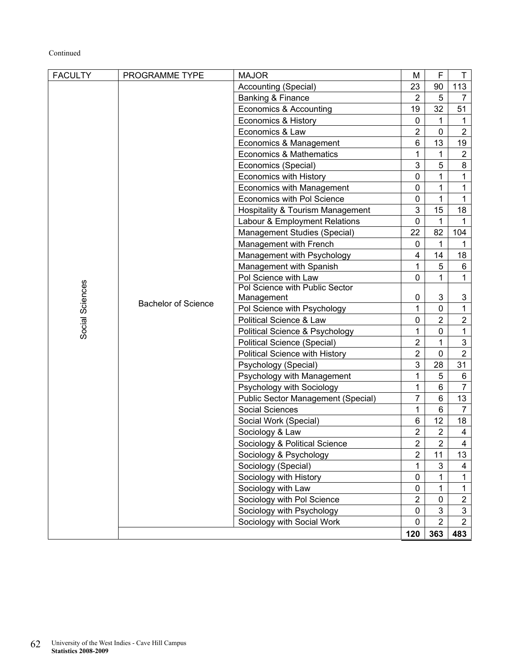### Continued

| <b>FACULTY</b>  | PROGRAMME TYPE             | <b>MAJOR</b>                              | M              | F              | $\mathsf T$    |
|-----------------|----------------------------|-------------------------------------------|----------------|----------------|----------------|
|                 |                            | Accounting (Special)                      | 23             | 90             | 113            |
|                 |                            | Banking & Finance                         | $\overline{2}$ | 5              | $\overline{7}$ |
|                 |                            | Economics & Accounting                    | 19             | 32             | 51             |
|                 |                            | Economics & History                       | 0              | 1              | 1              |
|                 |                            | Economics & Law                           | $\overline{2}$ | 0              | $\overline{2}$ |
|                 |                            | Economics & Management                    | $6\phantom{1}$ | 13             | 19             |
|                 |                            | <b>Economics &amp; Mathematics</b>        | 1              | 1              | $\overline{2}$ |
|                 |                            | Economics (Special)                       | 3              | 5              | 8              |
|                 |                            | <b>Economics with History</b>             | 0              | 1              | $\mathbf{1}$   |
|                 |                            | <b>Economics with Management</b>          | 0              | 1              | 1              |
|                 |                            | Economics with Pol Science                | $\mathbf 0$    | 1              | 1              |
|                 |                            | Hospitality & Tourism Management          | 3              | 15             | 18             |
|                 |                            | Labour & Employment Relations             | $\mathbf 0$    | 1              | $\mathbf{1}$   |
|                 |                            | Management Studies (Special)              | 22             | 82             | 104            |
|                 |                            | Management with French                    | 0              | 1              | 1              |
|                 |                            | Management with Psychology                | 4              | 14             | 18             |
|                 |                            | Management with Spanish                   | 1              | 5              | 6              |
|                 |                            | Pol Science with Law                      | 0              | 1              | 1              |
|                 |                            | Pol Science with Public Sector            |                |                |                |
| Social Sciences | <b>Bachelor of Science</b> | Management                                | 0              | 3              | 3              |
|                 |                            | Pol Science with Psychology               | 1              | 0              | $\mathbf{1}$   |
|                 |                            | Political Science & Law                   | 0              | $\overline{2}$ | $\overline{2}$ |
|                 |                            | Political Science & Psychology            | 1              | 0              | $\mathbf{1}$   |
|                 |                            | Political Science (Special)               | $\overline{2}$ | 1              | 3              |
|                 |                            | Political Science with History            | $\overline{2}$ | 0              | $\overline{2}$ |
|                 |                            | Psychology (Special)                      | 3              | 28             | 31             |
|                 |                            | Psychology with Management                | 1              | 5              | 6              |
|                 |                            | Psychology with Sociology                 | 1              | 6              | $\overline{7}$ |
|                 |                            | <b>Public Sector Management (Special)</b> | $\overline{7}$ | 6              | 13             |
|                 |                            | <b>Social Sciences</b>                    | 1              | 6              | $\overline{7}$ |
|                 |                            | Social Work (Special)                     | 6              | 12             | 18             |
|                 |                            | Sociology & Law                           | $\overline{c}$ | $\overline{2}$ | $\overline{4}$ |
|                 |                            | Sociology & Political Science             | $\overline{2}$ | $\overline{2}$ | $\overline{4}$ |
|                 |                            | Sociology & Psychology                    | 2              | 11             | 13             |
|                 |                            | Sociology (Special)                       | 1              | 3              | 4              |
|                 |                            | Sociology with History                    | 0              | 1              | $\mathbf{1}$   |
|                 |                            | Sociology with Law                        | 0              | 1              | $\mathbf{1}$   |
|                 |                            | Sociology with Pol Science                | $\overline{2}$ | 0              | $\overline{2}$ |
|                 |                            | Sociology with Psychology                 | 0              | 3              | $\mathfrak{S}$ |
|                 |                            | Sociology with Social Work                | 0              | $\overline{2}$ | $\overline{2}$ |
|                 |                            |                                           | 120            | 363            | 483            |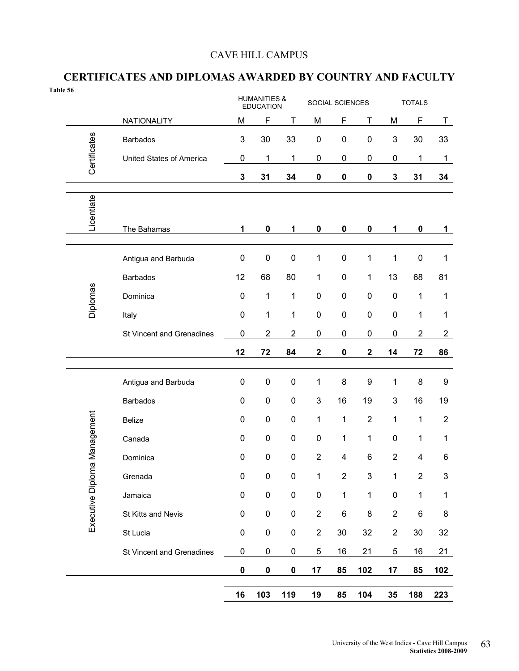### CAVE HILL CAMPUS

### **CERTIFICATES AND DIPLOMAS AWARDED BY COUNTRY AND FACULTY**

| Table 56 |                   |                                  |              | <b>HUMANITIES &amp;</b><br><b>EDUCATION</b> |                |                | SOCIAL SCIENCES  |                           |                           | <b>TOTALS</b>    |                |
|----------|-------------------|----------------------------------|--------------|---------------------------------------------|----------------|----------------|------------------|---------------------------|---------------------------|------------------|----------------|
|          |                   | NATIONALITY                      | M            | $\mathsf F$                                 | T              | M              | F                | Τ                         | M                         | F                | T              |
|          | Certificates      | Barbados                         | 3            | 30                                          | 33             | $\pmb{0}$      | $\mathbf 0$      | $\pmb{0}$                 | $\sqrt{3}$                | 30               | 33             |
|          |                   | United States of America         | 0            | 1                                           | 1              | $\pmb{0}$      | $\pmb{0}$        | 0                         | 0                         | 1                | $\mathbf{1}$   |
|          |                   |                                  | $\mathbf 3$  | 31                                          | 34             | $\pmb{0}$      | $\pmb{0}$        | 0                         | $\mathbf 3$               | 31               | 34             |
|          | Licentiate        |                                  |              |                                             |                |                |                  |                           |                           |                  |                |
|          |                   | The Bahamas                      | $\mathbf{1}$ | $\pmb{0}$                                   | 1              | $\pmb{0}$      | $\pmb{0}$        | 0                         | 1                         | $\pmb{0}$        | 1              |
|          |                   | Antigua and Barbuda              | $\pmb{0}$    | $\pmb{0}$                                   | $\pmb{0}$      | 1              | $\mathbf 0$      | 1                         | 1                         | $\pmb{0}$        | 1              |
|          |                   | <b>Barbados</b>                  | 12           | 68                                          | 80             | 1              | $\pmb{0}$        | 1                         | 13                        | 68               | 81             |
|          | Diplomas          | Dominica                         | $\pmb{0}$    | 1                                           | 1              | $\pmb{0}$      | $\mathbf 0$      | 0                         | $\pmb{0}$                 | $\mathbf{1}$     | $\mathbf{1}$   |
|          |                   | Italy                            | $\pmb{0}$    | 1                                           | 1              | $\pmb{0}$      | $\mathbf 0$      | $\pmb{0}$                 | $\pmb{0}$                 | 1                | $\mathbf{1}$   |
|          |                   | St Vincent and Grenadines        | 0            | $\overline{c}$                              | $\overline{c}$ | $\pmb{0}$      | $\mathbf 0$      | 0                         | $\pmb{0}$                 | $\boldsymbol{2}$ | $\overline{c}$ |
|          |                   |                                  | 12           | 72                                          | 84             | $\mathbf 2$    | $\mathbf 0$      | $\overline{\mathbf{2}}$   | 14                        | 72               | 86             |
|          |                   | Antigua and Barbuda              | $\pmb{0}$    | $\pmb{0}$                                   | $\pmb{0}$      | 1              | 8                | 9                         | 1                         | 8                | 9              |
|          |                   | <b>Barbados</b>                  | $\pmb{0}$    | $\pmb{0}$                                   | $\pmb{0}$      | $\sqrt{3}$     | 16               | 19                        | $\ensuremath{\mathsf{3}}$ | 16               | 19             |
|          |                   | <b>Belize</b>                    | $\pmb{0}$    | $\pmb{0}$                                   | $\pmb{0}$      | 1              | 1                | $\mathbf 2$               | 1                         | $\mathbf 1$      | $\mathbf{2}$   |
|          | Management        | Canada                           | $\pmb{0}$    | $\pmb{0}$                                   | $\pmb{0}$      | $\pmb{0}$      | 1                | 1                         | $\pmb{0}$                 | $\mathbf{1}$     | $\mathbf{1}$   |
|          |                   | Dominica                         | 0            | $\mathbf 0$                                 | 0              | $\overline{2}$ | 4                | 6                         | $\overline{2}$            | 4                | 6              |
|          | Executive Diploma | Grenada                          | $\pmb{0}$    | $\pmb{0}$                                   | $\pmb{0}$      | $\mathbf 1$    | $\boldsymbol{2}$ | $\ensuremath{\mathsf{3}}$ | 1                         | $\boldsymbol{2}$ | 3              |
|          |                   | Jamaica                          | $\pmb{0}$    | $\pmb{0}$                                   | $\pmb{0}$      | $\pmb{0}$      | $\mathbf 1$      | $\mathbf{1}$              | $\pmb{0}$                 | $\mathbf{1}$     | $\mathbf 1$    |
|          |                   | St Kitts and Nevis               | $\pmb{0}$    | $\pmb{0}$                                   | $\pmb{0}$      | $\overline{c}$ | 6                | $\bf 8$                   | $\sqrt{2}$                | 6                | 8              |
|          |                   | St Lucia                         | $\pmb{0}$    | $\pmb{0}$                                   | $\pmb{0}$      | $\sqrt{2}$     | 30               | 32                        | $\boldsymbol{2}$          | 30               | 32             |
|          |                   | <b>St Vincent and Grenadines</b> | 0            | $\pmb{0}$                                   | $\pmb{0}$      | $\mathbf 5$    | 16               | 21                        | $\,$ 5 $\,$               | 16               | 21             |
|          |                   |                                  | $\pmb{0}$    | $\pmb{0}$                                   | $\pmb{0}$      | 17             | 85               | 102                       | 17                        | 85               | 102            |
|          |                   |                                  | 16           | 103                                         | 119            | 19             | 85               | 104                       | 35                        | 188              | 223            |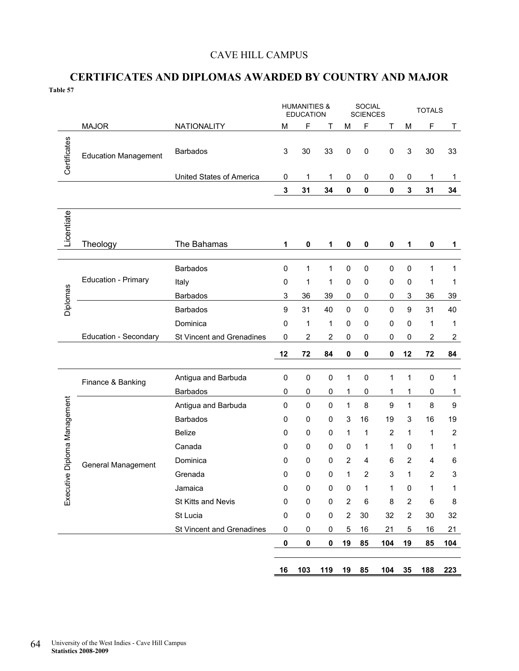### CAVE HILL CAMPUS

### **CERTIFICATES AND DIPLOMAS AWARDED BY COUNTRY AND MAJOR Table 57**

|                         |                             |                                             |                          | <b>HUMANITIES &amp;</b><br><b>EDUCATION</b> |                |                  | <b>SOCIAL</b><br><b>SCIENCES</b> |                |                | <b>TOTALS</b>  |                           |
|-------------------------|-----------------------------|---------------------------------------------|--------------------------|---------------------------------------------|----------------|------------------|----------------------------------|----------------|----------------|----------------|---------------------------|
|                         | <b>MAJOR</b>                | NATIONALITY                                 | M                        | F                                           | Τ              | M                | F                                | Τ              | M              | F              | T                         |
| Certificates            | <b>Education Management</b> | <b>Barbados</b><br>United States of America | $\mathsf 3$<br>$\pmb{0}$ | 30<br>1                                     | 33<br>1        | $\pmb{0}$<br>0   | $\pmb{0}$<br>0                   | $\pmb{0}$<br>0 | 3<br>0         | 30<br>1        | 33<br>$\mathbf{1}$        |
|                         |                             |                                             | 3                        | 31                                          | 34             | $\pmb{0}$        | $\pmb{0}$                        | 0              | 3              | 31             | 34                        |
|                         |                             |                                             |                          |                                             |                |                  |                                  |                |                |                |                           |
| Licentiate              | Theology                    | The Bahamas                                 | 1                        | $\pmb{0}$                                   | 1              | 0                | 0                                | 0              | 1              | $\mathbf 0$    | 1                         |
|                         |                             | <b>Barbados</b>                             | 0                        | $\mathbf{1}$                                | $\mathbf{1}$   | $\pmb{0}$        | $\mathbf 0$                      | $\pmb{0}$      | 0              | $\mathbf{1}$   | $\mathbf{1}$              |
|                         | Education - Primary         | Italy                                       | 0                        | 1                                           | 1              | $\pmb{0}$        | $\pmb{0}$                        | 0              | 0              | 1              | 1                         |
|                         |                             | <b>Barbados</b>                             | $\mathsf 3$              | 36                                          | 39             | 0                | 0                                | 0              | 3              | 36             | 39                        |
| Diplomas                |                             | <b>Barbados</b>                             | 9                        | 31                                          | 40             | $\pmb{0}$        | $\mathbf 0$                      | 0              | 9              | 31             | 40                        |
|                         |                             | Dominica                                    | $\pmb{0}$                | $\mathbf{1}$                                | 1              | 0                | $\mathbf 0$                      | 0              | 0              | 1              | 1                         |
|                         | Education - Secondary       | St Vincent and Grenadines                   | $\pmb{0}$                | $\overline{2}$                              | $\overline{2}$ | $\pmb{0}$        | 0                                | 0              | 0              | $\overline{2}$ | $\overline{2}$            |
|                         |                             |                                             | 12                       | 72                                          | 84             | $\pmb{0}$        | 0                                | 0              | 12             | 72             | 84                        |
|                         |                             | Antigua and Barbuda                         | $\pmb{0}$                | $\pmb{0}$                                   | 0              | $\mathbf 1$      | 0                                | 1              | 1              | $\pmb{0}$      | 1                         |
|                         | Finance & Banking           | <b>Barbados</b>                             | 0                        | 0                                           | 0              | 1                | 0                                | 1              | 1              | 0              | 1                         |
| Diploma Management      |                             | Antigua and Barbuda                         | 0                        | $\pmb{0}$                                   | 0              | 1                | 8                                | 9              | 1              | 8              | $\boldsymbol{9}$          |
|                         |                             | <b>Barbados</b>                             | 0                        | 0                                           | 0              | 3                | 16                               | 19             | 3              | 16             | 19                        |
|                         |                             | <b>Belize</b>                               | 0                        | $\mathbf 0$                                 | 0              | 1                | 1                                | 2              | 1              | 1              | $\overline{2}$            |
|                         |                             | Canada                                      | 0                        | 0                                           | 0              | 0                | 1                                | 1              | 0              | 1              | 1                         |
|                         | <b>General Management</b>   | Dominica                                    | 0                        | $\mathbf 0$                                 | 0              | $\overline{2}$   | $\overline{4}$                   | 6              | 2              | $\overline{4}$ | 6                         |
| $\overline{\mathbf{e}}$ |                             | Grenada                                     | 0                        | 0                                           | 0              | 1                | $\overline{2}$                   | 3              | $\mathbf{1}$   | $\overline{2}$ | $\ensuremath{\mathsf{3}}$ |
| Executiv                |                             | Jamaica                                     | 0                        | 0                                           | 0              | 0                | 1                                | 1              | 0              | 1              | 1                         |
|                         |                             | St Kitts and Nevis                          | 0                        | $\pmb{0}$                                   | $\pmb{0}$      | $\overline{2}$   | 6                                | 8              | $\overline{2}$ | 6              | 8                         |
|                         |                             | St Lucia                                    | 0                        | $\pmb{0}$                                   | $\pmb{0}$      | $\boldsymbol{2}$ | 30                               | 32             | $\overline{2}$ | 30             | 32                        |
|                         |                             | St Vincent and Grenadines                   | $\pmb{0}$                | $\pmb{0}$                                   | $\pmb{0}$      | 5                | 16                               | 21             | 5              | 16             | 21                        |
|                         |                             |                                             | $\pmb{0}$                | $\pmb{0}$                                   | 0              | 19               | 85                               | 104            | 19             | 85             | 104                       |
|                         |                             |                                             | 16                       | 103                                         | 119            | 19               | 85                               | 104            | 35             | 188            | 223                       |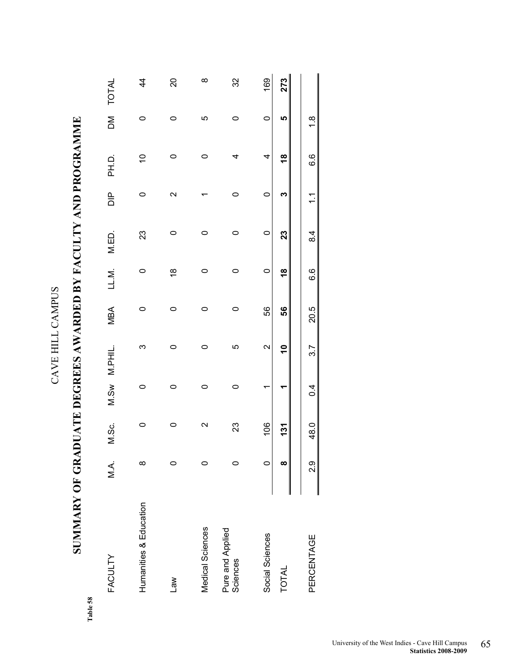| ℷ<br>$\overline{)}$<br>î |  |
|--------------------------|--|
| ć                        |  |
|                          |  |
| ŗ,                       |  |

## **SUMMARY OF GRADUATE DEGREES AWARDED BY FACULTY AND PROGRAMME**  SUMMARY OF GRADUATE DEGREES AWARDED BY FACULTY AND PROGRAMME

Table 58 **Table 58** 

| <b>FACULTY</b>               | ΛÁ. | M.Sc.             |         | M.Sw M.PHIL.      | <b>MBA</b> | LL.M.         | M.ED.   | $\frac{p}{\Box}$  | PH.D.         | $\geq$        | <b>TOTAL</b>   |
|------------------------------|-----|-------------------|---------|-------------------|------------|---------------|---------|-------------------|---------------|---------------|----------------|
| Humanities & Education       | ∞   | 0                 | o       | ო                 | 0          |               | 23      |                   | $\tilde{c}$   |               | $\frac{4}{4}$  |
| $\mathbb{R}$                 |     | 0                 | 0       | 0                 | 0          | $\frac{8}{1}$ |         | $\mathbf{\Omega}$ | 0             | 0             | $\overline{c}$ |
| Medical Sciences             |     | $\mathbf{\Omega}$ | $\circ$ | 0                 | 0          | o             | o       |                   | $\circ$       | 5             | $\infty$       |
| Pure and Applied<br>Sciences |     | 23                | 0       | Ю                 | 0          | o             | o       | o                 | 4             | o             | 32             |
| Social Sciences              |     | 106               | ᡪ       | $\mathbf{\Omega}$ | 56         | $\circ$       | $\circ$ | $\circ$           | 4             | $\circ$       | 169            |
| <b>TOTAL</b>                 | ထ   | 131               | ↽       | $\frac{1}{2}$     | 56         | $\frac{8}{1}$ | 23      | ო                 | $\frac{8}{1}$ | LO            | 273            |
| PERCENTAGE                   | 0.9 | 48.0              | 0.4     | 3.7               | 20.5       | 6.6           | 8.4     | $\tilde{\cdot}$   | 6.6           | $\frac{8}{1}$ |                |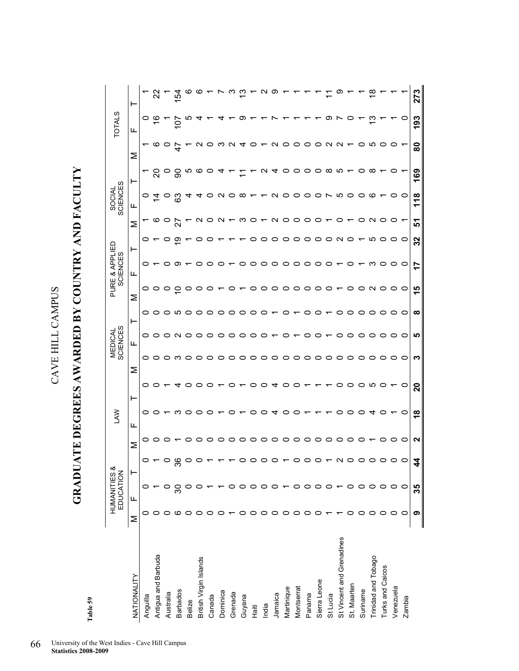GRADUATE DEGREES AWARDED BY COUNTRY AND FACULTY **GRADUATE DEGREES AWARDED BY COUNTRY AND FACULTY** 

| c<br>ū<br>n |  |
|-------------|--|
|             |  |
| ×<br>Ç      |  |

|                           |         | HUMANITIES &<br>EDUCATION |        |         | LAW           |              |   | MEDICAL<br>SCIENCES |        |         | PURE & APPLIED<br>SCIENCES |    |        | SOCIAL<br>SCIENCES |          |                   | <b>TOTALS</b> |     |
|---------------------------|---------|---------------------------|--------|---------|---------------|--------------|---|---------------------|--------|---------|----------------------------|----|--------|--------------------|----------|-------------------|---------------|-----|
| NATIONALITY               | Σ       | Щ                         | Η      | Σ       | Щ             | ⊢            | Σ | щ                   | ۳      | Σ       | Щ                          | ۳  | Σ      | щ                  | ۳        | Σ                 | Щ             | ⊢   |
| Anguilla                  |         |                           | 0      |         | o             | 0            |   | 0                   | 0      | 0       | 0                          |    |        | 0                  |          |                   | c             |     |
| Antigua and Barbuda       |         |                           |        |         |               |              |   |                     | っ      | 0       |                            |    |        | ⊻                  |          | ဖ                 |               |     |
| Australia                 | 0       |                           |        |         |               |              |   |                     | 0      | 0       | o                          |    |        |                    |          | 0                 |               |     |
| <b>Barbados</b>           | ဖ       | ్ల                        | œ<br>ო |         |               |              |   |                     | $\sim$ | Ю       |                            |    | တ      | ගි                 | ခ        |                   | 0             | ιň  |
| <b>Belize</b>             | 0       |                           |        |         |               |              |   |                     | ○      | o       |                            |    |        |                    | Ю        |                   |               |     |
| British Virgin Islands    | 0       |                           |        |         |               |              |   |                     |        |         |                            |    |        |                    | ဖ        |                   |               |     |
| Canada                    | 0       |                           |        |         |               |              |   |                     |        | o       |                            |    |        |                    |          |                   |               |     |
| Dominica                  | 0       |                           |        |         |               |              |   |                     |        |         |                            |    |        |                    |          |                   |               |     |
| Grenada                   |         |                           |        |         |               |              |   |                     | 0      |         |                            |    |        |                    |          |                   |               |     |
| Guyana                    | 0       |                           |        |         |               |              |   |                     | 0      | ▭       |                            |    |        |                    |          |                   |               |     |
| Haiti                     | $\circ$ |                           |        |         |               |              |   |                     | ○      | ○       |                            |    |        |                    |          |                   |               |     |
| India                     | $\circ$ |                           |        | 0       |               |              |   |                     | 0      | 0       |                            | 0  | o      |                    |          |                   |               |     |
| Jamaica                   | $\circ$ |                           |        | $\circ$ |               | ↴            |   |                     |        |         |                            | O  | o      | $\sim$             | 4        | ี่                |               |     |
| Martinique                | $\circ$ |                           |        | 0       |               |              |   |                     | 0      | 0       | 0                          | ○  | o<br>0 |                    | 0        | 0                 |               |     |
| Montserrat                | 0       | ○                         |        |         |               |              |   |                     |        |         | 0                          |    | o      | o                  | 0        | 0                 |               |     |
| Panama                    | 0       |                           |        | ⊂       |               |              |   |                     |        | O       | 0                          |    | o      | o                  | 0        | 0                 |               |     |
| Sierra Leone              |         |                           |        |         |               |              |   |                     |        |         |                            |    | o      |                    | 0        | 0                 |               |     |
| St Lucia                  |         |                           |        | ○       |               |              |   |                     |        |         |                            |    | o      |                    | $\infty$ | $\mathbf{\Omega}$ |               |     |
| St Vincent and Grenadines |         |                           |        |         |               |              |   |                     |        | O       |                            |    | N      | ഥ                  | ιо,      | N                 |               |     |
| St. Maarten               |         | ○                         |        |         |               |              |   |                     |        | ▭       |                            |    | c      |                    |          |                   |               |     |
| Suriname                  | ⊂       |                           |        |         |               |              |   |                     |        | O       |                            |    |        |                    |          |                   |               |     |
| Trinidad and Tobago       | 0       |                           |        |         |               | ഥ            |   |                     | 0      | 0       |                            |    | Ю      |                    | ∞        | ഥ                 |               |     |
| Turks and Caicos          | 0       |                           | o      |         | o             |              |   |                     | 0      | O       |                            |    |        |                    |          |                   |               |     |
| Venezuela                 | 0       |                           | o      |         |               |              |   |                     |        | っ       |                            |    | o      |                    |          |                   |               |     |
| Zambia                    | 0       | o                         | o      | c       | 0             | o            |   |                     | 0      | O       | o                          | o  | 0      | O                  |          |                   | o             |     |
|                           | ග       | 35                        | 4      | ٩       | $\frac{8}{1}$ | $\mathbf{S}$ |   | S                   | ທ      | 15<br>ထ | 17                         | 32 | 5      | 118                | 169      | ౚ                 | 193           | 273 |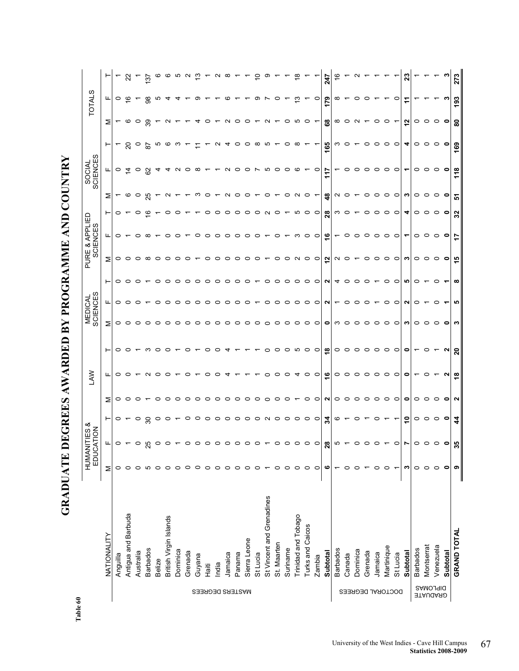| $\frac{1}{2}$                                  |  |
|------------------------------------------------|--|
|                                                |  |
|                                                |  |
| ーーくく                                           |  |
|                                                |  |
|                                                |  |
|                                                |  |
|                                                |  |
|                                                |  |
|                                                |  |
|                                                |  |
|                                                |  |
|                                                |  |
|                                                |  |
|                                                |  |
|                                                |  |
|                                                |  |
|                                                |  |
|                                                |  |
| じゅんしゅう しんくん しんしん しんしん                          |  |
|                                                |  |
|                                                |  |
|                                                |  |
|                                                |  |
| $\frac{1}{2}$                                  |  |
| ていしょく しょうしょう                                   |  |
|                                                |  |
|                                                |  |
|                                                |  |
|                                                |  |
|                                                |  |
|                                                |  |
|                                                |  |
|                                                |  |
|                                                |  |
| $\begin{bmatrix} 1 & 0 \\ 0 & 1 \end{bmatrix}$ |  |
|                                                |  |
|                                                |  |
|                                                |  |

| r<br>۰ |  |
|--------|--|
|        |  |
|        |  |
|        |  |

|                             |                           |         | HUMANITIES &<br>EDUCATION |           |         | <b>SV</b>     |                |   | SCIENCES<br><b>MEDICAL</b> |         |              | PURE & APPLIED<br><b>SCIENCES</b> |                   |         | SOCIAL<br>SCIENCES |           |           | <b>TOTALS</b>      |                |
|-----------------------------|---------------------------|---------|---------------------------|-----------|---------|---------------|----------------|---|----------------------------|---------|--------------|-----------------------------------|-------------------|---------|--------------------|-----------|-----------|--------------------|----------------|
|                             | NATIONALITY               | Σ       | щ                         | ۳         | ⋝       | щ             | ۳              | Σ | щ                          | ۳       | Σ            | щ                                 | ۳                 | Σ       | щ                  |           | Σ         | ட                  |                |
|                             | Anguilla                  | 0       | 0                         | 0         | 0       |               | 0              | 0 | 0                          | 0       | 0            | 0                                 | 0                 |         | $\circ$            |           | ٣         | 0                  |                |
|                             | Antigua and Barbuda       |         |                           |           |         |               | ○              |   |                            | ○       | $\circ$      |                                   |                   | ဖ       | ₫                  | 20        | ∞         | $\overline{\circ}$ | ಜ              |
|                             | Australia                 |         |                           | $\circ$   |         |               |                |   |                            | ○       | $\circ$      | ○                                 |                   | o       | $\circ$            | $\circ$   | ∘         |                    |                |
|                             | <b>Barbados</b>           |         |                           | ౭         |         |               | ო              |   |                            |         | ∞            | ∞                                 | ဖ                 | ನೆ      | ଌ                  | 5s        | 39        | 38                 | $\overline{3}$ |
|                             | Belize                    |         |                           | $\circ$   |         |               | ○              |   |                            | $\circ$ | $\circ$      |                                   |                   |         |                    | ю         |           | ம                  |                |
|                             | British Virgin Islands    |         |                           | $\circ$   |         |               | ⊂              |   |                            | $\circ$ | $\circ$      | ⊂                                 |                   |         |                    | ဖ         |           |                    |                |
|                             | Dominica                  |         |                           |           |         |               |                |   |                            | $\circ$ | $\circ$      | c                                 |                   |         | $\sim$             | ო         |           |                    | ю              |
|                             | Grenada                   |         |                           | 0         |         |               | c              |   |                            | $\circ$ | ○            |                                   |                   |         | っ                  |           |           |                    | $\sim$         |
| MASTERS DEGREES             | Guyana                    |         |                           | $\circ$   |         |               |                |   |                            | $\circ$ |              | c                                 |                   |         | ∞                  |           |           | တ                  |                |
|                             | Haiti                     |         |                           | っ         |         |               | c              |   |                            | $\circ$ | c            | c                                 |                   | c       |                    |           |           |                    |                |
|                             | India                     |         |                           | $\circ$   |         |               |                |   |                            | $\circ$ | っ            | o                                 |                   |         |                    |           |           |                    |                |
|                             | Jamaica                   |         |                           | $\circ$   |         |               |                |   |                            | ○       | 0            | o                                 |                   |         | $\sim$             |           |           | co                 |                |
|                             | Panama                    |         |                           | $\circ$   |         |               |                |   |                            | ○       | っ            | o                                 |                   | o       | っ                  | 0         |           |                    |                |
|                             | Sierra Leone              |         |                           | $\circ$   |         |               |                |   |                            | っ       | っ            | o                                 |                   | c       | っ                  | 0         |           |                    |                |
|                             | St Lucia                  |         |                           | $\circ$   |         |               |                |   |                            |         | 0            | o                                 |                   |         | ∼                  | ∞         |           | တ                  |                |
|                             | St Vincent and Grenadines |         |                           | $\sim$    |         |               | 0              | o |                            | っ       |              |                                   |                   | o       | Ю                  | ம         |           |                    |                |
|                             | St. Maarten               |         |                           | $\circ$   |         |               | っ              | o |                            | っ       | 0            | o                                 | c                 |         | $\circ$            |           |           | o                  |                |
|                             | Suriname                  |         |                           | $\circ$   |         |               | $\circ$        |   |                            | っ       | 0            |                                   |                   | 0       | $\circ$            | o         | o         |                    |                |
|                             | Trinidad and Tobago       | 0       |                           | $\circ$   |         |               | ю              |   |                            | $\circ$ | $\sim$       | ო                                 | ഥ                 | $\sim$  | ဖ                  | ∞         | ഥ         | ო                  |                |
|                             | Turks and Caicos          | $\circ$ |                           | $\circ$   |         |               | $\circ$        | 0 | 0                          | $\circ$ | $\circ$      | 0                                 | 0                 | 0       |                    |           | っ         |                    |                |
|                             | Zambia                    | $\circ$ | 0                         | $\circ$   | 0       | 0             | $\circ$        | 0 | $\circ$                    | $\circ$ | $\circ$      | $\circ$                           | $\circ$           |         | $\circ$            |           |           | ∘                  |                |
|                             | Subtotal                  | ဖ       | 28                        | 24        | N       | $\frac{6}{5}$ | $\frac{8}{5}$  | 0 | N                          | N       | $\mathbf{r}$ | $\frac{6}{5}$                     | $\boldsymbol{28}$ | \$      | 117                | 165       | 8         | 179                | 247            |
|                             | <b>Barbados</b>           |         | ယ                         | ဖ         | 0       | 0             | $\circ$        | ო |                            | 4       | $\sim$ 0     |                                   | ო                 | N       |                    | ო         | $^\infty$ | ∞                  |                |
|                             | Canada                    |         |                           |           | c       | 0             | $\circ$        | c |                            | $\circ$ |              | c                                 | c                 | c       | $\circ$            | c         | c         |                    |                |
| DOCTORAL DEGREES            | Dominica                  |         |                           |           |         |               | $\circ$        | 0 |                            | $\circ$ |              | o                                 |                   |         | $\circ$            |           |           | っ                  |                |
|                             | Grenada                   |         |                           |           |         | c             | ○              | o |                            | っ       | 0            | o                                 |                   |         | っ                  |           |           | o                  |                |
|                             | Jamaica                   | 0       |                           | c         | 0       | c             | $\circ$        | 0 |                            |         | ○            | $\circ$                           |                   | c       | $\circ$            | c         |           |                    |                |
|                             | Martinique                | $\circ$ |                           |           | 0       | ○             | $\circ$        | ○ |                            | 0       | $\circ$      | $\circ$                           | ○                 | ○       | $\circ$            | ○         |           |                    |                |
|                             | St Lucia                  | ᠇       | 0                         |           | $\circ$ | 0             | $\circ$        | 0 | 0                          | $\circ$ | $\circ$      | $\circ$                           | 0                 | $\circ$ | $\circ$            | $\circ$   |           | 0                  |                |
|                             | Subtotal                  | S       |                           | ۽         | 0       |               | 0              |   |                            | ம       | S            |                                   | ┓                 | ო       |                    | ┓         | 5,        |                    | ິສ             |
|                             | <b>Barbados</b>           | $\circ$ | 0                         | $\circ$   | 0       |               |                | 0 |                            | 0       | $\circ$      | 0                                 | 0                 | 0       | 0                  | 0         | 0         |                    |                |
|                             | Montserrat                | $\circ$ |                           | $\circ$   |         |               | c              |   |                            |         | $\circ$      | $\circ$                           | っ                 | $\circ$ | $\circ$            | $\circ$   | 0         |                    |                |
| <b>SRAUGARD</b><br>BAMOJAIG | Venezuela                 | 0       |                           | $\circ$   |         |               |                |   |                            | o       | $\circ$      | 0                                 | 0                 | 0       | $\circ$            | 0         | 0         |                    |                |
|                             | Subtotal                  | 0       | 0                         | $\bullet$ | 0       |               | N              | 0 |                            |         | $\bullet$    | 0                                 | $\bullet$         | 0       | $\bullet$          | $\bullet$ | $\bullet$ | ო                  |                |
|                             | <b>GRAND TOTAL</b>        | თ       | 35                        | 4         | N       | $\frac{8}{5}$ | $\overline{a}$ | S | ம                          | ∞       | 15           | 17                                | 32                | 5       | 118                | 169       | 8         | 193                | ო<br>27        |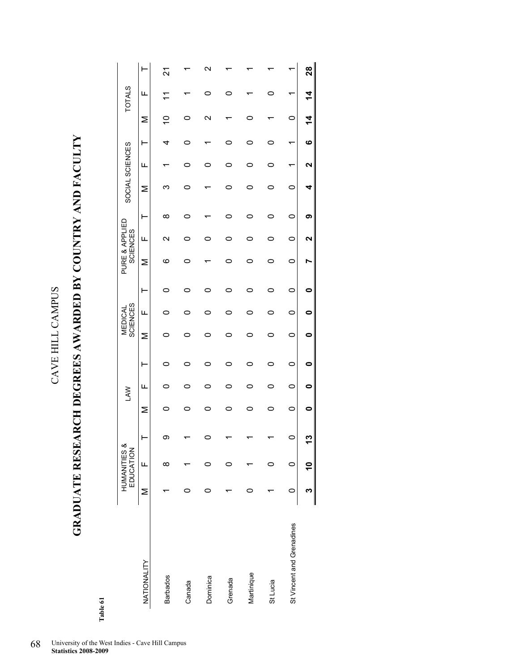## **GRADUATE RESEARCH DEGREES AWARDED BY COUNTRY AND FACULTY**  GRADUATE RESEARCH DEGREES AWARDED BY COUNTRY AND FACULTY

Table 61 **Table 61** 

|                           |   | HUMANITIES &<br>EDUCATION |   |   | <b>LAW</b> |   |   | <b>SCIENCES</b><br>MEDICAL |   |         | PURE & APPLIED<br><b>SCIENCES</b> |   | SOCIAL SCIENCES |   |           |                 | <b>TOTALS</b> |    |
|---------------------------|---|---------------------------|---|---|------------|---|---|----------------------------|---|---------|-----------------------------------|---|-----------------|---|-----------|-----------------|---------------|----|
| NATIONALITY               | Σ | Щ                         | ŀ | Σ | щ          | ŀ | Σ | щ                          | ۲ | Σ       | щ                                 | ŀ | Σ               | щ | ŀ         | Σ               | щ             |    |
| <b>Barbados</b>           |   | ∞                         | တ |   |            | 0 | 0 | o                          | 0 | ဖ       | $\mathbf{\Omega}$                 | ∞ |                 |   | 4         | S               | Γ             | 21 |
| Canada                    |   |                           |   |   |            | 0 | 0 | 冖                          |   |         |                                   |   |                 |   |           |                 |               |    |
| Dominica                  |   |                           |   |   | ⊂          | 0 |   | 0                          |   |         |                                   |   |                 |   |           | $\mathbf{\sim}$ |               |    |
| Grenada                   |   |                           |   |   | 0          | 0 |   | 0                          |   |         |                                   |   |                 | 0 |           |                 |               |    |
| Martinique                |   |                           |   |   |            | 0 |   | 0                          |   |         |                                   |   |                 |   |           | 0               |               |    |
| St Lucia                  |   |                           |   |   |            | 0 |   | ▭                          |   |         |                                   | 0 |                 |   |           |                 |               |    |
| St Vincent and Grenadines |   | 0                         |   | 0 | 0          | 0 | 0 | 0                          | 0 | $\circ$ | 0                                 | 0 | 0               | ۳ |           | $\circ$         | ᡕ             |    |
|                           |   |                           |   |   |            |   | 0 |                            |   |         |                                   | თ | 4               |   | $\bullet$ | 4               | $\bf 4$       | 28 |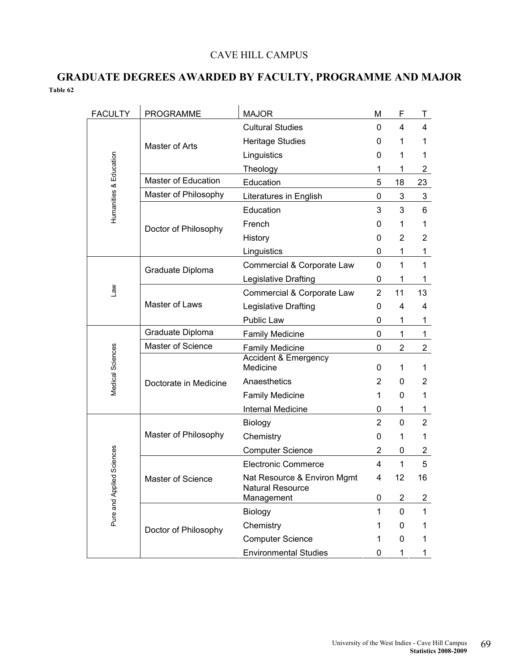### CAVE HILL CAMPUS

### **GRADUATE DEGREES AWARDED BY FACULTY, PROGRAMME AND MAJOR Table 62**

| <b>FACULTY</b>            | <b>PROGRAMME</b>           | <b>MAJOR</b>                                           | м              | F                       | Τ              |
|---------------------------|----------------------------|--------------------------------------------------------|----------------|-------------------------|----------------|
|                           |                            | <b>Cultural Studies</b>                                | 0              | 4                       | 4              |
|                           | Master of Arts             | <b>Heritage Studies</b>                                | 0              | 1                       | 1              |
|                           |                            | Linguistics                                            | 0              | 1                       | 1              |
|                           |                            | Theology                                               | 1              | 1                       | $\overline{2}$ |
|                           | <b>Master of Education</b> | Education                                              | 5              | 18                      | 23             |
| Humanities & Education    | Master of Philosophy       | Literatures in English                                 | 0              | 3                       | 3              |
|                           |                            | Education                                              | 3              | 3                       | 6              |
|                           | Doctor of Philosophy       | French                                                 | 0              | 1                       | 1              |
|                           |                            | History                                                | 0              | 2                       | 2              |
|                           |                            | Linguistics                                            | $\Omega$       | 1                       | 1              |
|                           | Graduate Diploma           | Commercial & Corporate Law                             | 0              | 1                       | $\mathbf{1}$   |
|                           |                            | Legislative Drafting                                   | 0              | 1                       | 1              |
| <b>Law</b>                |                            | Commercial & Corporate Law                             | $\overline{2}$ | 11                      | 13             |
|                           | Master of Laws             | Legislative Drafting                                   | 0              | 4                       | 4              |
|                           |                            | Public Law                                             | 0              | 1                       | 1              |
|                           | Graduate Diploma           | <b>Family Medicine</b>                                 | $\Omega$       | $\mathbf 1$             | 1              |
|                           | Master of Science          | <b>Family Medicine</b>                                 | 0              | 2                       | 2              |
| Medical Sciences          |                            | <b>Accident &amp; Emergency</b><br>Medicine            | 0              | 1                       | 1              |
|                           | Doctorate in Medicine      | Anaesthetics                                           | $\overline{2}$ | 0                       | $\mathbf{2}$   |
|                           |                            | <b>Family Medicine</b>                                 | 1              | 0                       | 1              |
|                           |                            | Internal Medicine                                      | 0              | $\mathbf{1}$            | 1              |
|                           |                            | Biology                                                | $\overline{2}$ | 0                       | $\overline{2}$ |
|                           | Master of Philosophy       | Chemistry                                              | 0              | 1                       | 1              |
|                           |                            | <b>Computer Science</b>                                | $\overline{2}$ | 0                       | 2              |
|                           |                            | <b>Electronic Commerce</b>                             | $\overline{4}$ | 1                       | 5              |
| Pure and Applied Sciences | Master of Science          | Nat Resource & Environ Mgmt<br><b>Natural Resource</b> | 4              | 12                      | 16             |
|                           |                            | Management                                             | 0              | $\overline{\mathbf{c}}$ | 2              |
|                           |                            | Biology                                                | $\mathbf{1}$   | 0                       | $\mathbf{1}$   |
|                           | Doctor of Philosophy       | Chemistry                                              | 1              | 0                       | 1              |
|                           |                            | <b>Computer Science</b>                                | 1              | 0                       | 1              |
|                           |                            | <b>Environmental Studies</b>                           | 0              | 1                       | 1              |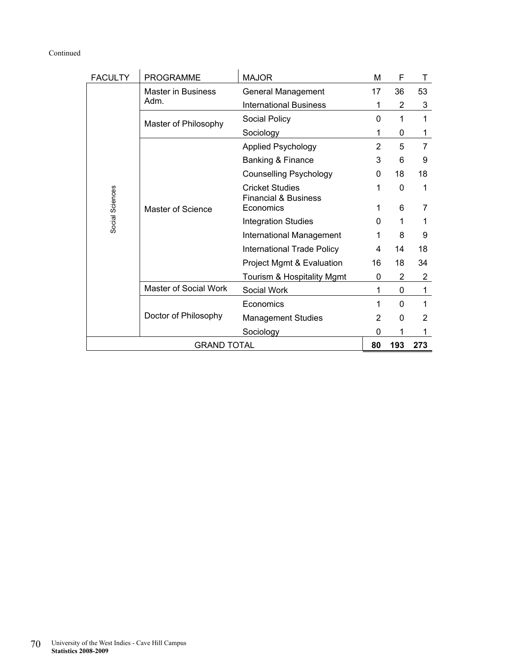### Continued

| <b>FACULTY</b>  | <b>PROGRAMME</b>          | <b>MAJOR</b>                                              | M        | F   | т   |
|-----------------|---------------------------|-----------------------------------------------------------|----------|-----|-----|
|                 | <b>Master in Business</b> | <b>General Management</b>                                 | 17       | 36  | 53  |
|                 | Adm.                      | <b>International Business</b>                             | 1        | 2   | 3   |
|                 | Master of Philosophy      | Social Policy                                             | $\Omega$ | 1   | 1   |
|                 |                           | Sociology                                                 | 1        | 0   | 1   |
|                 |                           | <b>Applied Psychology</b>                                 | 2        | 5   | 7   |
|                 |                           | Banking & Finance                                         | 3        | 6   | 9   |
|                 |                           | <b>Counselling Psychology</b>                             | 0        | 18  | 18  |
|                 |                           | <b>Cricket Studies</b><br><b>Financial &amp; Business</b> |          | 0   | 1   |
| Social Sciences | Master of Science         | Economics                                                 |          | 6   | 7   |
|                 |                           | <b>Integration Studies</b>                                | 0        |     |     |
|                 |                           | International Management                                  | 1        | 8   | 9   |
|                 |                           | <b>International Trade Policy</b>                         | 4        | 14  | 18  |
|                 |                           | Project Mgmt & Evaluation                                 | 16       | 18  | 34  |
|                 |                           | Tourism & Hospitality Mgmt                                | 0        | 2   | 2   |
|                 | Master of Social Work     | Social Work                                               | 1        | 0   | 1   |
|                 |                           | Economics                                                 | 1        | 0   | 1   |
|                 | Doctor of Philosophy      | <b>Management Studies</b>                                 | 2        | 0   | 2   |
|                 |                           | Sociology                                                 | 0        | 1   | 1   |
|                 | <b>GRAND TOTAL</b>        |                                                           | 80       | 193 | 273 |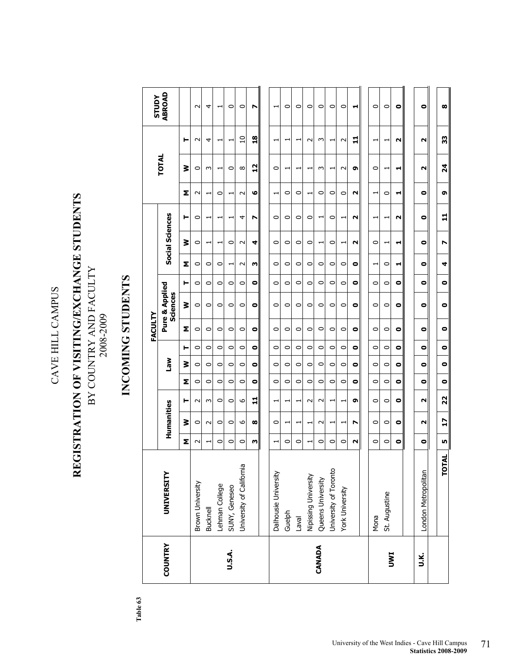### REGISTRATION OF VISITING/EXCHANGE STUDENTS **REGISTRATION OF VISITING/EXCHANGE STUDENTS**  BY COUNTRY AND FACULTY BY COUNTRY AND FACULTY  $2008\text{-}2009$ 2008-2009

## **INCOMING STUDENTS**  INCOMING STUDENTS

Table  $63$ **Table 63** 

|                |                          |           |                |                          |           |           |           | FACULTY |                            |           |                          |                          |                          |             |                       |                          | <b>STUDY</b>             |
|----------------|--------------------------|-----------|----------------|--------------------------|-----------|-----------|-----------|---------|----------------------------|-----------|--------------------------|--------------------------|--------------------------|-------------|-----------------------|--------------------------|--------------------------|
| <b>COUNTRY</b> | UNIVERSITY               |           | Humanities     |                          |           | Mel       |           |         | Pure & Applied<br>Sciences |           |                          | Social Sciences          |                          |             | <b>TOTAL</b>          |                          | <b>ABROAD</b>            |
|                |                          | Σ         | ⋧              | ⊢                        | Σ         | ≩         | ⊢         | Σ       | ₹                          | ⊢         | Σ                        | ≩                        | ⊢                        | Σ           | ≩                     | ⊢                        |                          |
|                | Brown University         | $\sim$    | 0              | $\sim$                   | $\circ$   | $\circ$   | 0         | $\circ$ | $\circ$                    | $\circ$   | $\circ$                  | $\circ$                  | $\circ$                  | $\sim$      | 0                     | $\sim$                   | $\sim$                   |
|                | <b>Bucknell</b>          |           | $\sim$         | $\sim$                   | $\circ$   | 0         | $\circ$   | $\circ$ | $\circ$                    | 0         | 0                        | ᅱ                        | ᅱ                        | ᅱ           | S                     | 4                        | 4                        |
|                | Lehman College           | $\circ$   | 0              | $\circ$                  | $\circ$   | $\circ$   | $\circ$   | $\circ$ | 0                          | $\circ$   | $\circ$                  | ↽                        |                          | 0           | ⊣                     | ᅱ                        | $\overline{\phantom{0}}$ |
| U.S.A.         | SUNY, Geneseo            | 0         | 0              | $\circ$                  | $\circ$   | $\circ$   | 0         | $\circ$ | $\circ$                    | $\circ$   | $\overline{\phantom{0}}$ | $\circ$                  |                          | ᅱ           | 0                     | $\overline{\phantom{0}}$ | $\circ$                  |
|                | University of California | $\circ$   | 6              | 9                        | $\circ$   | 0         | $\circ$   | $\circ$ | $\circ$                    | 0         | $\sim$                   | $\sim$                   | 4                        | $\sim$      | $\infty$              | $\Omega$                 | 0                        |
|                |                          | w         | $\infty$       | 급                        | $\bullet$ | $\bullet$ | $\bullet$ | ۰       | $\bullet$                  | $\bullet$ | ω                        | 4                        | N                        | ق           | $\frac{2}{1}$         | $\frac{8}{16}$           | N                        |
|                |                          |           |                |                          |           |           |           |         |                            |           |                          |                          |                          |             |                       |                          |                          |
|                | Dalhousie University     | ⊣         | 0              | $\overline{\phantom{0}}$ | $\circ$   | $\circ$   | $\circ$   | $\circ$ | $\circ$                    | $\circ$   | $\circ$                  | $\circ$                  | $\circ$                  | ᅱ           | 0                     | $\overline{\phantom{0}}$ | $\overline{\phantom{0}}$ |
|                | Guelph                   | 0         | ┯              | ۳                        | 0         | $\circ$   | 0         | $\circ$ | $\circ$                    | $\circ$   | $\circ$                  | $\circ$                  | $\circ$                  | $\circ$     | ↽                     | ↽                        | 0                        |
|                | $L$ aval                 | 0         | ↽              | $\overline{\phantom{0}}$ | $\circ$   | $\circ$   | $\circ$   | $\circ$ | $\circ$                    | $\circ$   | $\circ$                  | $\circ$                  | $\circ$                  | $\circ$     | ↽                     | ᅱ                        | $\circ$                  |
|                | Nipissing University     |           |                | $\sim$                   | $\circ$   | $\circ$   | $\circ$   | $\circ$ | $\circ$                    | $\circ$   | $\circ$                  | $\circ$                  | $\circ$                  | $\mathbf -$ |                       | $\sim$                   | $\circ$                  |
| CANADA         | Queens University        | 0         | $\sim$         | $\sim$                   | $\circ$   | $\circ$   | $\circ$   | $\circ$ | $\circ$                    | $\circ$   | $\circ$                  | $\overline{\phantom{0}}$ | $\overline{\phantom{0}}$ | $\circ$     | S                     | S                        | $\circ$                  |
|                | University of Toronto    | $\circ$   | ⊣              | ᅱ                        | 0         | 0         | $\circ$   | $\circ$ | $\circ$                    | 0         | $\circ$                  | 0                        | $\circ$                  | 0           | ⊣                     | ᅱ                        | 0                        |
|                | York University          | 0         |                | ⊣                        | $\circ$   | $\circ$   | 0         | $\circ$ | $\circ$                    | $\circ$   | 0                        | $\overline{\phantom{0}}$ | $\overline{\phantom{0}}$ | 0           | $\sim$                | $\sim$                   | $\circ$                  |
|                |                          | N         | N              | Ō                        | $\bullet$ | $\bullet$ | 0         | ۰       | 0                          | 0         | $\bullet$                | N                        | N                        | N           | ໑                     | 급                        | ᆏ                        |
|                |                          |           |                |                          |           |           |           |         |                            |           |                          |                          |                          |             |                       |                          |                          |
|                | Mona                     | $\circ$   | $\circ$        | $\circ$                  | $\circ$   | $\circ$   | $\circ$   | $\circ$ | $\circ$                    | $\circ$   | ᅱ                        | $\circ$                  | ᅱ                        | ᆏ           | $\circ$               | ᆏ                        | $\circ$                  |
| <b>IMNI</b>    | St. Augustine            | 0         | 0              | $\circ$                  | 0         | $\circ$   | 0         | $\circ$ | $\circ$                    | $\circ$   | $\circ$                  |                          | ᅱ                        | $\circ$     | ↽                     | $\overline{\phantom{0}}$ | $\circ$                  |
|                |                          | $\bullet$ | 0              | 0                        | $\bullet$ | 0         | 0         | 0       | 0                          | $\bullet$ | ᆏ                        | ᆏ                        | Ν                        | ᆏ           | ᆏ                     | N                        | $\bullet$                |
|                |                          |           |                |                          |           |           |           |         |                            |           |                          |                          |                          |             |                       |                          |                          |
| У.             | London Metropolitan      | $\bullet$ | N              | $\sim$                   | $\bullet$ | ۰         | $\bullet$ | ۰       | $\bullet$                  | $\bullet$ | 0                        | $\bullet$                | $\bullet$                | ۰           | $\mathbf{\mathsf{N}}$ | N                        | $\bullet$                |
|                |                          |           |                |                          |           |           |           |         |                            |           |                          |                          |                          |             |                       |                          |                          |
|                | <b>TOTAL</b>             | LŊ,       | $\overline{1}$ | 22                       | $\bullet$ | $\bullet$ | $\bullet$ | ۰       | $\bullet$                  | $\bullet$ | 4                        | N                        | 급                        | G           | 24                    | 33                       | $\infty$                 |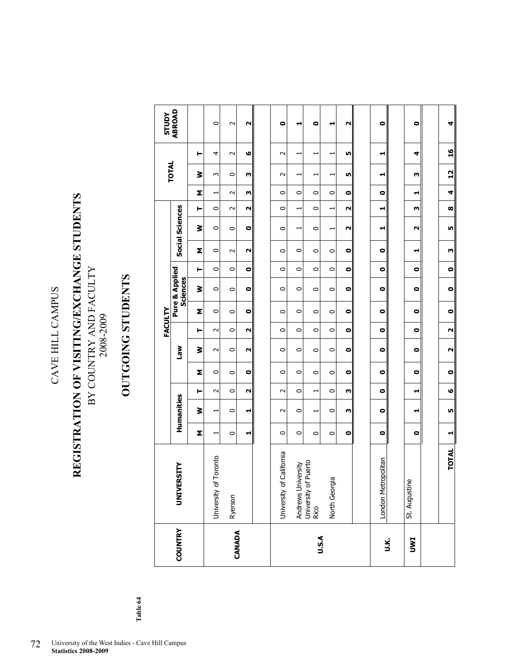### REGISTRATION OF VISITING/EXCHANGE STUDENTS **REGISTRATION OF VISITING/EXCHANGE STUDENTS**  BY COUNTRY AND FACULTY BY COUNTRY AND FACULTY  $2008\text{-}2009$ 2008-2009

## OUTGOING STUDENTS **OUTGOING STUDENTS**

|                |                                                    |           |                |                                         |           |                       | <b>FACULTY</b>        |           |                                   |           |           |                          |                          |                       |                          |        | STUDY         |
|----------------|----------------------------------------------------|-----------|----------------|-----------------------------------------|-----------|-----------------------|-----------------------|-----------|-----------------------------------|-----------|-----------|--------------------------|--------------------------|-----------------------|--------------------------|--------|---------------|
| <b>COUNTRY</b> | UNIVERSITY                                         |           | Humanities     |                                         |           | <b>Wel</b>            |                       |           | Pure & Applied<br><b>Sciences</b> |           |           | Social Sciences          |                          |                       | <b>TOTAL</b>             |        | <b>ABROAD</b> |
|                |                                                    | Σ         | ₹              | ۳                                       | Σ         | ₹                     | ۳                     | Σ         | ₹                                 | ۳         | Σ         | ₹                        | ۳                        | Σ                     | ₹                        | ۳      |               |
|                | Toronto<br>University of                           | ⊣         | ⊣              | $\sim$                                  | $\circ$   | $\sim$                | $\sim$                | $\circ$   | $\circ$                           | $\circ$   | $\circ$   | $\circ$                  | $\circ$                  | $\mathord{\text{--}}$ | S                        | 4      | $\circ$       |
| CANADA         | Ryerson                                            | $\circ$   | $\circ$        | $\circ$                                 | $\circ$   | $\circ$               | $\circ$               | $\circ$   | $\circ$                           | $\circ$   | $\sim$    | $\circ$                  | $\sim$                   | $\sim$                | $\circ$                  | $\sim$ | $\sim$        |
|                |                                                    | ᆏ         | ᆏ              | $\mathbf{\mathsf{N}}$                   | $\bullet$ | N                     | $\mathbf{\mathsf{N}}$ | $\bullet$ | $\bullet$                         | $\bullet$ | N         | $\bullet$                | $\mathbf{\tilde{z}}$     | ω                     | m                        | ဖ      | N             |
|                |                                                    |           |                |                                         |           |                       |                       |           |                                   |           |           |                          |                          |                       |                          |        |               |
|                | California<br>University of                        | $\circ$   | $\sim$         | $\sim$                                  | $\circ$   | $\circ$               | $\circ$               | $\circ$   | $\circ$                           | $\circ$   | $\circ$   | $\circ$                  | $\circ$                  | $\circ$               | $\sim$                   | $\sim$ | ۰             |
|                |                                                    | $\circ$   | $\circ$        | $\circ$                                 | $\circ$   | $\circ$               | $\circ$               | $\circ$   | $\circ$                           | $\circ$   | $\circ$   | ᅱ                        | ᆋ                        | $\circ$               | $\overline{\phantom{0}}$ | ⊣      | ᆋ             |
| U.S.A          | Andrews University<br>University of Puerto<br>Rico | $\circ$   | $\overline{ }$ | $\mathbf{\mathbf{\mathbf{\mathsf{H}}}}$ | $\circ$   | $\circ$               | $\circ$               | $\circ$   | $\circ$                           | $\circ$   | $\circ$   | $\circ$                  | $\circ$                  | $\circ$               | ⊣                        | ᅱ      | $\bullet$     |
|                | North Georgia                                      | $\circ$   | $\circ$        | $\circ$                                 | $\circ$   | $\circ$               | $\circ$               | $\circ$   | $\circ$                           | $\circ$   | $\circ$   | $\overline{\phantom{0}}$ | $\overline{\phantom{0}}$ | $\circ$               | ⊣                        | ᅱ      | ᆏ             |
|                |                                                    | $\bullet$ | ω              | m                                       | $\bullet$ | $\bullet$             | $\bullet$             | $\bullet$ | $\bullet$                         | $\bullet$ | $\bullet$ | N                        | $\mathbf{\tilde{z}}$     | 0                     | n,                       | n,     | N             |
|                |                                                    |           |                |                                         |           |                       |                       |           |                                   |           |           |                          |                          |                       |                          |        |               |
| J.K.           | London Metropolitan                                | $\bullet$ | $\bullet$      | 0                                       | $\bullet$ | $\bullet$             | $\bullet$             | $\bullet$ | $\bullet$                         | $\bullet$ | $\bullet$ | ᆋ                        | ᆏ                        | 0                     | ᆔ                        | ᆔ      | ۰             |
|                |                                                    |           |                |                                         |           |                       |                       |           |                                   |           |           |                          |                          |                       |                          |        |               |
| <b>IWL</b>     | St. Augustine                                      | $\bullet$ | ᆏ              | ᆏ                                       | $\bullet$ | $\bullet$             | $\bullet$             | $\bullet$ | $\bullet$                         | $\bullet$ | ᆏ         | N                        | m                        | ᆏ                     | m                        | 4      | ۰             |
|                |                                                    |           |                |                                         |           |                       |                       |           |                                   |           |           |                          |                          |                       |                          |        |               |
|                | <b>TOTAL</b>                                       | ᆏ         | LO,            | G                                       | $\bullet$ | $\mathbf{\mathsf{N}}$ | $\mathbf{\mathsf{N}}$ | $\bullet$ | $\bullet$                         | $\bullet$ | m         | LO <sub>1</sub>          | $\pmb{\infty}$           | 4                     | 51                       | 16     | 4             |